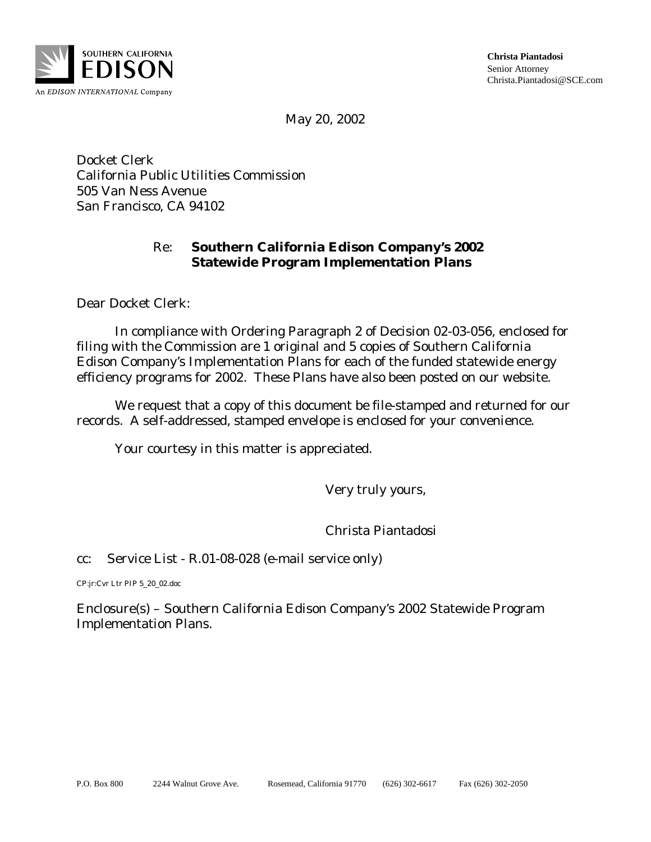

**Christa Piantadosi**  Senior Attorney Christa.Piantadosi@SCE.com

May 20, 2002

Docket Clerk California Public Utilities Commission 505 Van Ness Avenue San Francisco, CA 94102

### Re: **Southern California Edison Company's 2002 Statewide Program Implementation Plans**

Dear Docket Clerk:

In compliance with Ordering Paragraph 2 of Decision 02-03-056, enclosed for filing with the Commission are 1 original and 5 copies of Southern California Edison Company's Implementation Plans for each of the funded statewide energy efficiency programs for 2002. These Plans have also been posted on our website.

We request that a copy of this document be file-stamped and returned for our records. A self-addressed, stamped envelope is enclosed for your convenience.

Your courtesy in this matter is appreciated.

Very truly yours,

Christa Piantadosi

cc: Service List - R.01-08-028 (e-mail service only)

CP:jr:Cvr Ltr PIP 5\_20\_02.doc

Enclosure(s) – Southern California Edison Company's 2002 Statewide Program Implementation Plans.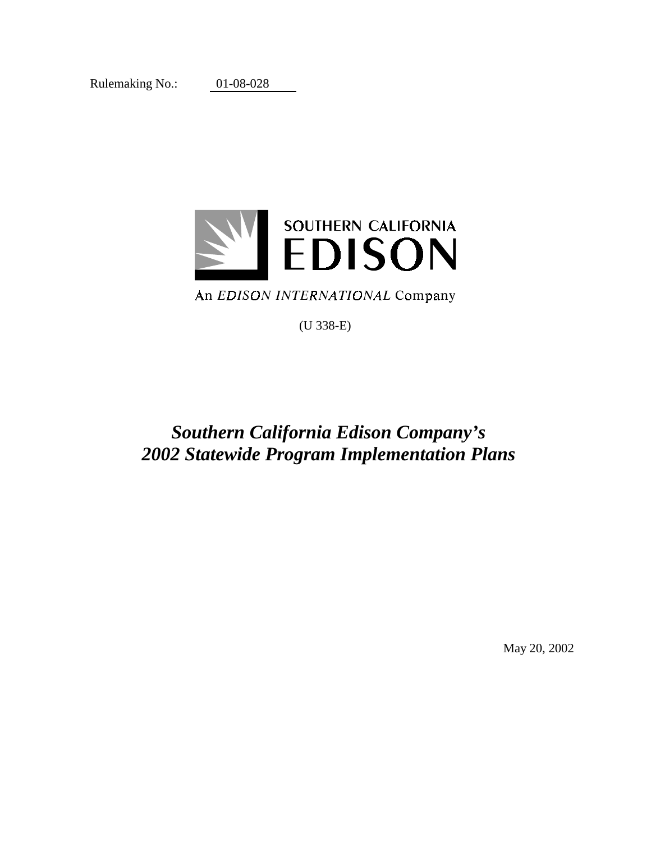Rulemaking No.: 01-08-028



## An EDISON INTERNATIONAL Company

(U 338-E)

## *Southern California Edison Company's 2002 Statewide Program Implementation Plans*

May 20, 2002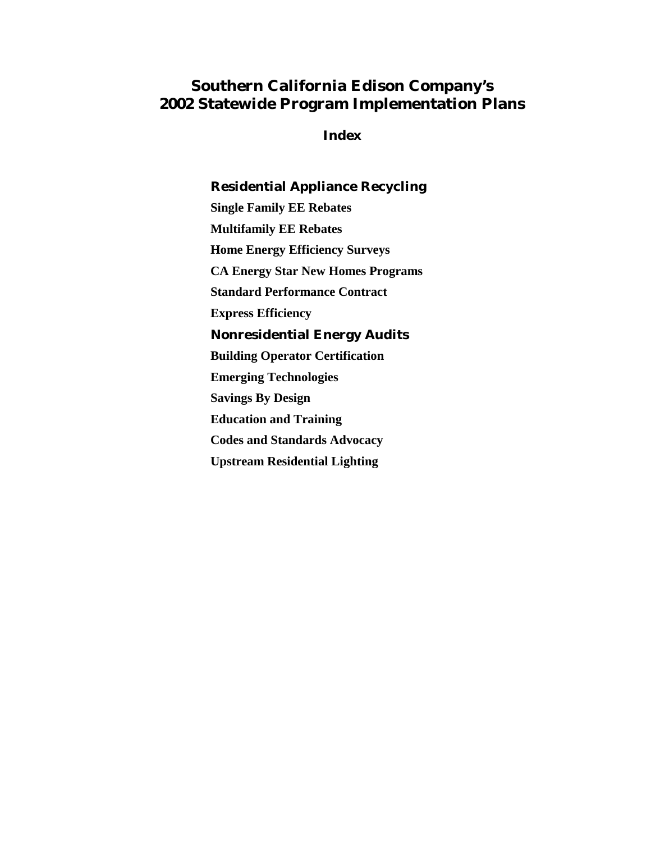## **Southern California Edison Company's 2002 Statewide Program Implementation Plans**

**Index** 

## **Residential Appliance Recycling Single Family EE Rebates Multifamily EE Rebates Home Energy Efficiency Surveys CA Energy Star New Homes Programs Standard Performance Contract Express Efficiency Nonresidential Energy Audits Building Operator Certification Emerging Technologies Savings By Design Education and Training Codes and Standards Advocacy Upstream Residential Lighting**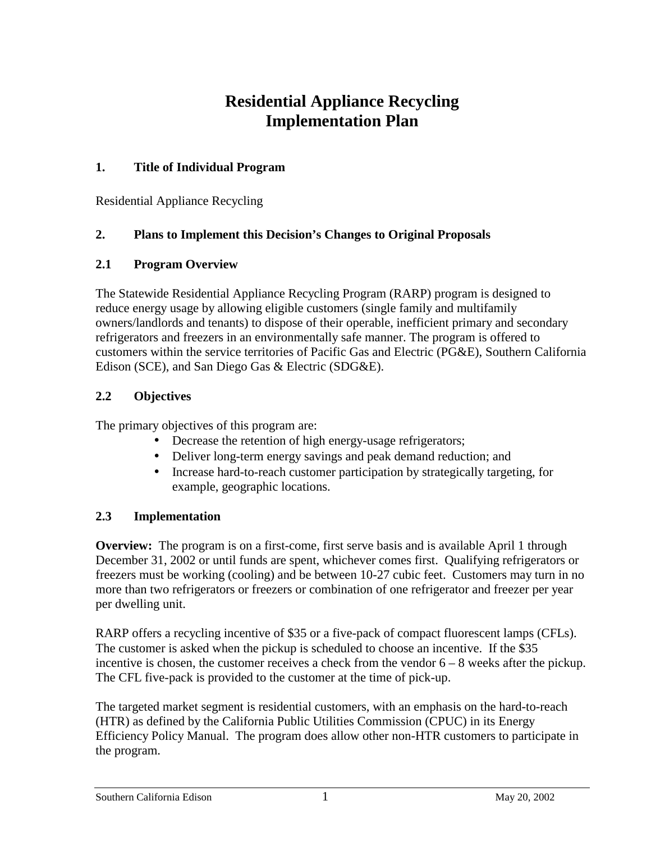## **Residential Appliance Recycling Implementation Plan**

### **1. Title of Individual Program**

Residential Appliance Recycling

### **2. Plans to Implement this Decision's Changes to Original Proposals**

### **2.1 Program Overview**

The Statewide Residential Appliance Recycling Program (RARP) program is designed to reduce energy usage by allowing eligible customers (single family and multifamily owners/landlords and tenants) to dispose of their operable, inefficient primary and secondary refrigerators and freezers in an environmentally safe manner. The program is offered to customers within the service territories of Pacific Gas and Electric (PG&E), Southern California Edison (SCE), and San Diego Gas & Electric (SDG&E).

## **2.2 Objectives**

The primary objectives of this program are:

- Decrease the retention of high energy-usage refrigerators;
- Deliver long-term energy savings and peak demand reduction; and
- Increase hard-to-reach customer participation by strategically targeting, for example, geographic locations.

### **2.3 Implementation**

**Overview:** The program is on a first-come, first serve basis and is available April 1 through December 31, 2002 or until funds are spent, whichever comes first. Qualifying refrigerators or freezers must be working (cooling) and be between 10-27 cubic feet. Customers may turn in no more than two refrigerators or freezers or combination of one refrigerator and freezer per year per dwelling unit.

RARP offers a recycling incentive of \$35 or a five-pack of compact fluorescent lamps (CFLs). The customer is asked when the pickup is scheduled to choose an incentive. If the \$35 incentive is chosen, the customer receives a check from the vendor  $6 - 8$  weeks after the pickup. The CFL five-pack is provided to the customer at the time of pick-up.

The targeted market segment is residential customers, with an emphasis on the hard-to-reach (HTR) as defined by the California Public Utilities Commission (CPUC) in its Energy Efficiency Policy Manual. The program does allow other non-HTR customers to participate in the program.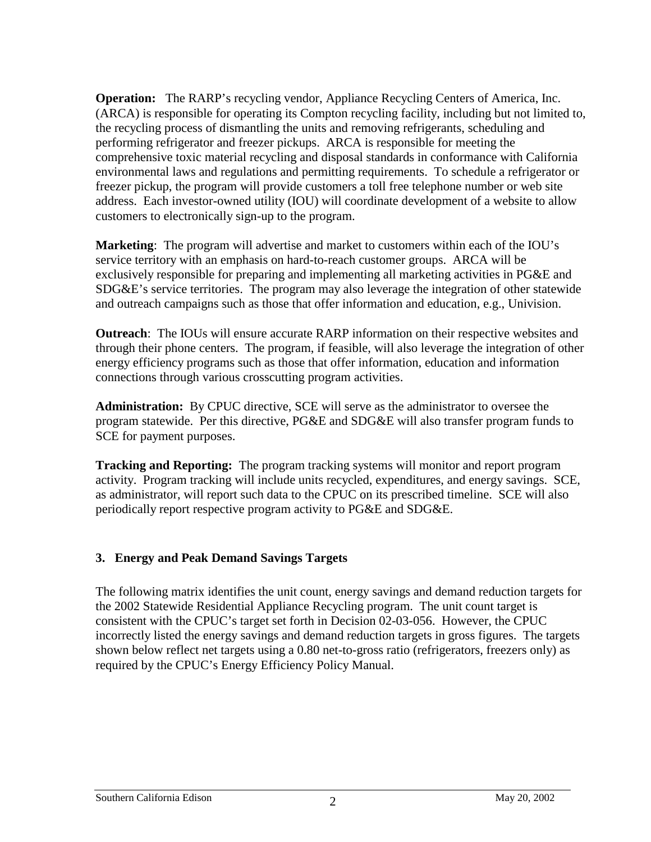**Operation:** The RARP's recycling vendor, Appliance Recycling Centers of America, Inc. (ARCA) is responsible for operating its Compton recycling facility, including but not limited to, the recycling process of dismantling the units and removing refrigerants, scheduling and performing refrigerator and freezer pickups. ARCA is responsible for meeting the comprehensive toxic material recycling and disposal standards in conformance with California environmental laws and regulations and permitting requirements. To schedule a refrigerator or freezer pickup, the program will provide customers a toll free telephone number or web site address. Each investor-owned utility (IOU) will coordinate development of a website to allow customers to electronically sign-up to the program.

**Marketing**: The program will advertise and market to customers within each of the IOU's service territory with an emphasis on hard-to-reach customer groups. ARCA will be exclusively responsible for preparing and implementing all marketing activities in PG&E and SDG&E's service territories. The program may also leverage the integration of other statewide and outreach campaigns such as those that offer information and education, e.g., Univision.

**Outreach**: The IOUs will ensure accurate RARP information on their respective websites and through their phone centers. The program, if feasible, will also leverage the integration of other energy efficiency programs such as those that offer information, education and information connections through various crosscutting program activities.

**Administration:** By CPUC directive, SCE will serve as the administrator to oversee the program statewide. Per this directive, PG&E and SDG&E will also transfer program funds to SCE for payment purposes.

**Tracking and Reporting:** The program tracking systems will monitor and report program activity. Program tracking will include units recycled, expenditures, and energy savings. SCE, as administrator, will report such data to the CPUC on its prescribed timeline. SCE will also periodically report respective program activity to PG&E and SDG&E.

### **3. Energy and Peak Demand Savings Targets**

The following matrix identifies the unit count, energy savings and demand reduction targets for the 2002 Statewide Residential Appliance Recycling program. The unit count target is consistent with the CPUC's target set forth in Decision 02-03-056. However, the CPUC incorrectly listed the energy savings and demand reduction targets in gross figures. The targets shown below reflect net targets using a 0.80 net-to-gross ratio (refrigerators, freezers only) as required by the CPUC's Energy Efficiency Policy Manual.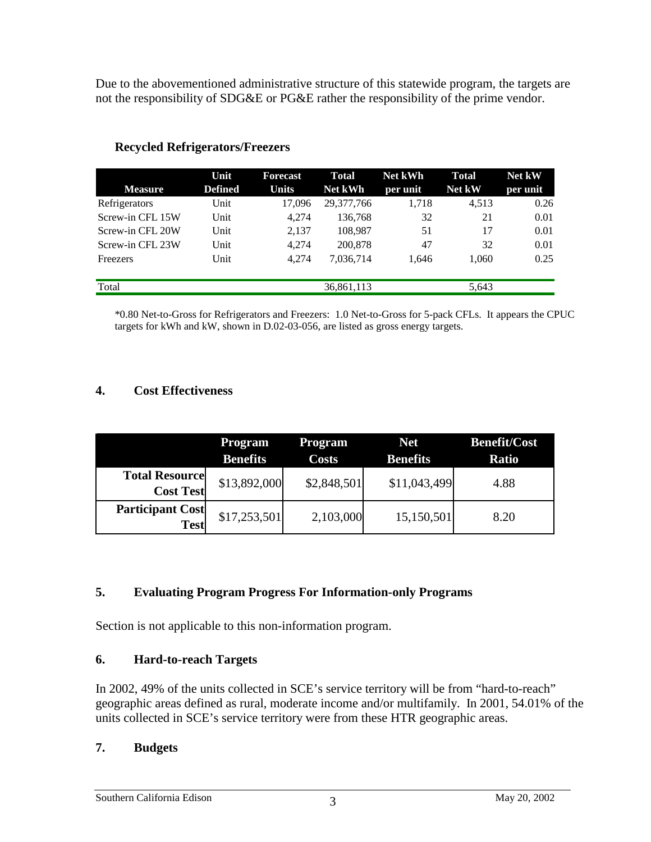Due to the abovementioned administrative structure of this statewide program, the targets are not the responsibility of SDG&E or PG&E rather the responsibility of the prime vendor.

|                  | Unit           | <b>Forecast</b> | <b>Total</b>   | <b>Net kWh</b> | <b>Total</b> | Net kW   |
|------------------|----------------|-----------------|----------------|----------------|--------------|----------|
| <b>Measure</b>   | <b>Defined</b> | <b>Units</b>    | <b>Net kWh</b> | per unit       | Net kW       | per unit |
| Refrigerators    | Unit           | 17.096          | 29,377,766     | 1,718          | 4,513        | 0.26     |
| Screw-in CFL 15W | Unit           | 4.274           | 136,768        | 32             | 21           | 0.01     |
| Screw-in CFL 20W | Unit           | 2.137           | 108,987        | 51             | 17           | 0.01     |
| Screw-in CFL 23W | Unit           | 4.274           | 200,878        | 47             | 32           | 0.01     |
| Freezers         | Unit           | 4.274           | 7,036,714      | 1.646          | 1.060        | 0.25     |
|                  |                |                 |                |                |              |          |
| Total            |                |                 | 36,861,113     |                | 5,643        |          |

### **Recycled Refrigerators/Freezers**

\*0.80 Net-to-Gross for Refrigerators and Freezers: 1.0 Net-to-Gross for 5-pack CFLs. It appears the CPUC targets for kWh and kW, shown in D.02-03-056, are listed as gross energy targets.

#### **4. Cost Effectiveness**

|                                           | Program<br><b>Benefits</b> | <b>Program</b><br><b>Costs</b> | <b>Net</b><br><b>Benefits</b> | <b>Benefit/Cost</b><br><b>Ratio</b> |
|-------------------------------------------|----------------------------|--------------------------------|-------------------------------|-------------------------------------|
| <b>Total Resource</b><br><b>Cost Test</b> | \$13,892,000               | \$2,848,501                    | \$11,043,499                  | 4.88                                |
| <b>Participant Cost</b><br><b>Test</b>    | \$17,253,501               | 2,103,000                      | 15,150,501                    | 8.20                                |

### **5. Evaluating Program Progress For Information-only Programs**

Section is not applicable to this non-information program.

#### **6. Hard-to-reach Targets**

In 2002, 49% of the units collected in SCE's service territory will be from "hard-to-reach" geographic areas defined as rural, moderate income and/or multifamily. In 2001, 54.01% of the units collected in SCE's service territory were from these HTR geographic areas.

#### **7. Budgets**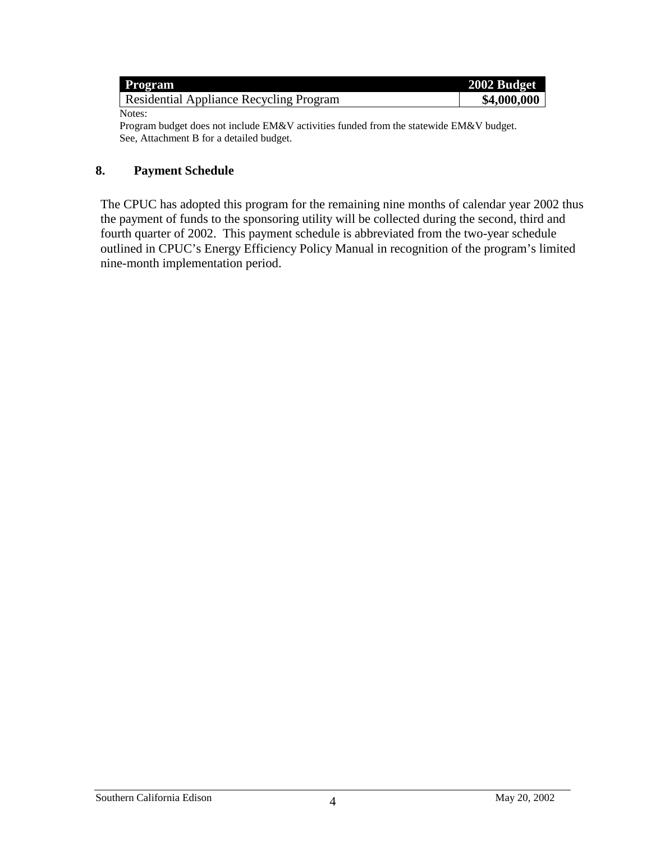| <b>Program</b>                          | 2002 Budget |
|-----------------------------------------|-------------|
| Residential Appliance Recycling Program | \$4,000,000 |
| Notes:                                  |             |

Program budget does not include EM&V activities funded from the statewide EM&V budget. See, Attachment B for a detailed budget.

#### **8. Payment Schedule**

The CPUC has adopted this program for the remaining nine months of calendar year 2002 thus the payment of funds to the sponsoring utility will be collected during the second, third and fourth quarter of 2002. This payment schedule is abbreviated from the two-year schedule outlined in CPUC's Energy Efficiency Policy Manual in recognition of the program's limited nine-month implementation period.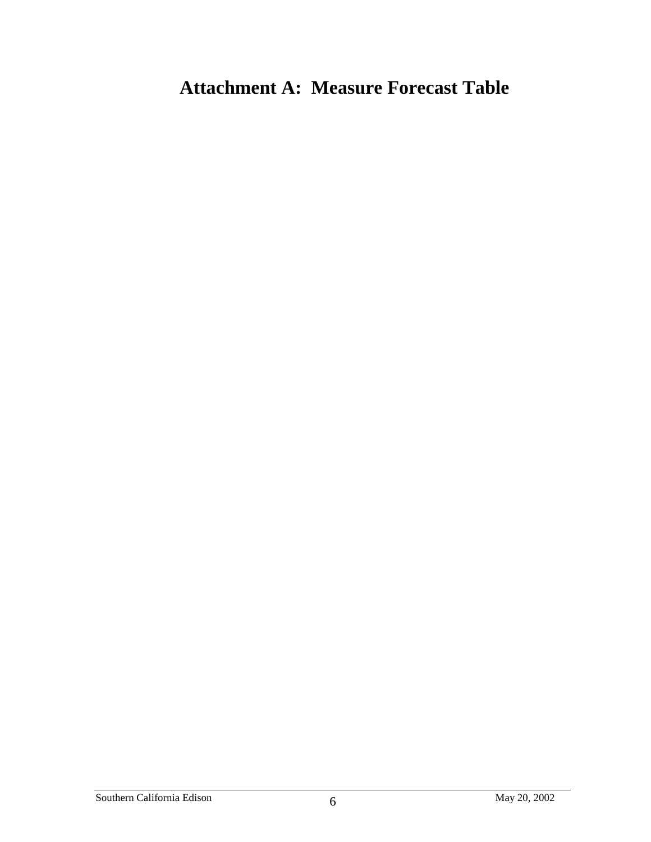# **Attachment A: Measure Forecast Table**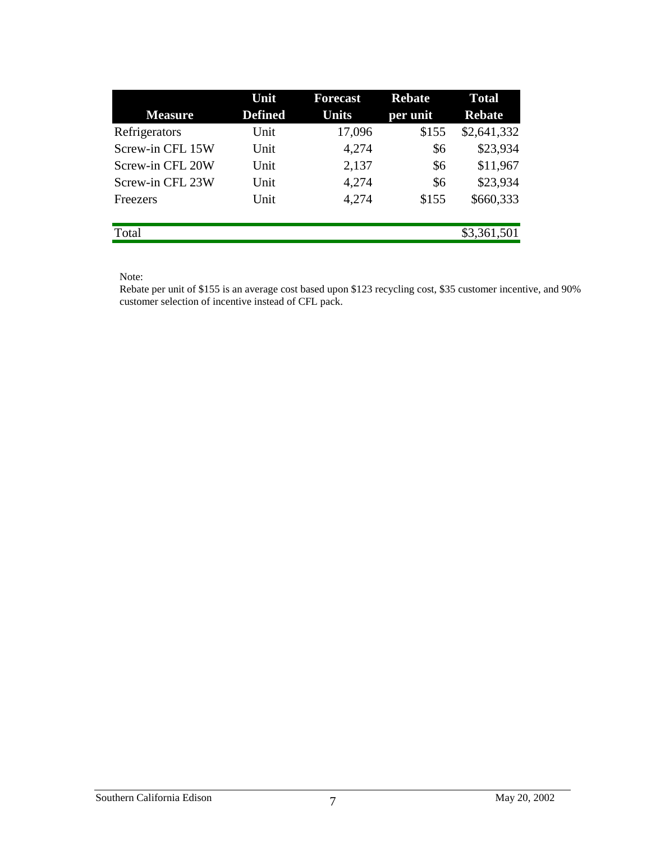| Unit | <b>Forecast</b> | <b>Rebate</b> | <b>Total</b><br><b>Rebate</b> |
|------|-----------------|---------------|-------------------------------|
|      |                 |               |                               |
| Unit | 17,096          | \$155         | \$2,641,332                   |
| Unit | 4,274           | \$6           | \$23,934                      |
| Unit | 2,137           | \$6           | \$11,967                      |
| Unit | 4,274           | \$6           | \$23,934                      |
| Unit | 4,274           | \$155         | \$660,333                     |
|      |                 |               |                               |
|      |                 |               | \$3,361,501                   |
|      | <b>Defined</b>  | Units         | per unit                      |

Note:

Rebate per unit of \$155 is an average cost based upon \$123 recycling cost, \$35 customer incentive, and 90% customer selection of incentive instead of CFL pack.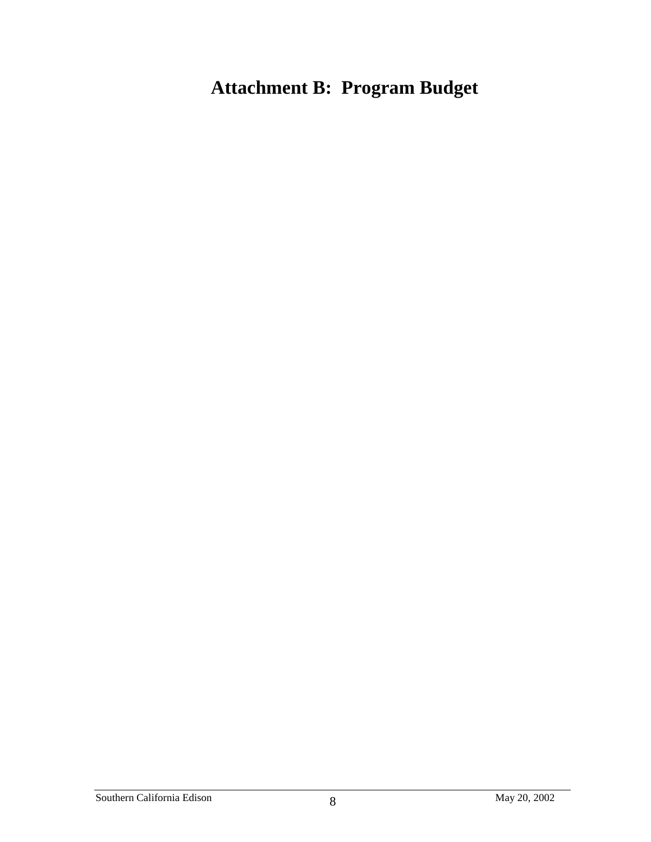# **Attachment B: Program Budget**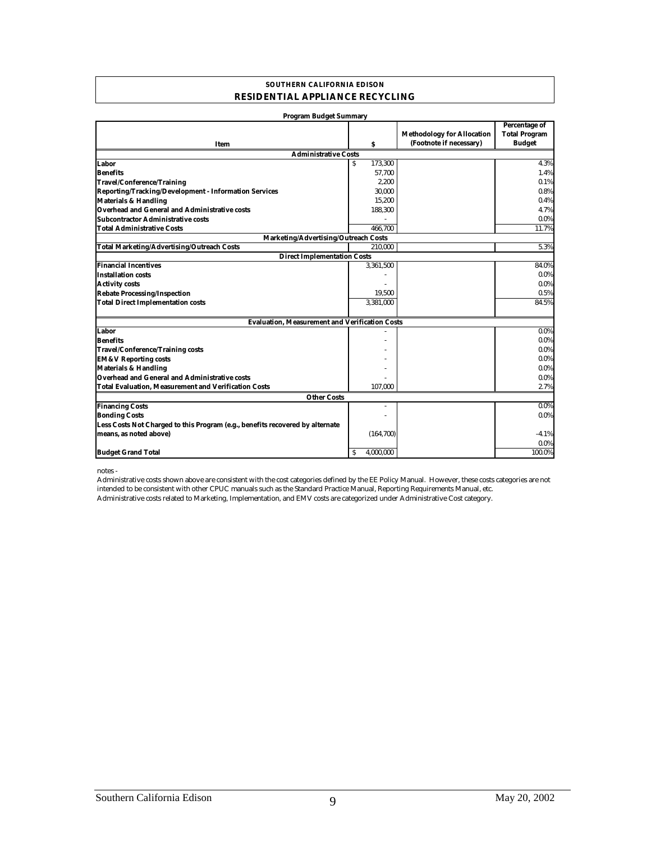#### **SOUTHERN CALIFORNIA EDISON RESIDENTIAL APPLIANCE RECYCLING**

| <b>Program Budget Summary</b>                                                 |                |                                                              |                                                               |
|-------------------------------------------------------------------------------|----------------|--------------------------------------------------------------|---------------------------------------------------------------|
| Item                                                                          | S              | <b>Methodology for Allocation</b><br>(Footnote if necessary) | <b>Percentage of</b><br><b>Total Program</b><br><b>Budget</b> |
| <b>Administrative Costs</b>                                                   |                |                                                              |                                                               |
| Labor                                                                         | 173,300<br>S   |                                                              | 4.3%                                                          |
| <b>Benefits</b>                                                               | 57,700         |                                                              | 1.4%                                                          |
| <b>Travel/Conference/Training</b>                                             | 2,200          |                                                              | 0.1%                                                          |
| Reporting/Tracking/Development - Information Services                         | 30,000         |                                                              | 0.8%                                                          |
| <b>Materials &amp; Handling</b>                                               | 15,200         |                                                              | 0.4%                                                          |
| <b>Overhead and General and Administrative costs</b>                          | 188,300        |                                                              | 4.7%                                                          |
| <b>Subcontractor Administrative costs</b>                                     |                |                                                              | $0.0\%$                                                       |
| <b>Total Administrative Costs</b>                                             | 466.700        |                                                              | 11.7%                                                         |
| Marketing/Advertising/Outreach Costs                                          |                |                                                              |                                                               |
| <b>Total Marketing/Advertising/Outreach Costs</b>                             | 210.000        |                                                              | 5.3%                                                          |
| <b>Direct Implementation Costs</b>                                            |                |                                                              |                                                               |
| <b>Financial Incentives</b>                                                   | 3,361,500      |                                                              | 84.0%                                                         |
| <b>Installation costs</b>                                                     |                |                                                              | 0.0%                                                          |
| <b>Activity costs</b>                                                         |                |                                                              | $0.0\%$                                                       |
| <b>Rebate Processing/Inspection</b>                                           | 19,500         |                                                              | 0.5%                                                          |
| <b>Total Direct Implementation costs</b>                                      | 3,381,000      |                                                              | 84.5%                                                         |
| <b>Evaluation, Measurement and Verification Costs</b>                         |                |                                                              |                                                               |
| Labor                                                                         |                |                                                              | $0.0\%$                                                       |
| <b>Benefits</b>                                                               |                |                                                              | $0.0\%$                                                       |
| <b>Travel/Conference/Training costs</b>                                       |                |                                                              | $0.0\%$                                                       |
| <b>EM&amp;V Reporting costs</b>                                               |                |                                                              | $0.0\%$                                                       |
| <b>Materials &amp; Handling</b>                                               |                |                                                              | $0.0\%$                                                       |
| <b>Overhead and General and Administrative costs</b>                          |                |                                                              | $0.0\%$                                                       |
| <b>Total Evaluation, Measurement and Verification Costs</b>                   | 107,000        |                                                              | 2.7%                                                          |
| <b>Other Costs</b>                                                            |                |                                                              |                                                               |
| <b>Financing Costs</b>                                                        |                |                                                              | $0.0\%$                                                       |
| <b>Bonding Costs</b>                                                          |                |                                                              | $0.0\%$                                                       |
| Less Costs Not Charged to this Program (e.g., benefits recovered by alternate |                |                                                              |                                                               |
| means, as noted above)                                                        | (164, 700)     |                                                              | $-4.1%$                                                       |
|                                                                               |                |                                                              | 0.0%                                                          |
| <b>Budget Grand Total</b>                                                     | 4.000.000<br>s |                                                              | 100.0%                                                        |

notes -

Administrative costs related to Marketing, Implementation, and EMV costs are categorized under Administrative Cost category. Administrative costs shown above are consistent with the cost categories defined by the EE Policy Manual. However, these costs categories are not intended to be consistent with other CPUC manuals such as the Standard Practice Manual, Reporting Requirements Manual, etc.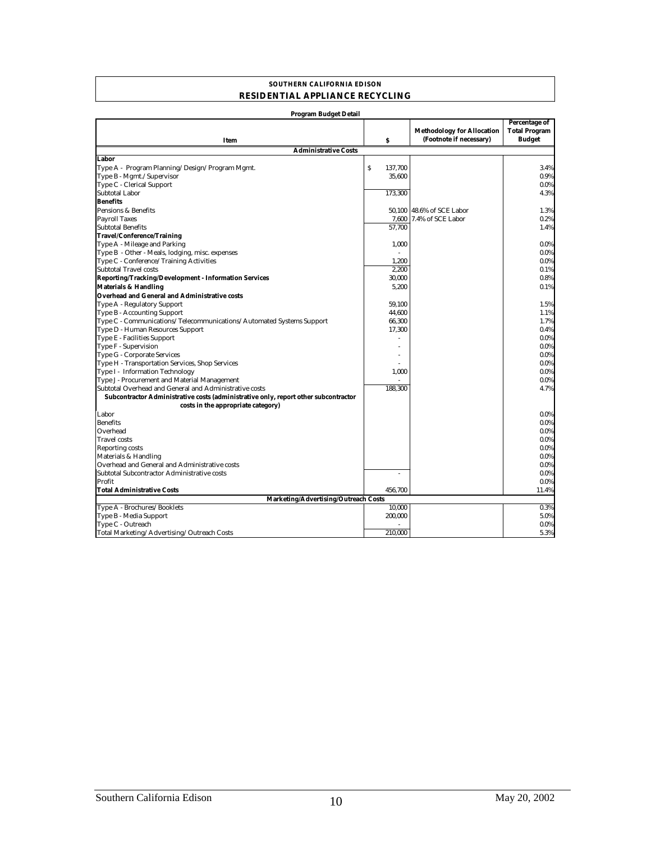#### **SOUTHERN CALIFORNIA EDISON RESIDENTIAL APPLIANCE RECYCLING**

| Program Budget Detail                                                               |              |                                                              |                                                               |
|-------------------------------------------------------------------------------------|--------------|--------------------------------------------------------------|---------------------------------------------------------------|
| Item                                                                                | S            | <b>Methodology for Allocation</b><br>(Footnote if necessary) | <b>Percentage of</b><br><b>Total Program</b><br><b>Budget</b> |
| <b>Administrative Costs</b>                                                         |              |                                                              |                                                               |
| Labor                                                                               |              |                                                              |                                                               |
| Type A - Program Planning/Design/Program Mgmt.                                      | S<br>137.700 |                                                              | 3.4%                                                          |
| Type B - Mgmt./Supervisor                                                           | 35,600       |                                                              | 0.9%                                                          |
| Type C - Clerical Support                                                           |              |                                                              | 0.0%                                                          |
| <b>Subtotal Labor</b>                                                               | 173,300      |                                                              | 4.3%                                                          |
| <b>Benefits</b>                                                                     |              |                                                              |                                                               |
| Pensions & Benefits                                                                 | 50,100       | 48.6% of SCE Labor                                           | 1.3%                                                          |
| <b>Payroll Taxes</b>                                                                | 7,600        | 7.4% of SCE Labor                                            | 0.2%                                                          |
| <b>Subtotal Benefits</b>                                                            | 57.700       |                                                              | 1.4%                                                          |
| <b>Travel/Conference/Training</b>                                                   |              |                                                              |                                                               |
| Type A - Mileage and Parking                                                        | 1.000        |                                                              | 0.0%                                                          |
| Type B - Other - Meals, lodging, misc. expenses                                     |              |                                                              | 0.0%                                                          |
| Type C - Conference/Training Activities                                             | 1,200        |                                                              | 0.0%                                                          |
| <b>Subtotal Travel costs</b>                                                        | 2,200        |                                                              | 0.1%                                                          |
| <b>Reporting/Tracking/Development - Information Services</b>                        | 30,000       |                                                              | 0.8%                                                          |
| <b>Materials &amp; Handling</b>                                                     | 5,200        |                                                              | 0.1%                                                          |
| Overhead and General and Administrative costs                                       |              |                                                              |                                                               |
| Type A - Regulatory Support                                                         | 59.100       |                                                              | 1.5%                                                          |
| Type B - Accounting Support                                                         | 44,600       |                                                              | 1.1%                                                          |
| Type C - Communications/Telecommunications/Automated Systems Support                | 66,300       |                                                              | 1.7%                                                          |
| Type D - Human Resources Support                                                    | 17,300       |                                                              | 0.4%                                                          |
| Type E - Facilities Support                                                         |              |                                                              | 0.0%                                                          |
| Type F - Supervision                                                                |              |                                                              | 0.0%                                                          |
| Type G - Corporate Services                                                         |              |                                                              | 0.0%                                                          |
| Type H - Transportation Services, Shop Services                                     |              |                                                              | 0.0%                                                          |
| Type I - Information Technology                                                     | 1,000        |                                                              | 0.0%                                                          |
| Type J - Procurement and Material Management                                        |              |                                                              | $0.0\%$                                                       |
| Subtotal Overhead and General and Administrative costs                              | 188.300      |                                                              | 4.7%                                                          |
| Subcontractor Administrative costs (administrative only, report other subcontractor |              |                                                              |                                                               |
| costs in the appropriate category)                                                  |              |                                                              |                                                               |
| Labor                                                                               |              |                                                              | 0.0%                                                          |
| <b>Benefits</b>                                                                     |              |                                                              | 0.0%                                                          |
| Overhead                                                                            |              |                                                              | $0.0\%$                                                       |
| <b>Travel</b> costs                                                                 |              |                                                              | 0.0%                                                          |
| <b>Reporting costs</b>                                                              |              |                                                              | 0.0%                                                          |
| Materials & Handling                                                                |              |                                                              | 0.0%                                                          |
| Overhead and General and Administrative costs                                       |              |                                                              | $0.0\%$                                                       |
| Subtotal Subcontractor Administrative costs                                         | ÷            |                                                              | 0.0%                                                          |
| Profit                                                                              |              |                                                              | 0.0%                                                          |
| <b>Total Administrative Costs</b>                                                   | 456,700      |                                                              | 11.4%                                                         |
| Marketing/Advertising/Outreach Costs                                                |              |                                                              |                                                               |
| Type A - Brochures/Booklets                                                         | 10,000       |                                                              | 0.3%                                                          |
| Type B - Media Support                                                              | 200,000      |                                                              | 5.0%                                                          |
| Type C - Outreach                                                                   |              |                                                              | 0.0%                                                          |
| Total Marketing/Advertising/Outreach Costs                                          | 210.000      |                                                              | 5.3%                                                          |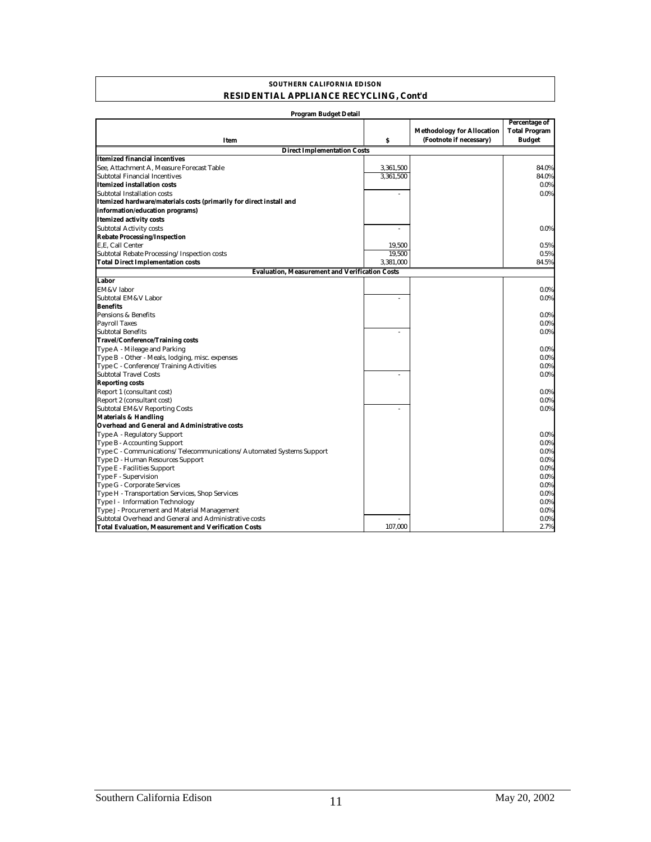#### **SOUTHERN CALIFORNIA EDISON RESIDENTIAL APPLIANCE RECYCLING, Cont'd**

| <b>Program Budget Detail</b>                                         |           |                                                              |                                                        |
|----------------------------------------------------------------------|-----------|--------------------------------------------------------------|--------------------------------------------------------|
| Item                                                                 | S         | <b>Methodology for Allocation</b><br>(Footnote if necessary) | Percentage of<br><b>Total Program</b><br><b>Budget</b> |
| <b>Direct Implementation Costs</b>                                   |           |                                                              |                                                        |
| Itemized financial incentives                                        |           |                                                              |                                                        |
| See. Attachment A. Measure Forecast Table                            | 3,361,500 |                                                              | 84.0%                                                  |
| Subtotal Financial Incentives                                        | 3,361,500 |                                                              | 84.0%                                                  |
| <b>Itemized installation costs</b>                                   |           |                                                              | 0.0%                                                   |
| Subtotal Installation costs                                          |           |                                                              | 0.0%                                                   |
| Itemized hardware/materials costs (primarily for direct install and  |           |                                                              |                                                        |
| information/education programs)                                      |           |                                                              |                                                        |
| <b>Itemized activity costs</b>                                       |           |                                                              |                                                        |
| <b>Subtotal Activity costs</b>                                       |           |                                                              | $0.0\%$                                                |
| <b>Rebate Processing/Inspection</b>                                  |           |                                                              |                                                        |
| E.E. Call Center                                                     | 19,500    |                                                              | 0.5%                                                   |
| Subtotal Rebate Processing/Inspection costs                          | 19.500    |                                                              | 0.5%                                                   |
| <b>Total Direct Implementation costs</b>                             | 3,381,000 |                                                              | 84.5%                                                  |
| <b>Evaluation, Measurement and Verification Costs</b>                |           |                                                              |                                                        |
| Labor                                                                |           |                                                              |                                                        |
| EM&V labor                                                           |           |                                                              | 0.0%                                                   |
| Subtotal EM&V Labor                                                  |           |                                                              | 0.0%                                                   |
| <b>Benefits</b>                                                      |           |                                                              |                                                        |
| Pensions & Benefits                                                  |           |                                                              | 0.0%                                                   |
| <b>Payroll Taxes</b>                                                 |           |                                                              | 0.0%                                                   |
| <b>Subtotal Benefits</b>                                             |           |                                                              | 0.0%                                                   |
| <b>Travel/Conference/Training costs</b>                              |           |                                                              |                                                        |
| Type A - Mileage and Parking                                         |           |                                                              | 0.0%                                                   |
| Type B - Other - Meals, lodging, misc. expenses                      |           |                                                              | 0.0%                                                   |
| Type C - Conference/Training Activities                              |           |                                                              | 0.0%                                                   |
| <b>Subtotal Travel Costs</b>                                         | ä,        |                                                              | 0.0%                                                   |
| <b>Reporting costs</b>                                               |           |                                                              |                                                        |
| Report 1 (consultant cost)                                           |           |                                                              | 0.0%                                                   |
| Report 2 (consultant cost)                                           |           |                                                              | $0.0\%$                                                |
| <b>Subtotal EM&amp;V Reporting Costs</b>                             |           |                                                              | 0.0%                                                   |
| <b>Materials &amp; Handling</b>                                      |           |                                                              |                                                        |
| Overhead and General and Administrative costs                        |           |                                                              |                                                        |
| Type A - Regulatory Support                                          |           |                                                              | 0.0%                                                   |
| Type B - Accounting Support                                          |           |                                                              | $0.0\%$                                                |
| Type C - Communications/Telecommunications/Automated Systems Support |           |                                                              | 0.0%                                                   |
| Type D - Human Resources Support                                     |           |                                                              | $0.0\%$                                                |
| Type E - Facilities Support                                          |           |                                                              | 0.0%                                                   |
| Type F - Supervision                                                 |           |                                                              | 0.0%                                                   |
| Type G - Corporate Services                                          |           |                                                              | 0.0%                                                   |
| Type H - Transportation Services, Shop Services                      |           |                                                              | 0.0%                                                   |
| Type I - Information Technology                                      |           |                                                              | 0.0%                                                   |
| Type J - Procurement and Material Management                         |           |                                                              | 0.0%                                                   |
| Subtotal Overhead and General and Administrative costs               |           |                                                              | 0.0%                                                   |
| <b>Total Evaluation, Measurement and Verification Costs</b>          | 107.000   |                                                              | 2.7%                                                   |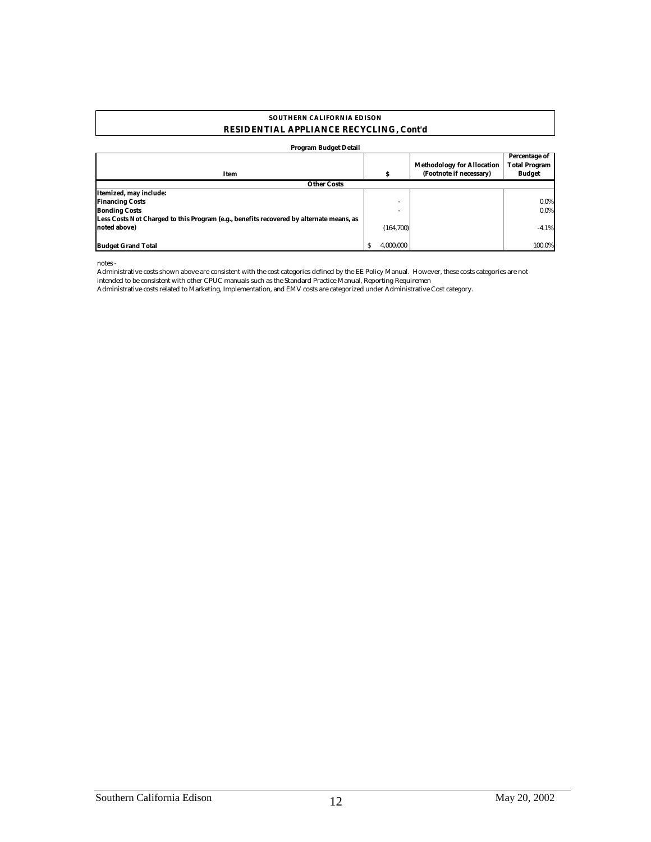#### **RESIDENTIAL APPLIANCE RECYCLING, Cont'd SOUTHERN CALIFORNIA EDISON**

#### **Program Budget Detail**

| Item                                                                                    | s                | <b>Methodology for Allocation</b><br>(Footnote if necessary) | Percentage of<br><b>Total Program</b><br><b>Budget</b> |
|-----------------------------------------------------------------------------------------|------------------|--------------------------------------------------------------|--------------------------------------------------------|
| <b>Other Costs</b>                                                                      |                  |                                                              |                                                        |
| Itemized, may include:                                                                  |                  |                                                              |                                                        |
| <b>Financing Costs</b>                                                                  |                  |                                                              | $0.0\%$                                                |
| <b>Bonding Costs</b>                                                                    |                  |                                                              | $0.0\%$                                                |
| Less Costs Not Charged to this Program (e.g., benefits recovered by alternate means, as |                  |                                                              |                                                        |
| noted above)                                                                            | (164, 700)       |                                                              | $-4.1%$                                                |
|                                                                                         |                  |                                                              |                                                        |
| <b>Budget Grand Total</b>                                                               | 4.000.000<br>\$. |                                                              | 100.0%                                                 |

notes -

Administrative costs shown above are consistent with the cost categories defined by the EE Policy Manual. However, these costs categories are not intended to be consistent with other CPUC manuals such as the Standard Practice Manual, Reporting Requiremen

Administrative costs related to Marketing, Implementation, and EMV costs are categorized under Administrative Cost category.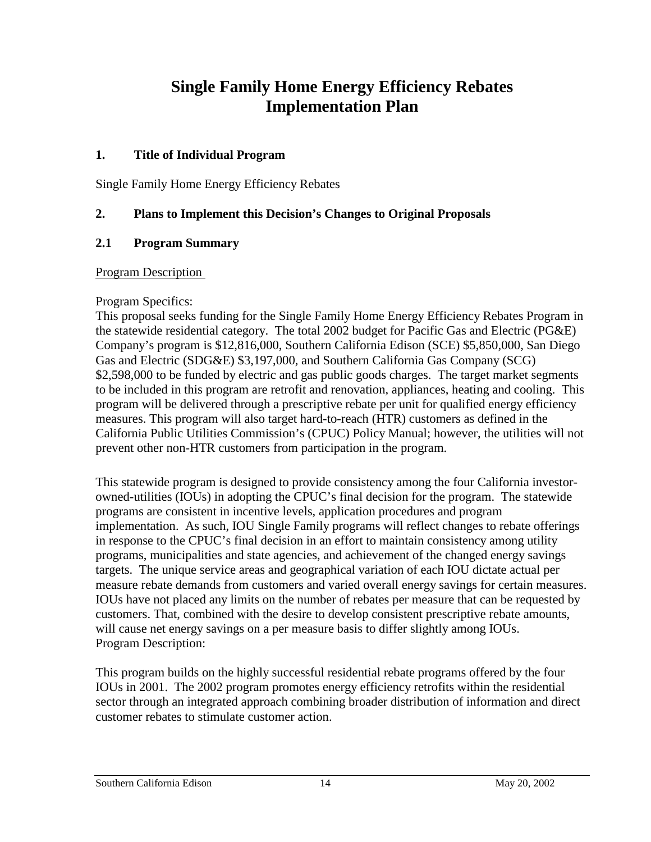## **Single Family Home Energy Efficiency Rebates Implementation Plan**

### **1. Title of Individual Program**

Single Family Home Energy Efficiency Rebates

### **2. Plans to Implement this Decision's Changes to Original Proposals**

### **2.1 Program Summary**

#### Program Description

#### Program Specifics:

This proposal seeks funding for the Single Family Home Energy Efficiency Rebates Program in the statewide residential category. The total 2002 budget for Pacific Gas and Electric (PG&E) Company's program is \$12,816,000, Southern California Edison (SCE) \$5,850,000, San Diego Gas and Electric (SDG&E) \$3,197,000, and Southern California Gas Company (SCG) \$2,598,000 to be funded by electric and gas public goods charges. The target market segments to be included in this program are retrofit and renovation, appliances, heating and cooling. This program will be delivered through a prescriptive rebate per unit for qualified energy efficiency measures. This program will also target hard-to-reach (HTR) customers as defined in the California Public Utilities Commission's (CPUC) Policy Manual; however, the utilities will not prevent other non-HTR customers from participation in the program.

This statewide program is designed to provide consistency among the four California investorowned-utilities (IOUs) in adopting the CPUC's final decision for the program. The statewide programs are consistent in incentive levels, application procedures and program implementation. As such, IOU Single Family programs will reflect changes to rebate offerings in response to the CPUC's final decision in an effort to maintain consistency among utility programs, municipalities and state agencies, and achievement of the changed energy savings targets. The unique service areas and geographical variation of each IOU dictate actual per measure rebate demands from customers and varied overall energy savings for certain measures. IOUs have not placed any limits on the number of rebates per measure that can be requested by customers. That, combined with the desire to develop consistent prescriptive rebate amounts, will cause net energy savings on a per measure basis to differ slightly among IOUs. Program Description:

This program builds on the highly successful residential rebate programs offered by the four IOUs in 2001. The 2002 program promotes energy efficiency retrofits within the residential sector through an integrated approach combining broader distribution of information and direct customer rebates to stimulate customer action.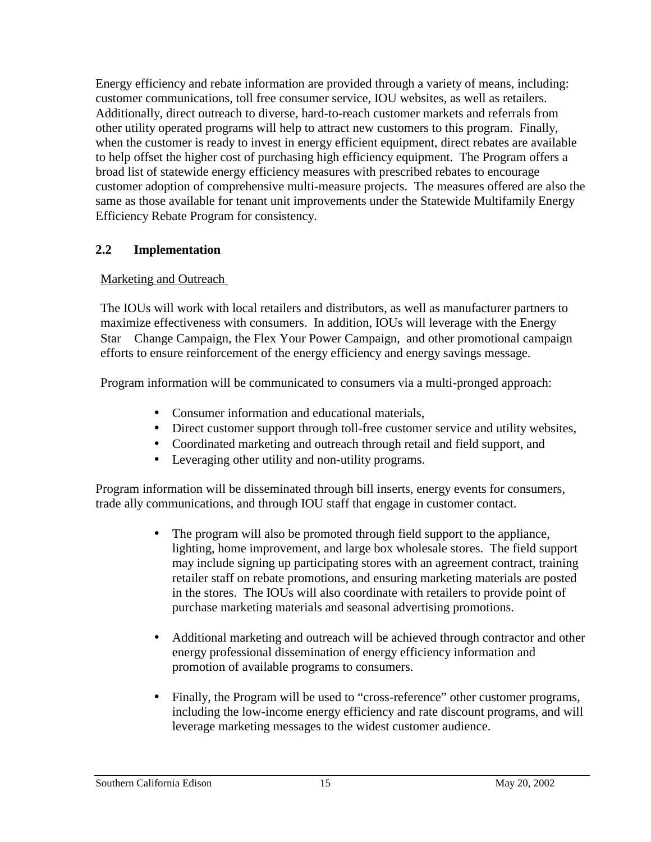Energy efficiency and rebate information are provided through a variety of means, including: customer communications, toll free consumer service, IOU websites, as well as retailers. Additionally, direct outreach to diverse, hard-to-reach customer markets and referrals from other utility operated programs will help to attract new customers to this program. Finally, when the customer is ready to invest in energy efficient equipment, direct rebates are available to help offset the higher cost of purchasing high efficiency equipment. The Program offers a broad list of statewide energy efficiency measures with prescribed rebates to encourage customer adoption of comprehensive multi-measure projects. The measures offered are also the same as those available for tenant unit improvements under the Statewide Multifamily Energy Efficiency Rebate Program for consistency.

## **2.2 Implementation**

### Marketing and Outreach

The IOUs will work with local retailers and distributors, as well as manufacturer partners to maximize effectiveness with consumers. In addition, IOUs will leverage with the Energy Star ® Change Campaign, the Flex Your Power Campaign, and other promotional campaign efforts to ensure reinforcement of the energy efficiency and energy savings message.

Program information will be communicated to consumers via a multi-pronged approach:

- Consumer information and educational materials,
- Direct customer support through toll-free customer service and utility websites,
- Coordinated marketing and outreach through retail and field support, and
- Leveraging other utility and non-utility programs.

Program information will be disseminated through bill inserts, energy events for consumers, trade ally communications, and through IOU staff that engage in customer contact.

- The program will also be promoted through field support to the appliance, lighting, home improvement, and large box wholesale stores. The field support may include signing up participating stores with an agreement contract, training retailer staff on rebate promotions, and ensuring marketing materials are posted in the stores. The IOUs will also coordinate with retailers to provide point of purchase marketing materials and seasonal advertising promotions.
- Additional marketing and outreach will be achieved through contractor and other energy professional dissemination of energy efficiency information and promotion of available programs to consumers.
- Finally, the Program will be used to "cross-reference" other customer programs, including the low-income energy efficiency and rate discount programs, and will leverage marketing messages to the widest customer audience.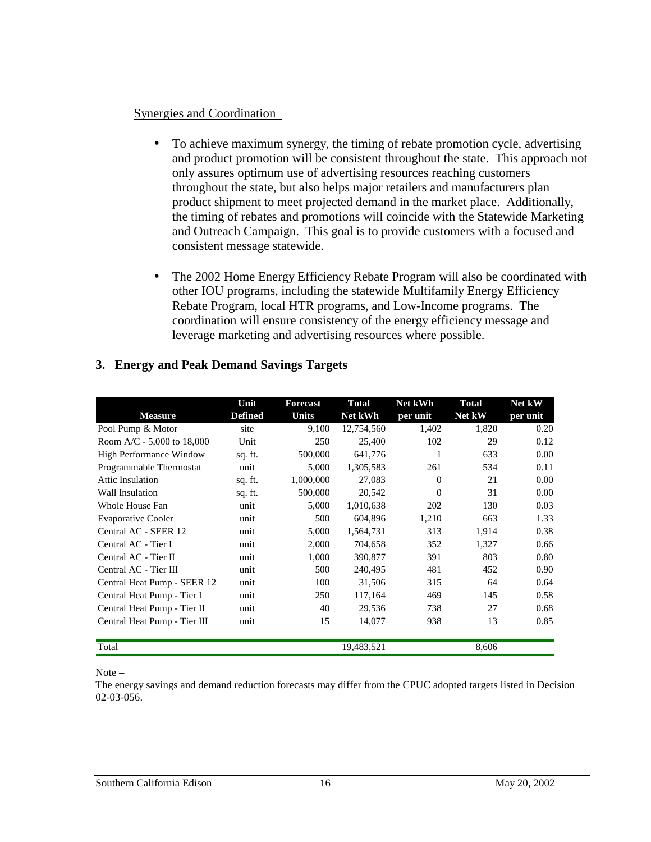#### Synergies and Coordination

- To achieve maximum synergy, the timing of rebate promotion cycle, advertising and product promotion will be consistent throughout the state. This approach not only assures optimum use of advertising resources reaching customers throughout the state, but also helps major retailers and manufacturers plan product shipment to meet projected demand in the market place. Additionally, the timing of rebates and promotions will coincide with the Statewide Marketing and Outreach Campaign. This goal is to provide customers with a focused and consistent message statewide.
- The 2002 Home Energy Efficiency Rebate Program will also be coordinated with other IOU programs, including the statewide Multifamily Energy Efficiency Rebate Program, local HTR programs, and Low-Income programs. The coordination will ensure consistency of the energy efficiency message and leverage marketing and advertising resources where possible.

|                                | Unit           | <b>Forecast</b> | <b>Total</b> | Net kWh  | <b>Total</b> | Net kW   |
|--------------------------------|----------------|-----------------|--------------|----------|--------------|----------|
| <b>Measure</b>                 | <b>Defined</b> | <b>Units</b>    | Net kWh      | per unit | Net kW       | per unit |
| Pool Pump & Motor              | site           | 9,100           | 12,754,560   | 1,402    | 1,820        | 0.20     |
| Room A/C - $5,000$ to 18,000   | Unit           | 250             | 25,400       | 102      | 29           | 0.12     |
| <b>High Performance Window</b> | sq. ft.        | 500,000         | 641,776      |          | 633          | 0.00     |
| Programmable Thermostat        | unit           | 5,000           | 1,305,583    | 261      | 534          | 0.11     |
| Attic Insulation               | sq. ft.        | 1,000,000       | 27,083       | $\Omega$ | 21           | 0.00     |
| Wall Insulation                | sq. ft.        | 500,000         | 20,542       | $\Omega$ | 31           | 0.00     |
| Whole House Fan                | unit           | 5,000           | 1,010,638    | 202      | 130          | 0.03     |
| <b>Evaporative Cooler</b>      | unit           | 500             | 604,896      | 1,210    | 663          | 1.33     |
| Central AC - SEER 12           | unit           | 5,000           | 1,564,731    | 313      | 1,914        | 0.38     |
| Central AC - Tier I            | unit           | 2,000           | 704.658      | 352      | 1,327        | 0.66     |
| Central AC - Tier II           | unit           | 1,000           | 390,877      | 391      | 803          | 0.80     |
| Central AC - Tier III          | unit           | 500             | 240,495      | 481      | 452          | 0.90     |
| Central Heat Pump - SEER 12    | unit           | 100             | 31,506       | 315      | 64           | 0.64     |
| Central Heat Pump - Tier I     | unit           | 250             | 117,164      | 469      | 145          | 0.58     |
| Central Heat Pump - Tier II    | unit           | 40              | 29,536       | 738      | 27           | 0.68     |
| Central Heat Pump - Tier III   | unit           | 15              | 14,077       | 938      | 13           | 0.85     |
| Total                          |                |                 | 19,483,521   |          | 8,606        |          |

#### **3. Energy and Peak Demand Savings Targets**

Note –

The energy savings and demand reduction forecasts may differ from the CPUC adopted targets listed in Decision 02-03-056.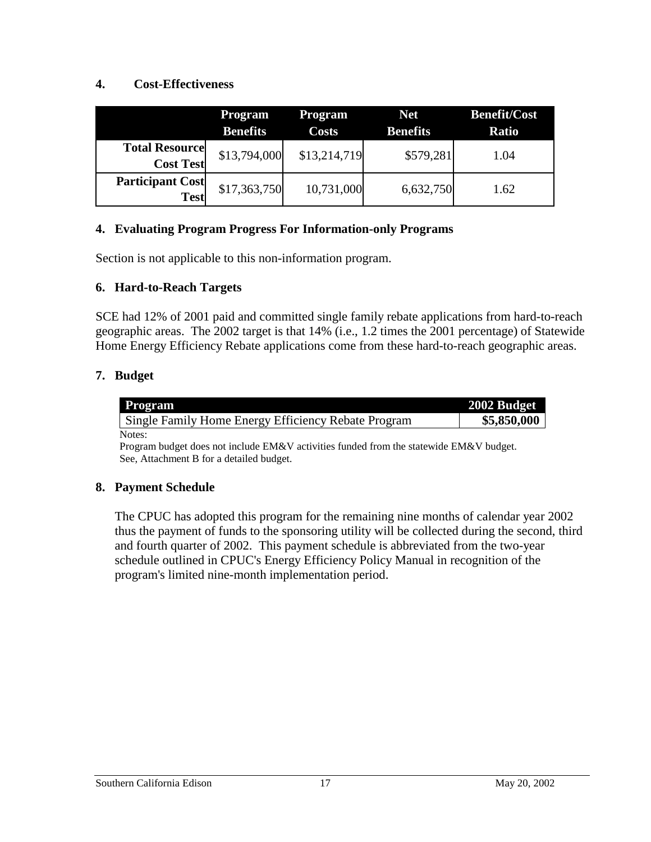#### **4. Cost-Effectiveness**

|                                           | Program<br><b>Benefits</b> | <b>Program</b><br><b>Costs</b> | <b>Net</b><br><b>Benefits</b> | <b>Benefit/Cost</b><br><b>Ratio</b> |
|-------------------------------------------|----------------------------|--------------------------------|-------------------------------|-------------------------------------|
| <b>Total Resource</b><br><b>Cost Test</b> | \$13,794,000               | \$13,214,719                   | \$579,281                     | 1.04                                |
| <b>Participant Cost</b><br><b>Test</b>    | \$17,363,750               | 10,731,000                     | 6,632,750                     | 1.62                                |

#### **4. Evaluating Program Progress For Information-only Programs**

Section is not applicable to this non-information program.

#### **6. Hard-to-Reach Targets**

SCE had 12% of 2001 paid and committed single family rebate applications from hard-to-reach geographic areas. The 2002 target is that 14% (i.e., 1.2 times the 2001 percentage) of Statewide Home Energy Efficiency Rebate applications come from these hard-to-reach geographic areas.

### **7. Budget**

| Program                                             | 2002 Budget |
|-----------------------------------------------------|-------------|
| Single Family Home Energy Efficiency Rebate Program | \$5,850,000 |
| Notes:                                              |             |

Program budget does not include EM&V activities funded from the statewide EM&V budget. See, Attachment B for a detailed budget.

#### **8. Payment Schedule**

The CPUC has adopted this program for the remaining nine months of calendar year 2002 thus the payment of funds to the sponsoring utility will be collected during the second, third and fourth quarter of 2002. This payment schedule is abbreviated from the two-year schedule outlined in CPUC's Energy Efficiency Policy Manual in recognition of the program's limited nine-month implementation period.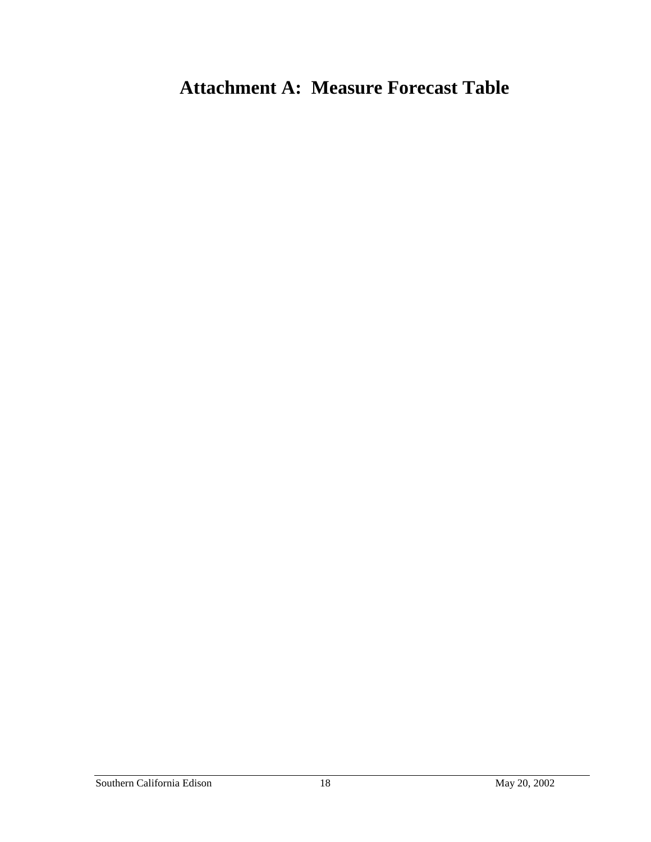# **Attachment A: Measure Forecast Table**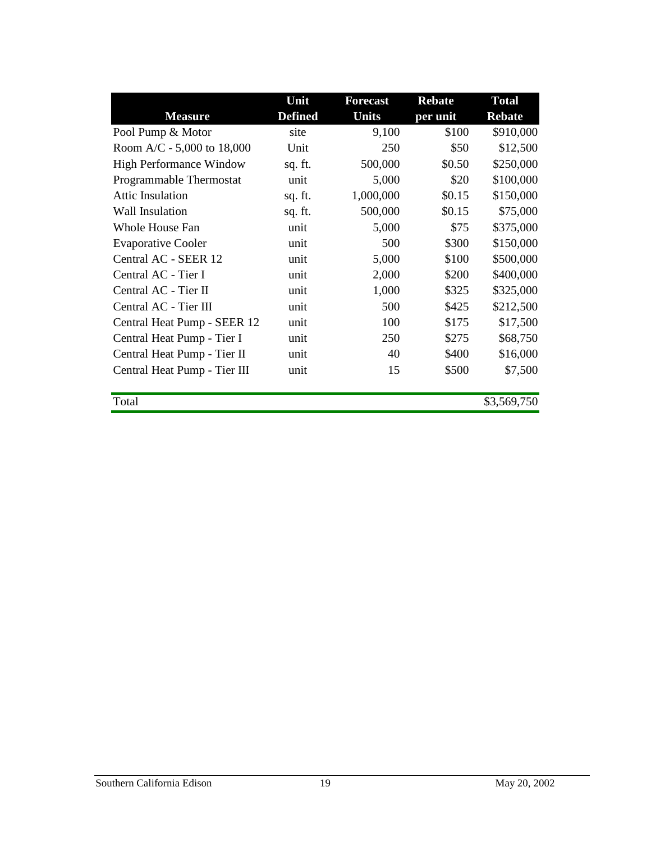|                                | Unit           | <b>Forecast</b> | <b>Rebate</b> | <b>Total</b>  |
|--------------------------------|----------------|-----------------|---------------|---------------|
| <b>Measure</b>                 | <b>Defined</b> | Units           | per unit      | <b>Rebate</b> |
| Pool Pump & Motor              | site           | 9,100           | \$100         | \$910,000     |
| Room A/C - 5,000 to 18,000     | Unit           | 250             | \$50          | \$12,500      |
| <b>High Performance Window</b> | sq. ft.        | 500,000         | \$0.50        | \$250,000     |
| Programmable Thermostat        | unit           | 5,000           | \$20          | \$100,000     |
| <b>Attic Insulation</b>        | sq. ft.        | 1,000,000       | \$0.15        | \$150,000     |
| <b>Wall Insulation</b>         | sq. ft.        | 500,000         | \$0.15        | \$75,000      |
| Whole House Fan                | unit           | 5,000           | \$75          | \$375,000     |
| <b>Evaporative Cooler</b>      | unit           | 500             | \$300         | \$150,000     |
| Central AC - SEER 12           | unit           | 5,000           | \$100         | \$500,000     |
| Central AC - Tier I            | unit           | 2,000           | \$200         | \$400,000     |
| Central AC - Tier II           | unit           | 1,000           | \$325         | \$325,000     |
| Central AC - Tier III          | unit           | 500             | \$425         | \$212,500     |
| Central Heat Pump - SEER 12    | unit           | 100             | \$175         | \$17,500      |
| Central Heat Pump - Tier I     | unit           | 250             | \$275         | \$68,750      |
| Central Heat Pump - Tier II    | unit           | 40              | \$400         | \$16,000      |
| Central Heat Pump - Tier III   | unit           | 15              | \$500         | \$7,500       |
|                                |                |                 |               |               |
| Total                          |                |                 |               | \$3,569,750   |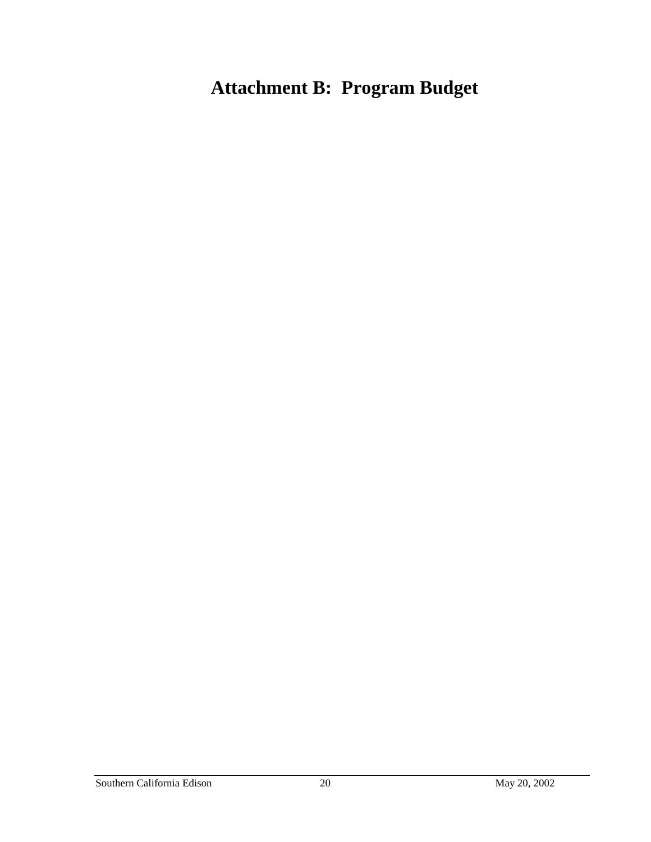# **Attachment B: Program Budget**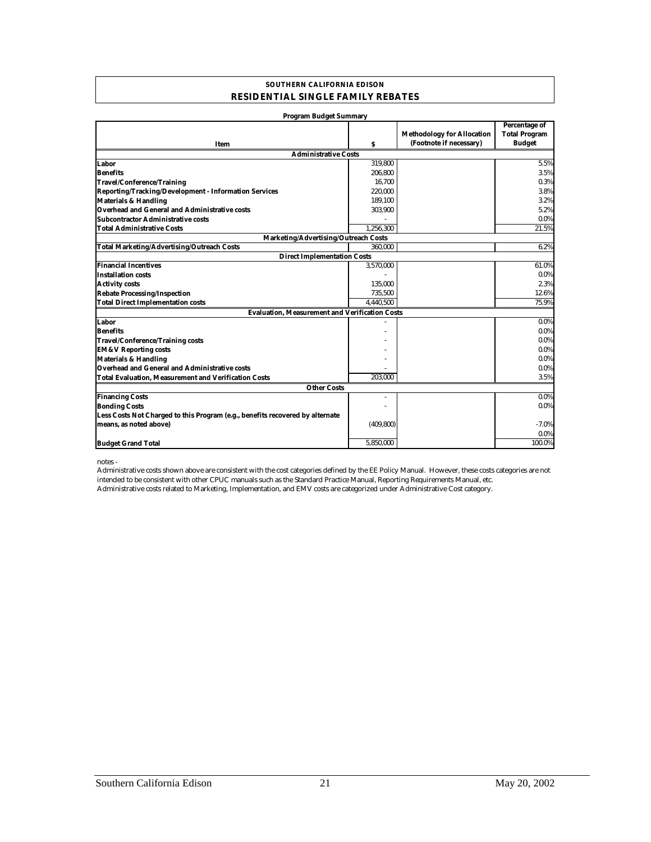#### **SOUTHERN CALIFORNIA EDISON RESIDENTIAL SINGLE FAMILY REBATES**

| <b>Program Budget Summary</b>                                                 |            |                                   |                                       |
|-------------------------------------------------------------------------------|------------|-----------------------------------|---------------------------------------|
|                                                                               |            | <b>Methodology for Allocation</b> | Percentage of<br><b>Total Program</b> |
|                                                                               | s          | (Footnote if necessary)           | <b>Budget</b>                         |
| Item                                                                          |            |                                   |                                       |
| <b>Administrative Costs</b><br>Labor                                          | 319.800    |                                   | 5.5%                                  |
| <b>Benefits</b>                                                               |            |                                   |                                       |
|                                                                               | 206,800    |                                   | 3.5%                                  |
| <b>Travel/Conference/Training</b>                                             | 16,700     |                                   | 0.3%<br>3.8%                          |
| Reporting/Tracking/Development - Information Services                         | 220,000    |                                   |                                       |
| <b>Materials &amp; Handling</b>                                               | 189,100    |                                   | 3.2%                                  |
| Overhead and General and Administrative costs                                 | 303,900    |                                   | 5.2%                                  |
| <b>Subcontractor Administrative costs</b>                                     |            |                                   | 0.0%                                  |
| <b>Total Administrative Costs</b>                                             | 1.256.300  |                                   | 21.5%                                 |
| Marketing/Advertising/Outreach Costs                                          |            |                                   |                                       |
| <b>Total Marketing/Advertising/Outreach Costs</b>                             | 360,000    |                                   | 6.2%                                  |
| <b>Direct Implementation Costs</b>                                            |            |                                   |                                       |
| <b>Financial Incentives</b>                                                   | 3,570,000  |                                   | 61.0%                                 |
| <b>Installation costs</b>                                                     |            |                                   | $0.0\%$                               |
| <b>Activity costs</b>                                                         | 135,000    |                                   | 2.3%                                  |
| <b>Rebate Processing/Inspection</b>                                           | 735,500    |                                   | 12.6%                                 |
| <b>Total Direct Implementation costs</b>                                      | 4,440,500  |                                   | 75.9%                                 |
| <b>Evaluation, Measurement and Verification Costs</b>                         |            |                                   |                                       |
| Labor                                                                         |            |                                   | $0.0\%$                               |
| <b>Benefits</b>                                                               |            |                                   | $0.0\%$                               |
| <b>Travel/Conference/Training costs</b>                                       |            |                                   | $0.0\%$                               |
| <b>EM&amp;V Reporting costs</b>                                               |            |                                   | $0.0\%$                               |
| <b>Materials &amp; Handling</b>                                               |            |                                   | $0.0\%$                               |
| Overhead and General and Administrative costs                                 |            |                                   | $0.0\%$                               |
| <b>Total Evaluation, Measurement and Verification Costs</b>                   | 203.000    |                                   | 3.5%                                  |
| <b>Other Costs</b>                                                            |            |                                   |                                       |
| <b>Financing Costs</b>                                                        |            |                                   | $0.0\%$                               |
| <b>Bonding Costs</b>                                                          |            |                                   | 0.0%                                  |
| Less Costs Not Charged to this Program (e.g., benefits recovered by alternate |            |                                   |                                       |
| means, as noted above)                                                        | (409, 800) |                                   | $-7.0%$                               |
|                                                                               |            |                                   | 0.0%                                  |
| <b>Budget Grand Total</b>                                                     | 5,850,000  |                                   | 100.0%                                |

notes -

Administrative costs related to Marketing, Implementation, and EMV costs are categorized under Administrative Cost category. Administrative costs shown above are consistent with the cost categories defined by the EE Policy Manual. However, these costs categories are not intended to be consistent with other CPUC manuals such as the Standard Practice Manual, Reporting Requirements Manual, etc.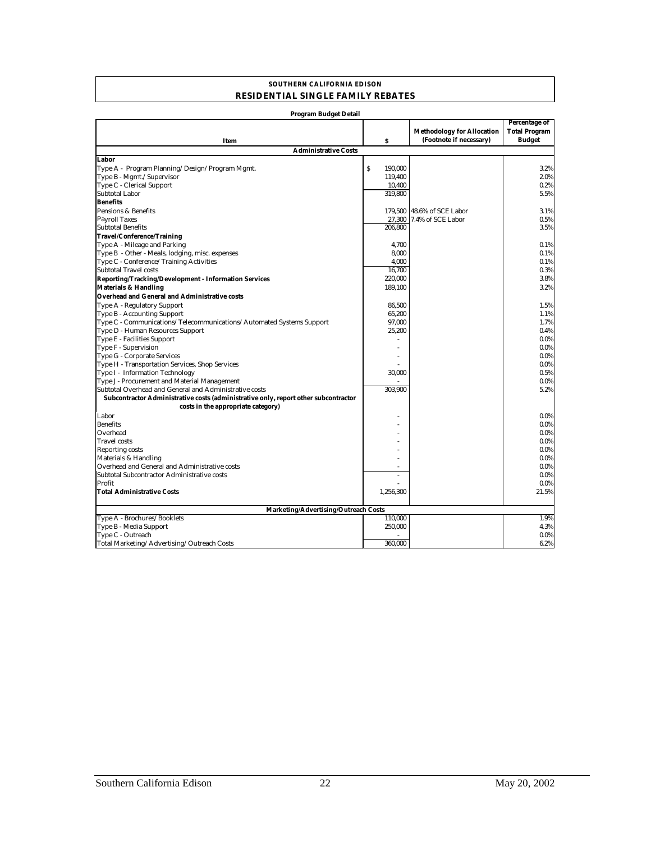#### **SOUTHERN CALIFORNIA EDISON RESIDENTIAL SINGLE FAMILY REBATES**

| Program Budget Detail                                                               |                        |                                                              |                                                               |  |  |
|-------------------------------------------------------------------------------------|------------------------|--------------------------------------------------------------|---------------------------------------------------------------|--|--|
| Item                                                                                | S                      | <b>Methodology for Allocation</b><br>(Footnote if necessary) | <b>Percentage of</b><br><b>Total Program</b><br><b>Budget</b> |  |  |
| <b>Administrative Costs</b>                                                         |                        |                                                              |                                                               |  |  |
| Labor                                                                               |                        |                                                              |                                                               |  |  |
| Type A - Program Planning/Design/Program Mgmt.                                      | $\mathbf S$<br>190.000 |                                                              | 3.2%                                                          |  |  |
| Type B - Mgmt./Supervisor                                                           | 119,400                |                                                              | 2.0%                                                          |  |  |
| Type C - Clerical Support                                                           | 10,400                 |                                                              | 0.2%                                                          |  |  |
| <b>Subtotal Labor</b>                                                               | 319.800                |                                                              | 5.5%                                                          |  |  |
| <b>Benefits</b>                                                                     |                        |                                                              |                                                               |  |  |
| Pensions & Benefits                                                                 |                        | 179,500 48.6% of SCE Labor                                   | 3.1%                                                          |  |  |
| <b>Payroll Taxes</b>                                                                | 27,300                 | 7.4% of SCE Labor                                            | 0.5%                                                          |  |  |
| <b>Subtotal Benefits</b>                                                            | 206,800                |                                                              | 3.5%                                                          |  |  |
| Travel/Conference/Training                                                          |                        |                                                              |                                                               |  |  |
| Type A - Mileage and Parking                                                        | 4,700                  |                                                              | 0.1%                                                          |  |  |
| Type B - Other - Meals, lodging, misc. expenses                                     | 8,000                  |                                                              | 0.1%                                                          |  |  |
| Type C - Conference/Training Activities                                             | 4.000                  |                                                              | 0.1%                                                          |  |  |
| <b>Subtotal Travel costs</b>                                                        | 16.700                 |                                                              | 0.3%                                                          |  |  |
| <b>Reporting/Tracking/Development - Information Services</b>                        | 220,000                |                                                              | 3.8%                                                          |  |  |
| <b>Materials &amp; Handling</b>                                                     | 189,100                |                                                              | 3.2%                                                          |  |  |
| Overhead and General and Administrative costs                                       |                        |                                                              |                                                               |  |  |
| Type A - Regulatory Support                                                         | 86,500                 |                                                              | 1.5%                                                          |  |  |
| Type B - Accounting Support                                                         | 65,200                 |                                                              | 1.1%                                                          |  |  |
| Type C - Communications/Telecommunications/Automated Systems Support                | 97,000                 |                                                              | 1.7%                                                          |  |  |
| Type D - Human Resources Support                                                    | 25,200                 |                                                              | 0.4%                                                          |  |  |
| Type E - Facilities Support                                                         |                        |                                                              | 0.0%                                                          |  |  |
| Type F - Supervision                                                                |                        |                                                              | 0.0%                                                          |  |  |
| Type G - Corporate Services                                                         |                        |                                                              | 0.0%                                                          |  |  |
| Type H - Transportation Services, Shop Services                                     |                        |                                                              | 0.0%                                                          |  |  |
| Type I - Information Technology                                                     | 30,000                 |                                                              | 0.5%                                                          |  |  |
| Type J - Procurement and Material Management                                        |                        |                                                              | 0.0%                                                          |  |  |
| Subtotal Overhead and General and Administrative costs                              | 303,900                |                                                              | 5.2%                                                          |  |  |
| Subcontractor Administrative costs (administrative only, report other subcontractor |                        |                                                              |                                                               |  |  |
| costs in the appropriate category)                                                  |                        |                                                              |                                                               |  |  |
| Labor                                                                               |                        |                                                              | $0.0\%$                                                       |  |  |
| <b>Benefits</b>                                                                     |                        |                                                              | $0.0\%$                                                       |  |  |
| Overhead                                                                            |                        |                                                              | 0.0%                                                          |  |  |
| <b>Travel</b> costs                                                                 |                        |                                                              | 0.0%                                                          |  |  |
| Reporting costs                                                                     |                        |                                                              | 0.0%                                                          |  |  |
| Materials & Handling                                                                |                        |                                                              | 0.0%                                                          |  |  |
| Overhead and General and Administrative costs                                       |                        |                                                              | 0.0%                                                          |  |  |
| Subtotal Subcontractor Administrative costs                                         | ÷,                     |                                                              | $0.0\%$                                                       |  |  |
| Profit                                                                              |                        |                                                              | $0.0\%$                                                       |  |  |
| <b>Total Administrative Costs</b>                                                   | 1,256,300              |                                                              | 21.5%                                                         |  |  |
|                                                                                     |                        |                                                              |                                                               |  |  |
| Marketing/Advertising/Outreach Costs                                                |                        |                                                              |                                                               |  |  |
| Type A - Brochures/Booklets                                                         | 110,000                |                                                              | 1.9%                                                          |  |  |
| Type B - Media Support                                                              | 250,000                |                                                              | 4.3%                                                          |  |  |
| Type C - Outreach                                                                   |                        |                                                              | 0.0%                                                          |  |  |
| Total Marketing/Advertising/Outreach Costs                                          | 360,000                |                                                              | 6.2%                                                          |  |  |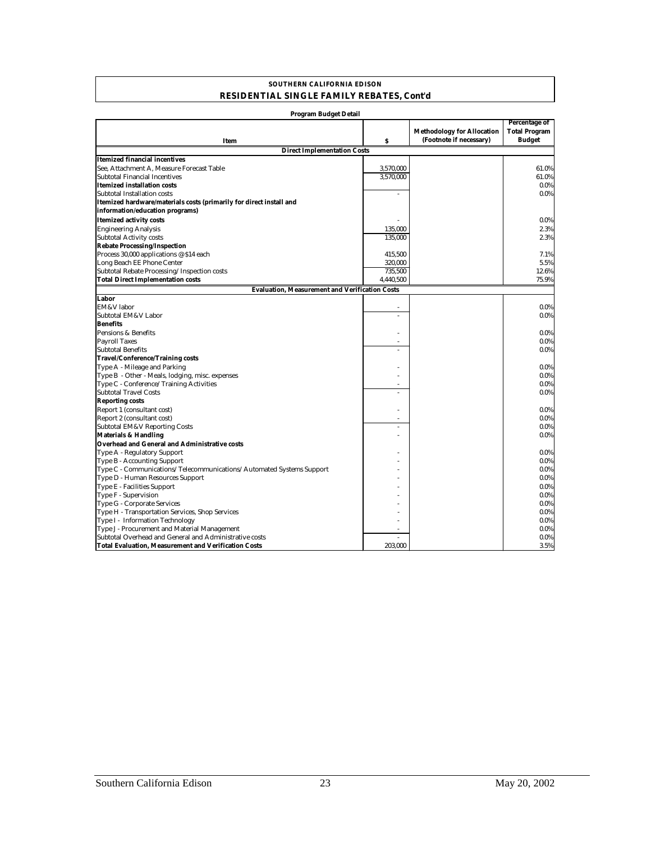#### **SOUTHERN CALIFORNIA EDISON RESIDENTIAL SINGLE FAMILY REBATES, Cont'd**

| Program Budget Detail                                                |           |                                                              |                                                        |  |  |  |
|----------------------------------------------------------------------|-----------|--------------------------------------------------------------|--------------------------------------------------------|--|--|--|
| Item                                                                 | \$        | <b>Methodology for Allocation</b><br>(Footnote if necessary) | Percentage of<br><b>Total Program</b><br><b>Budget</b> |  |  |  |
| <b>Direct Implementation Costs</b>                                   |           |                                                              |                                                        |  |  |  |
| <b>Itemized financial incentives</b>                                 |           |                                                              |                                                        |  |  |  |
| See. Attachment A. Measure Forecast Table                            | 3,570,000 |                                                              | 61.0%                                                  |  |  |  |
| Subtotal Financial Incentives                                        | 3,570,000 |                                                              | 61.0%                                                  |  |  |  |
| <b>Itemized installation costs</b>                                   |           |                                                              | $0.0\%$                                                |  |  |  |
| Subtotal Installation costs                                          | ÷.        |                                                              | $0.0\%$                                                |  |  |  |
| Itemized hardware/materials costs (primarily for direct install and  |           |                                                              |                                                        |  |  |  |
| information/education programs)                                      |           |                                                              |                                                        |  |  |  |
| <b>Itemized activity costs</b>                                       |           |                                                              | $0.0\%$                                                |  |  |  |
| <b>Engineering Analysis</b>                                          | 135,000   |                                                              | 2.3%                                                   |  |  |  |
| <b>Subtotal Activity costs</b>                                       | 135,000   |                                                              | 2.3%                                                   |  |  |  |
| <b>Rebate Processing/Inspection</b>                                  |           |                                                              |                                                        |  |  |  |
| Process 30,000 applications @ \$14 each                              | 415,500   |                                                              | 7.1%                                                   |  |  |  |
| Long Beach EE Phone Center                                           | 320.000   |                                                              | 5.5%                                                   |  |  |  |
| Subtotal Rebate Processing/Inspection costs                          | 735,500   |                                                              | 12.6%                                                  |  |  |  |
| <b>Total Direct Implementation costs</b>                             | 4,440,500 |                                                              | 75.9%                                                  |  |  |  |
| <b>Evaluation, Measurement and Verification Costs</b>                |           |                                                              |                                                        |  |  |  |
| Labor                                                                |           |                                                              |                                                        |  |  |  |
| EM&V labor                                                           |           |                                                              | $0.0\%$                                                |  |  |  |
| Subtotal EM&V Labor                                                  | ٠         |                                                              | $0.0\%$                                                |  |  |  |
| <b>Benefits</b>                                                      |           |                                                              |                                                        |  |  |  |
| Pensions & Benefits                                                  |           |                                                              | $0.0\%$                                                |  |  |  |
| <b>Payroll Taxes</b>                                                 | ٠         |                                                              | $0.0\%$                                                |  |  |  |
| <b>Subtotal Benefits</b>                                             | ÷         |                                                              | $0.0\%$                                                |  |  |  |
| <b>Travel/Conference/Training costs</b>                              |           |                                                              |                                                        |  |  |  |
| Type A - Mileage and Parking                                         |           |                                                              | $0.0\%$                                                |  |  |  |
| Type B - Other - Meals, lodging, misc. expenses                      |           |                                                              | $0.0\%$                                                |  |  |  |
| Type C - Conference/Training Activities                              |           |                                                              | $0.0\%$                                                |  |  |  |
| <b>Subtotal Travel Costs</b>                                         |           |                                                              | $0.0\%$                                                |  |  |  |
| <b>Reporting costs</b>                                               |           |                                                              |                                                        |  |  |  |
| Report 1 (consultant cost)                                           |           |                                                              | $0.0\%$                                                |  |  |  |
| Report 2 (consultant cost)                                           |           |                                                              | $0.0\%$                                                |  |  |  |
| <b>Subtotal EM&amp;V Reporting Costs</b>                             |           |                                                              | $0.0\%$                                                |  |  |  |
| <b>Materials &amp; Handling</b>                                      |           |                                                              | $0.0\%$                                                |  |  |  |
| <b>Overhead and General and Administrative costs</b>                 |           |                                                              |                                                        |  |  |  |
| Type A - Regulatory Support                                          |           |                                                              | $0.0\%$                                                |  |  |  |
| Type B - Accounting Support                                          |           |                                                              | $0.0\%$                                                |  |  |  |
| Type C - Communications/Telecommunications/Automated Systems Support |           |                                                              | $0.0\%$                                                |  |  |  |
| Type D - Human Resources Support                                     |           |                                                              | $0.0\%$                                                |  |  |  |
| Type E - Facilities Support                                          |           |                                                              | $0.0\%$                                                |  |  |  |
| Type F - Supervision                                                 |           |                                                              | $0.0\%$                                                |  |  |  |
| Type G - Corporate Services                                          |           |                                                              | $0.0\%$                                                |  |  |  |
| Type H - Transportation Services, Shop Services                      |           |                                                              | $0.0\%$                                                |  |  |  |
| Type I - Information Technology                                      |           |                                                              | $0.0\%$                                                |  |  |  |
| Type J - Procurement and Material Management                         | ٠         |                                                              | $0.0\%$                                                |  |  |  |
| Subtotal Overhead and General and Administrative costs               | ÷.        |                                                              | $0.0\%$                                                |  |  |  |
| <b>Total Evaluation, Measurement and Verification Costs</b>          | 203,000   |                                                              | 3.5%                                                   |  |  |  |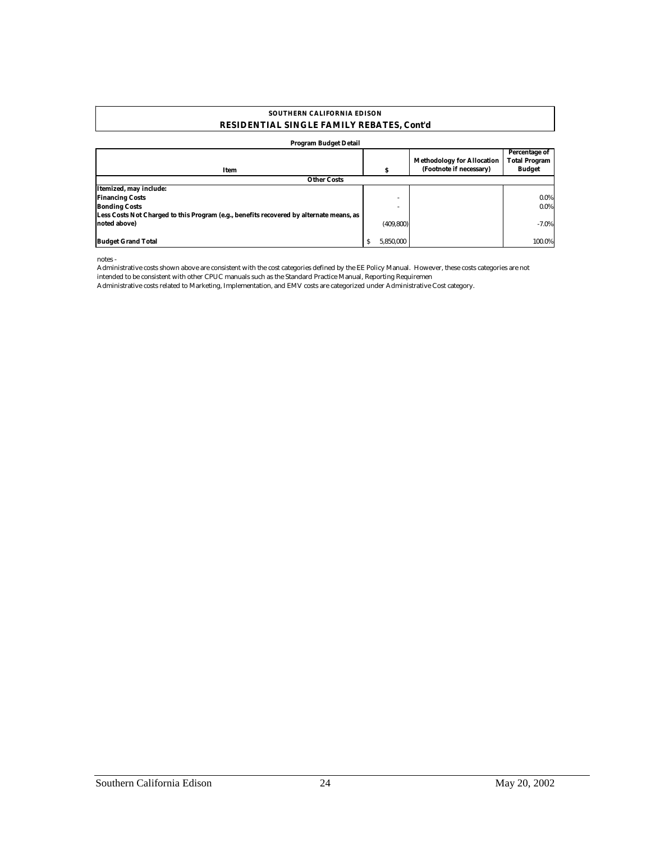#### **RESIDENTIAL SINGLE FAMILY REBATES, Cont'd SOUTHERN CALIFORNIA EDISON**

#### **Program Budget Detail**

|                                                                                         |            |                                   | Percentage of        |
|-----------------------------------------------------------------------------------------|------------|-----------------------------------|----------------------|
|                                                                                         |            | <b>Methodology for Allocation</b> | <b>Total Program</b> |
| Item                                                                                    |            | (Footnote if necessary)           | <b>Budget</b>        |
| <b>Other Costs</b>                                                                      |            |                                   |                      |
| Itemized, may include:                                                                  |            |                                   |                      |
| <b>Financing Costs</b>                                                                  | -          |                                   | $0.0\%$              |
| <b>Bonding Costs</b>                                                                    |            |                                   | $0.0\%$              |
| Less Costs Not Charged to this Program (e.g., benefits recovered by alternate means, as |            |                                   |                      |
| noted above)                                                                            | (409, 800) |                                   | $-7.0%$              |
|                                                                                         |            |                                   |                      |
| <b>Budget Grand Total</b>                                                               | 5.850.000  |                                   | 100.0%               |

notes -

Administrative costs shown above are consistent with the cost categories defined by the EE Policy Manual. However, these costs categories are not intended to be consistent with other CPUC manuals such as the Standard Practice Manual, Reporting Requiremen

Administrative costs related to Marketing, Implementation, and EMV costs are categorized under Administrative Cost category.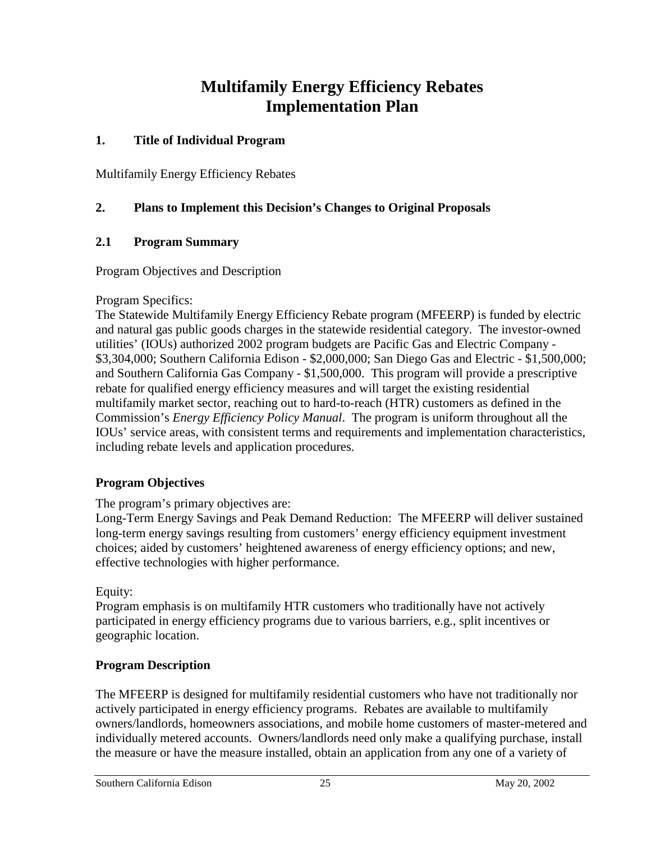## **Multifamily Energy Efficiency Rebates Implementation Plan**

### **1. Title of Individual Program**

Multifamily Energy Efficiency Rebates

### **2. Plans to Implement this Decision's Changes to Original Proposals**

#### **2.1 Program Summary**

Program Objectives and Description

#### Program Specifics:

The Statewide Multifamily Energy Efficiency Rebate program (MFEERP) is funded by electric and natural gas public goods charges in the statewide residential category. The investor-owned utilities' (IOUs) authorized 2002 program budgets are Pacific Gas and Electric Company - \$3,304,000; Southern California Edison - \$2,000,000; San Diego Gas and Electric - \$1,500,000; and Southern California Gas Company - \$1,500,000. This program will provide a prescriptive rebate for qualified energy efficiency measures and will target the existing residential multifamily market sector, reaching out to hard-to-reach (HTR) customers as defined in the Commission's *Energy Efficiency Policy Manual*. The program is uniform throughout all the IOUs' service areas, with consistent terms and requirements and implementation characteristics, including rebate levels and application procedures.

### **Program Objectives**

The program's primary objectives are:

Long-Term Energy Savings and Peak Demand Reduction: The MFEERP will deliver sustained long-term energy savings resulting from customers' energy efficiency equipment investment choices; aided by customers' heightened awareness of energy efficiency options; and new, effective technologies with higher performance.

Equity:

Program emphasis is on multifamily HTR customers who traditionally have not actively participated in energy efficiency programs due to various barriers, e.g., split incentives or geographic location.

### **Program Description**

The MFEERP is designed for multifamily residential customers who have not traditionally nor actively participated in energy efficiency programs. Rebates are available to multifamily owners/landlords, homeowners associations, and mobile home customers of master-metered and individually metered accounts. Owners/landlords need only make a qualifying purchase, install the measure or have the measure installed, obtain an application from any one of a variety of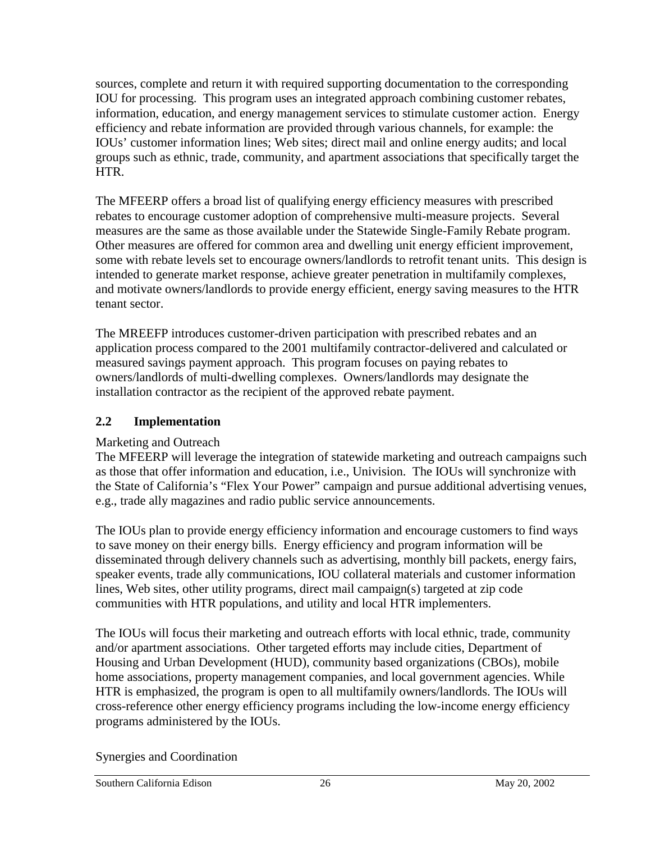sources, complete and return it with required supporting documentation to the corresponding IOU for processing. This program uses an integrated approach combining customer rebates, information, education, and energy management services to stimulate customer action. Energy efficiency and rebate information are provided through various channels, for example: the IOUs' customer information lines; Web sites; direct mail and online energy audits; and local groups such as ethnic, trade, community, and apartment associations that specifically target the HTR.

The MFEERP offers a broad list of qualifying energy efficiency measures with prescribed rebates to encourage customer adoption of comprehensive multi-measure projects. Several measures are the same as those available under the Statewide Single-Family Rebate program. Other measures are offered for common area and dwelling unit energy efficient improvement, some with rebate levels set to encourage owners/landlords to retrofit tenant units. This design is intended to generate market response, achieve greater penetration in multifamily complexes, and motivate owners/landlords to provide energy efficient, energy saving measures to the HTR tenant sector.

The MREEFP introduces customer-driven participation with prescribed rebates and an application process compared to the 2001 multifamily contractor-delivered and calculated or measured savings payment approach. This program focuses on paying rebates to owners/landlords of multi-dwelling complexes. Owners/landlords may designate the installation contractor as the recipient of the approved rebate payment.

## **2.2 Implementation**

## Marketing and Outreach

The MFEERP will leverage the integration of statewide marketing and outreach campaigns such as those that offer information and education, i.e., Univision. The IOUs will synchronize with the State of California's "Flex Your Power" campaign and pursue additional advertising venues, e.g., trade ally magazines and radio public service announcements.

The IOUs plan to provide energy efficiency information and encourage customers to find ways to save money on their energy bills. Energy efficiency and program information will be disseminated through delivery channels such as advertising, monthly bill packets, energy fairs, speaker events, trade ally communications, IOU collateral materials and customer information lines, Web sites, other utility programs, direct mail campaign(s) targeted at zip code communities with HTR populations, and utility and local HTR implementers.

The IOUs will focus their marketing and outreach efforts with local ethnic, trade, community and/or apartment associations. Other targeted efforts may include cities, Department of Housing and Urban Development (HUD), community based organizations (CBOs), mobile home associations, property management companies, and local government agencies. While HTR is emphasized, the program is open to all multifamily owners/landlords. The IOUs will cross-reference other energy efficiency programs including the low-income energy efficiency programs administered by the IOUs.

Synergies and Coordination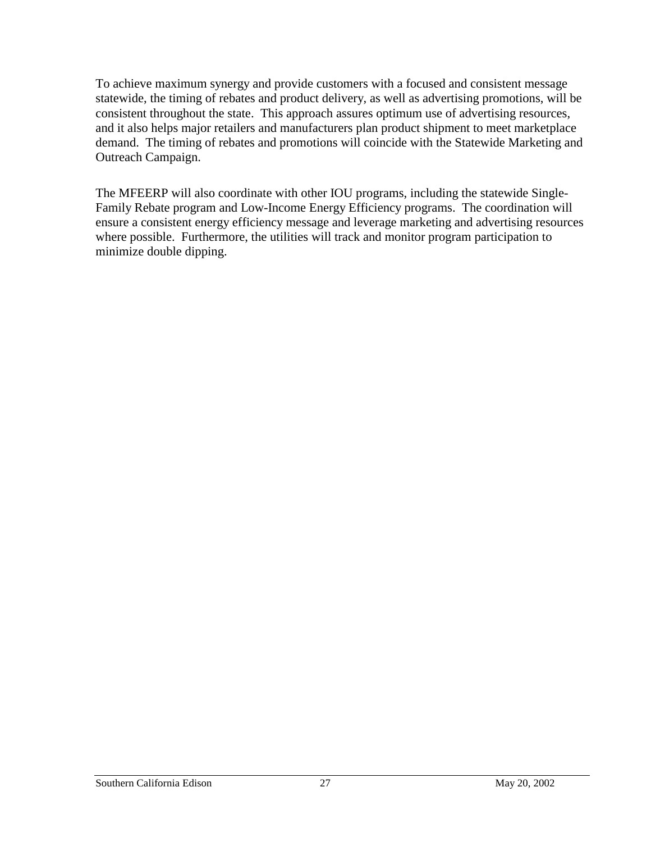To achieve maximum synergy and provide customers with a focused and consistent message statewide, the timing of rebates and product delivery, as well as advertising promotions, will be consistent throughout the state. This approach assures optimum use of advertising resources, and it also helps major retailers and manufacturers plan product shipment to meet marketplace demand. The timing of rebates and promotions will coincide with the Statewide Marketing and Outreach Campaign.

The MFEERP will also coordinate with other IOU programs, including the statewide Single-Family Rebate program and Low-Income Energy Efficiency programs. The coordination will ensure a consistent energy efficiency message and leverage marketing and advertising resources where possible. Furthermore, the utilities will track and monitor program participation to minimize double dipping.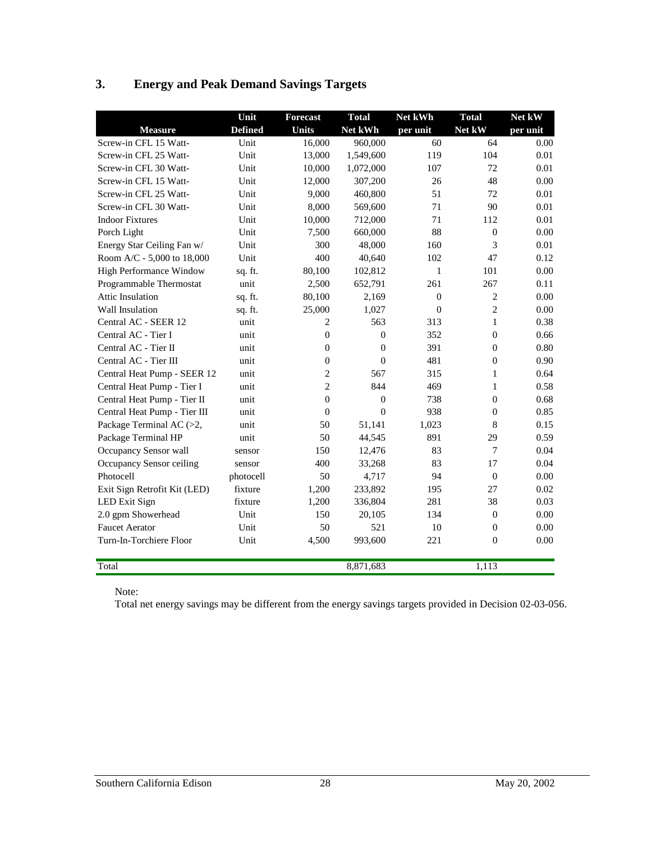## **3. Energy and Peak Demand Savings Targets**

|                              | Unit           | <b>Forecast</b>  | <b>Total</b>   | Net kWh  | <b>Total</b>   | Net kW   |
|------------------------------|----------------|------------------|----------------|----------|----------------|----------|
| <b>Measure</b>               | <b>Defined</b> | <b>Units</b>     | Net kWh        | per unit | Net kW         | per unit |
| Screw-in CFL 15 Watt-        | Unit           | 16,000           | 960,000        | 60       | 64             | 0.00     |
| Screw-in CFL 25 Watt-        | Unit           | 13,000           | 1,549,600      | 119      | 104            | 0.01     |
| Screw-in CFL 30 Watt-        | Unit           | 10,000           | 1,072,000      | 107      | 72             | 0.01     |
| Screw-in CFL 15 Watt-        | Unit           | 12,000           | 307,200        | 26       | 48             | 0.00     |
| Screw-in CFL 25 Watt-        | Unit           | 9,000            | 460,800        | 51       | 72             | 0.01     |
| Screw-in CFL 30 Watt-        | Unit           | 8,000            | 569,600        | 71       | 90             | 0.01     |
| <b>Indoor Fixtures</b>       | Unit           | 10,000           | 712,000        | 71       | 112            | 0.01     |
| Porch Light                  | Unit           | 7,500            | 660,000        | 88       | $\mathbf{0}$   | 0.00     |
| Energy Star Ceiling Fan w/   | Unit           | 300              | 48,000         | 160      | 3              | 0.01     |
| Room A/C - 5,000 to 18,000   | Unit           | 400              | 40,640         | 102      | 47             | 0.12     |
| High Performance Window      | sq. ft.        | 80,100           | 102,812        | 1        | 101            | 0.00     |
| Programmable Thermostat      | unit           | 2,500            | 652,791        | 261      | 267            | 0.11     |
| <b>Attic Insulation</b>      | sq. ft.        | 80,100           | 2,169          | $\Omega$ | 2              | 0.00     |
| Wall Insulation              | sq. ft.        | 25,000           | 1,027          | $\theta$ | $\overline{c}$ | 0.00     |
| Central AC - SEER 12         | unit           | 2                | 563            | 313      | 1              | 0.38     |
| Central AC - Tier I          | unit           | $\overline{0}$   | $\overline{0}$ | 352      | $\mathbf{0}$   | 0.66     |
| Central AC - Tier II         | unit           | $\boldsymbol{0}$ | $\overline{0}$ | 391      | $\mathbf{0}$   | 0.80     |
| Central AC - Tier III        | unit           | $\overline{0}$   | $\overline{0}$ | 481      | $\overline{0}$ | 0.90     |
| Central Heat Pump - SEER 12  | unit           | 2                | 567            | 315      | $\mathbf{1}$   | 0.64     |
| Central Heat Pump - Tier I   | unit           | 2                | 844            | 469      | 1              | 0.58     |
| Central Heat Pump - Tier II  | unit           | $\overline{0}$   | $\overline{0}$ | 738      | $\mathbf{0}$   | 0.68     |
| Central Heat Pump - Tier III | unit           | $\overline{0}$   | $\theta$       | 938      | $\mathbf{0}$   | 0.85     |
| Package Terminal AC (>2,     | unit           | 50               | 51.141         | 1,023    | 8              | 0.15     |
| Package Terminal HP          | unit           | 50               | 44,545         | 891      | 29             | 0.59     |
| Occupancy Sensor wall        | sensor         | 150              | 12,476         | 83       | $\overline{7}$ | 0.04     |
| Occupancy Sensor ceiling     | sensor         | 400              | 33,268         | 83       | 17             | 0.04     |
| Photocell                    | photocell      | 50               | 4,717          | 94       | $\mathbf{0}$   | 0.00     |
| Exit Sign Retrofit Kit (LED) | fixture        | 1,200            | 233,892        | 195      | 27             | 0.02     |
| LED Exit Sign                | fixture        | 1,200            | 336,804        | 281      | 38             | 0.03     |
| 2.0 gpm Showerhead           | Unit           | 150              | 20,105         | 134      | $\Omega$       | 0.00     |
| <b>Faucet Aerator</b>        | Unit           | 50               | 521            | 10       | $\Omega$       | 0.00     |
| Turn-In-Torchiere Floor      | Unit           | 4,500            | 993,600        | 221      | $\overline{0}$ | 0.00     |
| Total                        |                |                  | 8,871,683      |          | 1,113          |          |

Note:

Total net energy savings may be different from the energy savings targets provided in Decision 02-03-056.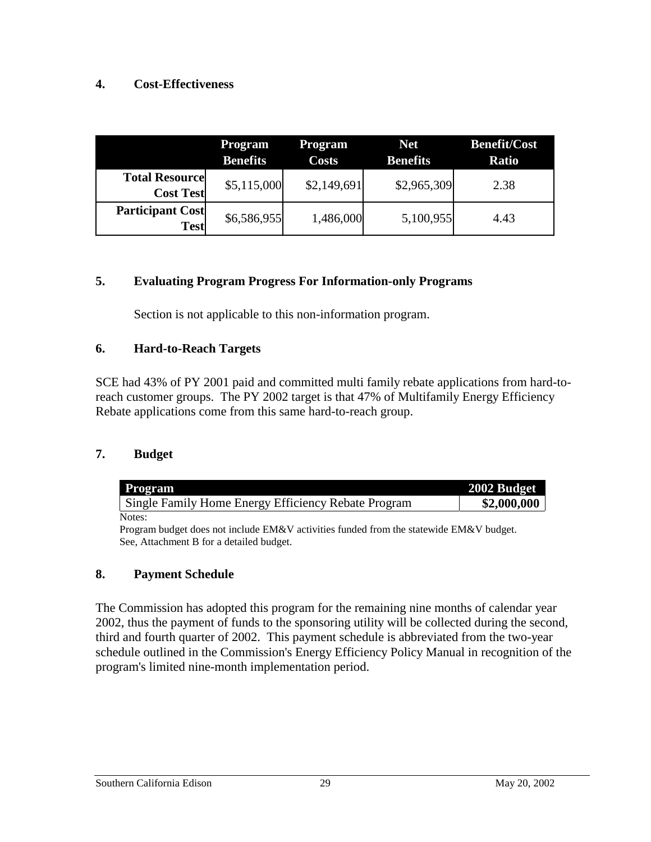#### **4. Cost-Effectiveness**

|                                           | Program<br><b>Benefits</b> | <b>Program</b><br><b>Costs</b> | <b>Net</b><br><b>Benefits</b> | <b>Benefit/Cost</b><br><b>Ratio</b> |
|-------------------------------------------|----------------------------|--------------------------------|-------------------------------|-------------------------------------|
| <b>Total Resource</b><br><b>Cost Test</b> | \$5,115,000                | \$2,149,691                    | \$2,965,309                   | 2.38                                |
| <b>Participant Cost</b><br><b>Test</b>    | \$6,586,955                | 1,486,000                      | 5,100,955                     | 4.43                                |

#### **5. Evaluating Program Progress For Information-only Programs**

Section is not applicable to this non-information program.

#### **6. Hard-to-Reach Targets**

SCE had 43% of PY 2001 paid and committed multi family rebate applications from hard-toreach customer groups. The PY 2002 target is that 47% of Multifamily Energy Efficiency Rebate applications come from this same hard-to-reach group.

#### **7. Budget**

| Program                                                                                | 2002 Budget |
|----------------------------------------------------------------------------------------|-------------|
| Single Family Home Energy Efficiency Rebate Program                                    | \$2,000,000 |
| Notes:                                                                                 |             |
| Program budget does not include EM&V activities funded from the statewide EM&V budget. |             |
| See, Attachment B for a detailed budget.                                               |             |

### **8. Payment Schedule**

The Commission has adopted this program for the remaining nine months of calendar year 2002, thus the payment of funds to the sponsoring utility will be collected during the second, third and fourth quarter of 2002. This payment schedule is abbreviated from the two-year schedule outlined in the Commission's Energy Efficiency Policy Manual in recognition of the program's limited nine-month implementation period.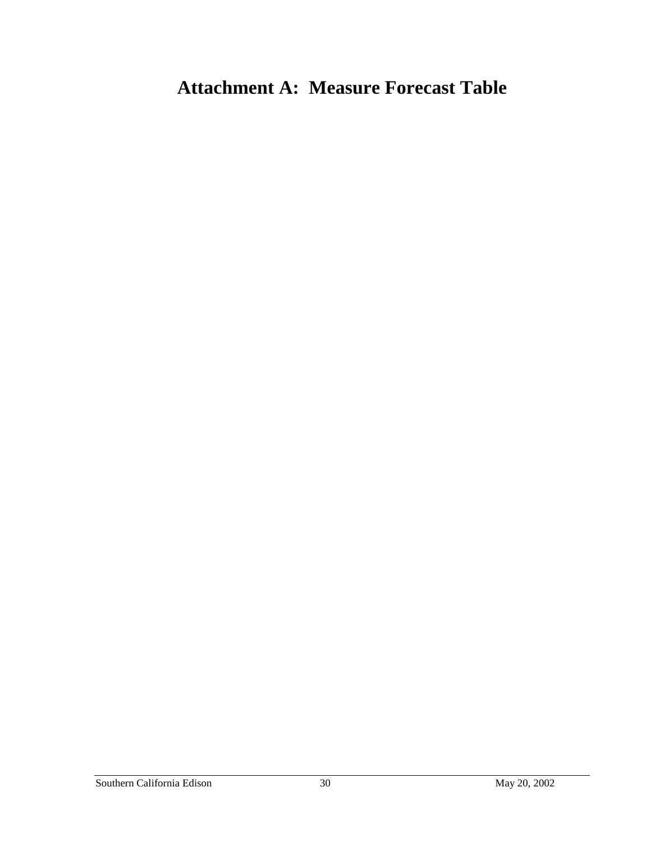# **Attachment A: Measure Forecast Table**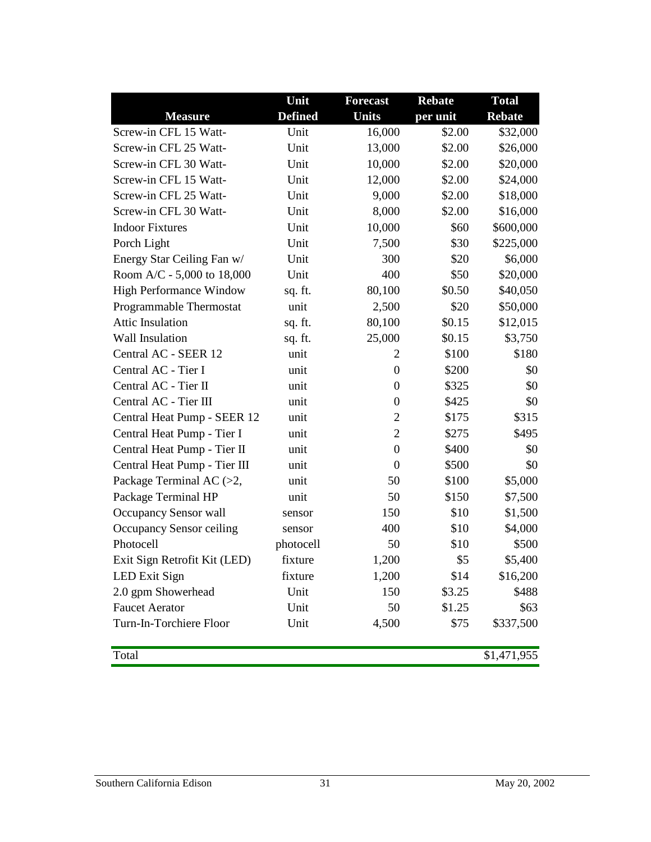|                                | Unit           | <b>Forecast</b>  | <b>Rebate</b> | <b>Total</b>  |
|--------------------------------|----------------|------------------|---------------|---------------|
| <b>Measure</b>                 | <b>Defined</b> | <b>Units</b>     | per unit      | <b>Rebate</b> |
| Screw-in CFL 15 Watt-          | Unit           | 16,000           | \$2.00        | \$32,000      |
| Screw-in CFL 25 Watt-          | Unit           | 13,000           | \$2.00        | \$26,000      |
| Screw-in CFL 30 Watt-          | Unit           | 10,000           | \$2.00        | \$20,000      |
| Screw-in CFL 15 Watt-          | Unit           | 12,000           | \$2.00        | \$24,000      |
| Screw-in CFL 25 Watt-          | Unit           | 9,000            | \$2.00        | \$18,000      |
| Screw-in CFL 30 Watt-          | Unit           | 8,000            | \$2.00        | \$16,000      |
| <b>Indoor Fixtures</b>         | Unit           | 10,000           | \$60          | \$600,000     |
| Porch Light                    | Unit           | 7,500            | \$30          | \$225,000     |
| Energy Star Ceiling Fan w/     | Unit           | 300              | \$20          | \$6,000       |
| Room A/C - 5,000 to 18,000     | Unit           | 400              | \$50          | \$20,000      |
| <b>High Performance Window</b> | sq. ft.        | 80,100           | \$0.50        | \$40,050      |
| Programmable Thermostat        | unit           | 2,500            | \$20          | \$50,000      |
| <b>Attic Insulation</b>        | sq. ft.        | 80,100           | \$0.15        | \$12,015      |
| <b>Wall Insulation</b>         | sq. ft.        | 25,000           | \$0.15        | \$3,750       |
| Central AC - SEER 12           | unit           | 2                | \$100         | \$180         |
| Central AC - Tier I            | unit           | $\boldsymbol{0}$ | \$200         | \$0           |
| Central AC - Tier II           | unit           | $\boldsymbol{0}$ | \$325         | \$0           |
| Central AC - Tier III          | unit           | $\boldsymbol{0}$ | \$425         | \$0           |
| Central Heat Pump - SEER 12    | unit           | $\overline{2}$   | \$175         | \$315         |
| Central Heat Pump - Tier I     | unit           | $\overline{2}$   | \$275         | \$495         |
| Central Heat Pump - Tier II    | unit           | $\boldsymbol{0}$ | \$400         | \$0           |
| Central Heat Pump - Tier III   | unit           | $\boldsymbol{0}$ | \$500         | \$0           |
| Package Terminal AC (>2,       | unit           | 50               | \$100         | \$5,000       |
| Package Terminal HP            | unit           | 50               | \$150         | \$7,500       |
| Occupancy Sensor wall          | sensor         | 150              | \$10          | \$1,500       |
| Occupancy Sensor ceiling       | sensor         | 400              | \$10          | \$4,000       |
| Photocell                      | photocell      | 50               | \$10          | \$500         |
| Exit Sign Retrofit Kit (LED)   | fixture        | 1,200            | \$5           | \$5,400       |
| <b>LED Exit Sign</b>           | fixture        | 1,200            | \$14          | \$16,200      |
| 2.0 gpm Showerhead             | Unit           | 150              | \$3.25        | \$488         |
| <b>Faucet Aerator</b>          | Unit           | 50               | \$1.25        | \$63          |
| Turn-In-Torchiere Floor        | Unit           | 4,500            | \$75          | \$337,500     |
|                                |                |                  |               |               |

Total \$1,471,955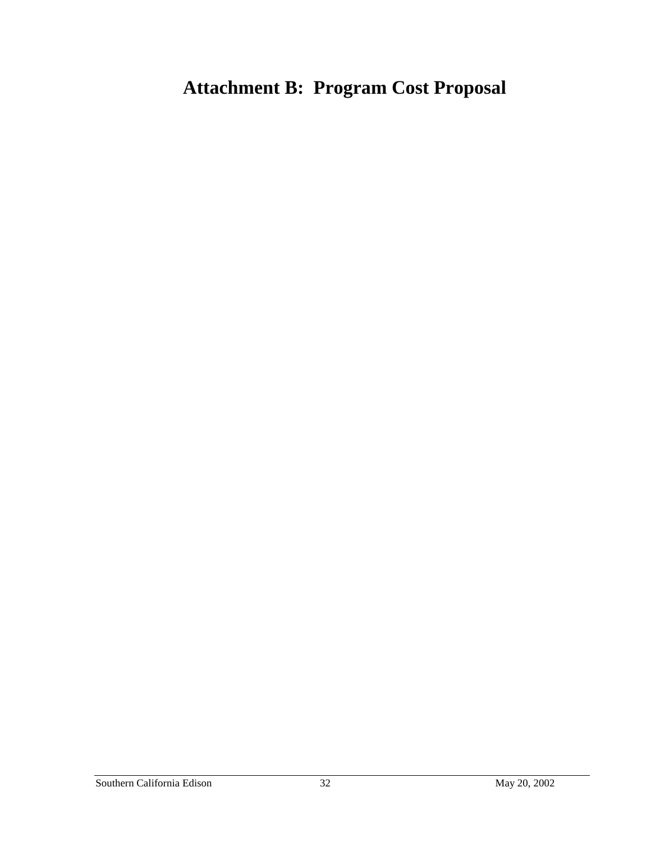# **Attachment B: Program Cost Proposal**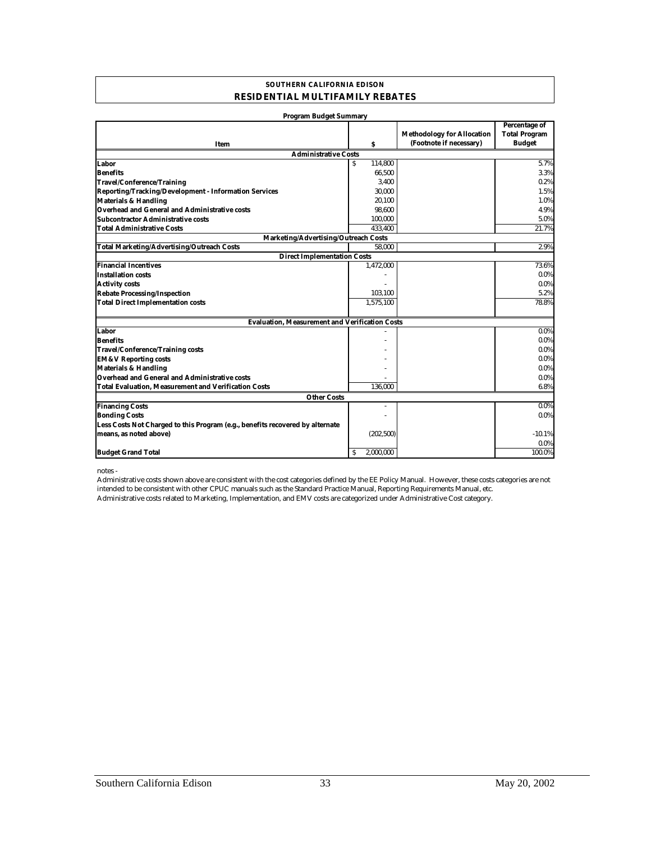#### **SOUTHERN CALIFORNIA EDISON RESIDENTIAL MULTIFAMILY REBATES**

| <b>Program Budget Summary</b>                                                 |                |                                                              |                                                        |
|-------------------------------------------------------------------------------|----------------|--------------------------------------------------------------|--------------------------------------------------------|
| Item                                                                          | \$             | <b>Methodology for Allocation</b><br>(Footnote if necessary) | Percentage of<br><b>Total Program</b><br><b>Budget</b> |
| <b>Administrative Costs</b>                                                   |                |                                                              |                                                        |
| Labor                                                                         | 114,800        |                                                              | 5.7%                                                   |
| <b>Benefits</b>                                                               | 66,500         |                                                              | 3.3%                                                   |
| <b>Travel/Conference/Training</b>                                             | 3,400          |                                                              | 0.2%                                                   |
| <b>Reporting/Tracking/Development - Information Services</b>                  | 30,000         |                                                              | 1.5%                                                   |
| <b>Materials &amp; Handling</b>                                               | 20,100         |                                                              | 1.0%                                                   |
| <b>Overhead and General and Administrative costs</b>                          | 98,600         |                                                              | 4.9%                                                   |
| <b>Subcontractor Administrative costs</b>                                     | 100,000        |                                                              | 5.0%                                                   |
| <b>Total Administrative Costs</b>                                             | 433,400        |                                                              | 21.7%                                                  |
| Marketing/Advertising/Outreach Costs                                          |                |                                                              |                                                        |
| <b>Total Marketing/Advertising/Outreach Costs</b>                             | 58.000         |                                                              | 2.9%                                                   |
| <b>Direct Implementation Costs</b>                                            |                |                                                              |                                                        |
| <b>Financial Incentives</b>                                                   | 1,472,000      |                                                              | 73.6%                                                  |
| <b>Installation costs</b>                                                     |                |                                                              | $0.0\%$                                                |
| <b>Activity costs</b>                                                         |                |                                                              | $0.0\%$                                                |
| <b>Rebate Processing/Inspection</b>                                           | 103,100        |                                                              | 5.2%                                                   |
| <b>Total Direct Implementation costs</b>                                      | 1,575,100      |                                                              | 78.8%                                                  |
| <b>Evaluation, Measurement and Verification Costs</b>                         |                |                                                              |                                                        |
| Labor                                                                         |                |                                                              | 0.0%                                                   |
| <b>Benefits</b>                                                               |                |                                                              | $0.0\%$                                                |
| <b>Travel/Conference/Training costs</b>                                       |                |                                                              | $0.0\%$                                                |
| <b>EM&amp;V Reporting costs</b>                                               |                |                                                              | $0.0\%$                                                |
| <b>Materials &amp; Handling</b>                                               |                |                                                              | $0.0\%$                                                |
| <b>Overhead and General and Administrative costs</b>                          |                |                                                              | $0.0\%$                                                |
| <b>Total Evaluation, Measurement and Verification Costs</b>                   | 136.000        |                                                              | 6.8%                                                   |
| <b>Other Costs</b>                                                            |                |                                                              |                                                        |
| <b>Financing Costs</b>                                                        |                |                                                              | 0.0%                                                   |
| <b>Bonding Costs</b>                                                          |                |                                                              | 0.0%                                                   |
| Less Costs Not Charged to this Program (e.g., benefits recovered by alternate |                |                                                              |                                                        |
| means, as noted above)                                                        | (202, 500)     |                                                              | $-10.1%$                                               |
|                                                                               |                |                                                              | 0.0%                                                   |
| <b>Budget Grand Total</b>                                                     | 2.000.000<br>s |                                                              | 100.0%                                                 |

notes -

Administrative costs related to Marketing, Implementation, and EMV costs are categorized under Administrative Cost category. Administrative costs shown above are consistent with the cost categories defined by the EE Policy Manual. However, these costs categories are not intended to be consistent with other CPUC manuals such as the Standard Practice Manual, Reporting Requirements Manual, etc.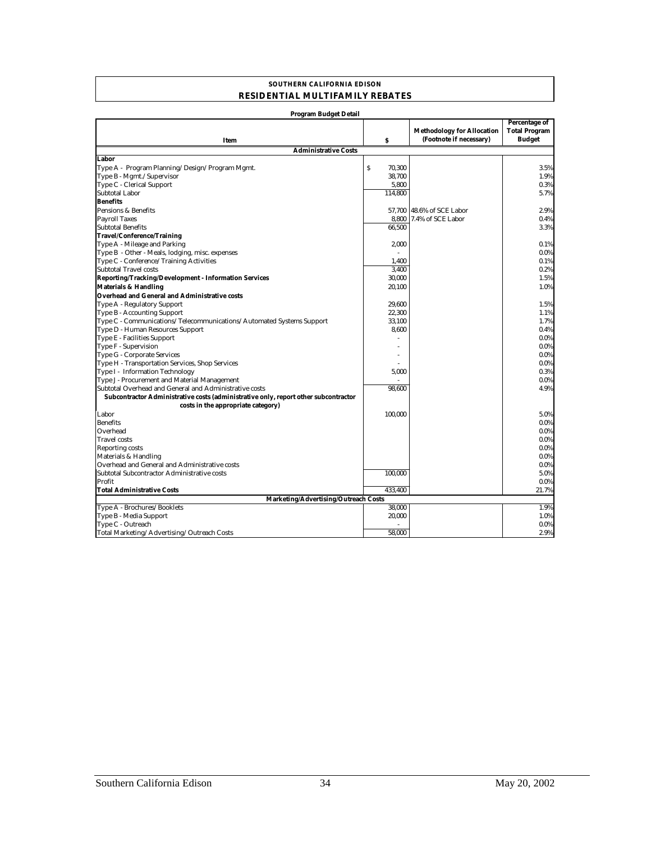#### **SOUTHERN CALIFORNIA EDISON RESIDENTIAL MULTIFAMILY REBATES**

| Program Budget Detail                                                               |             |                                                              |                                                               |
|-------------------------------------------------------------------------------------|-------------|--------------------------------------------------------------|---------------------------------------------------------------|
| Item                                                                                | \$          | <b>Methodology for Allocation</b><br>(Footnote if necessary) | <b>Percentage of</b><br><b>Total Program</b><br><b>Budget</b> |
| <b>Administrative Costs</b>                                                         |             |                                                              |                                                               |
| Labor                                                                               |             |                                                              |                                                               |
| Type A - Program Planning/Design/Program Mgmt.                                      | S<br>70,300 |                                                              | 3.5%                                                          |
| Type B - Mgmt./Supervisor                                                           | 38,700      |                                                              | 1.9%                                                          |
| Type C - Clerical Support                                                           | 5,800       |                                                              | 0.3%                                                          |
| <b>Subtotal Labor</b>                                                               | 114.800     |                                                              | 5.7%                                                          |
| <b>Benefits</b>                                                                     |             |                                                              |                                                               |
| Pensions & Benefits                                                                 | 57,700      | 48.6% of SCE Labor                                           | 2.9%                                                          |
| <b>Payroll Taxes</b>                                                                | 8,800       | 7.4% of SCE Labor                                            | 0.4%                                                          |
| <b>Subtotal Benefits</b>                                                            | 66.500      |                                                              | 3.3%                                                          |
| Travel/Conference/Training                                                          |             |                                                              |                                                               |
| Type A - Mileage and Parking                                                        | 2,000       |                                                              | 0.1%                                                          |
| Type B - Other - Meals, lodging, misc. expenses                                     |             |                                                              | 0.0%                                                          |
| Type C - Conference/Training Activities                                             | 1,400       |                                                              | 0.1%                                                          |
| <b>Subtotal Travel costs</b>                                                        | 3,400       |                                                              | 0.2%                                                          |
| Reporting/Tracking/Development - Information Services                               | 30,000      |                                                              | 1.5%                                                          |
| <b>Materials &amp; Handling</b>                                                     | 20,100      |                                                              | 1.0%                                                          |
| <b>Overhead and General and Administrative costs</b>                                |             |                                                              |                                                               |
| Type A - Regulatory Support                                                         | 29,600      |                                                              | 1.5%                                                          |
| Type B - Accounting Support                                                         | 22,300      |                                                              | 1.1%                                                          |
| Type C - Communications/Telecommunications/Automated Systems Support                | 33,100      |                                                              | 1.7%                                                          |
| Type D - Human Resources Support                                                    | 8,600       |                                                              | 0.4%                                                          |
| Type E - Facilities Support                                                         |             |                                                              | 0.0%                                                          |
| Type F - Supervision                                                                |             |                                                              | 0.0%                                                          |
| Type G - Corporate Services                                                         |             |                                                              | 0.0%                                                          |
| Type H - Transportation Services, Shop Services                                     |             |                                                              | 0.0%                                                          |
| Type I - Information Technology                                                     | 5,000       |                                                              | 0.3%                                                          |
| Type J - Procurement and Material Management                                        |             |                                                              | 0.0%                                                          |
| Subtotal Overhead and General and Administrative costs                              | 98.600      |                                                              | 4.9%                                                          |
| Subcontractor Administrative costs (administrative only, report other subcontractor |             |                                                              |                                                               |
| costs in the appropriate category)                                                  |             |                                                              |                                                               |
| Labor                                                                               | 100,000     |                                                              | 5.0%                                                          |
| <b>Benefits</b>                                                                     |             |                                                              | 0.0%                                                          |
| Overhead                                                                            |             |                                                              | 0.0%                                                          |
| <b>Travel costs</b>                                                                 |             |                                                              | 0.0%                                                          |
| <b>Reporting costs</b>                                                              |             |                                                              | 0.0%                                                          |
| Materials & Handling                                                                |             |                                                              | 0.0%                                                          |
| Overhead and General and Administrative costs                                       |             |                                                              | 0.0%                                                          |
| Subtotal Subcontractor Administrative costs                                         | 100,000     |                                                              | 5.0%                                                          |
| Profit                                                                              |             |                                                              | 0.0%                                                          |
| <b>Total Administrative Costs</b>                                                   | 433,400     |                                                              | 21.7%                                                         |
| Marketing/Advertising/Outreach Costs                                                |             |                                                              |                                                               |
| Type A - Brochures/Booklets                                                         | 38,000      |                                                              | 1.9%                                                          |
| Type B - Media Support                                                              | 20,000      |                                                              | 1.0%                                                          |
| Type C - Outreach                                                                   |             |                                                              | 0.0%                                                          |
| Total Marketing/Advertising/Outreach Costs                                          | 58.000      |                                                              | 2.9%                                                          |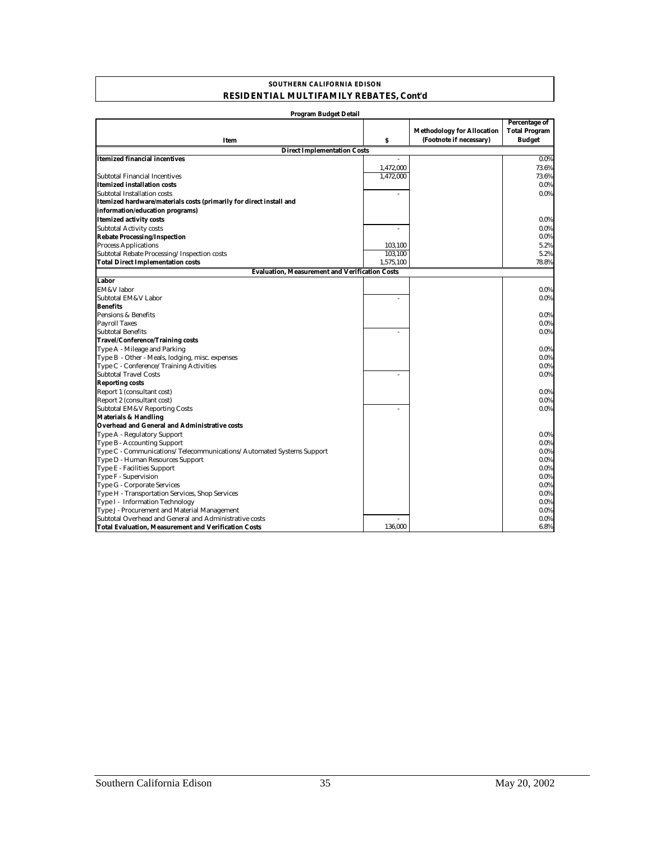#### **SOUTHERN CALIFORNIA EDISON RESIDENTIAL MULTIFAMILY REBATES, Cont'd**

| Program Budget Detail                                                |           |                                                              |                                                        |
|----------------------------------------------------------------------|-----------|--------------------------------------------------------------|--------------------------------------------------------|
| Item                                                                 | s         | <b>Methodology for Allocation</b><br>(Footnote if necessary) | Percentage of<br><b>Total Program</b><br><b>Budget</b> |
| <b>Direct Implementation Costs</b>                                   |           |                                                              |                                                        |
| <b>Itemized financial incentives</b>                                 |           |                                                              | 0.0%                                                   |
|                                                                      | 1,472,000 |                                                              | 73.6%                                                  |
| Subtotal Financial Incentives                                        | 1,472,000 |                                                              | 73.6%                                                  |
| <b>Itemized installation costs</b>                                   |           |                                                              | 0.0%                                                   |
| Subtotal Installation costs                                          |           |                                                              | 0.0%                                                   |
| Itemized hardware/materials costs (primarily for direct install and  |           |                                                              |                                                        |
| information/education programs)                                      |           |                                                              |                                                        |
| <b>Itemized activity costs</b>                                       |           |                                                              | $0.0\%$                                                |
| <b>Subtotal Activity costs</b>                                       | ä,        |                                                              | 0.0%                                                   |
| <b>Rebate Processing/Inspection</b>                                  |           |                                                              | 0.0%                                                   |
| <b>Process Applications</b>                                          | 103,100   |                                                              | 5.2%                                                   |
| Subtotal Rebate Processing/Inspection costs                          | 103,100   |                                                              | 5.2%                                                   |
| <b>Total Direct Implementation costs</b>                             | 1,575,100 |                                                              | 78.8%                                                  |
| <b>Evaluation, Measurement and Verification Costs</b>                |           |                                                              |                                                        |
| Labor                                                                |           |                                                              |                                                        |
| <b>EM&amp;V</b> labor                                                |           |                                                              | 0.0%                                                   |
| Subtotal EM&V Labor                                                  | ä,        |                                                              | 0.0%                                                   |
| <b>Benefits</b>                                                      |           |                                                              |                                                        |
| Pensions & Benefits                                                  |           |                                                              | 0.0%                                                   |
| <b>Payroll Taxes</b>                                                 |           |                                                              | 0.0%                                                   |
| <b>Subtotal Benefits</b>                                             |           |                                                              | 0.0%                                                   |
| <b>Travel/Conference/Training costs</b>                              |           |                                                              |                                                        |
| Type A - Mileage and Parking                                         |           |                                                              | $0.0\%$                                                |
| Type B - Other - Meals, lodging, misc. expenses                      |           |                                                              | 0.0%                                                   |
| Type C - Conference/Training Activities                              |           |                                                              | 0.0%                                                   |
| <b>Subtotal Travel Costs</b>                                         |           |                                                              | 0.0%                                                   |
| <b>Reporting costs</b>                                               |           |                                                              |                                                        |
| Report 1 (consultant cost)                                           |           |                                                              | $0.0\%$                                                |
| Report 2 (consultant cost)                                           |           |                                                              | 0.0%                                                   |
| <b>Subtotal EM&amp;V Reporting Costs</b>                             |           |                                                              | 0.0%                                                   |
| <b>Materials &amp; Handling</b>                                      |           |                                                              |                                                        |
| <b>Overhead and General and Administrative costs</b>                 |           |                                                              |                                                        |
| Type A - Regulatory Support                                          |           |                                                              | $0.0\%$                                                |
| Type B - Accounting Support                                          |           |                                                              | 0.0%                                                   |
| Type C - Communications/Telecommunications/Automated Systems Support |           |                                                              | 0.0%                                                   |
| Type D - Human Resources Support                                     |           |                                                              | 0.0%                                                   |
| Type E - Facilities Support                                          |           |                                                              | 0.0%                                                   |
| Type F - Supervision                                                 |           |                                                              | 0.0%                                                   |
| Type G - Corporate Services                                          |           |                                                              | 0.0%                                                   |
| Type H - Transportation Services, Shop Services                      |           |                                                              | 0.0%                                                   |
| Type I - Information Technology                                      |           |                                                              | 0.0%                                                   |
| Type J - Procurement and Material Management                         |           |                                                              | 0.0%                                                   |
| Subtotal Overhead and General and Administrative costs               |           |                                                              | 0.0%                                                   |
| <b>Total Evaluation, Measurement and Verification Costs</b>          | 136,000   |                                                              | 6.8%                                                   |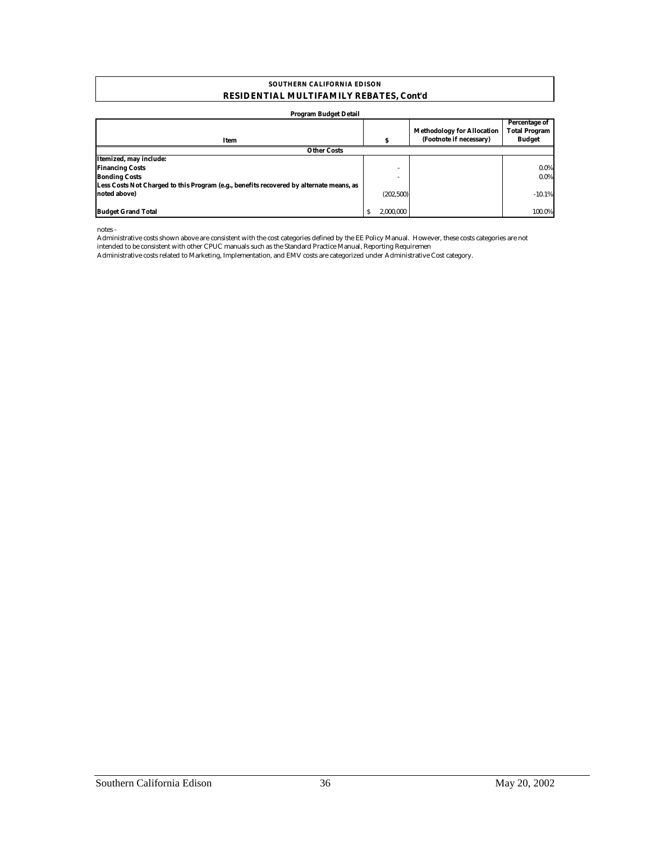#### **RESIDENTIAL MULTIFAMILY REBATES, Cont'd SOUTHERN CALIFORNIA EDISON**

#### **Program Budget Detail**

| Item                                                                                    |           | <b>Methodology for Allocation</b><br>(Footnote if necessary) | Percentage of<br><b>Total Program</b><br><b>Budget</b> |
|-----------------------------------------------------------------------------------------|-----------|--------------------------------------------------------------|--------------------------------------------------------|
| <b>Other Costs</b>                                                                      |           |                                                              |                                                        |
| Itemized, may include:                                                                  |           |                                                              |                                                        |
| <b>Financing Costs</b>                                                                  |           |                                                              | 0.0%                                                   |
| <b>Bonding Costs</b>                                                                    |           |                                                              | 0.0%                                                   |
| Less Costs Not Charged to this Program (e.g., benefits recovered by alternate means, as |           |                                                              |                                                        |
| noted above)                                                                            | (202,500) |                                                              | $-10.1%$                                               |
|                                                                                         |           |                                                              |                                                        |
| <b>Budget Grand Total</b>                                                               | 2.000.000 |                                                              | 100.0%                                                 |

notes -

Administrative costs shown above are consistent with the cost categories defined by the EE Policy Manual. However, these costs categories are not intended to be consistent with other CPUC manuals such as the Standard Practice Manual, Reporting Requiremen

Administrative costs related to Marketing, Implementation, and EMV costs are categorized under Administrative Cost category.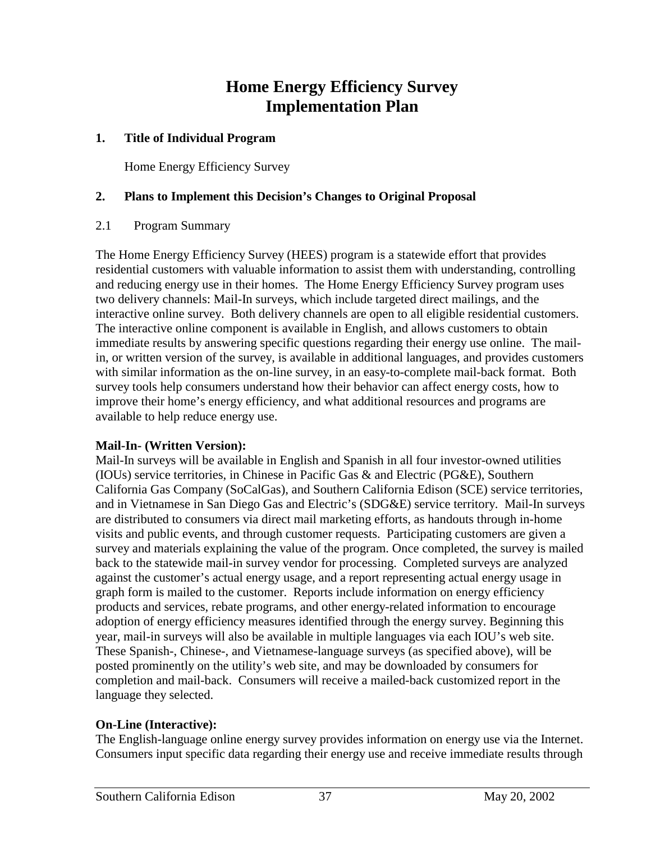## **Home Energy Efficiency Survey Implementation Plan**

## **1. Title of Individual Program**

Home Energy Efficiency Survey

## **2. Plans to Implement this Decision's Changes to Original Proposal**

## 2.1 Program Summary

The Home Energy Efficiency Survey (HEES) program is a statewide effort that provides residential customers with valuable information to assist them with understanding, controlling and reducing energy use in their homes. The Home Energy Efficiency Survey program uses two delivery channels: Mail-In surveys, which include targeted direct mailings, and the interactive online survey. Both delivery channels are open to all eligible residential customers. The interactive online component is available in English, and allows customers to obtain immediate results by answering specific questions regarding their energy use online. The mailin, or written version of the survey, is available in additional languages, and provides customers with similar information as the on-line survey, in an easy-to-complete mail-back format. Both survey tools help consumers understand how their behavior can affect energy costs, how to improve their home's energy efficiency, and what additional resources and programs are available to help reduce energy use.

## **Mail-In- (Written Version):**

Mail-In surveys will be available in English and Spanish in all four investor-owned utilities (IOUs) service territories, in Chinese in Pacific Gas & and Electric (PG&E), Southern California Gas Company (SoCalGas), and Southern California Edison (SCE) service territories, and in Vietnamese in San Diego Gas and Electric's (SDG&E) service territory. Mail-In surveys are distributed to consumers via direct mail marketing efforts, as handouts through in-home visits and public events, and through customer requests. Participating customers are given a survey and materials explaining the value of the program. Once completed, the survey is mailed back to the statewide mail-in survey vendor for processing. Completed surveys are analyzed against the customer's actual energy usage, and a report representing actual energy usage in graph form is mailed to the customer. Reports include information on energy efficiency products and services, rebate programs, and other energy-related information to encourage adoption of energy efficiency measures identified through the energy survey. Beginning this year, mail-in surveys will also be available in multiple languages via each IOU's web site. These Spanish-, Chinese-, and Vietnamese-language surveys (as specified above), will be posted prominently on the utility's web site, and may be downloaded by consumers for completion and mail-back. Consumers will receive a mailed-back customized report in the language they selected.

## **On-Line (Interactive):**

The English-language online energy survey provides information on energy use via the Internet. Consumers input specific data regarding their energy use and receive immediate results through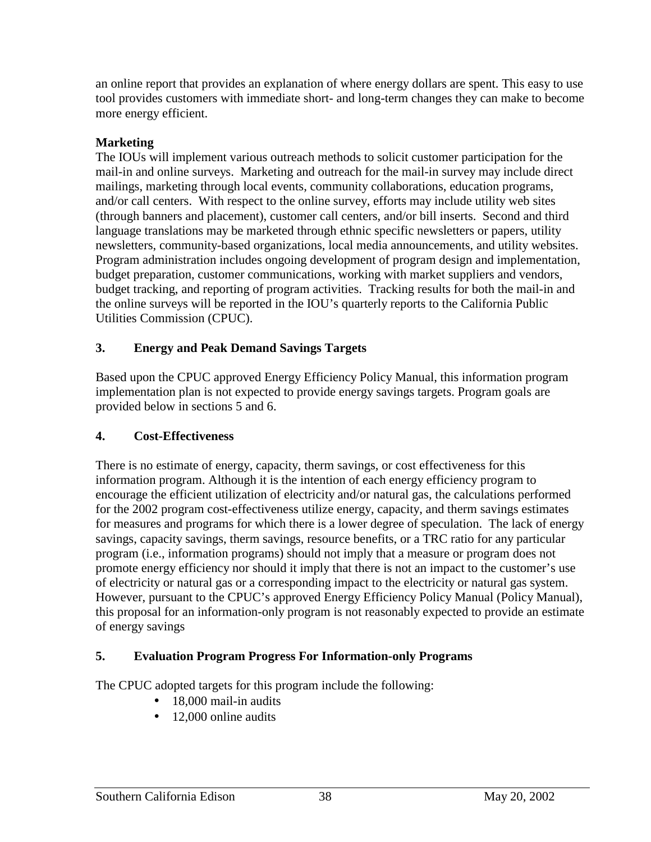an online report that provides an explanation of where energy dollars are spent. This easy to use tool provides customers with immediate short- and long-term changes they can make to become more energy efficient.

## **Marketing**

The IOUs will implement various outreach methods to solicit customer participation for the mail-in and online surveys. Marketing and outreach for the mail-in survey may include direct mailings, marketing through local events, community collaborations, education programs, and/or call centers. With respect to the online survey, efforts may include utility web sites (through banners and placement), customer call centers, and/or bill inserts. Second and third language translations may be marketed through ethnic specific newsletters or papers, utility newsletters, community-based organizations, local media announcements, and utility websites. Program administration includes ongoing development of program design and implementation, budget preparation, customer communications, working with market suppliers and vendors, budget tracking, and reporting of program activities. Tracking results for both the mail-in and the online surveys will be reported in the IOU's quarterly reports to the California Public Utilities Commission (CPUC).

## **3. Energy and Peak Demand Savings Targets**

Based upon the CPUC approved Energy Efficiency Policy Manual, this information program implementation plan is not expected to provide energy savings targets. Program goals are provided below in sections 5 and 6.

## **4. Cost-Effectiveness**

There is no estimate of energy, capacity, therm savings, or cost effectiveness for this information program. Although it is the intention of each energy efficiency program to encourage the efficient utilization of electricity and/or natural gas, the calculations performed for the 2002 program cost-effectiveness utilize energy, capacity, and therm savings estimates for measures and programs for which there is a lower degree of speculation. The lack of energy savings, capacity savings, therm savings, resource benefits, or a TRC ratio for any particular program (i.e., information programs) should not imply that a measure or program does not promote energy efficiency nor should it imply that there is not an impact to the customer's use of electricity or natural gas or a corresponding impact to the electricity or natural gas system. However, pursuant to the CPUC's approved Energy Efficiency Policy Manual (Policy Manual), this proposal for an information-only program is not reasonably expected to provide an estimate of energy savings

## **5. Evaluation Program Progress For Information-only Programs**

The CPUC adopted targets for this program include the following:

- 18,000 mail-in audits
- 12,000 online audits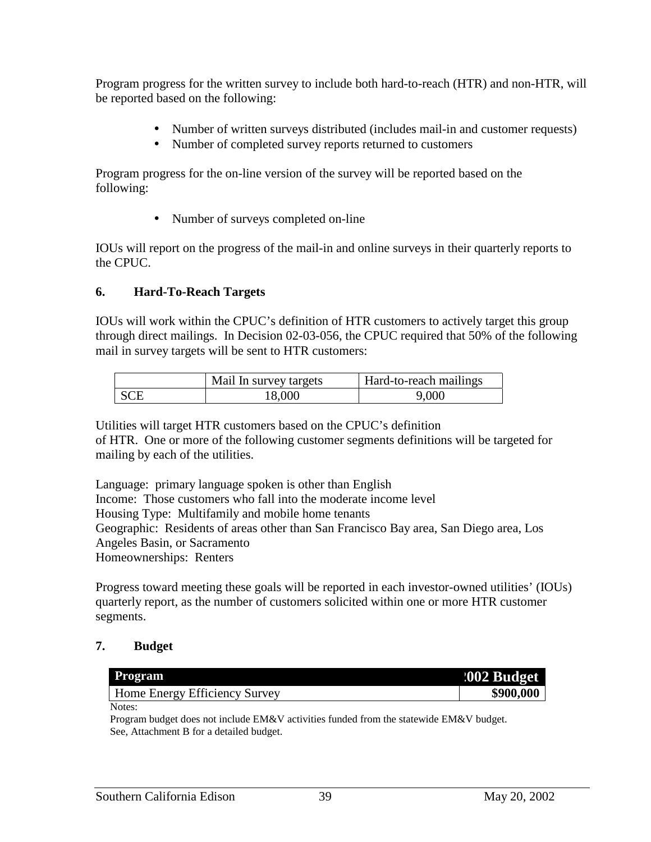Program progress for the written survey to include both hard-to-reach (HTR) and non-HTR, will be reported based on the following:

- Number of written surveys distributed (includes mail-in and customer requests)
- Number of completed survey reports returned to customers

Program progress for the on-line version of the survey will be reported based on the following:

• Number of surveys completed on-line

IOUs will report on the progress of the mail-in and online surveys in their quarterly reports to the CPUC.

## **6. Hard-To-Reach Targets**

IOUs will work within the CPUC's definition of HTR customers to actively target this group through direct mailings. In Decision 02-03-056, the CPUC required that 50% of the following mail in survey targets will be sent to HTR customers:

| Mail In survey targets | <b>Hard-to-reach mailings</b> |
|------------------------|-------------------------------|
| 18.000                 | 9,000                         |

Utilities will target HTR customers based on the CPUC's definition of HTR. One or more of the following customer segments definitions will be targeted for mailing by each of the utilities.

Language: primary language spoken is other than English Income: Those customers who fall into the moderate income level Housing Type: Multifamily and mobile home tenants Geographic: Residents of areas other than San Francisco Bay area, San Diego area, Los Angeles Basin, or Sacramento Homeownerships: Renters

Progress toward meeting these goals will be reported in each investor-owned utilities' (IOUs) quarterly report, as the number of customers solicited within one or more HTR customer segments.

## **7. Budget**

| <b>Program</b>                | <b>:002 Budget</b> |
|-------------------------------|--------------------|
| Home Energy Efficiency Survey | \$900,000          |
| Notes:                        |                    |

Program budget does not include EM&V activities funded from the statewide EM&V budget. See, Attachment B for a detailed budget.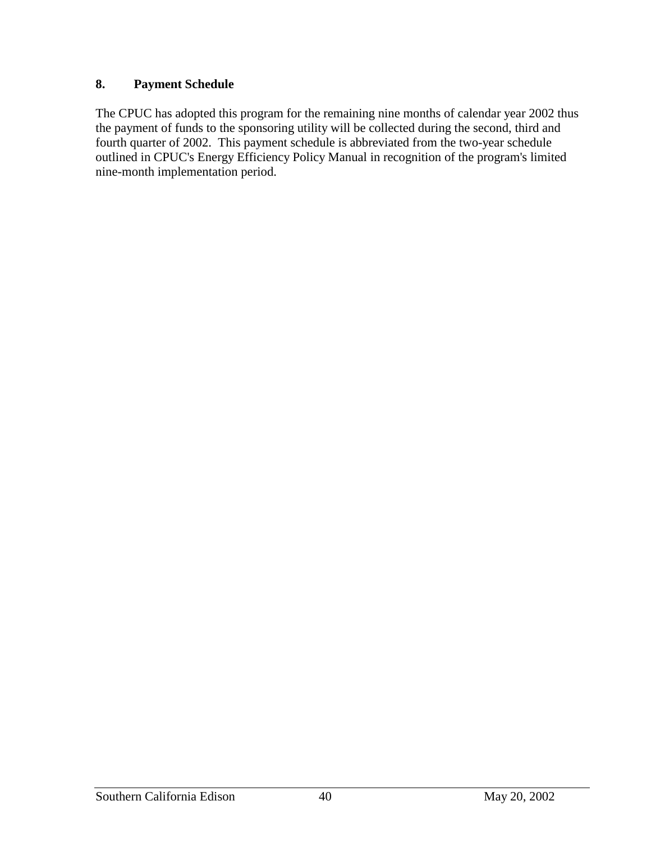## **8. Payment Schedule**

The CPUC has adopted this program for the remaining nine months of calendar year 2002 thus the payment of funds to the sponsoring utility will be collected during the second, third and fourth quarter of 2002. This payment schedule is abbreviated from the two-year schedule outlined in CPUC's Energy Efficiency Policy Manual in recognition of the program's limited nine-month implementation period.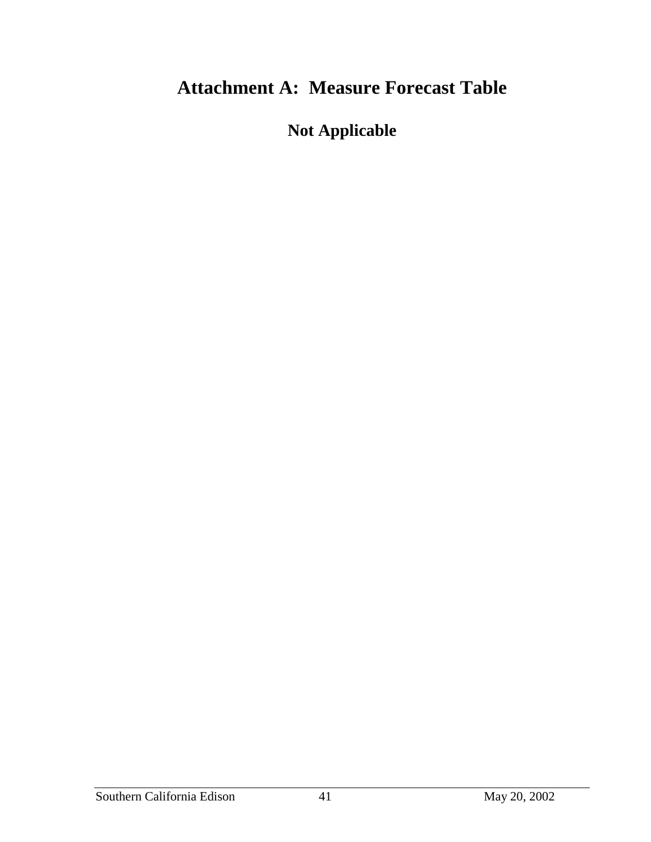## **Attachment A: Measure Forecast Table**

**Not Applicable**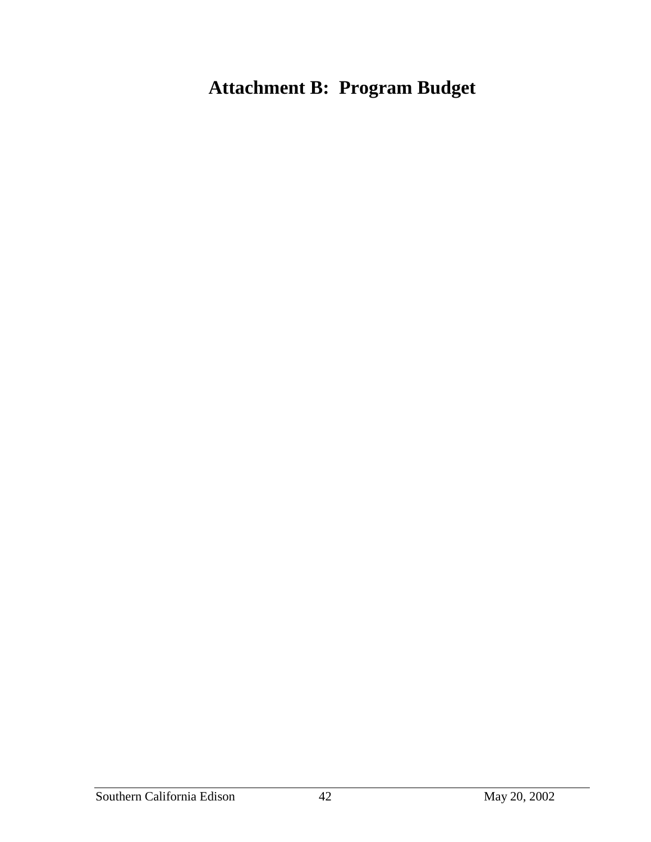# **Attachment B: Program Budget**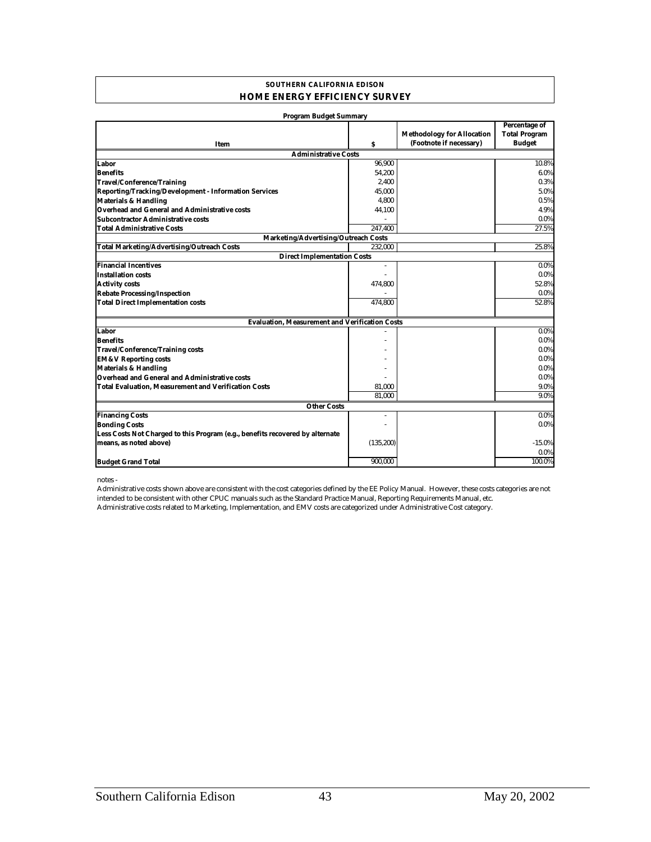#### **SOUTHERN CALIFORNIA EDISON HOME ENERGY EFFICIENCY SURVEY**

| <b>Program Budget Summary</b>                                                 |            |                                                              |                                                        |
|-------------------------------------------------------------------------------|------------|--------------------------------------------------------------|--------------------------------------------------------|
| Item                                                                          | \$         | <b>Methodology for Allocation</b><br>(Footnote if necessary) | Percentage of<br><b>Total Program</b><br><b>Budget</b> |
| <b>Administrative Costs</b>                                                   |            |                                                              |                                                        |
| Labor                                                                         | 96,900     |                                                              | 10.8%                                                  |
| <b>Benefits</b>                                                               | 54.200     |                                                              | 6.0%                                                   |
| <b>Travel/Conference/Training</b>                                             | 2.400      |                                                              | 0.3%                                                   |
| Reporting/Tracking/Development - Information Services                         | 45,000     |                                                              | 5.0%                                                   |
| <b>Materials &amp; Handling</b>                                               | 4.800      |                                                              | 0.5%                                                   |
| Overhead and General and Administrative costs                                 | 44,100     |                                                              | 4.9%                                                   |
| <b>Subcontractor Administrative costs</b>                                     |            |                                                              | $0.0\%$                                                |
| <b>Total Administrative Costs</b>                                             | 247.400    |                                                              | 27.5%                                                  |
| Marketing/Advertising/Outreach Costs                                          |            |                                                              |                                                        |
| <b>Total Marketing/Advertising/Outreach Costs</b>                             | 232.000    |                                                              | 25.8%                                                  |
| <b>Direct Implementation Costs</b>                                            |            |                                                              |                                                        |
| <b>Financial Incentives</b>                                                   | $\bar{a}$  |                                                              | $0.0\%$                                                |
| <b>Installation costs</b>                                                     |            |                                                              | 0.0%                                                   |
| <b>Activity costs</b>                                                         | 474,800    |                                                              | 52.8%                                                  |
| <b>Rebate Processing/Inspection</b>                                           |            |                                                              | $0.0\%$                                                |
| <b>Total Direct Implementation costs</b>                                      | 474,800    |                                                              | 52.8%                                                  |
| <b>Evaluation, Measurement and Verification Costs</b>                         |            |                                                              |                                                        |
| Labor                                                                         |            |                                                              | $0.0\%$                                                |
| <b>Benefits</b>                                                               |            |                                                              | 0.0%                                                   |
| <b>Travel/Conference/Training costs</b>                                       |            |                                                              | $0.0\%$                                                |
| <b>EM&amp;V Reporting costs</b>                                               |            |                                                              | $0.0\%$                                                |
| <b>Materials &amp; Handling</b>                                               |            |                                                              | 0.0%                                                   |
| <b>Overhead and General and Administrative costs</b>                          |            |                                                              | $0.0\%$                                                |
| <b>Total Evaluation, Measurement and Verification Costs</b>                   | 81,000     |                                                              | 9.0%                                                   |
|                                                                               | 81.000     |                                                              | 9.0%                                                   |
| <b>Other Costs</b>                                                            |            |                                                              |                                                        |
| <b>Financing Costs</b>                                                        | $\sim$     |                                                              | $0.0\%$                                                |
| <b>Bonding Costs</b>                                                          |            |                                                              | 0.0%                                                   |
| Less Costs Not Charged to this Program (e.g., benefits recovered by alternate |            |                                                              |                                                        |
| means, as noted above)                                                        | (135, 200) |                                                              | $-15.0%$                                               |
|                                                                               |            |                                                              | $0.0\%$                                                |
| <b>Budget Grand Total</b>                                                     | 900.000    |                                                              | 100.0%                                                 |

notes -

Administrative costs related to Marketing, Implementation, and EMV costs are categorized under Administrative Cost category. Administrative costs shown above are consistent with the cost categories defined by the EE Policy Manual. However, these costs categories are not intended to be consistent with other CPUC manuals such as the Standard Practice Manual, Reporting Requirements Manual, etc.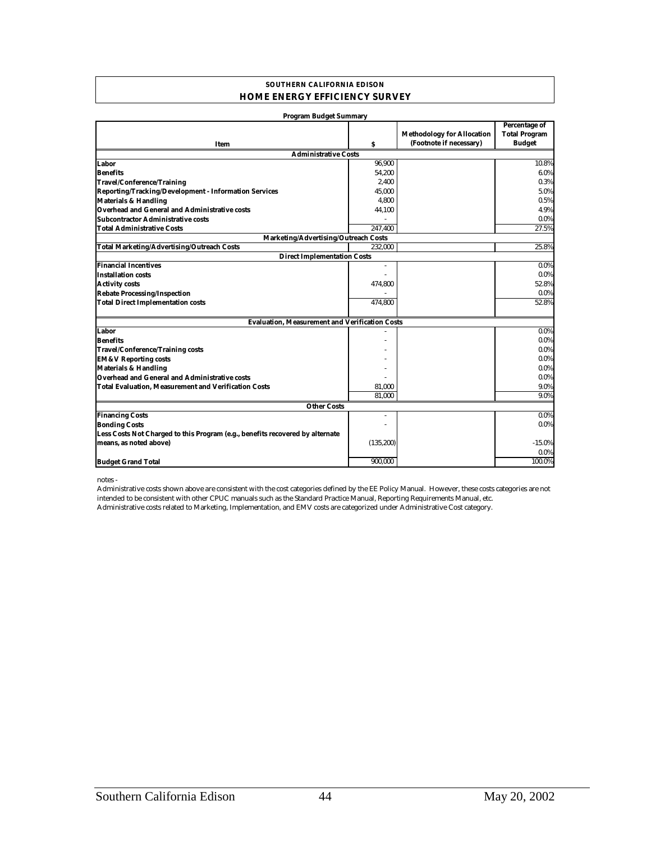#### **SOUTHERN CALIFORNIA EDISON HOME ENERGY EFFICIENCY SURVEY**

| <b>Program Budget Summary</b>                                                 |            |                                                              |                                                        |
|-------------------------------------------------------------------------------|------------|--------------------------------------------------------------|--------------------------------------------------------|
| Item                                                                          | \$         | <b>Methodology for Allocation</b><br>(Footnote if necessary) | Percentage of<br><b>Total Program</b><br><b>Budget</b> |
| <b>Administrative Costs</b>                                                   |            |                                                              |                                                        |
| Labor                                                                         | 96,900     |                                                              | 10.8%                                                  |
| <b>Benefits</b>                                                               | 54.200     |                                                              | 6.0%                                                   |
| <b>Travel/Conference/Training</b>                                             | 2.400      |                                                              | 0.3%                                                   |
| Reporting/Tracking/Development - Information Services                         | 45,000     |                                                              | 5.0%                                                   |
| <b>Materials &amp; Handling</b>                                               | 4.800      |                                                              | 0.5%                                                   |
| Overhead and General and Administrative costs                                 | 44,100     |                                                              | 4.9%                                                   |
| <b>Subcontractor Administrative costs</b>                                     |            |                                                              | 0.0%                                                   |
| <b>Total Administrative Costs</b>                                             | 247.400    |                                                              | 27.5%                                                  |
| Marketing/Advertising/Outreach Costs                                          |            |                                                              |                                                        |
| <b>Total Marketing/Advertising/Outreach Costs</b>                             | 232.000    |                                                              | 25.8%                                                  |
| <b>Direct Implementation Costs</b>                                            |            |                                                              |                                                        |
| <b>Financial Incentives</b>                                                   | $\bar{a}$  |                                                              | $0.0\%$                                                |
| <b>Installation costs</b>                                                     |            |                                                              | $0.0\%$                                                |
| <b>Activity costs</b>                                                         | 474,800    |                                                              | 52.8%                                                  |
| <b>Rebate Processing/Inspection</b>                                           |            |                                                              | $0.0\%$                                                |
| <b>Total Direct Implementation costs</b>                                      | 474,800    |                                                              | 52.8%                                                  |
| <b>Evaluation, Measurement and Verification Costs</b>                         |            |                                                              |                                                        |
| Labor                                                                         |            |                                                              | $0.0\%$                                                |
| <b>Benefits</b>                                                               |            |                                                              | 0.0%                                                   |
| <b>Travel/Conference/Training costs</b>                                       |            |                                                              | $0.0\%$                                                |
| <b>EM&amp;V Reporting costs</b>                                               |            |                                                              | $0.0\%$                                                |
| <b>Materials &amp; Handling</b>                                               |            |                                                              | 0.0%                                                   |
| <b>Overhead and General and Administrative costs</b>                          |            |                                                              | $0.0\%$                                                |
| <b>Total Evaluation, Measurement and Verification Costs</b>                   | 81,000     |                                                              | 9.0%                                                   |
|                                                                               | 81.000     |                                                              | 9.0%                                                   |
| <b>Other Costs</b>                                                            |            |                                                              |                                                        |
| <b>Financing Costs</b>                                                        | $\sim$     |                                                              | $0.0\%$                                                |
| <b>Bonding Costs</b>                                                          |            |                                                              | 0.0%                                                   |
| Less Costs Not Charged to this Program (e.g., benefits recovered by alternate |            |                                                              |                                                        |
| means, as noted above)                                                        | (135, 200) |                                                              | $-15.0%$                                               |
|                                                                               |            |                                                              | $0.0\%$                                                |
| <b>Budget Grand Total</b>                                                     | 900.000    |                                                              | 100.0%                                                 |

notes -

Administrative costs related to Marketing, Implementation, and EMV costs are categorized under Administrative Cost category. Administrative costs shown above are consistent with the cost categories defined by the EE Policy Manual. However, these costs categories are not intended to be consistent with other CPUC manuals such as the Standard Practice Manual, Reporting Requirements Manual, etc.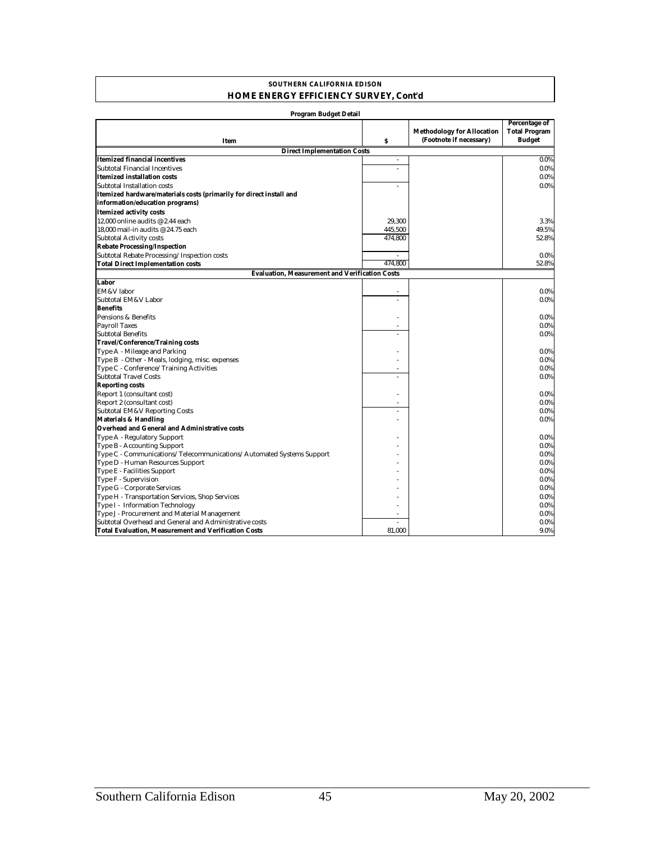#### **SOUTHERN CALIFORNIA EDISON HOME ENERGY EFFICIENCY SURVEY, Cont'd**

| <b>Program Budget Detail</b>                                         |         |                                                              |                                                        |
|----------------------------------------------------------------------|---------|--------------------------------------------------------------|--------------------------------------------------------|
| <b>Item</b>                                                          | \$      | <b>Methodology for Allocation</b><br>(Footnote if necessary) | Percentage of<br><b>Total Program</b><br><b>Budget</b> |
| <b>Direct Implementation Costs</b>                                   |         |                                                              |                                                        |
| <b>Itemized financial incentives</b>                                 | L.      |                                                              | $0.0\%$                                                |
| <b>Subtotal Financial Incentives</b>                                 | ÷,      |                                                              | $0.0\%$                                                |
| <b>Itemized installation costs</b>                                   |         |                                                              | $0.0\%$                                                |
| Subtotal Installation costs                                          | ÷.      |                                                              | $0.0\%$                                                |
| Itemized hardware/materials costs (primarily for direct install and  |         |                                                              |                                                        |
| information/education programs)                                      |         |                                                              |                                                        |
|                                                                      |         |                                                              |                                                        |
| <b>Itemized activity costs</b>                                       |         |                                                              |                                                        |
| 12.000 online audits @ 2.44 each                                     | 29.300  |                                                              | 3.3%                                                   |
| 18.000 mail-in audits @ 24.75 each                                   | 445,500 |                                                              | 49.5%                                                  |
| <b>Subtotal Activity costs</b>                                       | 474,800 |                                                              | 52.8%                                                  |
| <b>Rebate Processing/Inspection</b>                                  |         |                                                              |                                                        |
| Subtotal Rebate Processing/Inspection costs                          |         |                                                              | $0.0\%$                                                |
| <b>Total Direct Implementation costs</b>                             | 474.800 |                                                              | 52.8%                                                  |
| <b>Evaluation, Measurement and Verification Costs</b>                |         |                                                              |                                                        |
| Labor                                                                |         |                                                              |                                                        |
| EM&V labor                                                           |         |                                                              | $0.0\%$                                                |
| Subtotal EM&V Labor                                                  |         |                                                              | $0.0\%$                                                |
| <b>Benefits</b>                                                      |         |                                                              |                                                        |
| Pensions & Benefits                                                  |         |                                                              | $0.0\%$                                                |
| <b>Payroll Taxes</b>                                                 |         |                                                              | 0.0%                                                   |
| <b>Subtotal Benefits</b>                                             |         |                                                              | $0.0\%$                                                |
| <b>Travel/Conference/Training costs</b>                              |         |                                                              |                                                        |
| Type A - Mileage and Parking                                         |         |                                                              | $0.0\%$                                                |
| Type B - Other - Meals, lodging, misc. expenses                      |         |                                                              | $0.0\%$                                                |
| Type C - Conference/Training Activities                              | ä,      |                                                              | 0.0%                                                   |
| <b>Subtotal Travel Costs</b>                                         |         |                                                              | $0.0\%$                                                |
| <b>Reporting costs</b>                                               |         |                                                              |                                                        |
| Report 1 (consultant cost)                                           |         |                                                              | $0.0\%$                                                |
| Report 2 (consultant cost)                                           | ä,      |                                                              | $0.0\%$                                                |
| Subtotal EM&V Reporting Costs                                        | ÷       |                                                              | $0.0\%$                                                |
| <b>Materials &amp; Handling</b>                                      |         |                                                              | $0.0\%$                                                |
| <b>Overhead and General and Administrative costs</b>                 |         |                                                              |                                                        |
| Type A - Regulatory Support                                          |         |                                                              | $0.0\%$                                                |
| Type B - Accounting Support                                          |         |                                                              | $0.0\%$                                                |
| Type C - Communications/Telecommunications/Automated Systems Support |         |                                                              | 0.0%                                                   |
| Type D - Human Resources Support                                     |         |                                                              | $0.0\%$                                                |
| Type E - Facilities Support                                          |         |                                                              | $0.0\%$                                                |
| Type F - Supervision                                                 |         |                                                              | $0.0\%$                                                |
| Type G - Corporate Services                                          |         |                                                              | $0.0\%$                                                |
| Type H - Transportation Services, Shop Services                      |         |                                                              | $0.0\%$                                                |
| Type I - Information Technology                                      |         |                                                              | $0.0\%$                                                |
| Type J - Procurement and Material Management                         |         |                                                              | $0.0\%$                                                |
| Subtotal Overhead and General and Administrative costs               | ÷.      |                                                              | $0.0\%$                                                |
| <b>Total Evaluation, Measurement and Verification Costs</b>          | 81,000  |                                                              | 9.0%                                                   |

## Southern California Edison 45 May 20, 2002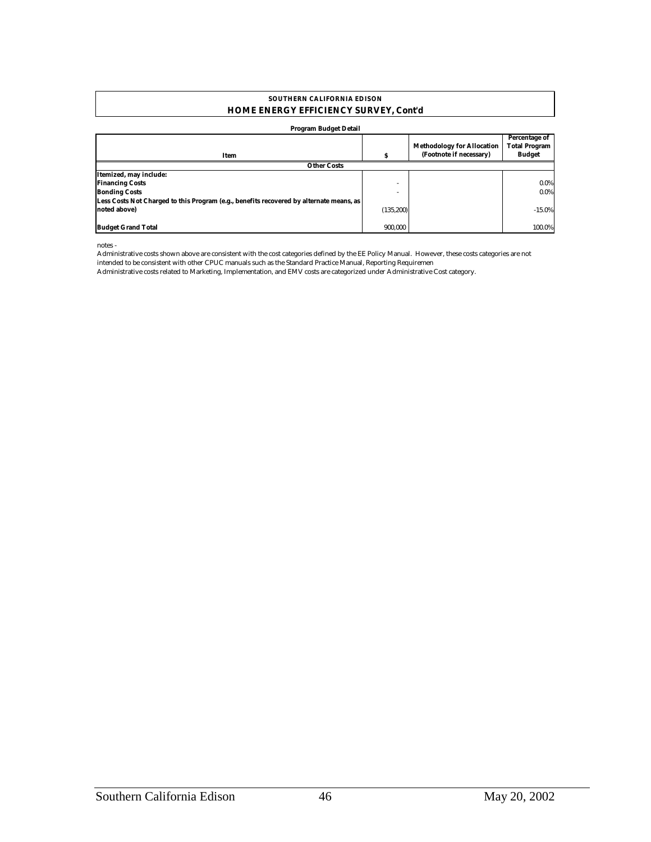#### **HOME ENERGY EFFICIENCY SURVEY, Cont'd SOUTHERN CALIFORNIA EDISON**

#### **Program Budget Detail**

|                                                                                         |                          | <b>Methodology for Allocation</b> | Percentage of<br><b>Total Program</b> |  |  |
|-----------------------------------------------------------------------------------------|--------------------------|-----------------------------------|---------------------------------------|--|--|
| Item                                                                                    |                          | (Footnote if necessary)           | <b>Budget</b>                         |  |  |
| <b>Other Costs</b>                                                                      |                          |                                   |                                       |  |  |
| Itemized, may include:                                                                  |                          |                                   |                                       |  |  |
| <b>Financing Costs</b>                                                                  | $\overline{\phantom{a}}$ |                                   | $0.0\%$                               |  |  |
| <b>Bonding Costs</b>                                                                    |                          |                                   | $0.0\%$                               |  |  |
| Less Costs Not Charged to this Program (e.g., benefits recovered by alternate means, as |                          |                                   |                                       |  |  |
| noted above)                                                                            | (135, 200)               |                                   | $-15.0%$                              |  |  |
|                                                                                         |                          |                                   |                                       |  |  |
| <b>Budget Grand Total</b>                                                               | 900.000                  |                                   | 100.0%                                |  |  |

notes -

Administrative costs shown above are consistent with the cost categories defined by the EE Policy Manual. However, these costs categories are not intended to be consistent with other CPUC manuals such as the Standard Practice Manual, Reporting Requiremen

Administrative costs related to Marketing, Implementation, and EMV costs are categorized under Administrative Cost category.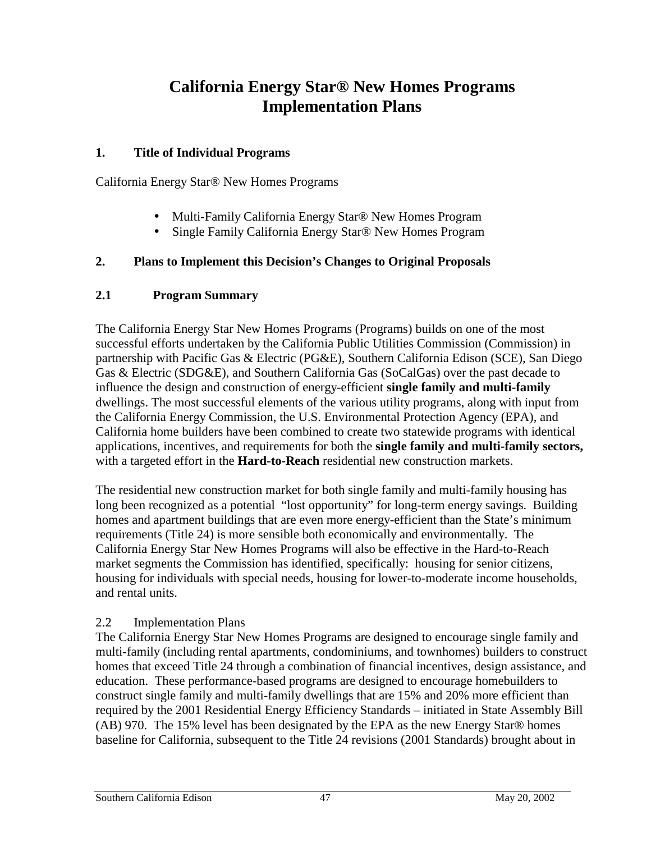## **California Energy Star® New Homes Programs Implementation Plans**

## **1. Title of Individual Programs**

California Energy Star® New Homes Programs

- Multi-Family California Energy Star<sup>®</sup> New Homes Program
- Single Family California Energy Star<sup>®</sup> New Homes Program

## **2. Plans to Implement this Decision's Changes to Original Proposals**

## **2.1 Program Summary**

The California Energy Star New Homes Programs (Programs) builds on one of the most successful efforts undertaken by the California Public Utilities Commission (Commission) in partnership with Pacific Gas & Electric (PG&E), Southern California Edison (SCE), San Diego Gas & Electric (SDG&E), and Southern California Gas (SoCalGas) over the past decade to influence the design and construction of energy-efficient **single family and multi-family** dwellings. The most successful elements of the various utility programs, along with input from the California Energy Commission, the U.S. Environmental Protection Agency (EPA), and California home builders have been combined to create two statewide programs with identical applications, incentives, and requirements for both the **single family and multi-family sectors,**  with a targeted effort in the **Hard-to-Reach** residential new construction markets.

The residential new construction market for both single family and multi-family housing has long been recognized as a potential "lost opportunity" for long-term energy savings. Building homes and apartment buildings that are even more energy-efficient than the State's minimum requirements (Title 24) is more sensible both economically and environmentally. The California Energy Star New Homes Programs will also be effective in the Hard-to-Reach market segments the Commission has identified, specifically: housing for senior citizens, housing for individuals with special needs, housing for lower-to-moderate income households, and rental units.

## 2.2 Implementation Plans

The California Energy Star New Homes Programs are designed to encourage single family and multi-family (including rental apartments, condominiums, and townhomes) builders to construct homes that exceed Title 24 through a combination of financial incentives, design assistance, and education. These performance-based programs are designed to encourage homebuilders to construct single family and multi-family dwellings that are 15% and 20% more efficient than required by the 2001 Residential Energy Efficiency Standards – initiated in State Assembly Bill (AB) 970. The 15% level has been designated by the EPA as the new Energy Star® homes baseline for California, subsequent to the Title 24 revisions (2001 Standards) brought about in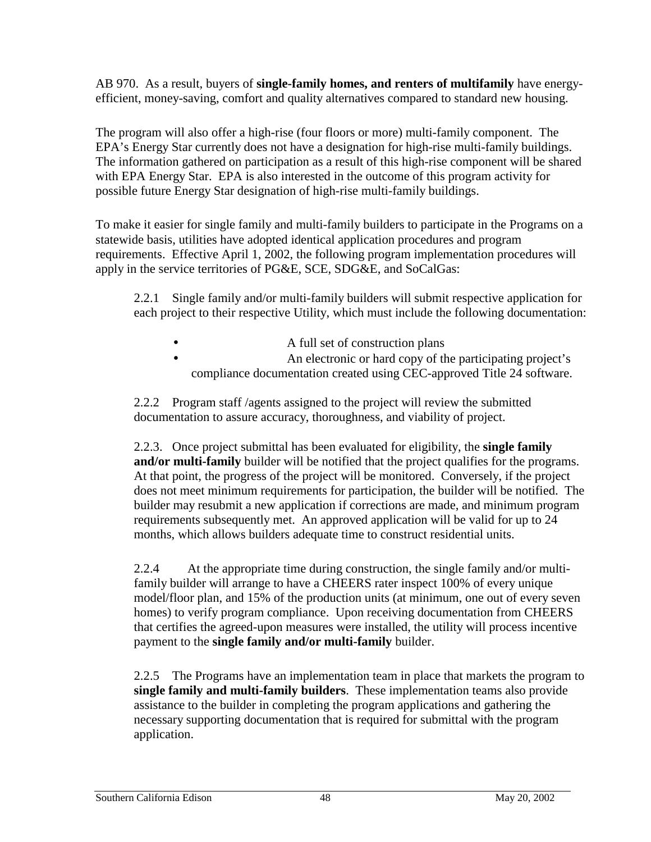AB 970. As a result, buyers of **single-family homes, and renters of multifamily** have energyefficient, money-saving, comfort and quality alternatives compared to standard new housing.

The program will also offer a high-rise (four floors or more) multi-family component. The EPA's Energy Star currently does not have a designation for high-rise multi-family buildings. The information gathered on participation as a result of this high-rise component will be shared with EPA Energy Star. EPA is also interested in the outcome of this program activity for possible future Energy Star designation of high-rise multi-family buildings.

To make it easier for single family and multi-family builders to participate in the Programs on a statewide basis, utilities have adopted identical application procedures and program requirements. Effective April 1, 2002, the following program implementation procedures will apply in the service territories of PG&E, SCE, SDG&E, and SoCalGas:

2.2.1 Single family and/or multi-family builders will submit respective application for each project to their respective Utility, which must include the following documentation:

- A full set of construction plans
- **An electronic or hard copy of the participating project's** compliance documentation created using CEC-approved Title 24 software.

2.2.2 Program staff /agents assigned to the project will review the submitted documentation to assure accuracy, thoroughness, and viability of project.

2.2.3. Once project submittal has been evaluated for eligibility, the **single family and/or multi-family** builder will be notified that the project qualifies for the programs. At that point, the progress of the project will be monitored. Conversely, if the project does not meet minimum requirements for participation, the builder will be notified. The builder may resubmit a new application if corrections are made, and minimum program requirements subsequently met. An approved application will be valid for up to 24 months, which allows builders adequate time to construct residential units.

2.2.4 At the appropriate time during construction, the single family and/or multifamily builder will arrange to have a CHEERS rater inspect 100% of every unique model/floor plan, and 15% of the production units (at minimum, one out of every seven homes) to verify program compliance. Upon receiving documentation from CHEERS that certifies the agreed-upon measures were installed, the utility will process incentive payment to the **single family and/or multi-family** builder.

2.2.5 The Programs have an implementation team in place that markets the program to **single family and multi-family builders**. These implementation teams also provide assistance to the builder in completing the program applications and gathering the necessary supporting documentation that is required for submittal with the program application.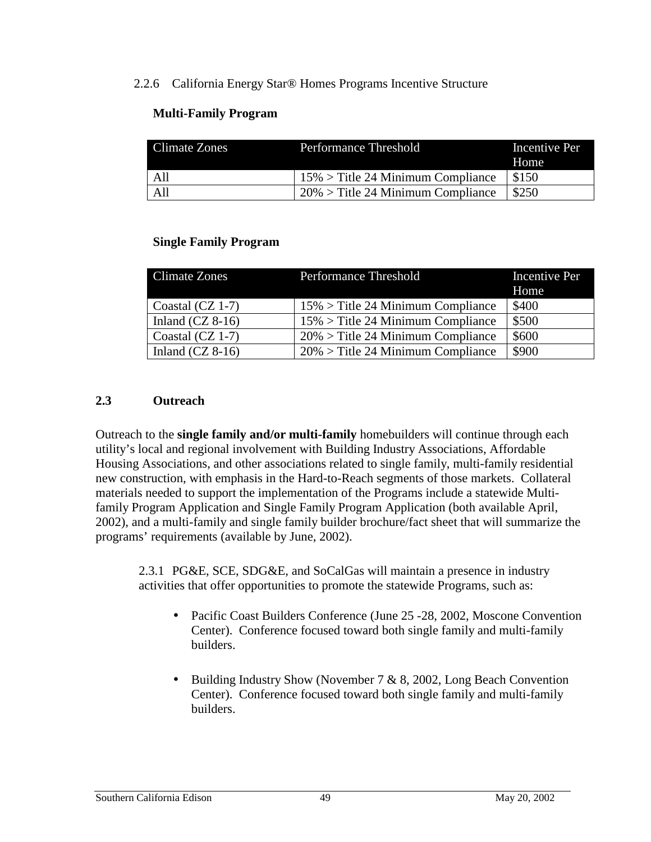### 2.2.6 California Energy Star® Homes Programs Incentive Structure

## **Multi-Family Program**

| Climate Zones | Performance Threshold                | Incentive Per<br>Home |
|---------------|--------------------------------------|-----------------------|
| - All         | $15\%$ > Title 24 Minimum Compliance | \$150                 |
| A11           | $20\%$ > Title 24 Minimum Compliance | \$250                 |

### **Single Family Program**

| Climate Zones      | <b>Performance Threshold</b>         | <b>Incentive Per</b><br>Home |
|--------------------|--------------------------------------|------------------------------|
| Coastal $(CZ 1-7)$ | $15\%$ > Title 24 Minimum Compliance | \$400                        |
| Inland $(CZ 8-16)$ | $15\%$ > Title 24 Minimum Compliance | \$500                        |
| Coastal (CZ 1-7)   | $20\%$ > Title 24 Minimum Compliance | \$600                        |
| Inland $(CZ 8-16)$ | $20\%$ > Title 24 Minimum Compliance | \$900                        |

## **2.3 Outreach**

Outreach to the **single family and/or multi-family** homebuilders will continue through each utility's local and regional involvement with Building Industry Associations, Affordable Housing Associations, and other associations related to single family, multi-family residential new construction, with emphasis in the Hard-to-Reach segments of those markets. Collateral materials needed to support the implementation of the Programs include a statewide Multifamily Program Application and Single Family Program Application (both available April, 2002), and a multi-family and single family builder brochure/fact sheet that will summarize the programs' requirements (available by June, 2002).

2.3.1 PG&E, SCE, SDG&E, and SoCalGas will maintain a presence in industry activities that offer opportunities to promote the statewide Programs, such as:

- Pacific Coast Builders Conference (June 25 -28, 2002, Moscone Convention Center). Conference focused toward both single family and multi-family builders.
- Building Industry Show (November  $7 \& 8$ , 2002, Long Beach Convention Center). Conference focused toward both single family and multi-family builders.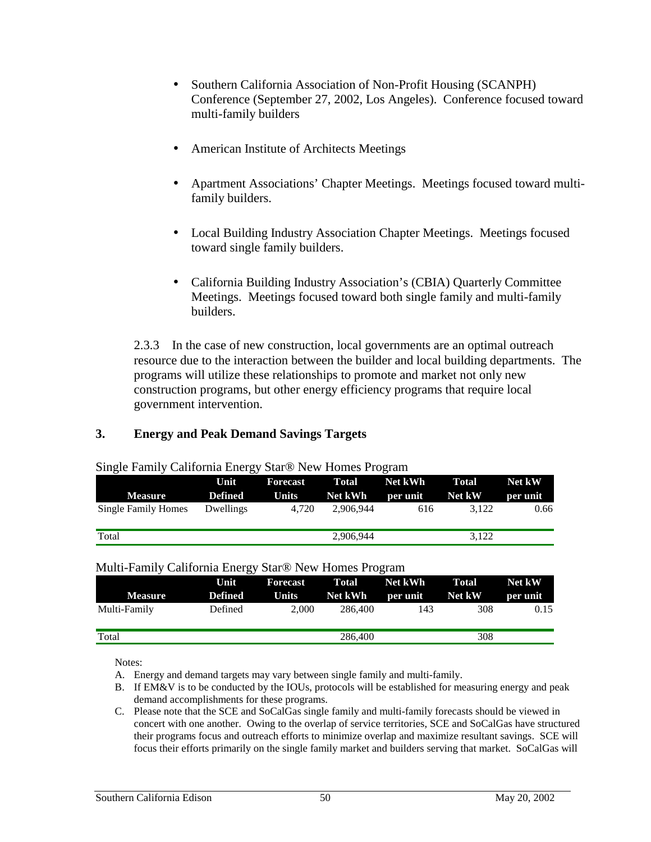- Southern California Association of Non-Profit Housing (SCANPH) Conference (September 27, 2002, Los Angeles). Conference focused toward multi-family builders
- American Institute of Architects Meetings
- Apartment Associations' Chapter Meetings. Meetings focused toward multifamily builders.
- Local Building Industry Association Chapter Meetings. Meetings focused toward single family builders.
- California Building Industry Association's (CBIA) Quarterly Committee Meetings. Meetings focused toward both single family and multi-family builders.

2.3.3 In the case of new construction, local governments are an optimal outreach resource due to the interaction between the builder and local building departments. The programs will utilize these relationships to promote and market not only new construction programs, but other energy efficiency programs that require local government intervention.

### **3. Energy and Peak Demand Savings Targets**

|                            | Unit      |       | Forecast Total Net kWh |                               | Total | Net kW   |
|----------------------------|-----------|-------|------------------------|-------------------------------|-------|----------|
| <b>Measure</b>             | Defined   |       |                        | Units Net kWh per unit Net kW |       | per unit |
| <b>Single Family Homes</b> | Dwellings | 4.720 | 2.906.944              | 616                           | 3.122 | 0.66     |
| Total                      |           |       | 2,906,944              |                               | 3.122 |          |

#### Single Family California Energy Star® New Homes Program

#### Multi-Family California Energy Star® New Homes Program

| <b>Measure</b> | Unit<br><b>Defined</b> | Forecast<br><b>Units</b> | <b>Total</b><br>Net kWh | <b>Net kWh</b><br>per unit | <b>Total</b><br>Net kW | <b>Net kW</b><br>per unit |
|----------------|------------------------|--------------------------|-------------------------|----------------------------|------------------------|---------------------------|
| Multi-Family   | Defined                | 2.000                    | 286,400                 | 143                        | 308                    | 0.15                      |
| Total          |                        |                          | 286,400                 |                            | 308                    |                           |

Notes:

A. Energy and demand targets may vary between single family and multi-family.

- B. If EM&V is to be conducted by the IOUs, protocols will be established for measuring energy and peak demand accomplishments for these programs.
- C. Please note that the SCE and SoCalGas single family and multi-family forecasts should be viewed in concert with one another. Owing to the overlap of service territories, SCE and SoCalGas have structured their programs focus and outreach efforts to minimize overlap and maximize resultant savings. SCE will focus their efforts primarily on the single family market and builders serving that market. SoCalGas will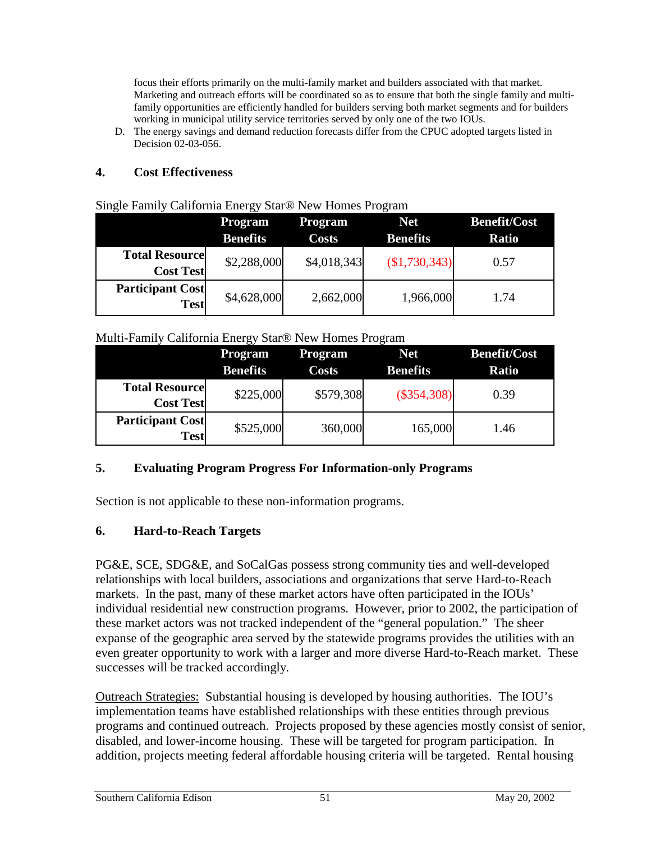focus their efforts primarily on the multi-family market and builders associated with that market. Marketing and outreach efforts will be coordinated so as to ensure that both the single family and multifamily opportunities are efficiently handled for builders serving both market segments and for builders working in municipal utility service territories served by only one of the two IOUs.

D. The energy savings and demand reduction forecasts differ from the CPUC adopted targets listed in Decision 02-03-056.

## **4. Cost Effectiveness**

|                                        | <b>Program</b>  | <b>Program</b> | <b>Net</b>      | <b>Benefit/Cost</b> |
|----------------------------------------|-----------------|----------------|-----------------|---------------------|
|                                        | <b>Benefits</b> | <b>Costs</b>   | <b>Benefits</b> | <b>Ratio</b>        |
| <b>Total Resource</b>                  | \$2,288,000     | \$4,018,343    | (\$1,730,343)   | 0.57                |
| <b>Cost Test</b>                       |                 |                |                 |                     |
| <b>Participant Cost</b><br><b>Test</b> | \$4,628,000     | 2,662,000      | 1,966,000       | 1.74                |

## Single Family California Energy Star® New Homes Program

### Multi-Family California Energy Star® New Homes Program

|                                           | <b>Program</b><br><b>Benefits</b> | <b>Program</b><br><b>Costs</b> | <b>Net</b><br><b>Benefits</b> | <b>Benefit/Cost</b><br><b>Ratio</b> |
|-------------------------------------------|-----------------------------------|--------------------------------|-------------------------------|-------------------------------------|
| <b>Total Resource</b><br><b>Cost Test</b> | \$225,000                         | \$579,308                      | $(\$354,308)$                 | 0.39                                |
| <b>Participant Cost</b><br><b>Test</b>    | \$525,000                         | 360,000                        | 165,000                       | 1.46                                |

## **5. Evaluating Program Progress For Information-only Programs**

Section is not applicable to these non-information programs.

## **6. Hard-to-Reach Targets**

PG&E, SCE, SDG&E, and SoCalGas possess strong community ties and well-developed relationships with local builders, associations and organizations that serve Hard-to-Reach markets. In the past, many of these market actors have often participated in the IOUs' individual residential new construction programs. However, prior to 2002, the participation of these market actors was not tracked independent of the "general population." The sheer expanse of the geographic area served by the statewide programs provides the utilities with an even greater opportunity to work with a larger and more diverse Hard-to-Reach market. These successes will be tracked accordingly.

Outreach Strategies: Substantial housing is developed by housing authorities. The IOU's implementation teams have established relationships with these entities through previous programs and continued outreach. Projects proposed by these agencies mostly consist of senior, disabled, and lower-income housing. These will be targeted for program participation. In addition, projects meeting federal affordable housing criteria will be targeted. Rental housing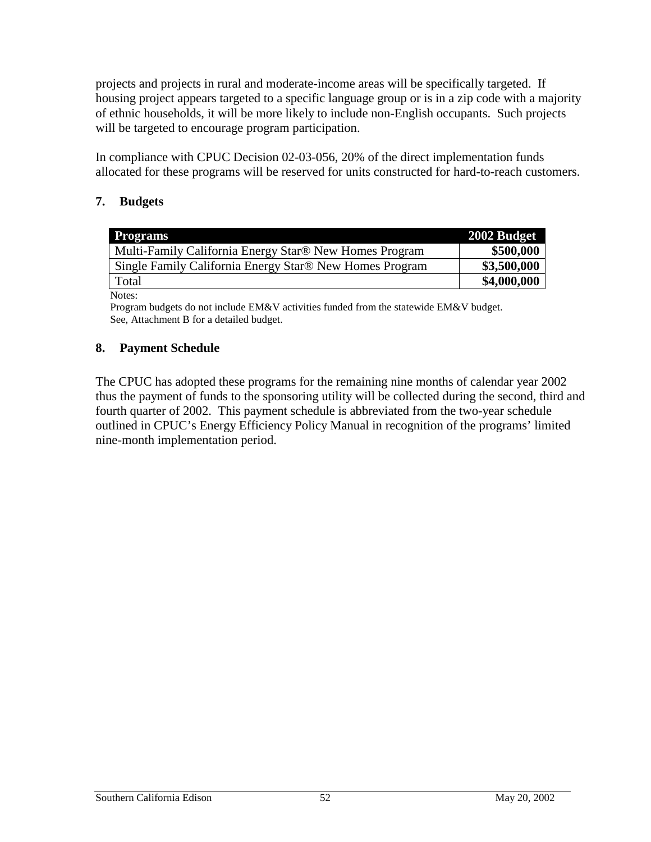projects and projects in rural and moderate-income areas will be specifically targeted. If housing project appears targeted to a specific language group or is in a zip code with a majority of ethnic households, it will be more likely to include non-English occupants. Such projects will be targeted to encourage program participation.

In compliance with CPUC Decision 02-03-056, 20% of the direct implementation funds allocated for these programs will be reserved for units constructed for hard-to-reach customers.

## **7. Budgets**

| <b>Programs</b>                                         | 2002 Budget |
|---------------------------------------------------------|-------------|
| Multi-Family California Energy Star® New Homes Program  | \$500,000   |
| Single Family California Energy Star® New Homes Program | \$3,500,000 |
| Total                                                   | \$4,000,000 |
| Notes:                                                  |             |

Program budgets do not include EM&V activities funded from the statewide EM&V budget. See, Attachment B for a detailed budget.

## **8. Payment Schedule**

The CPUC has adopted these programs for the remaining nine months of calendar year 2002 thus the payment of funds to the sponsoring utility will be collected during the second, third and fourth quarter of 2002. This payment schedule is abbreviated from the two-year schedule outlined in CPUC's Energy Efficiency Policy Manual in recognition of the programs' limited nine-month implementation period.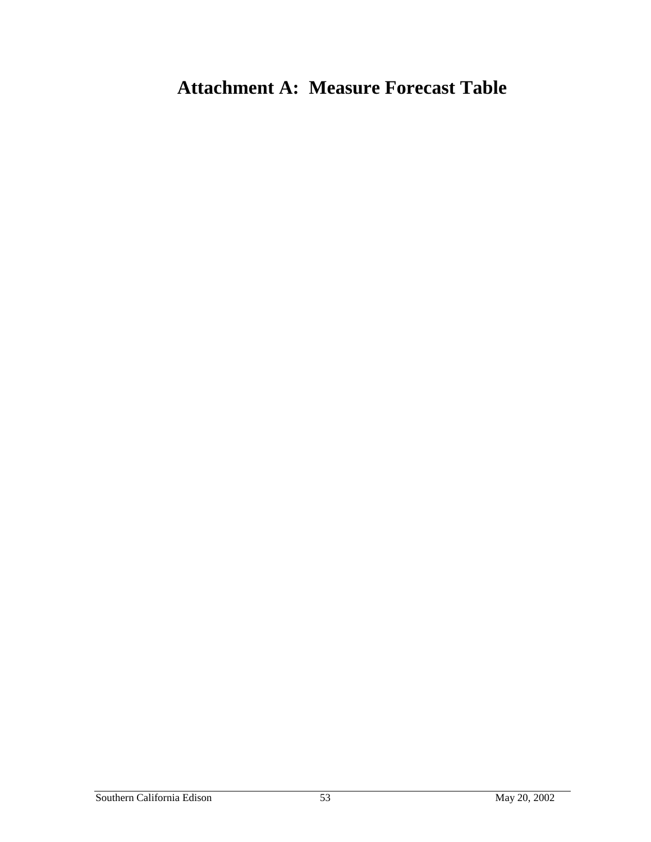# **Attachment A: Measure Forecast Table**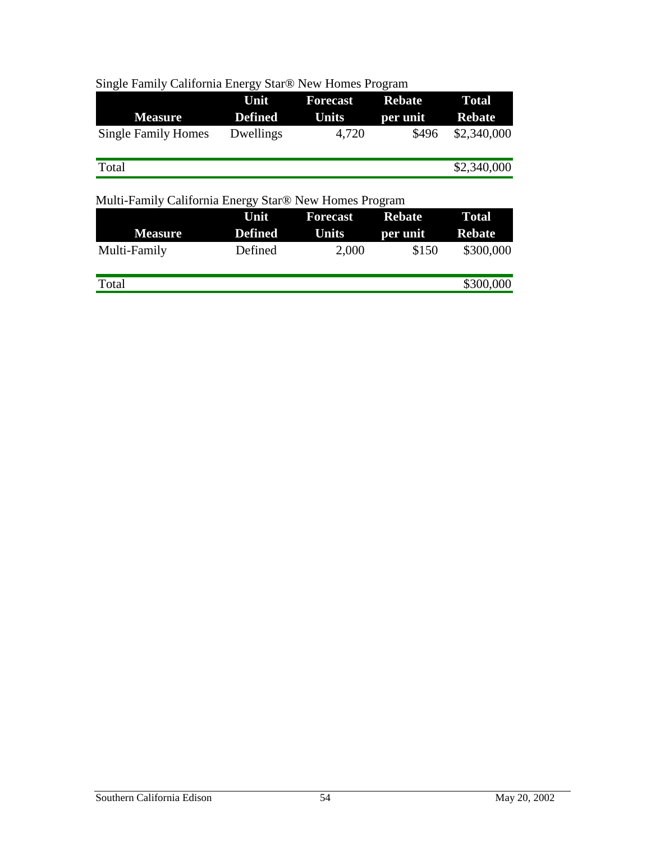| Single Family California Energy Star® New Homes Program |
|---------------------------------------------------------|
|---------------------------------------------------------|

|                            | Unit           | <b>Forecast</b> | <b>Rebate</b> | <b>Total</b>  |
|----------------------------|----------------|-----------------|---------------|---------------|
| <b>Measure</b>             | <b>Defined</b> | Units           | per unit      | <b>Rebate</b> |
| <b>Single Family Homes</b> | Dwellings      | 4,720           | \$496         | \$2,340,000   |
| Total                      |                |                 |               | \$2,340,000   |

## Multi-Family California Energy Star® New Homes Program

|                | Unit           | <b>Forecast</b> | <b>Rebate</b> | <b>Total</b>  |
|----------------|----------------|-----------------|---------------|---------------|
| <b>Measure</b> | <b>Defined</b> | Units           | per unit      | <b>Rebate</b> |
| Multi-Family   | Defined        | 2,000           | \$150         | \$300,000     |
| Total          |                |                 |               | \$300,000     |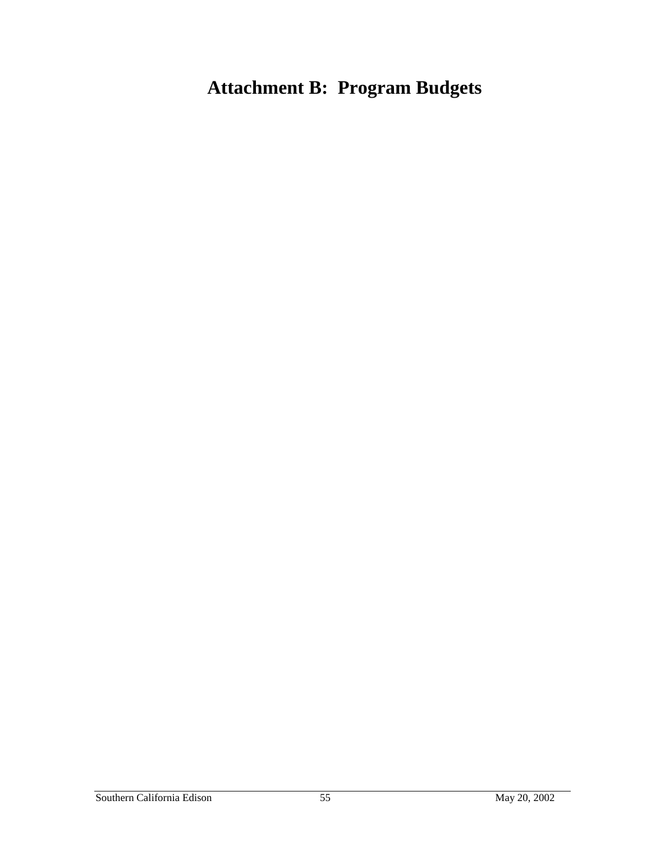# **Attachment B: Program Budgets**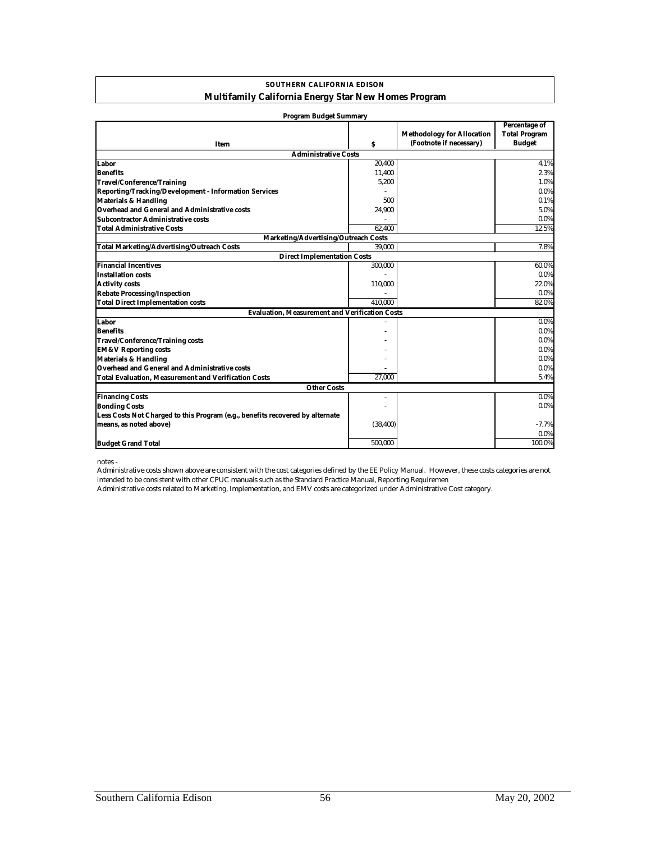| <b>SOUTHERN CALIFORNIA EDISON</b>                           |  |  |  |
|-------------------------------------------------------------|--|--|--|
| <b>Multifamily California Energy Star New Homes Program</b> |  |  |  |

| <b>Program Budget Summary</b>                                                 |                |                                                              |                                                        |
|-------------------------------------------------------------------------------|----------------|--------------------------------------------------------------|--------------------------------------------------------|
| Item                                                                          | s              | <b>Methodology for Allocation</b><br>(Footnote if necessary) | Percentage of<br><b>Total Program</b><br><b>Budget</b> |
| <b>Administrative Costs</b>                                                   |                |                                                              |                                                        |
| Labor                                                                         | 20.400         |                                                              | 4.1%                                                   |
| <b>Benefits</b>                                                               | 11,400         |                                                              | 2.3%                                                   |
| <b>Travel/Conference/Training</b>                                             | 5,200          |                                                              | 1.0%                                                   |
| Reporting/Tracking/Development - Information Services                         |                |                                                              | $0.0\%$                                                |
| <b>Materials &amp; Handling</b>                                               | 500            |                                                              | 0.1%                                                   |
| Overhead and General and Administrative costs                                 | 24,900         |                                                              | 5.0%                                                   |
| Subcontractor Administrative costs                                            |                |                                                              | 0.0%                                                   |
| <b>Total Administrative Costs</b>                                             | 62.400         |                                                              | 12.5%                                                  |
| <b>Marketing/Advertising/Outreach Costs</b>                                   |                |                                                              |                                                        |
| <b>Total Marketing/Advertising/Outreach Costs</b>                             | 39,000         |                                                              | 7.8%                                                   |
| <b>Direct Implementation Costs</b>                                            |                |                                                              |                                                        |
| <b>Financial Incentives</b>                                                   | 300,000        |                                                              | 60.0%                                                  |
| <b>Installation costs</b>                                                     |                |                                                              | 0.0%                                                   |
| <b>Activity costs</b>                                                         | 110,000        |                                                              | 22.0%                                                  |
| <b>Rebate Processing/Inspection</b>                                           |                |                                                              | 0.0%                                                   |
| <b>Total Direct Implementation costs</b>                                      | 410.000        |                                                              | 82.0%                                                  |
| <b>Evaluation, Measurement and Verification Costs</b>                         |                |                                                              |                                                        |
| Labor                                                                         |                |                                                              | 0.0%                                                   |
| <b>Benefits</b>                                                               |                |                                                              | $0.0\%$                                                |
| <b>Travel/Conference/Training costs</b>                                       |                |                                                              | $0.0\%$                                                |
| <b>EM&amp;V Reporting costs</b>                                               |                |                                                              | 0.0%                                                   |
| <b>Materials &amp; Handling</b>                                               |                |                                                              | $0.0\%$                                                |
| <b>Overhead and General and Administrative costs</b>                          |                |                                                              | $0.0\%$                                                |
| <b>Total Evaluation, Measurement and Verification Costs</b>                   | 27,000         |                                                              | 5.4%                                                   |
| <b>Other Costs</b>                                                            |                |                                                              |                                                        |
| <b>Financing Costs</b>                                                        | $\overline{a}$ |                                                              | $0.0\%$                                                |
| <b>Bonding Costs</b>                                                          |                |                                                              | $0.0\%$                                                |
| Less Costs Not Charged to this Program (e.g., benefits recovered by alternate |                |                                                              |                                                        |
| means, as noted above)                                                        | (38, 400)      |                                                              | $-7.7%$                                                |
|                                                                               |                |                                                              | 0.0%                                                   |
| <b>Budget Grand Total</b>                                                     | 500,000        |                                                              | 100.0%                                                 |

notes -

Administrative costs shown above are consistent with the cost categories defined by the EE Policy Manual. However, these costs categories are not intended to be consistent with other CPUC manuals such as the Standard Practice Manual, Reporting Requiremen

Administrative costs related to Marketing, Implementation, and EMV costs are categorized under Administrative Cost category.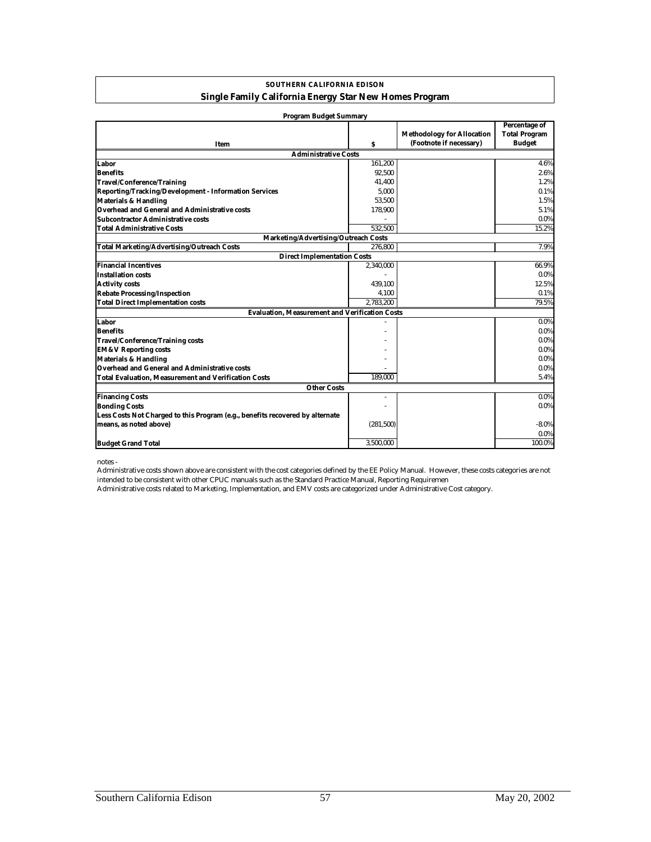| <b>SOUTHERN CALIFORNIA EDISON</b>                             |
|---------------------------------------------------------------|
| <b>Single Family California Energy Star New Homes Program</b> |

| <b>Program Budget Summary</b>                                                 |            |                                   |                      |
|-------------------------------------------------------------------------------|------------|-----------------------------------|----------------------|
|                                                                               |            |                                   | Percentage of        |
|                                                                               |            | <b>Methodology for Allocation</b> | <b>Total Program</b> |
| Item                                                                          | s          | (Footnote if necessary)           | <b>Budget</b>        |
| <b>Administrative Costs</b>                                                   |            |                                   |                      |
| Labor                                                                         | 161.200    |                                   | 4.6%                 |
| <b>Benefits</b>                                                               | 92,500     |                                   | 2.6%                 |
| <b>Travel/Conference/Training</b>                                             | 41,400     |                                   | 1.2%                 |
| Reporting/Tracking/Development - Information Services                         | 5.000      |                                   | 0.1%                 |
| <b>Materials &amp; Handling</b>                                               | 53,500     |                                   | 1.5%                 |
| Overhead and General and Administrative costs                                 | 178,900    |                                   | 5.1%                 |
| Subcontractor Administrative costs                                            |            |                                   | 0.0%                 |
| <b>Total Administrative Costs</b>                                             | 532.500    |                                   | 15.2%                |
| Marketing/Advertising/Outreach Costs                                          |            |                                   |                      |
| <b>Total Marketing/Advertising/Outreach Costs</b>                             | 276.800    |                                   | 7.9%                 |
| <b>Direct Implementation Costs</b>                                            |            |                                   |                      |
| <b>Financial Incentives</b>                                                   | 2,340,000  |                                   | 66.9%                |
| <b>Installation costs</b>                                                     |            |                                   | $0.0\%$              |
| <b>Activity costs</b>                                                         | 439,100    |                                   | 12.5%                |
| <b>Rebate Processing/Inspection</b>                                           | 4,100      |                                   | 0.1%                 |
| <b>Total Direct Implementation costs</b>                                      | 2,783,200  |                                   | 79.5%                |
| <b>Evaluation, Measurement and Verification Costs</b>                         |            |                                   |                      |
| Labor                                                                         |            |                                   | 0.0%                 |
| <b>Benefits</b>                                                               |            |                                   | 0.0%                 |
| <b>Travel/Conference/Training costs</b>                                       |            |                                   | $0.0\%$              |
| <b>EM&amp;V Reporting costs</b>                                               |            |                                   | $0.0\%$              |
| <b>Materials &amp; Handling</b>                                               |            |                                   | $0.0\%$              |
| <b>Overhead and General and Administrative costs</b>                          |            |                                   | $0.0\%$              |
| <b>Total Evaluation, Measurement and Verification Costs</b>                   | 189.000    |                                   | 5.4%                 |
| <b>Other Costs</b>                                                            |            |                                   |                      |
| <b>Financing Costs</b>                                                        | ۰          |                                   | $0.0\%$              |
| <b>Bonding Costs</b>                                                          |            |                                   | $0.0\%$              |
| Less Costs Not Charged to this Program (e.g., benefits recovered by alternate |            |                                   |                      |
| means, as noted above)                                                        | (281, 500) |                                   | $-8.0\%$             |
|                                                                               |            |                                   | 0.0%                 |
| <b>Budget Grand Total</b>                                                     | 3,500,000  |                                   | 100.0%               |
|                                                                               |            |                                   |                      |

notes -

Administrative costs shown above are consistent with the cost categories defined by the EE Policy Manual. However, these costs categories are not intended to be consistent with other CPUC manuals such as the Standard Practice Manual, Reporting Requiremen

Administrative costs related to Marketing, Implementation, and EMV costs are categorized under Administrative Cost category.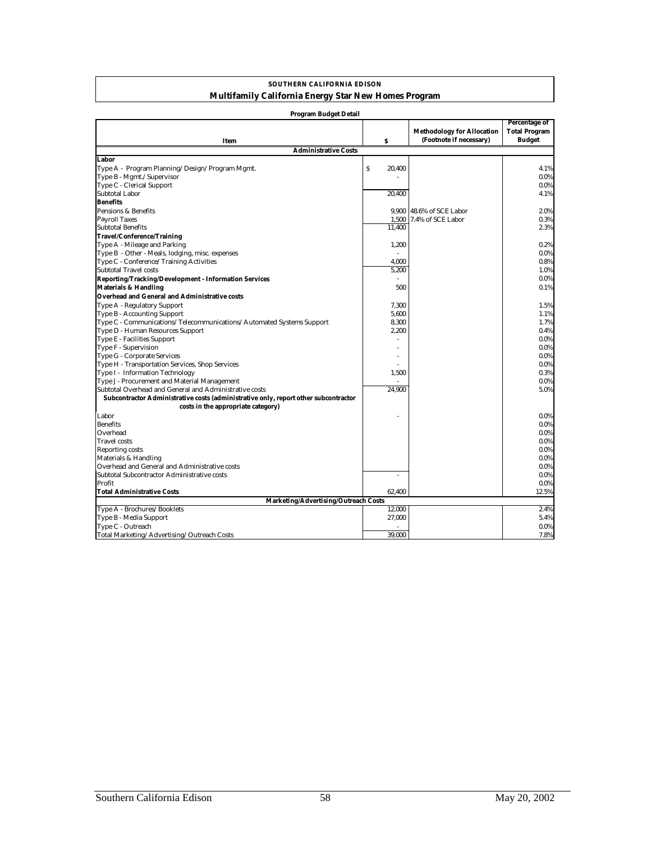#### **SOUTHERN CALIFORNIA EDISON Multifamily California Energy Star New Homes Program**

| <b>Program Budget Detail</b>                                                        |              |                                                              |                                                               |
|-------------------------------------------------------------------------------------|--------------|--------------------------------------------------------------|---------------------------------------------------------------|
| Item                                                                                | s            | <b>Methodology for Allocation</b><br>(Footnote if necessary) | <b>Percentage of</b><br><b>Total Program</b><br><b>Budget</b> |
| <b>Administrative Costs</b>                                                         |              |                                                              |                                                               |
| Labor                                                                               |              |                                                              |                                                               |
| Type A - Program Planning/Design/Program Mgmt.                                      | \$<br>20,400 |                                                              | 4.1%                                                          |
| Type B - Mgmt./Supervisor                                                           |              |                                                              | 0.0%                                                          |
| Type C - Clerical Support                                                           |              |                                                              | $0.0\%$                                                       |
| <b>Subtotal Labor</b>                                                               | 20,400       |                                                              | 4.1%                                                          |
| <b>Benefits</b>                                                                     |              |                                                              |                                                               |
| Pensions & Benefits                                                                 |              | 9,900 48.6% of SCE Labor                                     | 2.0%                                                          |
| <b>Payroll Taxes</b>                                                                | 1,500        | 7.4% of SCE Labor                                            | 0.3%                                                          |
| <b>Subtotal Benefits</b>                                                            | 11.400       |                                                              | 2.3%                                                          |
| <b>Travel/Conference/Training</b>                                                   |              |                                                              |                                                               |
| Type A - Mileage and Parking                                                        | 1,200        |                                                              | 0.2%                                                          |
| Type B - Other - Meals, lodging, misc. expenses                                     |              |                                                              | 0.0%                                                          |
| Type C - Conference/Training Activities                                             | 4.000        |                                                              | 0.8%                                                          |
| <b>Subtotal Travel costs</b>                                                        | 5,200        |                                                              | 1.0%                                                          |
| Reporting/Tracking/Development - Information Services                               |              |                                                              | 0.0%                                                          |
| <b>Materials &amp; Handling</b>                                                     | 500          |                                                              | 0.1%                                                          |
| Overhead and General and Administrative costs                                       |              |                                                              |                                                               |
| Type A - Regulatory Support                                                         | 7,300        |                                                              | 1.5%                                                          |
| Type B - Accounting Support                                                         | 5,600        |                                                              | 1.1%                                                          |
| Type C - Communications/Telecommunications/Automated Systems Support                | 8,300        |                                                              | 1.7%                                                          |
| Type D - Human Resources Support                                                    | 2,200        |                                                              | 0.4%                                                          |
| Type E - Facilities Support                                                         |              |                                                              | 0.0%                                                          |
| Type F - Supervision                                                                |              |                                                              | 0.0%                                                          |
| Type G - Corporate Services                                                         |              |                                                              | 0.0%                                                          |
| Type H - Transportation Services, Shop Services                                     |              |                                                              | 0.0%                                                          |
| Type I - Information Technology                                                     | 1,500        |                                                              | 0.3%                                                          |
| Type J - Procurement and Material Management                                        |              |                                                              | $0.0\%$                                                       |
| Subtotal Overhead and General and Administrative costs                              | 24,900       |                                                              | 5.0%                                                          |
| Subcontractor Administrative costs (administrative only, report other subcontractor |              |                                                              |                                                               |
| costs in the appropriate category)                                                  |              |                                                              |                                                               |
| Labor                                                                               |              |                                                              | 0.0%                                                          |
| <b>Benefits</b>                                                                     |              |                                                              | 0.0%                                                          |
| Overhead                                                                            |              |                                                              | 0.0%                                                          |
| <b>Travel</b> costs                                                                 |              |                                                              | 0.0%                                                          |
| <b>Reporting costs</b>                                                              |              |                                                              | 0.0%                                                          |
| Materials & Handling                                                                |              |                                                              | 0.0%                                                          |
| Overhead and General and Administrative costs                                       |              |                                                              | 0.0%                                                          |
| Subtotal Subcontractor Administrative costs                                         | L,           |                                                              | 0.0%                                                          |
| Profit                                                                              |              |                                                              | 0.0%                                                          |
| <b>Total Administrative Costs</b>                                                   | 62,400       |                                                              | 12.5%                                                         |
| Marketing/Advertising/Outreach Costs                                                |              |                                                              |                                                               |
| Type A - Brochures/Booklets                                                         | 12,000       |                                                              | 2.4%                                                          |
| Type B - Media Support                                                              | 27,000       |                                                              | 5.4%                                                          |
| Type C - Outreach                                                                   |              |                                                              | $0.0\%$                                                       |
| Total Marketing/Advertising/Outreach Costs                                          | 39.000       |                                                              | 7.8%                                                          |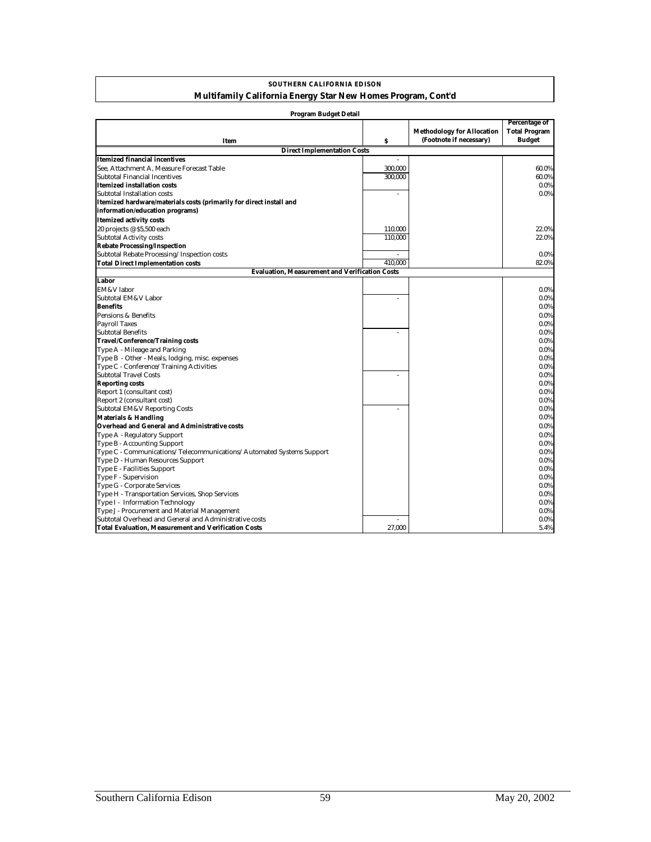#### **SOUTHERN CALIFORNIA EDISON Multifamily California Energy Star New Homes Program, Cont'd**

| <b>Program Budget Detail</b>                                         |         |                                   |                      |  |  |  |
|----------------------------------------------------------------------|---------|-----------------------------------|----------------------|--|--|--|
|                                                                      |         |                                   | Percentage of        |  |  |  |
|                                                                      |         | <b>Methodology for Allocation</b> | <b>Total Program</b> |  |  |  |
| Item                                                                 | \$      | (Footnote if necessary)           | Budget               |  |  |  |
| <b>Direct Implementation Costs</b>                                   |         |                                   |                      |  |  |  |
| Itemized financial incentives                                        |         |                                   |                      |  |  |  |
| See. Attachment A. Measure Forecast Table                            | 300,000 |                                   | 60.0%                |  |  |  |
| Subtotal Financial Incentives                                        | 300,000 |                                   | 60.0%                |  |  |  |
| Itemized installation costs                                          |         |                                   | $0.0\%$              |  |  |  |
| Subtotal Installation costs                                          | ÷,      |                                   | $0.0\%$              |  |  |  |
| Itemized hardware/materials costs (primarily for direct install and  |         |                                   |                      |  |  |  |
| information/education programs)                                      |         |                                   |                      |  |  |  |
| <b>Itemized activity costs</b>                                       |         |                                   |                      |  |  |  |
| 20 projects @ \$5,500 each                                           | 110,000 |                                   | 22.0%                |  |  |  |
| <b>Subtotal Activity costs</b>                                       | 110,000 |                                   | 22.0%                |  |  |  |
| <b>Rebate Processing/Inspection</b>                                  |         |                                   |                      |  |  |  |
| Subtotal Rebate Processing/Inspection costs                          |         |                                   | $0.0\%$              |  |  |  |
| <b>Total Direct Implementation costs</b>                             | 410.000 |                                   | 82.0%                |  |  |  |
| <b>Evaluation. Measurement and Verification Costs</b>                |         |                                   |                      |  |  |  |
| Labor                                                                |         |                                   |                      |  |  |  |
| EM&V labor                                                           |         |                                   | $0.0\%$              |  |  |  |
| Subtotal EM&V Labor                                                  |         |                                   | 0.0%                 |  |  |  |
| <b>Benefits</b>                                                      |         |                                   | 0.0%                 |  |  |  |
| Pensions & Benefits                                                  |         |                                   | $0.0\%$              |  |  |  |
| <b>Payroll Taxes</b>                                                 |         |                                   | 0.0%                 |  |  |  |
| <b>Subtotal Benefits</b>                                             |         |                                   | 0.0%                 |  |  |  |
| <b>Travel/Conference/Training costs</b>                              |         |                                   | 0.0%                 |  |  |  |
| Type A - Mileage and Parking                                         |         |                                   | 0.0%                 |  |  |  |
| Type B - Other - Meals, lodging, misc. expenses                      |         |                                   | 0.0%                 |  |  |  |
| Type C - Conference/Training Activities                              |         |                                   | 0.0%                 |  |  |  |
| <b>Subtotal Travel Costs</b>                                         |         |                                   | 0.0%                 |  |  |  |
| <b>Reporting costs</b>                                               |         |                                   | $0.0\%$              |  |  |  |
| Report 1 (consultant cost)                                           |         |                                   | 0.0%                 |  |  |  |
| Report 2 (consultant cost)                                           |         |                                   | $0.0\%$              |  |  |  |
| Subtotal EM&V Reporting Costs                                        |         |                                   | $0.0\%$              |  |  |  |
| <b>Materials &amp; Handling</b>                                      |         |                                   | $0.0\%$              |  |  |  |
| Overhead and General and Administrative costs                        |         |                                   | $0.0\%$              |  |  |  |
| Type A - Regulatory Support                                          |         |                                   | 0.0%                 |  |  |  |
| Type B - Accounting Support                                          |         |                                   | 0.0%                 |  |  |  |
| Type C - Communications/Telecommunications/Automated Systems Support |         |                                   | $0.0\%$              |  |  |  |
| Type D - Human Resources Support                                     |         |                                   | 0.0%                 |  |  |  |
| Type E - Facilities Support                                          |         |                                   | 0.0%                 |  |  |  |
| Type F - Supervision                                                 |         |                                   | 0.0%                 |  |  |  |
| Type G - Corporate Services                                          |         |                                   | 0.0%                 |  |  |  |
| Type H - Transportation Services, Shop Services                      |         |                                   | 0.0%                 |  |  |  |
| Type I - Information Technology                                      |         |                                   | 0.0%                 |  |  |  |
| Type J - Procurement and Material Management                         |         |                                   | 0.0%                 |  |  |  |
| Subtotal Overhead and General and Administrative costs               |         |                                   | $0.0\%$              |  |  |  |
| <b>Total Evaluation, Measurement and Verification Costs</b>          | 27,000  |                                   | 5.4%                 |  |  |  |
|                                                                      |         |                                   |                      |  |  |  |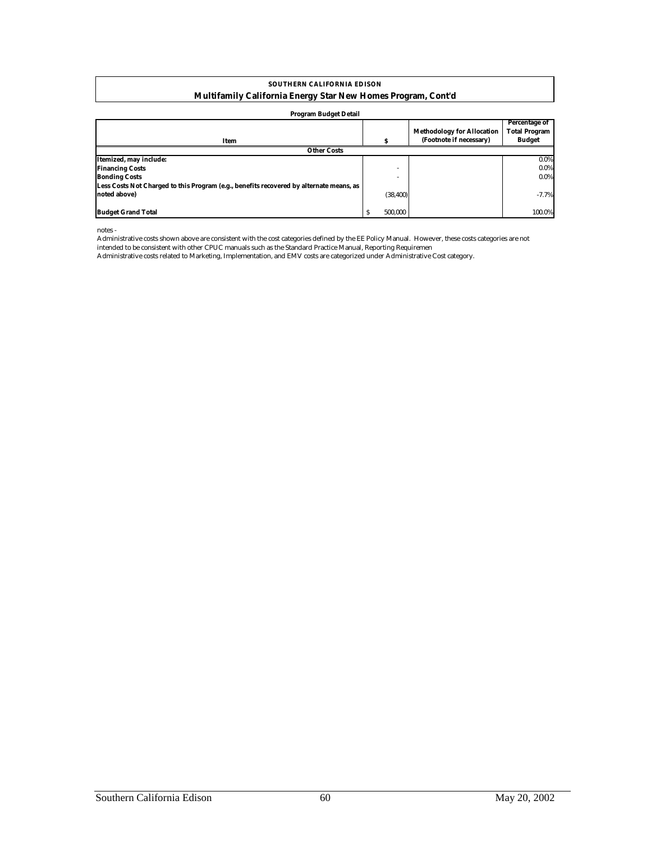#### **Multifamily California Energy Star New Homes Program, Cont'd SOUTHERN CALIFORNIA EDISON**

#### **Program Budget Detail**

|                                                                                         |         | <b>Methodology for Allocation</b> | Percentage of<br><b>Total Program</b> |
|-----------------------------------------------------------------------------------------|---------|-----------------------------------|---------------------------------------|
| Item                                                                                    | s       | (Footnote if necessary)           | <b>Budget</b>                         |
| <b>Other Costs</b>                                                                      |         |                                   |                                       |
| Itemized, may include:                                                                  |         |                                   | $0.0\%$                               |
| <b>Financing Costs</b>                                                                  |         | -                                 | $0.0\%$                               |
| <b>Bonding Costs</b>                                                                    |         |                                   | $0.0\%$                               |
| Less Costs Not Charged to this Program (e.g., benefits recovered by alternate means, as |         |                                   |                                       |
| noted above)                                                                            |         | (38, 400)                         | $-7.7%$                               |
|                                                                                         |         |                                   |                                       |
| <b>Budget Grand Total</b>                                                               | 500.000 |                                   | 100.0%                                |

notes -

Administrative costs shown above are consistent with the cost categories defined by the EE Policy Manual. However, these costs categories are not intended to be consistent with other CPUC manuals such as the Standard Practice Manual, Reporting Requiremen

Administrative costs related to Marketing, Implementation, and EMV costs are categorized under Administrative Cost category.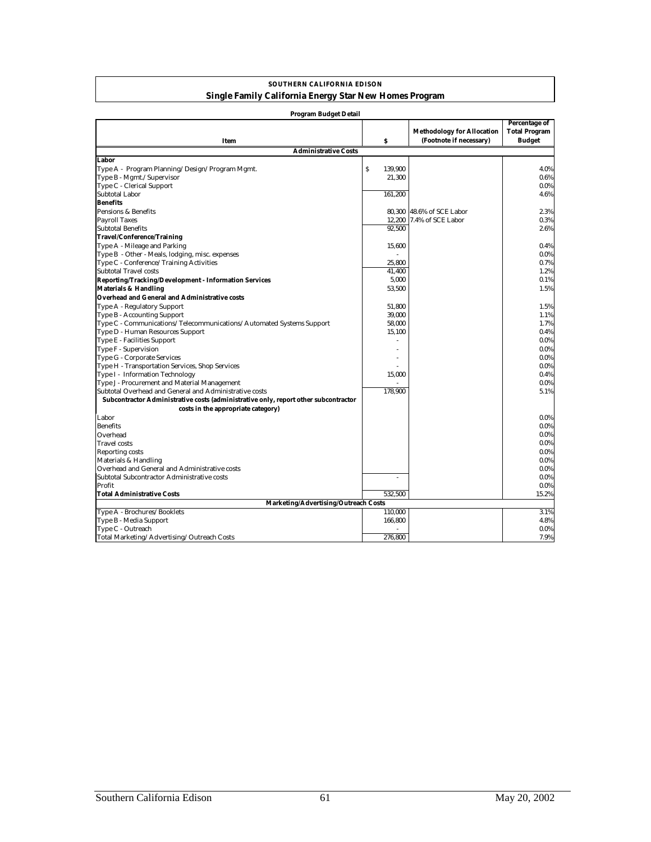#### **SOUTHERN CALIFORNIA EDISON Single Family California Energy Star New Homes Program**

| <b>Program Budget Detail</b>                                                        |                                      |                                                              |                                                        |
|-------------------------------------------------------------------------------------|--------------------------------------|--------------------------------------------------------------|--------------------------------------------------------|
| Item                                                                                | $\boldsymbol{s}$                     | <b>Methodology for Allocation</b><br>(Footnote if necessary) | Percentage of<br><b>Total Program</b><br><b>Budget</b> |
| <b>Administrative Costs</b>                                                         |                                      |                                                              |                                                        |
| Labor                                                                               |                                      |                                                              |                                                        |
| Type A - Program Planning/Design/Program Mgmt.                                      | $\boldsymbol{\mathsf{S}}$<br>139.900 |                                                              | 4.0%                                                   |
| Type B - Mgmt./Supervisor                                                           | 21.300                               |                                                              | 0.6%                                                   |
| Type C - Clerical Support                                                           |                                      |                                                              | $0.0\%$                                                |
| Subtotal Labor                                                                      | 161,200                              |                                                              | 4.6%                                                   |
| <b>Benefits</b>                                                                     |                                      |                                                              |                                                        |
| Pensions & Benefits                                                                 |                                      | 80.300 48.6% of SCE Labor                                    | 2.3%                                                   |
| <b>Payroll Taxes</b>                                                                |                                      | 12,200 7.4% of SCE Labor                                     | 0.3%                                                   |
| <b>Subtotal Benefits</b>                                                            | 92.500                               |                                                              | 2.6%                                                   |
| <b>Travel/Conference/Training</b>                                                   |                                      |                                                              |                                                        |
| Type A - Mileage and Parking                                                        | 15,600                               |                                                              | 0.4%                                                   |
| Type B - Other - Meals, lodging, misc. expenses                                     |                                      |                                                              | $0.0\%$                                                |
| Type C - Conference/Training Activities                                             | 25.800                               |                                                              | 0.7%                                                   |
| <b>Subtotal Travel costs</b>                                                        | 41,400                               |                                                              | 1.2%                                                   |
| <b>Reporting/Tracking/Development - Information Services</b>                        | 5,000                                |                                                              | 0.1%                                                   |
| <b>Materials &amp; Handling</b>                                                     | 53,500                               |                                                              | 1.5%                                                   |
| <b>Overhead and General and Administrative costs</b>                                |                                      |                                                              |                                                        |
| Type A - Regulatory Support                                                         | 51,800                               |                                                              | 1.5%                                                   |
| Type B - Accounting Support                                                         | 39,000                               |                                                              | 1.1%                                                   |
| Type C - Communications/Telecommunications/Automated Systems Support                | 58,000                               |                                                              | 1.7%                                                   |
| Type D - Human Resources Support                                                    | 15,100                               |                                                              | 0.4%                                                   |
| Type E - Facilities Support                                                         |                                      |                                                              | $0.0\%$                                                |
| Type F - Supervision                                                                |                                      |                                                              | $0.0\%$                                                |
| Type G - Corporate Services                                                         |                                      |                                                              | $0.0\%$                                                |
| Type H - Transportation Services, Shop Services                                     |                                      |                                                              | $0.0\%$                                                |
| Type I - Information Technology                                                     | 15,000                               |                                                              | 0.4%                                                   |
| Type J - Procurement and Material Management                                        |                                      |                                                              | $0.0\%$                                                |
| Subtotal Overhead and General and Administrative costs                              | 178,900                              |                                                              | 5.1%                                                   |
| Subcontractor Administrative costs (administrative only, report other subcontractor |                                      |                                                              |                                                        |
| costs in the appropriate category)                                                  |                                      |                                                              |                                                        |
| Labor                                                                               |                                      |                                                              | $0.0\%$                                                |
| <b>Benefits</b>                                                                     |                                      |                                                              | $0.0\%$                                                |
| Overhead                                                                            |                                      |                                                              | $0.0\%$                                                |
| <b>Travel</b> costs                                                                 |                                      |                                                              | $0.0\%$                                                |
| <b>Reporting costs</b>                                                              |                                      |                                                              | $0.0\%$                                                |
| Materials & Handling                                                                |                                      |                                                              | $0.0\%$                                                |
| Overhead and General and Administrative costs                                       |                                      |                                                              | $0.0\%$                                                |
| Subtotal Subcontractor Administrative costs                                         |                                      |                                                              | $0.0\%$                                                |
| Profit                                                                              |                                      |                                                              | $0.0\%$                                                |
| <b>Total Administrative Costs</b>                                                   | 532.500                              |                                                              | 15.2%                                                  |
| Marketing/Advertising/Outreach Costs                                                |                                      |                                                              |                                                        |
| Type A - Brochures/Booklets                                                         | 110,000                              |                                                              | 3.1%                                                   |
| Type B - Media Support                                                              | 166,800                              |                                                              | 4.8%                                                   |
| Type C - Outreach                                                                   |                                      |                                                              | $0.0\%$                                                |
| Total Marketing/Advertising/Outreach Costs                                          | 276,800                              |                                                              | 7.9%                                                   |
|                                                                                     |                                      |                                                              |                                                        |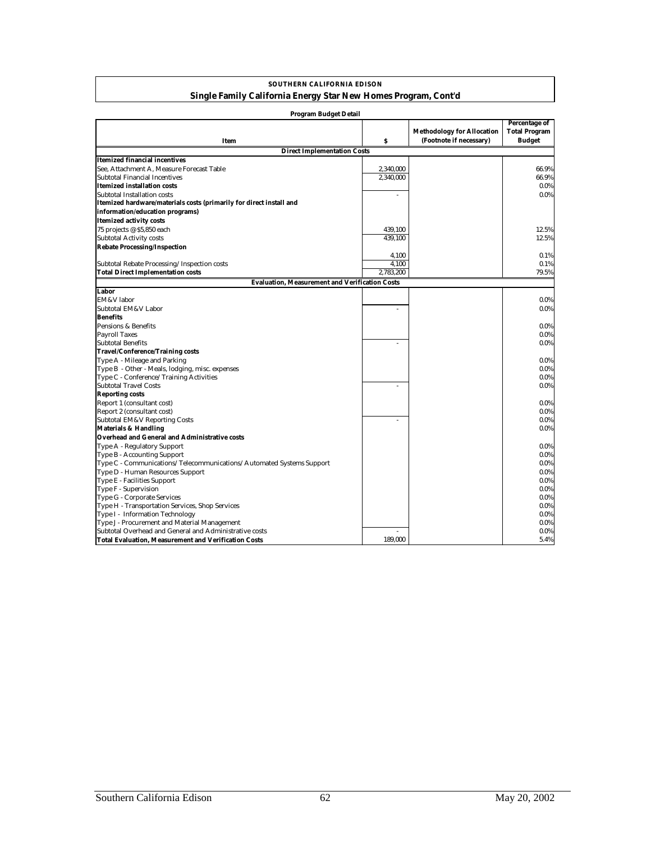| <b>SOUTHERN CALIFORNIA EDISON</b>                              |
|----------------------------------------------------------------|
| Single Family California Energy Star New Homes Program, Cont'd |

| Program Budget Detail                                                |                |                                                              |                                                        |
|----------------------------------------------------------------------|----------------|--------------------------------------------------------------|--------------------------------------------------------|
| Item                                                                 | \$             | <b>Methodology for Allocation</b><br>(Footnote if necessary) | Percentage of<br><b>Total Program</b><br><b>Budget</b> |
| <b>Direct Implementation Costs</b>                                   |                |                                                              |                                                        |
| <b>Itemized financial incentives</b>                                 |                |                                                              |                                                        |
| See, Attachment A, Measure Forecast Table                            | 2,340,000      |                                                              | 66.9%                                                  |
| Subtotal Financial Incentives                                        | 2,340,000      |                                                              | 66.9%                                                  |
| <b>Itemized installation costs</b>                                   |                |                                                              | $0.0\%$                                                |
| Subtotal Installation costs                                          |                |                                                              | 0.0%                                                   |
| Itemized hardware/materials costs (primarily for direct install and  |                |                                                              |                                                        |
| information/education programs)                                      |                |                                                              |                                                        |
| <b>Itemized activity costs</b>                                       |                |                                                              |                                                        |
| 75 projects @ \$5,850 each                                           | 439,100        |                                                              | 12.5%                                                  |
| <b>Subtotal Activity costs</b>                                       | 439,100        |                                                              |                                                        |
|                                                                      |                |                                                              | 12.5%                                                  |
| <b>Rebate Processing/Inspection</b>                                  |                |                                                              |                                                        |
|                                                                      | 4,100<br>4.100 |                                                              | 0.1%<br>0.1%                                           |
| Subtotal Rebate Processing/Inspection costs                          | 2.783.200      |                                                              | 79.5%                                                  |
| <b>Total Direct Implementation costs</b>                             |                |                                                              |                                                        |
| <b>Evaluation, Measurement and Verification Costs</b>                |                |                                                              |                                                        |
| Labor                                                                |                |                                                              |                                                        |
| <b>EM&amp;V</b> labor                                                |                |                                                              | $0.0\%$                                                |
| Subtotal EM&V Labor                                                  |                |                                                              | 0.0%                                                   |
| <b>Benefits</b>                                                      |                |                                                              |                                                        |
| Pensions & Benefits                                                  |                |                                                              | $0.0\%$                                                |
| <b>Payroll Taxes</b>                                                 |                |                                                              | $0.0\%$                                                |
| <b>Subtotal Benefits</b>                                             | ä,             |                                                              | $0.0\%$                                                |
| <b>Travel/Conference/Training costs</b>                              |                |                                                              |                                                        |
| Type A - Mileage and Parking                                         |                |                                                              | 0.0%                                                   |
| Type B - Other - Meals, lodging, misc. expenses                      |                |                                                              | 0.0%                                                   |
| Type C - Conference/Training Activities                              |                |                                                              | $0.0\%$                                                |
| <b>Subtotal Travel Costs</b>                                         |                |                                                              | $0.0\%$                                                |
| <b>Reporting costs</b>                                               |                |                                                              |                                                        |
| Report 1 (consultant cost)                                           |                |                                                              | $0.0\%$                                                |
| Report 2 (consultant cost)                                           |                |                                                              | $0.0\%$                                                |
| <b>Subtotal EM&amp;V Reporting Costs</b>                             | ä,             |                                                              | $0.0\%$                                                |
| <b>Materials &amp; Handling</b>                                      |                |                                                              | $0.0\%$                                                |
| <b>Overhead and General and Administrative costs</b>                 |                |                                                              |                                                        |
| Type A - Regulatory Support                                          |                |                                                              | $0.0\%$                                                |
| Type B - Accounting Support                                          |                |                                                              | $0.0\%$                                                |
| Type C - Communications/Telecommunications/Automated Systems Support |                |                                                              | $0.0\%$                                                |
| Type D - Human Resources Support                                     |                |                                                              | $0.0\%$                                                |
| Type E - Facilities Support                                          |                |                                                              | $0.0\%$                                                |
| Type F - Supervision                                                 |                |                                                              | $0.0\%$                                                |
| Type G - Corporate Services                                          |                |                                                              | $0.0\%$                                                |
| Type H - Transportation Services, Shop Services                      |                |                                                              | $0.0\%$                                                |
| Type I - Information Technology                                      |                |                                                              | $0.0\%$                                                |
| Type J - Procurement and Material Management                         |                |                                                              | $0.0\%$                                                |
| Subtotal Overhead and General and Administrative costs               |                |                                                              | $0.0\%$                                                |
| <b>Total Evaluation. Measurement and Verification Costs</b>          | 189.000        |                                                              | 5.4%                                                   |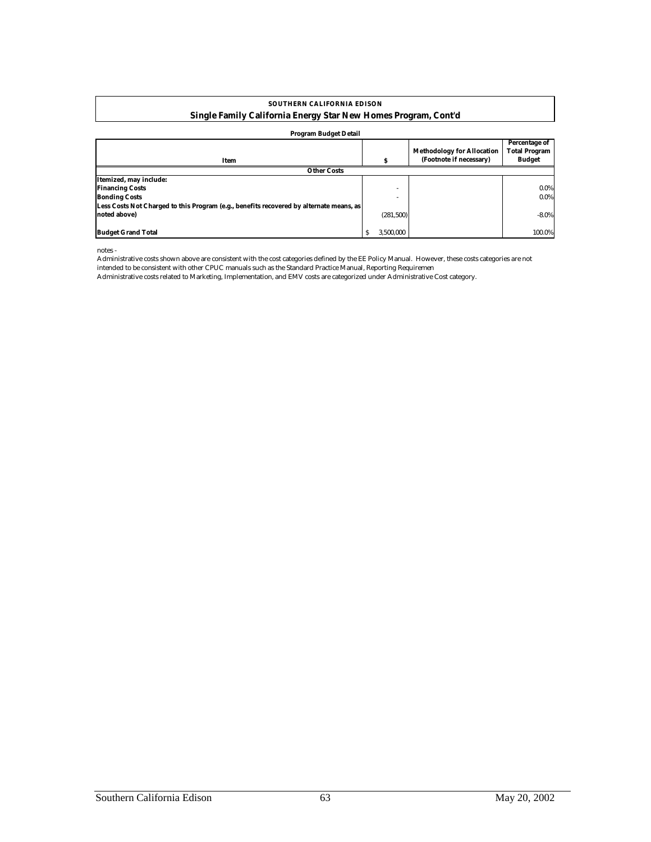#### **SOUTHERN CALIFORNIA EDISON Single Family California Energy Star New Homes Program, Cont'd**

#### **Program Budget Detail**

| 110gram buuget Detan                                                                    |                |                                                              |                                                        |
|-----------------------------------------------------------------------------------------|----------------|--------------------------------------------------------------|--------------------------------------------------------|
| Item                                                                                    |                | <b>Methodology for Allocation</b><br>(Footnote if necessary) | Percentage of<br><b>Total Program</b><br><b>Budget</b> |
| <b>Other Costs</b>                                                                      |                |                                                              |                                                        |
| Itemized, may include:                                                                  |                |                                                              |                                                        |
| <b>Financing Costs</b>                                                                  |                |                                                              | $0.0\%$                                                |
| <b>Bonding Costs</b>                                                                    |                |                                                              | $0.0\%$                                                |
| Less Costs Not Charged to this Program (e.g., benefits recovered by alternate means, as |                |                                                              |                                                        |
| noted above)                                                                            | (281,500)      |                                                              | $-8.0\%$                                               |
|                                                                                         |                |                                                              |                                                        |
| <b>Budget Grand Total</b>                                                               | 3.500.000<br>s |                                                              | 100.0%                                                 |

notes -

Administrative costs shown above are consistent with the cost categories defined by the EE Policy Manual. However, these costs categories are not intended to be consistent with other CPUC manuals such as the Standard Practice Manual, Reporting Requiremen

Administrative costs related to Marketing, Implementation, and EMV costs are categorized under Administrative Cost category.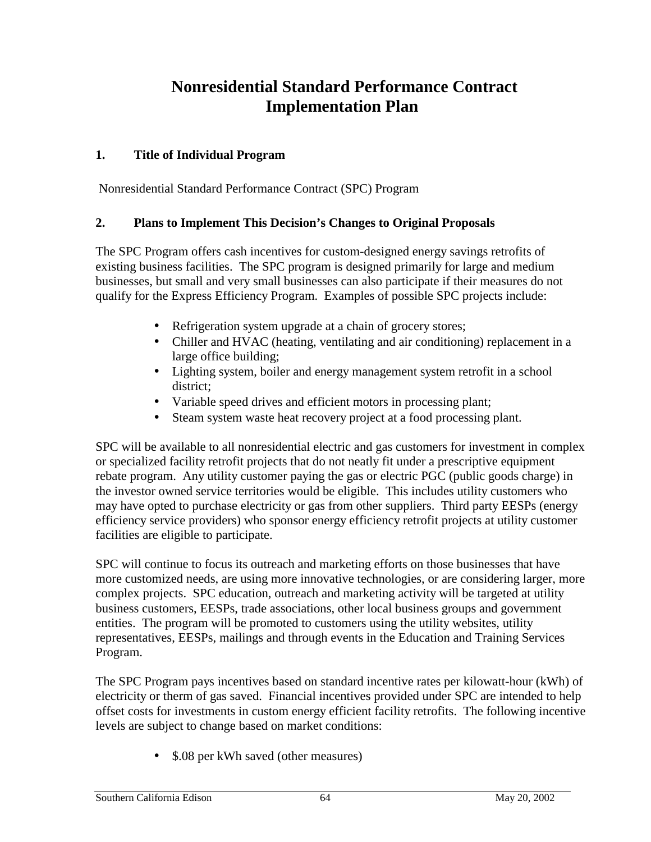## **Nonresidential Standard Performance Contract Implementation Plan**

## **1. Title of Individual Program**

Nonresidential Standard Performance Contract (SPC) Program

## **2. Plans to Implement This Decision's Changes to Original Proposals**

The SPC Program offers cash incentives for custom-designed energy savings retrofits of existing business facilities. The SPC program is designed primarily for large and medium businesses, but small and very small businesses can also participate if their measures do not qualify for the Express Efficiency Program. Examples of possible SPC projects include:

- Refrigeration system upgrade at a chain of grocery stores;
- Chiller and HVAC (heating, ventilating and air conditioning) replacement in a large office building;
- Lighting system, boiler and energy management system retrofit in a school district;
- Variable speed drives and efficient motors in processing plant;
- Steam system waste heat recovery project at a food processing plant.

SPC will be available to all nonresidential electric and gas customers for investment in complex or specialized facility retrofit projects that do not neatly fit under a prescriptive equipment rebate program. Any utility customer paying the gas or electric PGC (public goods charge) in the investor owned service territories would be eligible. This includes utility customers who may have opted to purchase electricity or gas from other suppliers. Third party EESPs (energy efficiency service providers) who sponsor energy efficiency retrofit projects at utility customer facilities are eligible to participate.

SPC will continue to focus its outreach and marketing efforts on those businesses that have more customized needs, are using more innovative technologies, or are considering larger, more complex projects. SPC education, outreach and marketing activity will be targeted at utility business customers, EESPs, trade associations, other local business groups and government entities. The program will be promoted to customers using the utility websites, utility representatives, EESPs, mailings and through events in the Education and Training Services Program.

The SPC Program pays incentives based on standard incentive rates per kilowatt-hour (kWh) of electricity or therm of gas saved. Financial incentives provided under SPC are intended to help offset costs for investments in custom energy efficient facility retrofits. The following incentive levels are subject to change based on market conditions:

• \$.08 per kWh saved (other measures)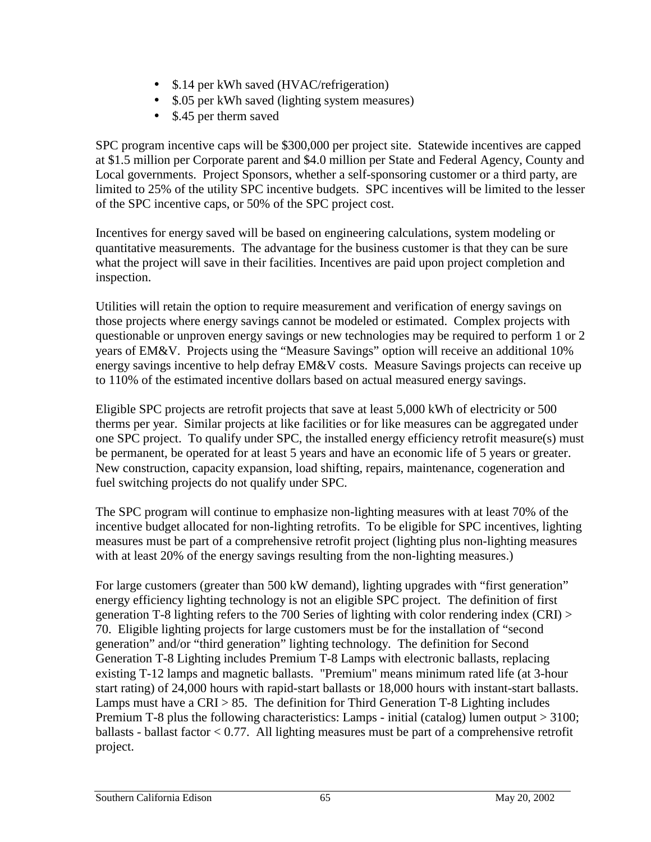- \$.14 per kWh saved (HVAC/refrigeration)
- \$.05 per kWh saved (lighting system measures)
- \$.45 per therm saved

SPC program incentive caps will be \$300,000 per project site. Statewide incentives are capped at \$1.5 million per Corporate parent and \$4.0 million per State and Federal Agency, County and Local governments. Project Sponsors, whether a self-sponsoring customer or a third party, are limited to 25% of the utility SPC incentive budgets. SPC incentives will be limited to the lesser of the SPC incentive caps, or 50% of the SPC project cost.

Incentives for energy saved will be based on engineering calculations, system modeling or quantitative measurements. The advantage for the business customer is that they can be sure what the project will save in their facilities. Incentives are paid upon project completion and inspection.

Utilities will retain the option to require measurement and verification of energy savings on those projects where energy savings cannot be modeled or estimated. Complex projects with questionable or unproven energy savings or new technologies may be required to perform 1 or 2 years of EM&V. Projects using the "Measure Savings" option will receive an additional 10% energy savings incentive to help defray EM&V costs. Measure Savings projects can receive up to 110% of the estimated incentive dollars based on actual measured energy savings.

Eligible SPC projects are retrofit projects that save at least 5,000 kWh of electricity or 500 therms per year. Similar projects at like facilities or for like measures can be aggregated under one SPC project. To qualify under SPC, the installed energy efficiency retrofit measure(s) must be permanent, be operated for at least 5 years and have an economic life of 5 years or greater. New construction, capacity expansion, load shifting, repairs, maintenance, cogeneration and fuel switching projects do not qualify under SPC.

The SPC program will continue to emphasize non-lighting measures with at least 70% of the incentive budget allocated for non-lighting retrofits. To be eligible for SPC incentives, lighting measures must be part of a comprehensive retrofit project (lighting plus non-lighting measures with at least 20% of the energy savings resulting from the non-lighting measures.)

For large customers (greater than 500 kW demand), lighting upgrades with "first generation" energy efficiency lighting technology is not an eligible SPC project. The definition of first generation T-8 lighting refers to the 700 Series of lighting with color rendering index (CRI) > 70. Eligible lighting projects for large customers must be for the installation of "second generation" and/or "third generation" lighting technology. The definition for Second Generation T-8 Lighting includes Premium T-8 Lamps with electronic ballasts, replacing existing T-12 lamps and magnetic ballasts. "Premium" means minimum rated life (at 3-hour start rating) of 24,000 hours with rapid-start ballasts or 18,000 hours with instant-start ballasts. Lamps must have a  $CRI > 85$ . The definition for Third Generation T-8 Lighting includes Premium T-8 plus the following characteristics: Lamps - initial (catalog) lumen output > 3100; ballasts - ballast factor  $< 0.77$ . All lighting measures must be part of a comprehensive retrofit project.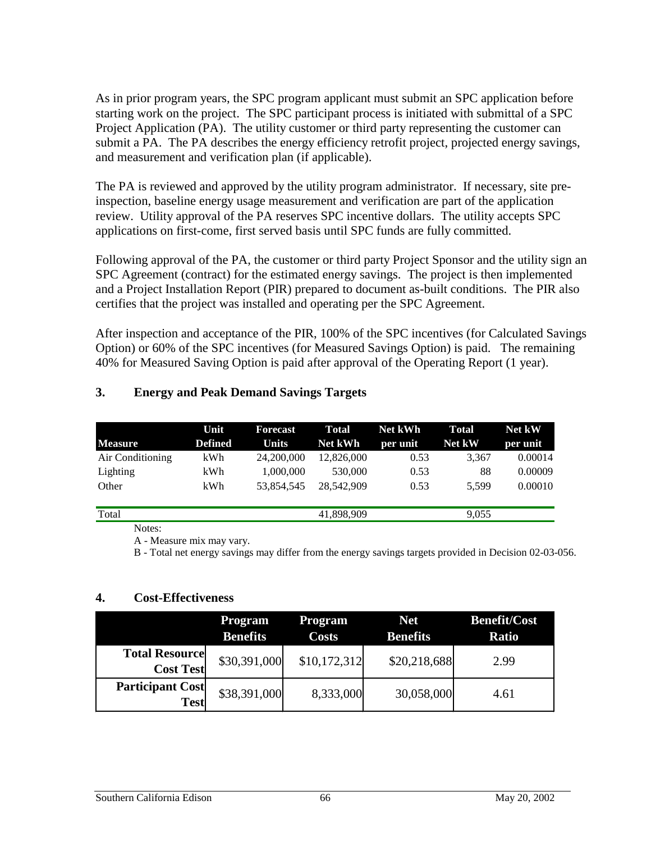As in prior program years, the SPC program applicant must submit an SPC application before starting work on the project. The SPC participant process is initiated with submittal of a SPC Project Application (PA). The utility customer or third party representing the customer can submit a PA. The PA describes the energy efficiency retrofit project, projected energy savings, and measurement and verification plan (if applicable).

The PA is reviewed and approved by the utility program administrator. If necessary, site preinspection, baseline energy usage measurement and verification are part of the application review. Utility approval of the PA reserves SPC incentive dollars. The utility accepts SPC applications on first-come, first served basis until SPC funds are fully committed.

Following approval of the PA, the customer or third party Project Sponsor and the utility sign an SPC Agreement (contract) for the estimated energy savings. The project is then implemented and a Project Installation Report (PIR) prepared to document as-built conditions. The PIR also certifies that the project was installed and operating per the SPC Agreement.

After inspection and acceptance of the PIR, 100% of the SPC incentives (for Calculated Savings Option) or 60% of the SPC incentives (for Measured Savings Option) is paid. The remaining 40% for Measured Saving Option is paid after approval of the Operating Report (1 year).

|                  | Unit           | Forecast     | <b>Total</b> | <b>Net kWh</b> | Total         | Net kW   |
|------------------|----------------|--------------|--------------|----------------|---------------|----------|
| <b>Measure</b>   | <b>Defined</b> | <b>Units</b> | Net kWh      | per unit       | <b>Net kW</b> | per unit |
| Air Conditioning | kWh            | 24,200,000   | 12,826,000   | 0.53           | 3,367         | 0.00014  |
| Lighting         | kWh            | 1,000,000    | 530,000      | 0.53           | 88            | 0.00009  |
| Other            | kWh            | 53.854.545   | 28,542,909   | 0.53           | 5.599         | 0.00010  |
| Total            |                |              | 41,898,909   |                | 9,055         |          |

## **3. Energy and Peak Demand Savings Targets**

Notes:

A - Measure mix may vary.

B - Total net energy savings may differ from the energy savings targets provided in Decision 02-03-056.

### **4. Cost-Effectiveness**

|                                           | <b>Program</b><br><b>Benefits</b> | Program<br><b>Costs</b> | <b>Net</b><br><b>Benefits</b> | <b>Benefit/Cost</b><br><b>Ratio</b> |
|-------------------------------------------|-----------------------------------|-------------------------|-------------------------------|-------------------------------------|
| <b>Total Resource</b><br><b>Cost Test</b> | \$30,391,000                      | \$10,172,312            | \$20,218,688                  | 2.99                                |
| <b>Participant Cost</b><br><b>Test</b>    | \$38,391,000                      | 8,333,000               | 30,058,000                    | 4.61                                |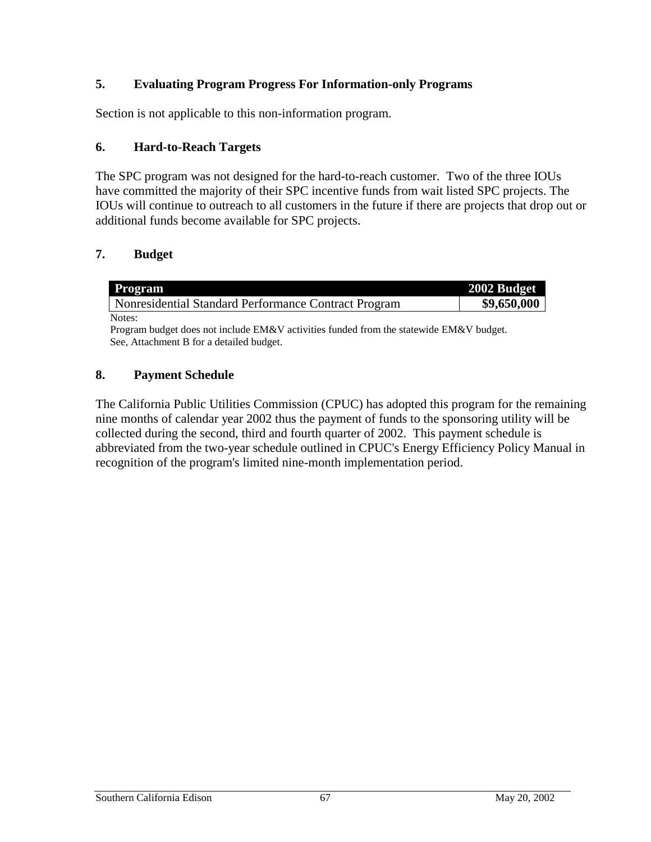## **5. Evaluating Program Progress For Information-only Programs**

Section is not applicable to this non-information program.

## **6. Hard-to-Reach Targets**

The SPC program was not designed for the hard-to-reach customer. Two of the three IOUs have committed the majority of their SPC incentive funds from wait listed SPC projects. The IOUs will continue to outreach to all customers in the future if there are projects that drop out or additional funds become available for SPC projects.

## **7. Budget**

| Program                                              | 2002 Budget |
|------------------------------------------------------|-------------|
| Nonresidential Standard Performance Contract Program | \$9,650,000 |
| Notes:                                               |             |

Program budget does not include EM&V activities funded from the statewide EM&V budget. See, Attachment B for a detailed budget.

## **8. Payment Schedule**

The California Public Utilities Commission (CPUC) has adopted this program for the remaining nine months of calendar year 2002 thus the payment of funds to the sponsoring utility will be collected during the second, third and fourth quarter of 2002. This payment schedule is abbreviated from the two-year schedule outlined in CPUC's Energy Efficiency Policy Manual in recognition of the program's limited nine-month implementation period.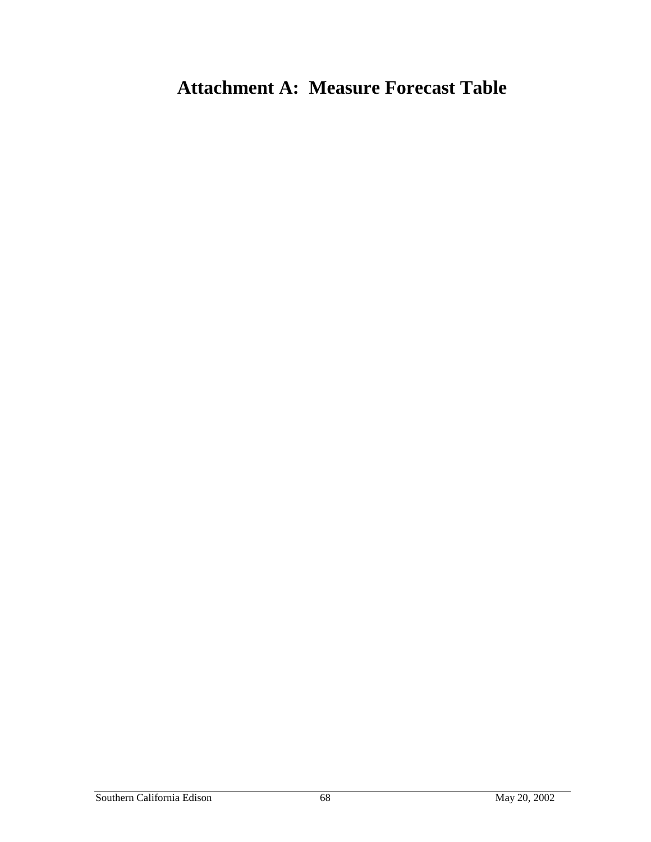# **Attachment A: Measure Forecast Table**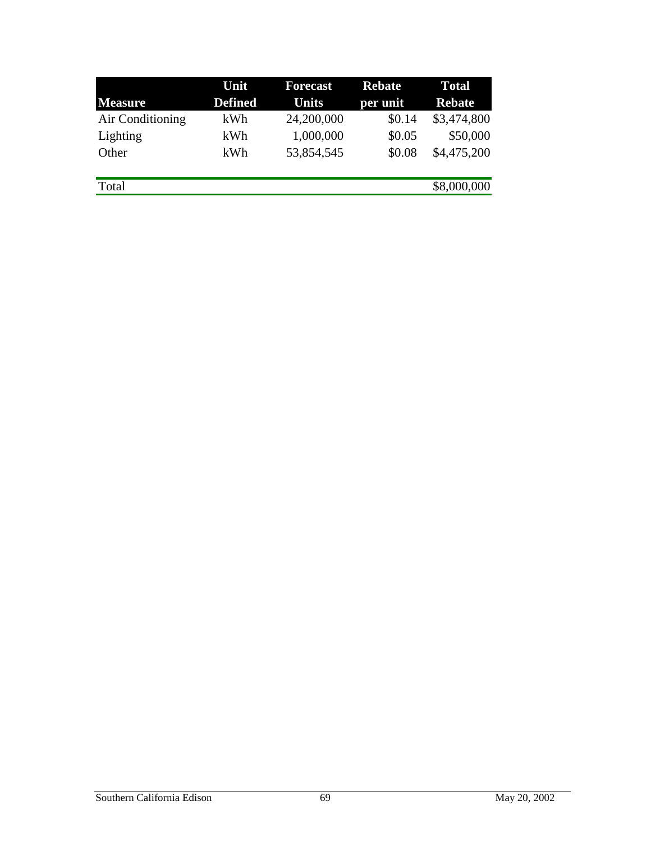|                  | Unit           | <b>Forecast</b> | <b>Rebate</b> | <b>Total</b>  |
|------------------|----------------|-----------------|---------------|---------------|
| <b>Measure</b>   | <b>Defined</b> | <b>Units</b>    | per unit      | <b>Rebate</b> |
| Air Conditioning | kWh            | 24,200,000      | \$0.14        | \$3,474,800   |
| Lighting         | kWh            | 1,000,000       | \$0.05        | \$50,000      |
| Other            | kWh            | 53,854,545      | \$0.08        | \$4,475,200   |
| Total            |                |                 |               | \$8,000,000   |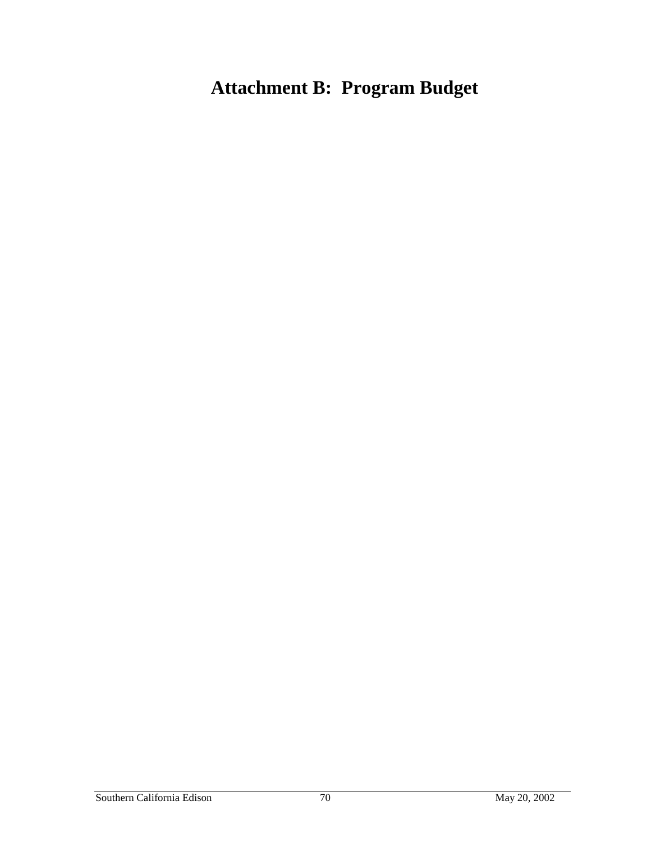# **Attachment B: Program Budget**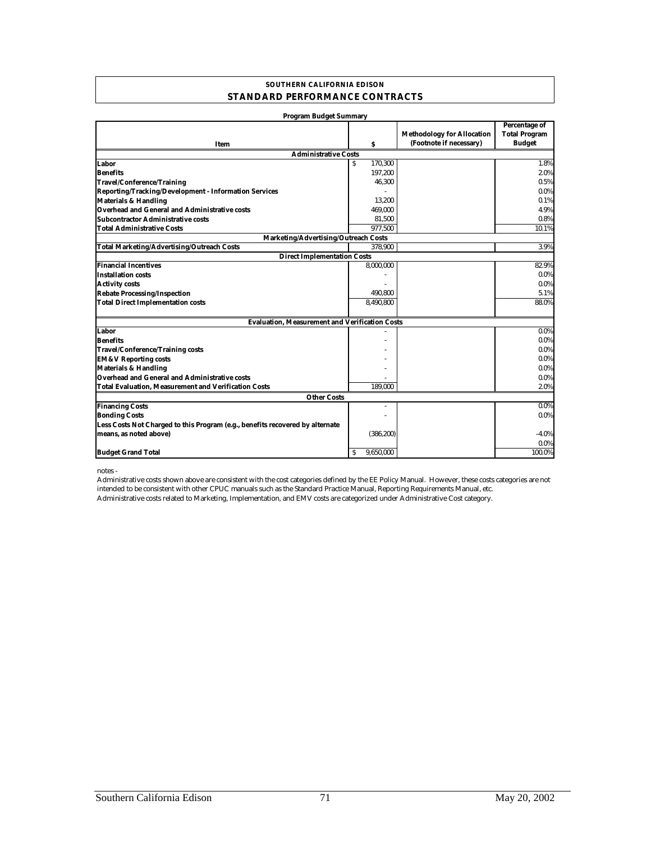#### **SOUTHERN CALIFORNIA EDISON STANDARD PERFORMANCE CONTRACTS**

| Program Budget Summary                                                        |                |                                                              |                                                        |
|-------------------------------------------------------------------------------|----------------|--------------------------------------------------------------|--------------------------------------------------------|
| Item                                                                          | \$             | <b>Methodology for Allocation</b><br>(Footnote if necessary) | Percentage of<br><b>Total Program</b><br><b>Budget</b> |
| <b>Administrative Costs</b>                                                   |                |                                                              |                                                        |
| Labor                                                                         | 170,300<br>S   |                                                              | 1.8%                                                   |
| <b>Benefits</b>                                                               | 197,200        |                                                              | 2.0%                                                   |
| <b>Travel/Conference/Training</b>                                             | 46,300         |                                                              | 0.5%                                                   |
| Reporting/Tracking/Development - Information Services                         |                |                                                              | $0.0\%$                                                |
| <b>Materials &amp; Handling</b>                                               | 13,200         |                                                              | 0.1%                                                   |
| Overhead and General and Administrative costs                                 | 469,000        |                                                              | 4.9%                                                   |
| <b>Subcontractor Administrative costs</b>                                     | 81,500         |                                                              | 0.8%                                                   |
| <b>Total Administrative Costs</b>                                             | 977,500        |                                                              | 10.1%                                                  |
| Marketing/Advertising/Outreach Costs                                          |                |                                                              |                                                        |
| <b>Total Marketing/Advertising/Outreach Costs</b>                             | 378.900        |                                                              | 3.9%                                                   |
| <b>Direct Implementation Costs</b>                                            |                |                                                              |                                                        |
| <b>Financial Incentives</b>                                                   | 8,000,000      |                                                              | 82.9%                                                  |
| <b>Installation costs</b>                                                     |                |                                                              | $0.0\%$                                                |
| <b>Activity costs</b>                                                         |                |                                                              | $0.0\%$                                                |
| <b>Rebate Processing/Inspection</b>                                           | 490,800        |                                                              | 5.1%                                                   |
| <b>Total Direct Implementation costs</b>                                      | 8,490,800      |                                                              | 88.0%                                                  |
| <b>Evaluation, Measurement and Verification Costs</b>                         |                |                                                              |                                                        |
| Labor                                                                         |                |                                                              | $0.0\%$                                                |
| <b>Benefits</b>                                                               |                |                                                              | $0.0\%$                                                |
| <b>Travel/Conference/Training costs</b>                                       |                |                                                              | $0.0\%$                                                |
| <b>EM&amp;V Reporting costs</b>                                               |                |                                                              | $0.0\%$                                                |
| <b>Materials &amp; Handling</b>                                               |                |                                                              | $0.0\%$                                                |
| <b>Overhead and General and Administrative costs</b>                          |                |                                                              | $0.0\%$                                                |
| <b>Total Evaluation, Measurement and Verification Costs</b>                   | 189.000        |                                                              | 2.0%                                                   |
| <b>Other Costs</b>                                                            |                |                                                              |                                                        |
| <b>Financing Costs</b>                                                        |                |                                                              | 0.0%                                                   |
| <b>Bonding Costs</b>                                                          |                |                                                              | 0.0%                                                   |
| Less Costs Not Charged to this Program (e.g., benefits recovered by alternate |                |                                                              |                                                        |
| means, as noted above)                                                        | (386, 200)     |                                                              | $-4.0%$                                                |
|                                                                               |                |                                                              | 0.0%                                                   |
| <b>Budget Grand Total</b>                                                     | 9.650.000<br>s |                                                              | 100.0%                                                 |

notes -

Administrative costs related to Marketing, Implementation, and EMV costs are categorized under Administrative Cost category. Administrative costs shown above are consistent with the cost categories defined by the EE Policy Manual. However, these costs categories are not intended to be consistent with other CPUC manuals such as the Standard Practice Manual, Reporting Requirements Manual, etc.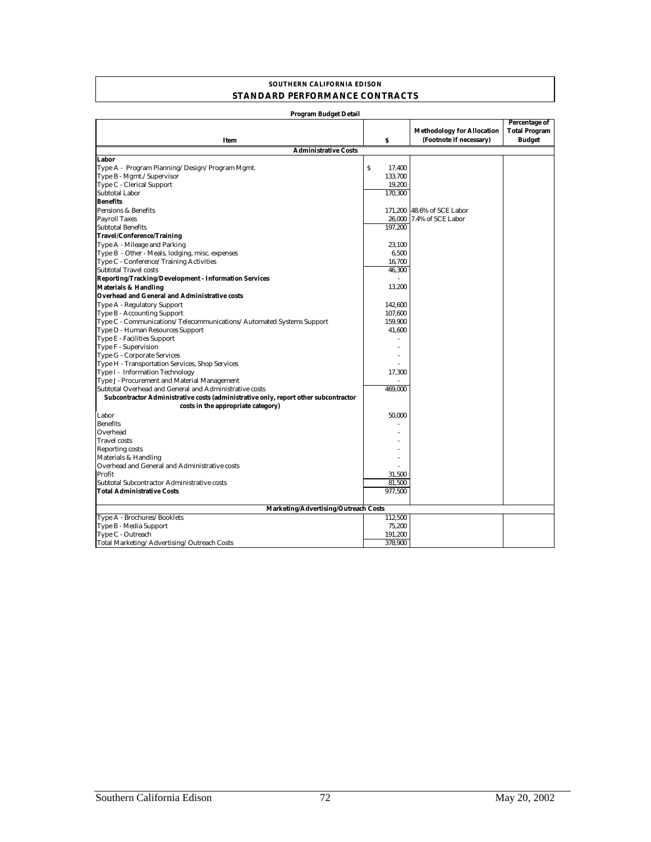#### **SOUTHERN CALIFORNIA EDISON STANDARD PERFORMANCE CONTRACTS**

| Program Budget Detail                                                               |                                     |                                   |                      |
|-------------------------------------------------------------------------------------|-------------------------------------|-----------------------------------|----------------------|
|                                                                                     |                                     |                                   | <b>Percentage of</b> |
|                                                                                     |                                     | <b>Methodology for Allocation</b> | <b>Total Program</b> |
| Item                                                                                | S                                   | (Footnote if necessary)           | <b>Budget</b>        |
| <b>Administrative Costs</b>                                                         |                                     |                                   |                      |
| Labor                                                                               |                                     |                                   |                      |
| Type A - Program Planning/Design/Program Mgmt.                                      | $\boldsymbol{\mathsf{S}}$<br>17,400 |                                   |                      |
| Type B - Mgmt./Supervisor                                                           | 133,700                             |                                   |                      |
| Type C - Clerical Support                                                           | 19,200                              |                                   |                      |
| <b>Subtotal Labor</b>                                                               | 170,300                             |                                   |                      |
| <b>Benefits</b>                                                                     |                                     |                                   |                      |
| Pensions & Benefits                                                                 |                                     | 171,200 48.6% of SCE Labor        |                      |
| <b>Payroll Taxes</b>                                                                | 26,000                              | 7.4% of SCE Labor                 |                      |
| <b>Subtotal Benefits</b>                                                            | 197,200                             |                                   |                      |
| Travel/Conference/Training                                                          |                                     |                                   |                      |
| Type A - Mileage and Parking                                                        | 23,100                              |                                   |                      |
| Type B - Other - Meals, lodging, misc. expenses                                     | 6,500                               |                                   |                      |
| Type C - Conference/Training Activities                                             | 16,700                              |                                   |                      |
| <b>Subtotal Travel costs</b>                                                        | 46,300                              |                                   |                      |
| Reporting/Tracking/Development - Information Services                               |                                     |                                   |                      |
| <b>Materials &amp; Handling</b>                                                     | 13,200                              |                                   |                      |
| Overhead and General and Administrative costs                                       |                                     |                                   |                      |
| Type A - Regulatory Support                                                         | 142.600                             |                                   |                      |
| Type B - Accounting Support                                                         | 107.600                             |                                   |                      |
| Type C - Communications/Telecommunications/Automated Systems Support                | 159,900                             |                                   |                      |
| Type D - Human Resources Support                                                    | 41,600                              |                                   |                      |
| Type E - Facilities Support                                                         |                                     |                                   |                      |
| Type F - Supervision                                                                |                                     |                                   |                      |
| Type G - Corporate Services                                                         |                                     |                                   |                      |
| Type H - Transportation Services, Shop Services                                     |                                     |                                   |                      |
| Type I - Information Technology                                                     | 17,300                              |                                   |                      |
| Type J - Procurement and Material Management                                        |                                     |                                   |                      |
| Subtotal Overhead and General and Administrative costs                              | 469.000                             |                                   |                      |
| Subcontractor Administrative costs (administrative only, report other subcontractor |                                     |                                   |                      |
| costs in the appropriate category)                                                  |                                     |                                   |                      |
| Labor                                                                               | 50,000                              |                                   |                      |
| <b>Benefits</b>                                                                     |                                     |                                   |                      |
| Overhead                                                                            |                                     |                                   |                      |
| <b>Travel</b> costs                                                                 |                                     |                                   |                      |
| <b>Reporting costs</b>                                                              |                                     |                                   |                      |
| Materials & Handling                                                                |                                     |                                   |                      |
| Overhead and General and Administrative costs                                       |                                     |                                   |                      |
| Profit                                                                              | 31,500                              |                                   |                      |
| Subtotal Subcontractor Administrative costs                                         | 81,500                              |                                   |                      |
| <b>Total Administrative Costs</b>                                                   | 977,500                             |                                   |                      |
|                                                                                     |                                     |                                   |                      |
| Marketing/Advertising/Outreach Costs                                                |                                     |                                   |                      |
| Type A - Brochures/Booklets                                                         | 112,500                             |                                   |                      |
| Type B - Media Support                                                              | 75,200                              |                                   |                      |
| Type C - Outreach                                                                   | 191,200                             |                                   |                      |
| Total Marketing/Advertising/Outreach Costs                                          | 378,900                             |                                   |                      |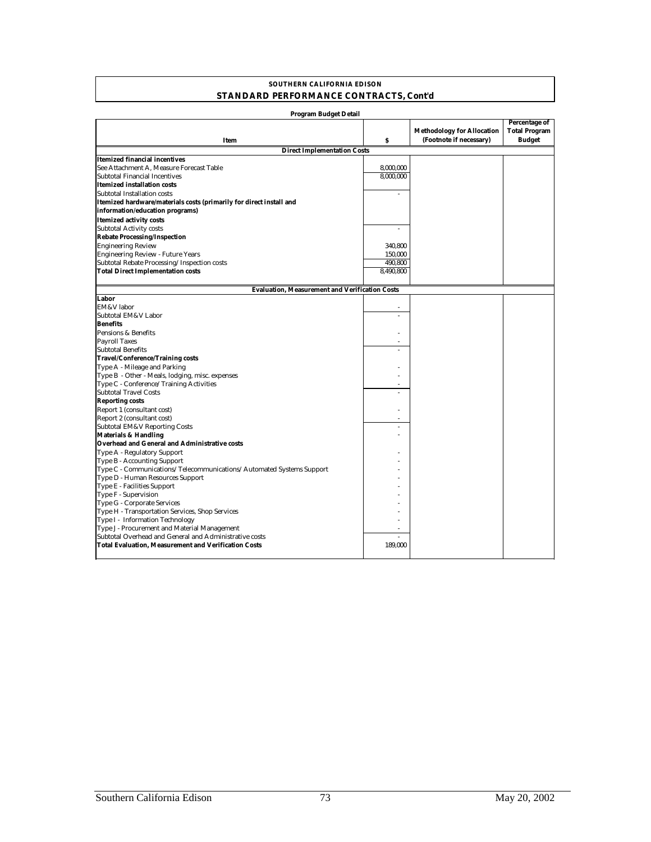#### **STANDARD PERFORMANCE CONTRACTS, Cont'd SOUTHERN CALIFORNIA EDISON**

| Program Budget Detail                                                          |           |                                                              |                                                        |
|--------------------------------------------------------------------------------|-----------|--------------------------------------------------------------|--------------------------------------------------------|
| Item                                                                           | Ŝ         | <b>Methodology for Allocation</b><br>(Footnote if necessary) | Percentage of<br><b>Total Program</b><br><b>Budget</b> |
| <b>Direct Implementation Costs</b>                                             |           |                                                              |                                                        |
| Itemized financial incentives                                                  |           |                                                              |                                                        |
| See Attachment A, Measure Forecast Table                                       | 8,000,000 |                                                              |                                                        |
| Subtotal Financial Incentives                                                  | 8,000,000 |                                                              |                                                        |
| <b>Itemized installation costs</b>                                             |           |                                                              |                                                        |
| Subtotal Installation costs                                                    |           |                                                              |                                                        |
| Itemized hardware/materials costs (primarily for direct install and            |           |                                                              |                                                        |
| information/education programs)                                                |           |                                                              |                                                        |
| <b>Itemized activity costs</b>                                                 |           |                                                              |                                                        |
| Subtotal Activity costs                                                        |           |                                                              |                                                        |
| <b>Rebate Processing/Inspection</b>                                            |           |                                                              |                                                        |
| <b>Engineering Review</b>                                                      | 340,800   |                                                              |                                                        |
| <b>Engineering Review - Future Years</b>                                       | 150,000   |                                                              |                                                        |
| Subtotal Rebate Processing/Inspection costs                                    | 490,800   |                                                              |                                                        |
| <b>Total Direct Implementation costs</b>                                       | 8,490,800 |                                                              |                                                        |
|                                                                                |           |                                                              |                                                        |
| <b>Evaluation, Measurement and Verification Costs</b>                          |           |                                                              |                                                        |
| Labor                                                                          |           |                                                              |                                                        |
| EM&V labor                                                                     |           |                                                              |                                                        |
| Subtotal EM&V Labor                                                            |           |                                                              |                                                        |
| <b>Benefits</b>                                                                |           |                                                              |                                                        |
| Pensions & Benefits                                                            |           |                                                              |                                                        |
| <b>Payroll Taxes</b>                                                           |           |                                                              |                                                        |
| <b>Subtotal Benefits</b>                                                       |           |                                                              |                                                        |
| <b>Travel/Conference/Training costs</b>                                        |           |                                                              |                                                        |
| Type A - Mileage and Parking                                                   |           |                                                              |                                                        |
| Type B - Other - Meals, lodging, misc. expenses                                |           |                                                              |                                                        |
| Type C - Conference/Training Activities                                        |           |                                                              |                                                        |
| <b>Subtotal Travel Costs</b>                                                   |           |                                                              |                                                        |
| <b>Reporting costs</b>                                                         |           |                                                              |                                                        |
| Report 1 (consultant cost)                                                     |           |                                                              |                                                        |
| Report 2 (consultant cost)                                                     |           |                                                              |                                                        |
| <b>Subtotal EM&amp;V Reporting Costs</b>                                       |           |                                                              |                                                        |
| <b>Materials &amp; Handling</b>                                                |           |                                                              |                                                        |
| Overhead and General and Administrative costs                                  |           |                                                              |                                                        |
| Type A - Regulatory Support                                                    |           |                                                              |                                                        |
| Type B - Accounting Support                                                    |           |                                                              |                                                        |
| Type C - Communications/Telecommunications/Automated Systems Support           |           |                                                              |                                                        |
| Type D - Human Resources Support                                               |           |                                                              |                                                        |
| Type E - Facilities Support                                                    |           |                                                              |                                                        |
| Type F - Supervision                                                           |           |                                                              |                                                        |
| Type G - Corporate Services<br>Type H - Transportation Services, Shop Services |           |                                                              |                                                        |
| Type I - Information Technology                                                |           |                                                              |                                                        |
| Type J - Procurement and Material Management                                   |           |                                                              |                                                        |
| Subtotal Overhead and General and Administrative costs                         |           |                                                              |                                                        |
| Total Evaluation, Measurement and Verification Costs                           | 189,000   |                                                              |                                                        |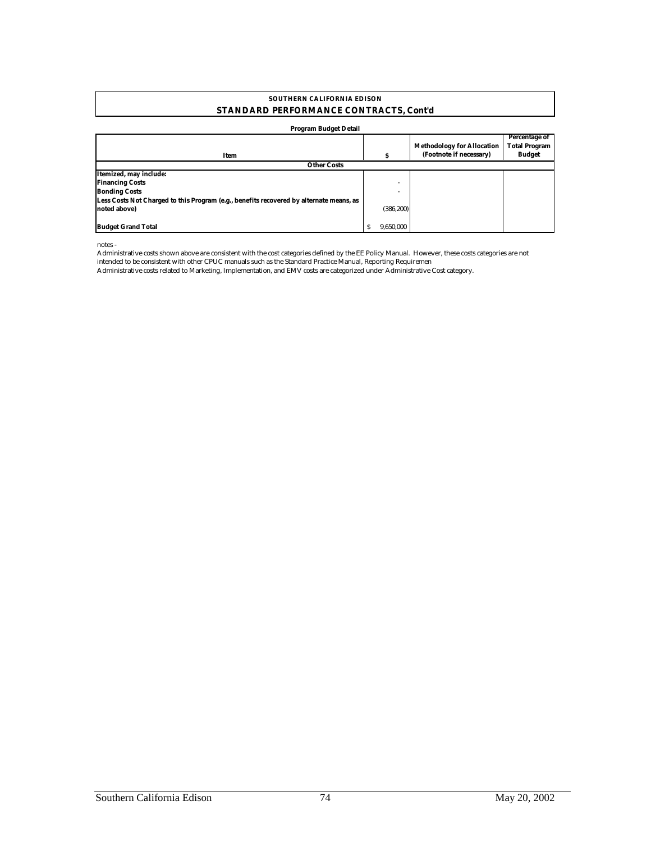#### **SOUTHERN CALIFORNIA EDISON STANDARD PERFORMANCE CONTRACTS, Cont'd**

#### **Program Budget Detail**

| Item                                                                                    |            | <b>Methodology for Allocation</b><br>(Footnote if necessary) | <b>Percentage of</b><br><b>Total Program</b><br><b>Budget</b> |
|-----------------------------------------------------------------------------------------|------------|--------------------------------------------------------------|---------------------------------------------------------------|
| <b>Other Costs</b>                                                                      |            |                                                              |                                                               |
| Itemized, may include:                                                                  |            |                                                              |                                                               |
| <b>Financing Costs</b>                                                                  | ۰          |                                                              |                                                               |
| <b>Bonding Costs</b>                                                                    | -          |                                                              |                                                               |
| Less Costs Not Charged to this Program (e.g., benefits recovered by alternate means, as |            |                                                              |                                                               |
| noted above)                                                                            | (386, 200) |                                                              |                                                               |
|                                                                                         |            |                                                              |                                                               |
| <b>Budget Grand Total</b>                                                               | 9.650.000  |                                                              |                                                               |

notes -

Administrative costs shown above are consistent with the cost categories defined by the EE Policy Manual. However, these costs categories are not intended to be consistent with other CPUC manuals such as the Standard Practice Manual, Reporting Requiremen

Administrative costs related to Marketing, Implementation, and EMV costs are categorized under Administrative Cost category.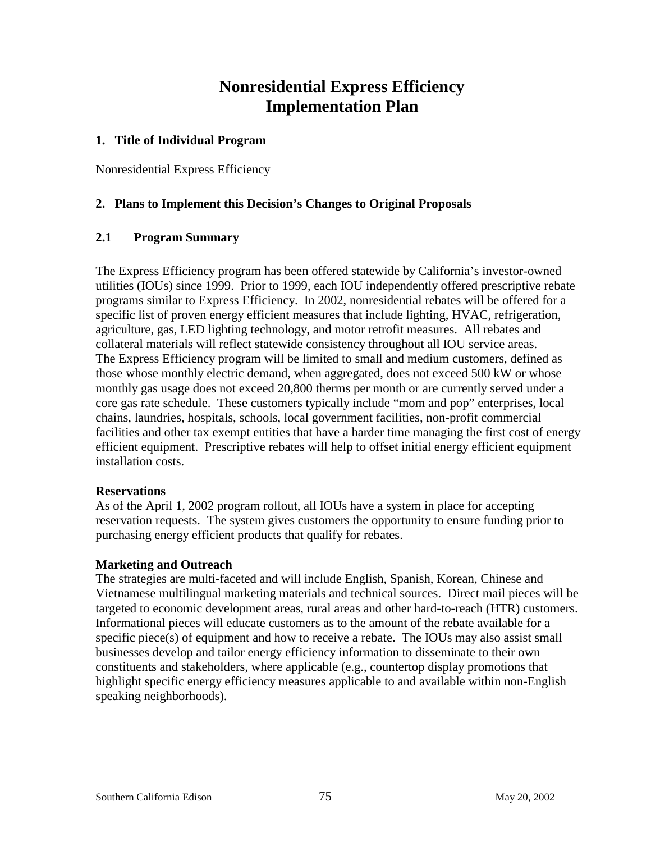## **Nonresidential Express Efficiency Implementation Plan**

#### **1. Title of Individual Program**

Nonresidential Express Efficiency

#### **2. Plans to Implement this Decision's Changes to Original Proposals**

#### **2.1 Program Summary**

The Express Efficiency program has been offered statewide by California's investor-owned utilities (IOUs) since 1999. Prior to 1999, each IOU independently offered prescriptive rebate programs similar to Express Efficiency. In 2002, nonresidential rebates will be offered for a specific list of proven energy efficient measures that include lighting, HVAC, refrigeration, agriculture, gas, LED lighting technology, and motor retrofit measures. All rebates and collateral materials will reflect statewide consistency throughout all IOU service areas. The Express Efficiency program will be limited to small and medium customers, defined as those whose monthly electric demand, when aggregated, does not exceed 500 kW or whose monthly gas usage does not exceed 20,800 therms per month or are currently served under a core gas rate schedule. These customers typically include "mom and pop" enterprises, local chains, laundries, hospitals, schools, local government facilities, non-profit commercial facilities and other tax exempt entities that have a harder time managing the first cost of energy efficient equipment. Prescriptive rebates will help to offset initial energy efficient equipment installation costs.

#### **Reservations**

As of the April 1, 2002 program rollout, all IOUs have a system in place for accepting reservation requests. The system gives customers the opportunity to ensure funding prior to purchasing energy efficient products that qualify for rebates.

#### **Marketing and Outreach**

The strategies are multi-faceted and will include English, Spanish, Korean, Chinese and Vietnamese multilingual marketing materials and technical sources. Direct mail pieces will be targeted to economic development areas, rural areas and other hard-to-reach (HTR) customers. Informational pieces will educate customers as to the amount of the rebate available for a specific piece(s) of equipment and how to receive a rebate. The IOUs may also assist small businesses develop and tailor energy efficiency information to disseminate to their own constituents and stakeholders, where applicable (e.g., countertop display promotions that highlight specific energy efficiency measures applicable to and available within non-English speaking neighborhoods).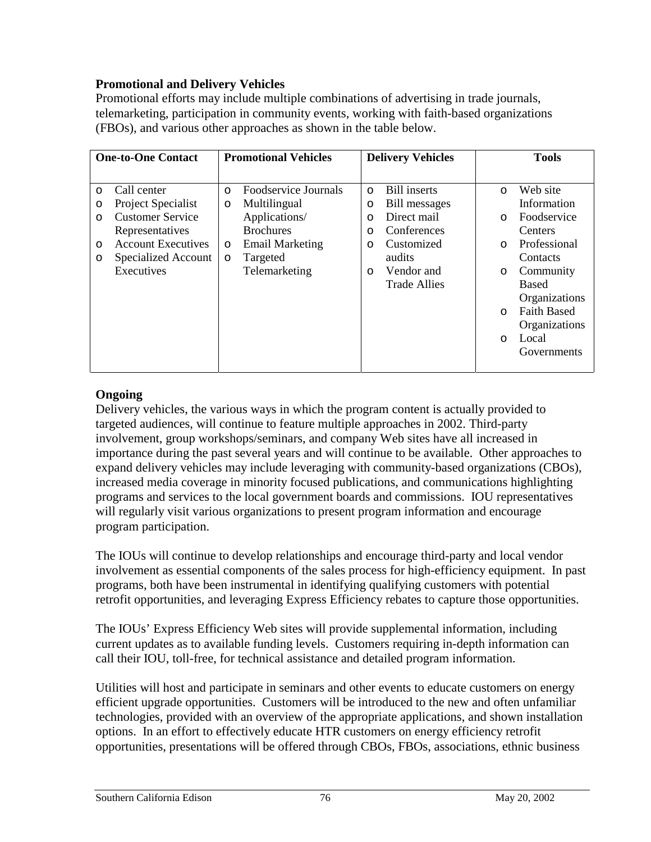#### **Promotional and Delivery Vehicles**

Promotional efforts may include multiple combinations of advertising in trade journals, telemarketing, participation in community events, working with faith-based organizations (FBOs), and various other approaches as shown in the table below.

|         | <b>One-to-One Contact</b> | <b>Promotional Vehicles</b> |                        | <b>Delivery Vehicles</b> |                     |         | <b>Tools</b>       |
|---------|---------------------------|-----------------------------|------------------------|--------------------------|---------------------|---------|--------------------|
|         |                           |                             |                        |                          |                     |         |                    |
| $\circ$ | Call center               | $\circ$                     | Foodservice Journals   | $\circ$                  | <b>Bill inserts</b> | $\circ$ | Web site           |
| O       | Project Specialist        | $\circ$                     | Multilingual           | $\circ$                  | Bill messages       |         | Information        |
| $\circ$ | <b>Customer Service</b>   |                             | Applications/          | $\circ$                  | Direct mail         | $\circ$ | Foodservice        |
|         | Representatives           |                             | <b>Brochures</b>       | $\circ$                  | Conferences         |         | Centers            |
| $\circ$ | <b>Account Executives</b> | $\circ$                     | <b>Email Marketing</b> | $\circ$                  | Customized          | $\circ$ | Professional       |
| O       | Specialized Account       | $\circ$                     | Targeted               |                          | audits              |         | Contacts           |
|         | Executives                |                             | Telemarketing          | $\circ$                  | Vendor and          | $\circ$ | Community          |
|         |                           |                             |                        |                          | <b>Trade Allies</b> |         | Based              |
|         |                           |                             |                        |                          |                     |         | Organizations      |
|         |                           |                             |                        |                          |                     | $\circ$ | <b>Faith Based</b> |
|         |                           |                             |                        |                          |                     |         | Organizations      |
|         |                           |                             |                        |                          |                     | $\circ$ | Local              |
|         |                           |                             |                        |                          |                     |         | Governments        |
|         |                           |                             |                        |                          |                     |         |                    |

### **Ongoing**

Delivery vehicles, the various ways in which the program content is actually provided to targeted audiences, will continue to feature multiple approaches in 2002. Third-party involvement, group workshops/seminars, and company Web sites have all increased in importance during the past several years and will continue to be available. Other approaches to expand delivery vehicles may include leveraging with community-based organizations (CBOs), increased media coverage in minority focused publications, and communications highlighting programs and services to the local government boards and commissions. IOU representatives will regularly visit various organizations to present program information and encourage program participation.

The IOUs will continue to develop relationships and encourage third-party and local vendor involvement as essential components of the sales process for high-efficiency equipment. In past programs, both have been instrumental in identifying qualifying customers with potential retrofit opportunities, and leveraging Express Efficiency rebates to capture those opportunities.

The IOUs' Express Efficiency Web sites will provide supplemental information, including current updates as to available funding levels. Customers requiring in-depth information can call their IOU, toll-free, for technical assistance and detailed program information.

Utilities will host and participate in seminars and other events to educate customers on energy efficient upgrade opportunities. Customers will be introduced to the new and often unfamiliar technologies, provided with an overview of the appropriate applications, and shown installation options. In an effort to effectively educate HTR customers on energy efficiency retrofit opportunities, presentations will be offered through CBOs, FBOs, associations, ethnic business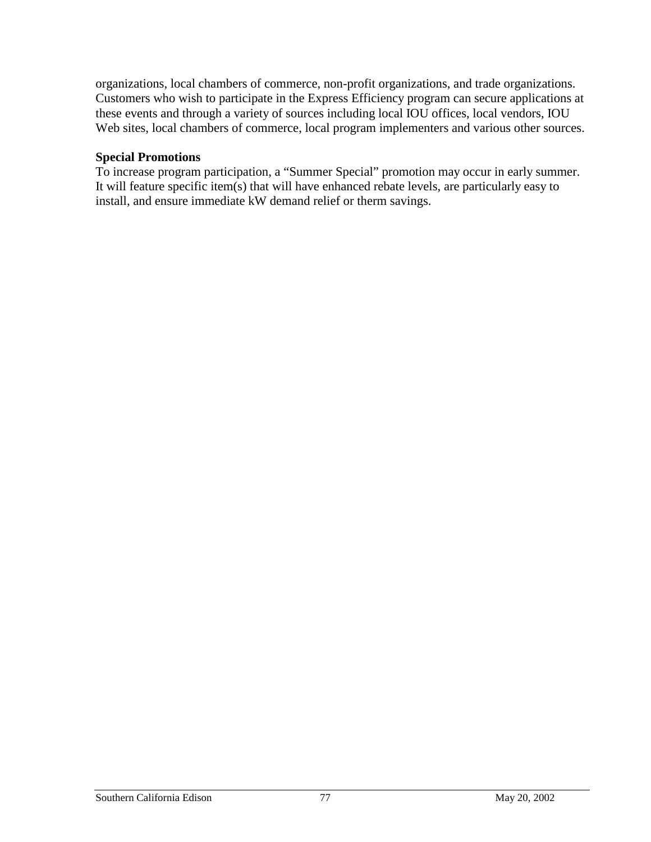organizations, local chambers of commerce, non-profit organizations, and trade organizations. Customers who wish to participate in the Express Efficiency program can secure applications at these events and through a variety of sources including local IOU offices, local vendors, IOU Web sites, local chambers of commerce, local program implementers and various other sources.

#### **Special Promotions**

To increase program participation, a "Summer Special" promotion may occur in early summer. It will feature specific item(s) that will have enhanced rebate levels, are particularly easy to install, and ensure immediate kW demand relief or therm savings.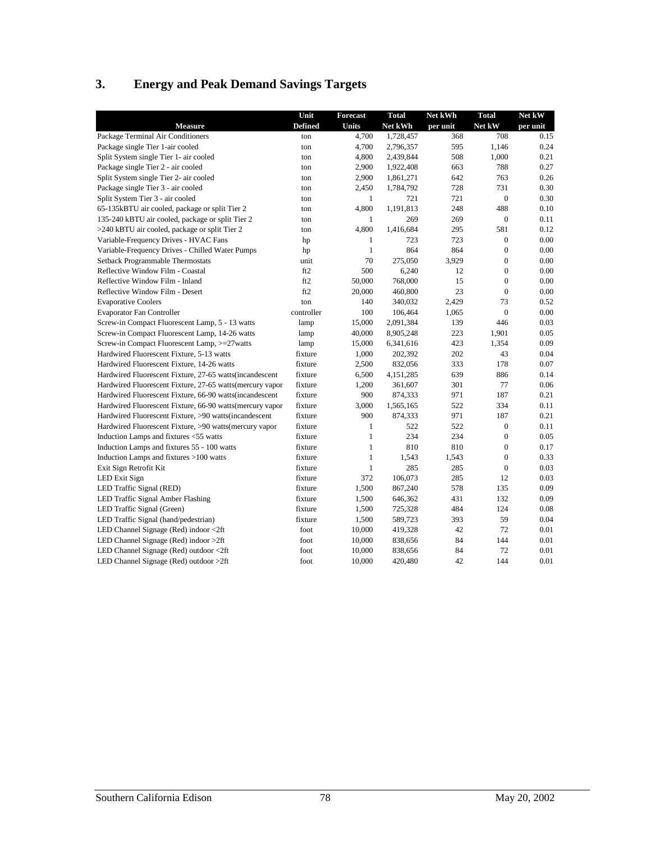## **3. Energy and Peak Demand Savings Targets**

| <b>Defined</b><br>Net kWh<br>Net kW<br><b>Measure</b><br>Units<br>per unit<br>per unit<br>Package Terminal Air Conditioners<br>708<br>4,700<br>1,728,457<br>368<br>0.15<br>ton<br>4.700<br>0.24<br>Package single Tier 1-air cooled<br>2,796,357<br>595<br>1.146<br>ton<br>508<br>0.21<br>Split System single Tier 1- air cooled<br>4,800<br>2,439,844<br>1,000<br>ton<br>0.27<br>Package single Tier 2 - air cooled<br>2,900<br>1,922,408<br>663<br>788<br>ton |
|-----------------------------------------------------------------------------------------------------------------------------------------------------------------------------------------------------------------------------------------------------------------------------------------------------------------------------------------------------------------------------------------------------------------------------------------------------------------|
|                                                                                                                                                                                                                                                                                                                                                                                                                                                                 |
|                                                                                                                                                                                                                                                                                                                                                                                                                                                                 |
|                                                                                                                                                                                                                                                                                                                                                                                                                                                                 |
|                                                                                                                                                                                                                                                                                                                                                                                                                                                                 |
|                                                                                                                                                                                                                                                                                                                                                                                                                                                                 |
| 0.26<br>Split System single Tier 2- air cooled<br>2,900<br>642<br>763<br>1,861,271<br>ton                                                                                                                                                                                                                                                                                                                                                                       |
| 728<br>731<br>0.30<br>Package single Tier 3 - air cooled<br>2,450<br>1,784,792<br>ton                                                                                                                                                                                                                                                                                                                                                                           |
| Split System Tier 3 - air cooled<br>$\mathbf{1}$<br>721<br>721<br>0.30<br>$\boldsymbol{0}$<br>ton                                                                                                                                                                                                                                                                                                                                                               |
| 4,800<br>1,191,813<br>248<br>488<br>0.10<br>65-135kBTU air cooled, package or split Tier 2<br>ton                                                                                                                                                                                                                                                                                                                                                               |
| 269<br>$\boldsymbol{0}$<br>0.11<br>135-240 kBTU air cooled, package or split Tier 2<br>$\mathbf{1}$<br>269<br>ton                                                                                                                                                                                                                                                                                                                                               |
| 4,800<br>581<br>0.12<br>>240 kBTU air cooled, package or split Tier 2<br>1,416,684<br>295<br>ton                                                                                                                                                                                                                                                                                                                                                                |
| Variable-Frequency Drives - HVAC Fans<br>723<br>$\boldsymbol{0}$<br>0.00<br>$\mathbf{1}$<br>723<br>hp                                                                                                                                                                                                                                                                                                                                                           |
| Variable-Frequency Drives - Chilled Water Pumps<br>864<br>864<br>$\boldsymbol{0}$<br>$\mathbf{1}$<br>0.00<br>hp                                                                                                                                                                                                                                                                                                                                                 |
| 70<br>275,050<br>3,929<br>$\boldsymbol{0}$<br>0.00<br>Setback Programmable Thermostats<br>unit                                                                                                                                                                                                                                                                                                                                                                  |
| 500<br>$\boldsymbol{0}$<br>0.00<br>Reflective Window Film - Coastal<br>ft2<br>6,240<br>12                                                                                                                                                                                                                                                                                                                                                                       |
| ft2<br>15<br>$\mathbf{0}$<br>0.00<br>Reflective Window Film - Inland<br>50,000<br>768,000                                                                                                                                                                                                                                                                                                                                                                       |
| Reflective Window Film - Desert<br>ft2<br>23<br>$\mathbf{0}$<br>0.00<br>20,000<br>460,800                                                                                                                                                                                                                                                                                                                                                                       |
| 2,429<br>73<br>0.52<br><b>Evaporative Coolers</b><br>140<br>340,032<br>ton                                                                                                                                                                                                                                                                                                                                                                                      |
| $\mathbf{0}$<br>0.00<br><b>Evaporator Fan Controller</b><br>controller<br>100<br>106,464<br>1,065                                                                                                                                                                                                                                                                                                                                                               |
| 0.03<br>Screw-in Compact Fluorescent Lamp, 5 - 13 watts<br>446<br>lamp<br>15,000<br>2,091,384<br>139                                                                                                                                                                                                                                                                                                                                                            |
| Screw-in Compact Fluorescent Lamp, 14-26 watts<br>223<br>1,901<br>0.05<br>lamp<br>40,000<br>8,905,248                                                                                                                                                                                                                                                                                                                                                           |
| Screw-in Compact Fluorescent Lamp, >=27watts<br>423<br>1,354<br>0.09<br>lamp<br>15,000<br>6,341,616                                                                                                                                                                                                                                                                                                                                                             |
| 0.04<br>Hardwired Fluorescent Fixture, 5-13 watts<br>fixture<br>1,000<br>202<br>43<br>202,392                                                                                                                                                                                                                                                                                                                                                                   |
| fixture<br>333<br>178<br>0.07<br>Hardwired Fluorescent Fixture, 14-26 watts<br>2,500<br>832,056                                                                                                                                                                                                                                                                                                                                                                 |
| fixture<br>6,500<br>639<br>886<br>0.14<br>Hardwired Fluorescent Fixture, 27-65 watts (incandescent<br>4,151,285                                                                                                                                                                                                                                                                                                                                                 |
| 0.06<br>Hardwired Fluorescent Fixture, 27-65 watts (mercury vapor<br>fixture<br>1,200<br>301<br>77<br>361,607                                                                                                                                                                                                                                                                                                                                                   |
| fixture<br>900<br>874,333<br>971<br>187<br>0.21<br>Hardwired Fluorescent Fixture, 66-90 watts (incandescent                                                                                                                                                                                                                                                                                                                                                     |
| 0.11<br>Hardwired Fluorescent Fixture, 66-90 watts (mercury vapor<br>fixture<br>3,000<br>1,565,165<br>522<br>334                                                                                                                                                                                                                                                                                                                                                |
| 900<br>187<br>0.21<br>Hardwired Fluorescent Fixture, >90 watts(incandescent<br>fixture<br>874,333<br>971                                                                                                                                                                                                                                                                                                                                                        |
| 522<br>Hardwired Fluorescent Fixture, >90 watts (mercury vapor<br>fixture<br>$\mathbf{1}$<br>522<br>$\overline{0}$<br>0.11                                                                                                                                                                                                                                                                                                                                      |
| 234<br>234<br>$\mathbf{0}$<br>0.05<br>Induction Lamps and fixtures <55 watts<br>fixture<br>$\mathbf{1}$                                                                                                                                                                                                                                                                                                                                                         |
| $\boldsymbol{0}$<br>Induction Lamps and fixtures 55 - 100 watts<br>fixture<br>$\mathbf{1}$<br>810<br>810<br>0.17                                                                                                                                                                                                                                                                                                                                                |
| $\boldsymbol{0}$<br>0.33<br>Induction Lamps and fixtures >100 watts<br>fixture<br>$\mathbf{1}$<br>1,543<br>1,543                                                                                                                                                                                                                                                                                                                                                |
| 285<br>$\boldsymbol{0}$<br>0.03<br>Exit Sign Retrofit Kit<br>fixture<br>$\mathbf{1}$<br>285                                                                                                                                                                                                                                                                                                                                                                     |
| LED Exit Sign<br>fixture<br>372<br>106,073<br>285<br>12<br>0.03                                                                                                                                                                                                                                                                                                                                                                                                 |
| 578<br>0.09<br>LED Traffic Signal (RED)<br>fixture<br>1,500<br>867,240<br>135                                                                                                                                                                                                                                                                                                                                                                                   |
| 431<br>0.09<br>LED Traffic Signal Amber Flashing<br>fixture<br>1,500<br>132<br>646,362                                                                                                                                                                                                                                                                                                                                                                          |
| LED Traffic Signal (Green)<br>fixture<br>1,500<br>725,328<br>484<br>124<br>0.08                                                                                                                                                                                                                                                                                                                                                                                 |
| 59<br>0.04<br>LED Traffic Signal (hand/pedestrian)<br>fixture<br>1,500<br>589,723<br>393                                                                                                                                                                                                                                                                                                                                                                        |
| 42<br>72<br>0.01<br>LED Channel Signage (Red) indoor <2ft<br>foot<br>10,000<br>419,328                                                                                                                                                                                                                                                                                                                                                                          |
| LED Channel Signage (Red) indoor >2ft<br>84<br>144<br>0.01<br>foot<br>10,000<br>838,656                                                                                                                                                                                                                                                                                                                                                                         |
| 84<br>72<br>0.01<br>LED Channel Signage (Red) outdoor <2ft<br>foot<br>10,000<br>838,656                                                                                                                                                                                                                                                                                                                                                                         |
| 42<br>144<br>0.01<br>LED Channel Signage (Red) outdoor >2ft<br>foot<br>10,000<br>420,480                                                                                                                                                                                                                                                                                                                                                                        |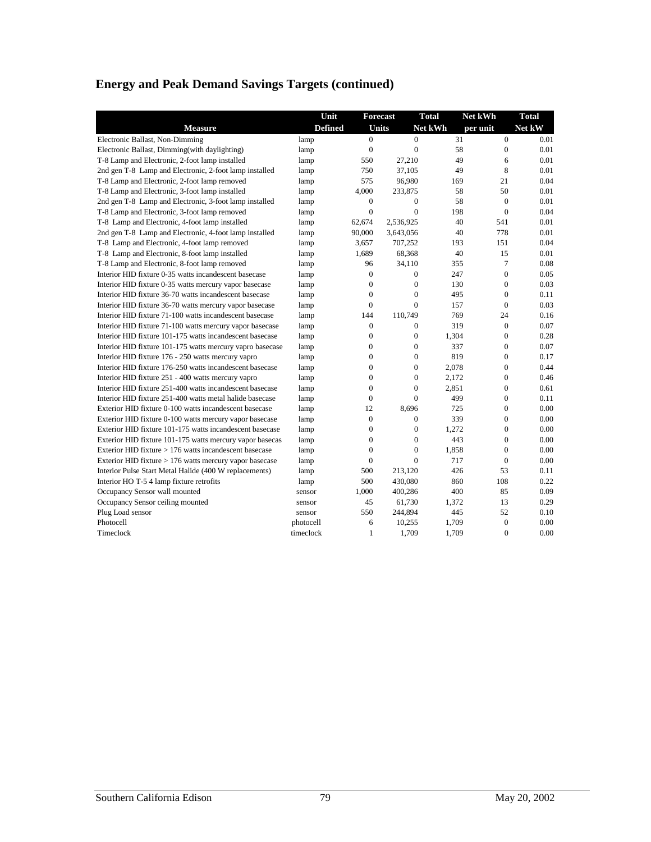## **Energy and Peak Demand Savings Targets (continued)**

|                                                           | Unit           |                  | <b>Forecast</b> | <b>Total</b> | Net kWh        | <b>Total</b> |
|-----------------------------------------------------------|----------------|------------------|-----------------|--------------|----------------|--------------|
| <b>Measure</b>                                            | <b>Defined</b> |                  | <b>Units</b>    | Net kWh      | per unit       | Net kW       |
| Electronic Ballast, Non-Dimming                           | lamp           | $\mathbf{0}$     | $\overline{0}$  | 31           | $\mathbf{0}$   | 0.01         |
| Electronic Ballast, Dimming(with daylighting)             | lamp           | $\mathbf{0}$     | $\mathbf{0}$    | 58           | $\mathbf{0}$   | 0.01         |
| T-8 Lamp and Electronic, 2-foot lamp installed            | lamp           | 550              | 27.210          | 49           | 6              | 0.01         |
| 2nd gen T-8 Lamp and Electronic, 2-foot lamp installed    | lamp           | 750              | 37,105          | 49           | 8              | 0.01         |
| T-8 Lamp and Electronic, 2-foot lamp removed              | lamp           | 575              | 96,980          | 169          | 21             | 0.04         |
| T-8 Lamp and Electronic, 3-foot lamp installed            | lamp           | 4,000            | 233,875         | 58           | 50             | 0.01         |
| 2nd gen T-8 Lamp and Electronic, 3-foot lamp installed    | lamp           | $\mathbf{0}$     | $\mathbf{0}$    | 58           | $\theta$       | 0.01         |
| T-8 Lamp and Electronic, 3-foot lamp removed              | lamp           | $\overline{0}$   | $\overline{0}$  | 198          | $\theta$       | 0.04         |
| T-8 Lamp and Electronic, 4-foot lamp installed            | lamp           | 62,674           | 2,536,925       | 40           | 541            | 0.01         |
| 2nd gen T-8 Lamp and Electronic, 4-foot lamp installed    | lamp           | 90,000           | 3,643,056       | 40           | 778            | 0.01         |
| T-8 Lamp and Electronic, 4-foot lamp removed              | lamp           | 3,657            | 707,252         | 193          | 151            | 0.04         |
| T-8 Lamp and Electronic, 8-foot lamp installed            | lamp           | 1,689            | 68,368          | 40           | 15             | 0.01         |
| T-8 Lamp and Electronic, 8-foot lamp removed              | lamp           | 96               | 34,110          | 355          | 7              | 0.08         |
| Interior HID fixture 0-35 watts incandescent basecase     | lamp           | $\boldsymbol{0}$ | $\mathbf{0}$    | 247          | $\mathbf{0}$   | 0.05         |
| Interior HID fixture 0-35 watts mercury vapor basecase    | lamp           | $\mathbf{0}$     | $\mathbf{0}$    | 130          | $\mathbf{0}$   | 0.03         |
| Interior HID fixture 36-70 watts incandescent basecase    | lamp           | $\mathbf{0}$     | $\mathbf{0}$    | 495          | $\Omega$       | 0.11         |
| Interior HID fixture 36-70 watts mercury vapor basecase   | lamp           | $\mathbf{0}$     | $\mathbf{0}$    | 157          | $\theta$       | 0.03         |
| Interior HID fixture 71-100 watts incandescent basecase   | lamp           | 144              | 110,749         | 769          | 24             | 0.16         |
| Interior HID fixture 71-100 watts mercury vapor basecase  | lamp           | $\boldsymbol{0}$ | $\mathbf{0}$    | 319          | $\mathbf{0}$   | 0.07         |
| Interior HID fixture 101-175 watts incandescent basecase  | lamp           | $\boldsymbol{0}$ | $\overline{0}$  | 1,304        | $\overline{0}$ | 0.28         |
| Interior HID fixture 101-175 watts mercury vapro basecase | lamp           | $\mathbf{0}$     | $\mathbf{0}$    | 337          | $\mathbf{0}$   | 0.07         |
| Interior HID fixture 176 - 250 watts mercury vapro        | lamp           | $\mathbf{0}$     | $\mathbf{0}$    | 819          | $\mathbf{0}$   | 0.17         |
| Interior HID fixture 176-250 watts incandescent basecase  | lamp           | $\mathbf{0}$     | $\mathbf{0}$    | 2.078        | $\mathbf{0}$   | 0.44         |
| Interior HID fixture 251 - 400 watts mercury vapro        | lamp           | $\overline{0}$   | $\mathbf{0}$    | 2.172        | $\overline{0}$ | 0.46         |
| Interior HID fixture 251-400 watts incandescent basecase  | lamp           | $\mathbf{0}$     | $\overline{0}$  | 2,851        | $\overline{0}$ | 0.61         |
| Interior HID fixture 251-400 watts metal halide basecase  | lamp           | $\mathbf{0}$     | $\mathbf{0}$    | 499          | $\mathbf{0}$   | 0.11         |
| Exterior HID fixture 0-100 watts incandescent basecase    | lamp           | 12               | 8,696           | 725          | $\theta$       | 0.00         |
| Exterior HID fixture 0-100 watts mercury vapor basecase   | lamp           | $\overline{0}$   | $\mathbf{0}$    | 339          | $\mathbf{0}$   | 0.00         |
| Exterior HID fixture 101-175 watts incandescent basecase  | lamp           | $\mathbf{0}$     | $\mathbf{0}$    | 1.272        | $\mathbf{0}$   | 0.00         |
| Exterior HID fixture 101-175 watts mercury vapor basecas  | lamp           | $\boldsymbol{0}$ | $\overline{0}$  | 443          | $\overline{0}$ | 0.00         |
| Exterior HID fixture $> 176$ watts incandescent basecase  | lamp           | $\mathbf{0}$     | $\mathbf{0}$    | 1,858        | $\Omega$       | 0.00         |
| Exterior HID fixture $> 176$ watts mercury vapor basecase | lamp           | $\mathbf{0}$     | $\mathbf{0}$    | 717          | $\theta$       | 0.00         |
| Interior Pulse Start Metal Halide (400 W replacements)    | lamp           | 500              | 213,120         | 426          | 53             | 0.11         |
| Interior HO T-5 4 lamp fixture retrofits                  | lamp           | 500              | 430,080         | 860          | 108            | 0.22         |
| Occupancy Sensor wall mounted                             | sensor         | 1,000            | 400,286         | 400          | 85             | 0.09         |
| Occupancy Sensor ceiling mounted                          | sensor         | 45               | 61,730          | 1,372        | 13             | 0.29         |
| Plug Load sensor                                          | sensor         | 550              | 244,894         | 445          | 52             | 0.10         |
| Photocell                                                 | photocell      | 6                | 10,255          | 1,709        | $\overline{0}$ | 0.00         |
| Timeclock                                                 | timeclock      | $\mathbf{1}$     | 1,709           | 1,709        | $\Omega$       | 0.00         |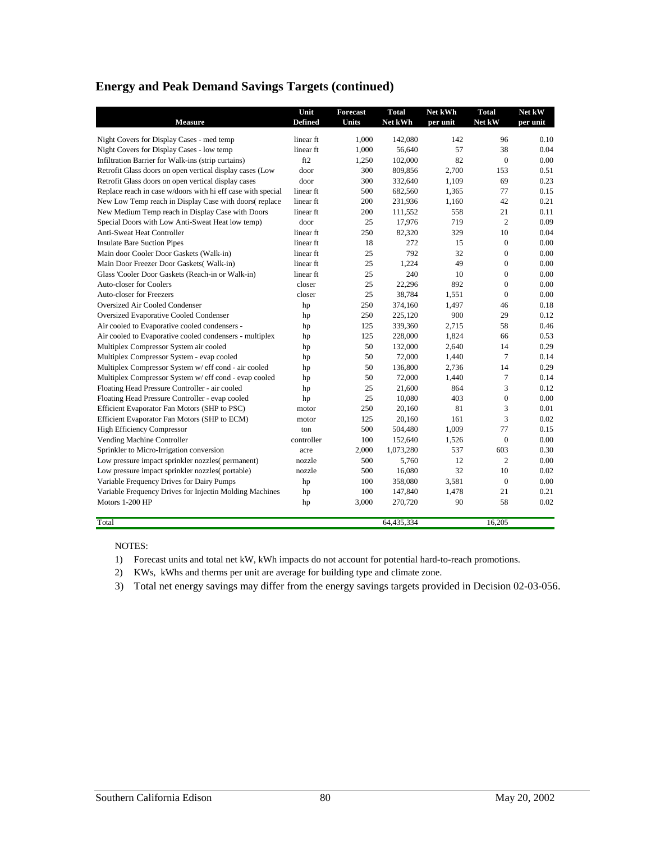#### **Energy and Peak Demand Savings Targets (continued)**

|                                                             | Unit           | <b>Forecast</b> | <b>Total</b> | Net kWh  | <b>Total</b>     | Net kW   |
|-------------------------------------------------------------|----------------|-----------------|--------------|----------|------------------|----------|
| <b>Measure</b>                                              | <b>Defined</b> | Units           | Net kWh      | per unit | Net kW           | per unit |
| Night Covers for Display Cases - med temp                   | linear ft      | 1,000           | 142,080      | 142      | 96               | 0.10     |
| Night Covers for Display Cases - low temp                   | linear ft      | 1,000           | 56,640       | 57       | 38               | 0.04     |
| Infiltration Barrier for Walk-ins (strip curtains)          | ft2            | 1,250           | 102,000      | 82       | $\mathbf{0}$     | 0.00     |
| Retrofit Glass doors on open vertical display cases (Low    | door           | 300             | 809,856      | 2,700    | 153              | 0.51     |
| Retrofit Glass doors on open vertical display cases         | door           | 300             | 332,640      | 1,109    | 69               | 0.23     |
| Replace reach in case w/doors with hi eff case with special | linear ft      | 500             | 682,560      | 1,365    | 77               | 0.15     |
| New Low Temp reach in Display Case with doors(replace       | linear ft      | 200             | 231,936      | 1,160    | 42               | 0.21     |
| New Medium Temp reach in Display Case with Doors            | linear ft      | 200             | 111,552      | 558      | 21               | 0.11     |
| Special Doors with Low Anti-Sweat Heat low temp)            | door           | 25              | 17,976       | 719      | 2                | 0.09     |
| Anti-Sweat Heat Controller                                  | linear ft      | 250             | 82,320       | 329      | 10               | 0.04     |
| <b>Insulate Bare Suction Pipes</b>                          | linear ft      | 18              | 272          | 15       | $\boldsymbol{0}$ | 0.00     |
| Main door Cooler Door Gaskets (Walk-in)                     | linear ft      | 25              | 792          | 32       | $\mathbf{0}$     | 0.00     |
| Main Door Freezer Door Gaskets(Walk-in)                     | linear ft      | 25              | 1,224        | 49       | $\mathbf{0}$     | 0.00     |
| Glass 'Cooler Door Gaskets (Reach-in or Walk-in)            | linear ft      | 25              | 240          | 10       | $\boldsymbol{0}$ | 0.00     |
| Auto-closer for Coolers                                     | closer         | 25              | 22,296       | 892      | $\mathbf{0}$     | 0.00     |
| <b>Auto-closer for Freezers</b>                             | closer         | 25              | 38,784       | 1,551    | $\overline{0}$   | 0.00     |
| Oversized Air Cooled Condenser                              | hp             | 250             | 374,160      | 1,497    | 46               | 0.18     |
| Oversized Evaporative Cooled Condenser                      | hp             | 250             | 225,120      | 900      | 29               | 0.12     |
| Air cooled to Evaporative cooled condensers -               | hp             | 125             | 339,360      | 2,715    | 58               | 0.46     |
| Air cooled to Evaporative cooled condensers - multiplex     | hp             | 125             | 228,000      | 1,824    | 66               | 0.53     |
| Multiplex Compressor System air cooled                      | hp             | 50              | 132,000      | 2,640    | 14               | 0.29     |
| Multiplex Compressor System - evap cooled                   | hp             | 50              | 72,000       | 1,440    | $\overline{7}$   | 0.14     |
| Multiplex Compressor System w/ eff cond - air cooled        | hp             | 50              | 136,800      | 2,736    | 14               | 0.29     |
| Multiplex Compressor System w/ eff cond - evap cooled       | hp             | 50              | 72,000       | 1,440    | 7                | 0.14     |
| Floating Head Pressure Controller - air cooled              | hp             | 25              | 21,600       | 864      | 3                | 0.12     |
| Floating Head Pressure Controller - evap cooled             | hp             | 25              | 10,080       | 403      | $\boldsymbol{0}$ | 0.00     |
| Efficient Evaporator Fan Motors (SHP to PSC)                | motor          | 250             | 20,160       | 81       | 3                | 0.01     |
| Efficient Evaporator Fan Motors (SHP to ECM)                | motor          | 125             | 20,160       | 161      | 3                | 0.02     |
| <b>High Efficiency Compressor</b>                           | ton            | 500             | 504,480      | 1,009    | 77               | 0.15     |
| Vending Machine Controller                                  | controller     | 100             | 152,640      | 1,526    | $\mathbf{0}$     | 0.00     |
| Sprinkler to Micro-Irrigation conversion                    | acre           | 2,000           | 1,073,280    | 537      | 603              | 0.30     |
| Low pressure impact sprinkler nozzles(permanent)            | nozzle         | 500             | 5,760        | 12       | $\overline{c}$   | 0.00     |
| Low pressure impact sprinkler nozzles(portable)             | nozzle         | 500             | 16,080       | 32       | 10               | 0.02     |
| Variable Frequency Drives for Dairy Pumps                   | hp             | 100             | 358,080      | 3,581    | $\mathbf{0}$     | 0.00     |
| Variable Frequency Drives for Injectin Molding Machines     | hp             | 100             | 147,840      | 1,478    | 21               | 0.21     |
| Motors 1-200 HP                                             | hp             | 3,000           | 270,720      | 90       | 58               | 0.02     |
| Total                                                       |                |                 | 64.435.334   |          | 16.205           |          |

NOTES:

1) Forecast units and total net kW, kWh impacts do not account for potential hard-to-reach promotions.

2) KWs, kWhs and therms per unit are average for building type and climate zone.

3) Total net energy savings may differ from the energy savings targets provided in Decision 02-03-056.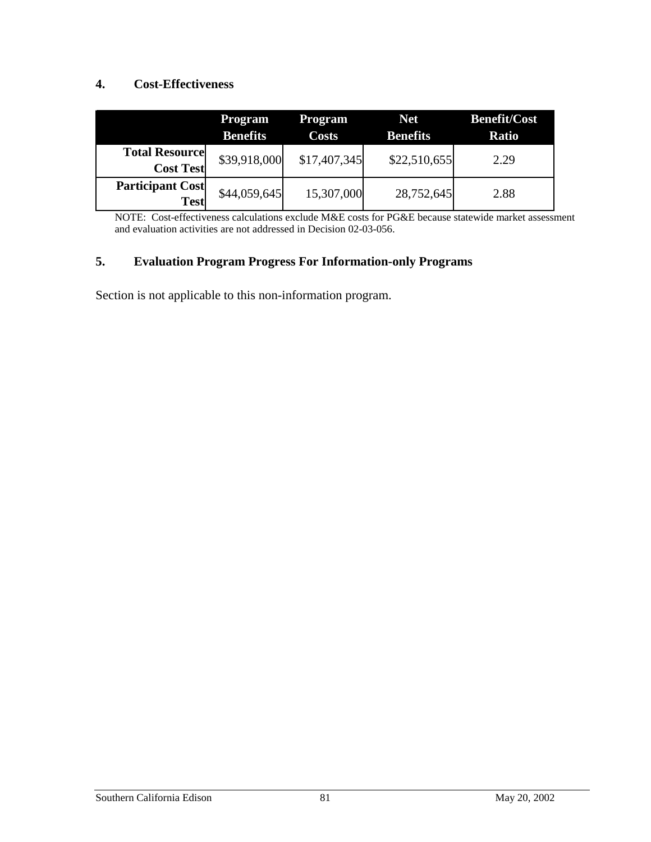#### **4. Cost-Effectiveness**

|                                           | <b>Program</b><br><b>Benefits</b> | <b>Program</b><br>Costs | <b>Net</b><br><b>Benefits</b> | <b>Benefit/Cost</b><br><b>Ratio</b> |
|-------------------------------------------|-----------------------------------|-------------------------|-------------------------------|-------------------------------------|
| <b>Total Resource</b><br><b>Cost Test</b> | \$39,918,000                      | \$17,407,345            | \$22,510,655                  | 2.29                                |
| <b>Participant Cost</b><br><b>Test</b>    | \$44,059,645                      | 15,307,000              | 28,752,645                    | 2.88                                |

NOTE: Cost-effectiveness calculations exclude M&E costs for PG&E because statewide market assessment and evaluation activities are not addressed in Decision 02-03-056.

#### **5. Evaluation Program Progress For Information-only Programs**

Section is not applicable to this non-information program.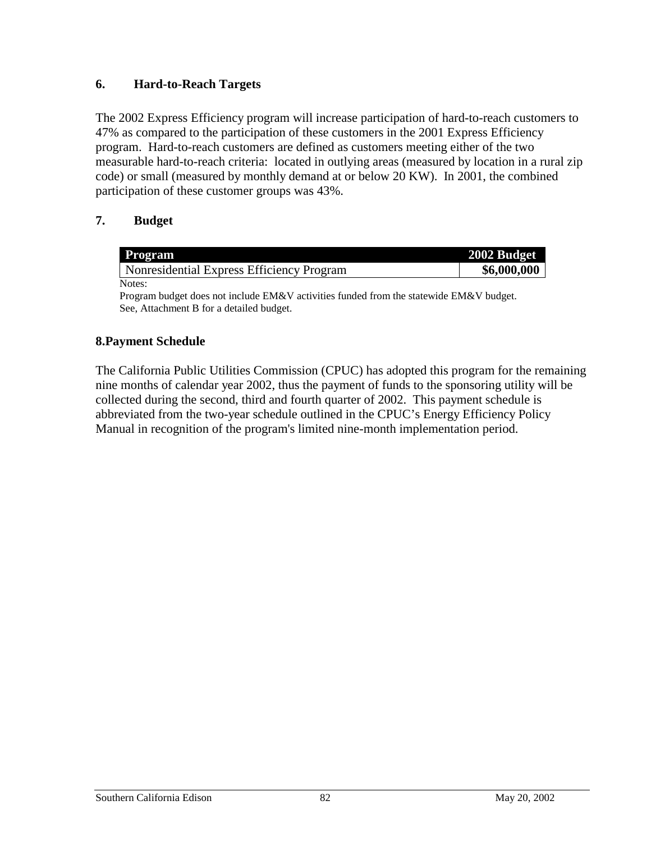### **6. Hard-to-Reach Targets**

The 2002 Express Efficiency program will increase participation of hard-to-reach customers to 47% as compared to the participation of these customers in the 2001 Express Efficiency program. Hard-to-reach customers are defined as customers meeting either of the two measurable hard-to-reach criteria: located in outlying areas (measured by location in a rural zip code) or small (measured by monthly demand at or below 20 KW). In 2001, the combined participation of these customer groups was 43%.

### **7. Budget**

| Program                                   | 2002 Budget |
|-------------------------------------------|-------------|
| Nonresidential Express Efficiency Program | \$6,000,000 |
| Notes:                                    |             |

Program budget does not include EM&V activities funded from the statewide EM&V budget. See, Attachment B for a detailed budget.

#### **8.Payment Schedule**

The California Public Utilities Commission (CPUC) has adopted this program for the remaining nine months of calendar year 2002, thus the payment of funds to the sponsoring utility will be collected during the second, third and fourth quarter of 2002. This payment schedule is abbreviated from the two-year schedule outlined in the CPUC's Energy Efficiency Policy Manual in recognition of the program's limited nine-month implementation period.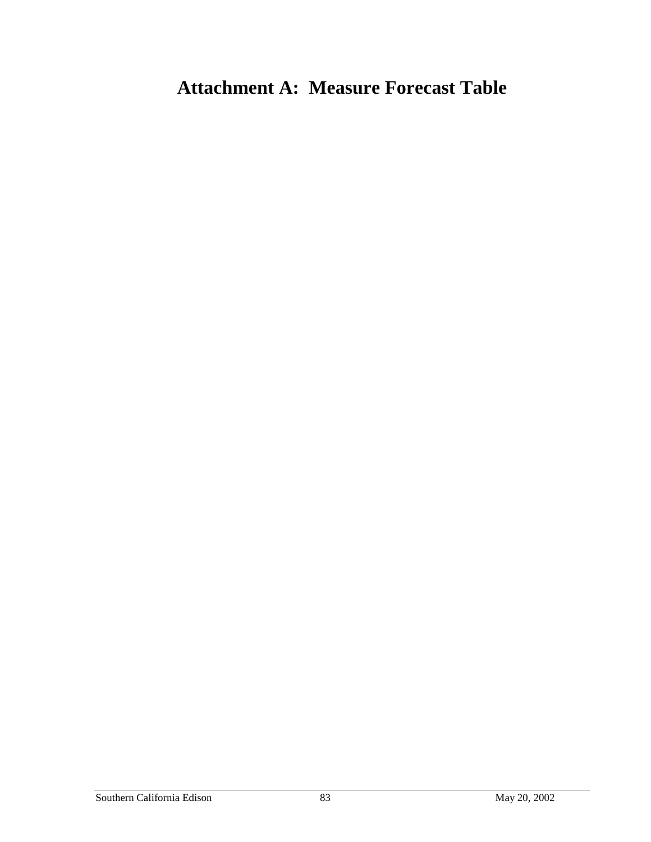# **Attachment A: Measure Forecast Table**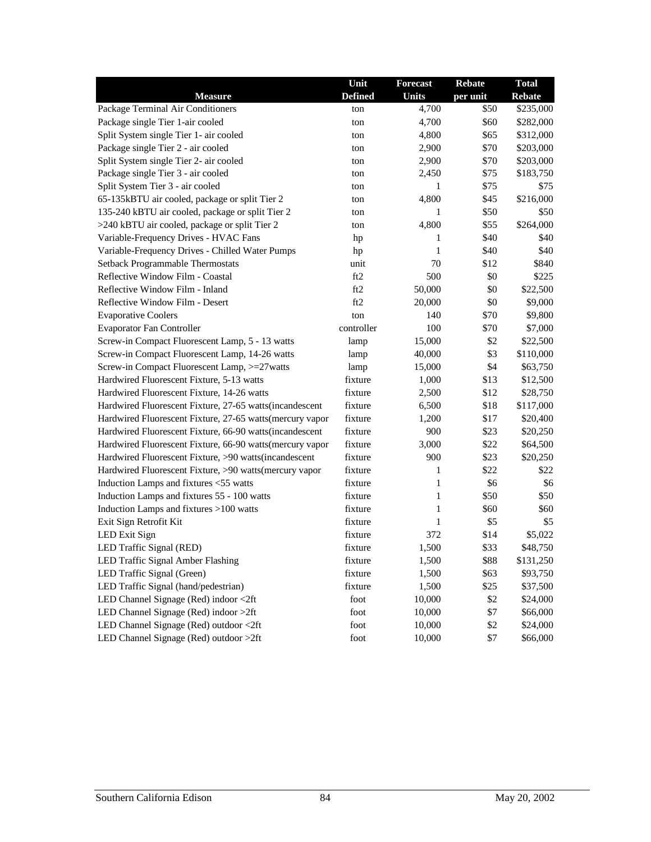|                                                           | Unit           | <b>Forecast</b> | <b>Rebate</b> | <b>Total</b>  |
|-----------------------------------------------------------|----------------|-----------------|---------------|---------------|
| <b>Measure</b>                                            | <b>Defined</b> | <b>Units</b>    | per unit      | <b>Rebate</b> |
| Package Terminal Air Conditioners                         | ton            | 4,700           | \$50          | \$235,000     |
| Package single Tier 1-air cooled                          | ton            | 4,700           | \$60          | \$282,000     |
| Split System single Tier 1- air cooled                    | ton            | 4,800           | \$65          | \$312,000     |
| Package single Tier 2 - air cooled                        | ton            | 2,900           | \$70          | \$203,000     |
| Split System single Tier 2- air cooled                    | ton            | 2,900           | \$70          | \$203,000     |
| Package single Tier 3 - air cooled                        | ton            | 2,450           | \$75          | \$183,750     |
| Split System Tier 3 - air cooled                          | ton            | 1               | \$75          | \$75          |
| 65-135kBTU air cooled, package or split Tier 2            | ton            | 4,800           | \$45          | \$216,000     |
| 135-240 kBTU air cooled, package or split Tier 2          | ton            | 1               | \$50          | \$50          |
| >240 kBTU air cooled, package or split Tier 2             | ton            | 4,800           | \$55          | \$264,000     |
| Variable-Frequency Drives - HVAC Fans                     | hp             | 1               | \$40          | \$40          |
| Variable-Frequency Drives - Chilled Water Pumps           | hp             | 1               | \$40          | \$40          |
| Setback Programmable Thermostats                          | unit           | 70              | \$12          | \$840         |
| Reflective Window Film - Coastal                          | ft2            | 500             | \$0           | \$225         |
| Reflective Window Film - Inland                           | ft2            | 50,000          | \$0           | \$22,500      |
| Reflective Window Film - Desert                           | ft2            | 20,000          | \$0           | \$9,000       |
| <b>Evaporative Coolers</b>                                | ton            | 140             | \$70          | \$9,800       |
| <b>Evaporator Fan Controller</b>                          | controller     | 100             | \$70          | \$7,000       |
| Screw-in Compact Fluorescent Lamp, 5 - 13 watts           | lamp           | 15,000          | \$2           | \$22,500      |
| Screw-in Compact Fluorescent Lamp, 14-26 watts            | lamp           | 40,000          | \$3           | \$110,000     |
| Screw-in Compact Fluorescent Lamp, >=27watts              | lamp           | 15,000          | \$4           | \$63,750      |
| Hardwired Fluorescent Fixture, 5-13 watts                 | fixture        | 1,000           | \$13          | \$12,500      |
| Hardwired Fluorescent Fixture, 14-26 watts                | fixture        | 2,500           | \$12          | \$28,750      |
| Hardwired Fluorescent Fixture, 27-65 watts(incandescent   | fixture        | 6,500           | \$18          | \$117,000     |
| Hardwired Fluorescent Fixture, 27-65 watts (mercury vapor | fixture        | 1,200           | \$17          | \$20,400      |
| Hardwired Fluorescent Fixture, 66-90 watts(incandescent   | fixture        | 900             | \$23          | \$20,250      |
| Hardwired Fluorescent Fixture, 66-90 watts (mercury vapor | fixture        | 3,000           | \$22          | \$64,500      |
| Hardwired Fluorescent Fixture, >90 watts(incandescent     | fixture        | 900             | \$23          | \$20,250      |
| Hardwired Fluorescent Fixture, >90 watts(mercury vapor    | fixture        | 1               | \$22          | \$22          |
| Induction Lamps and fixtures <55 watts                    | fixture        | 1               | \$6           | \$6           |
| Induction Lamps and fixtures 55 - 100 watts               | fixture        | 1               | \$50          | \$50          |
| Induction Lamps and fixtures >100 watts                   | fixture        | 1               | \$60          | \$60          |
| Exit Sign Retrofit Kit                                    | fixture        | 1               | \$5           | \$5           |
| LED Exit Sign                                             | fixture        | 372             | \$14          | \$5,022       |
| LED Traffic Signal (RED)                                  | fixture        | 1,500           | \$33          | \$48,750      |
| LED Traffic Signal Amber Flashing                         | fixture        | 1,500           | \$88          | \$131,250     |
| LED Traffic Signal (Green)                                | fixture        | 1,500           | \$63          | \$93,750      |
| LED Traffic Signal (hand/pedestrian)                      | fixture        | 1,500           | \$25          | \$37,500      |
| LED Channel Signage (Red) indoor <2ft                     | foot           | 10,000          | \$2           | \$24,000      |
| LED Channel Signage (Red) indoor >2ft                     | foot           | 10,000          | \$7           | \$66,000      |
| LED Channel Signage (Red) outdoor <2ft                    | foot           | 10,000          | \$2           | \$24,000      |
| LED Channel Signage (Red) outdoor >2ft                    | foot           | 10,000          | \$7           | \$66,000      |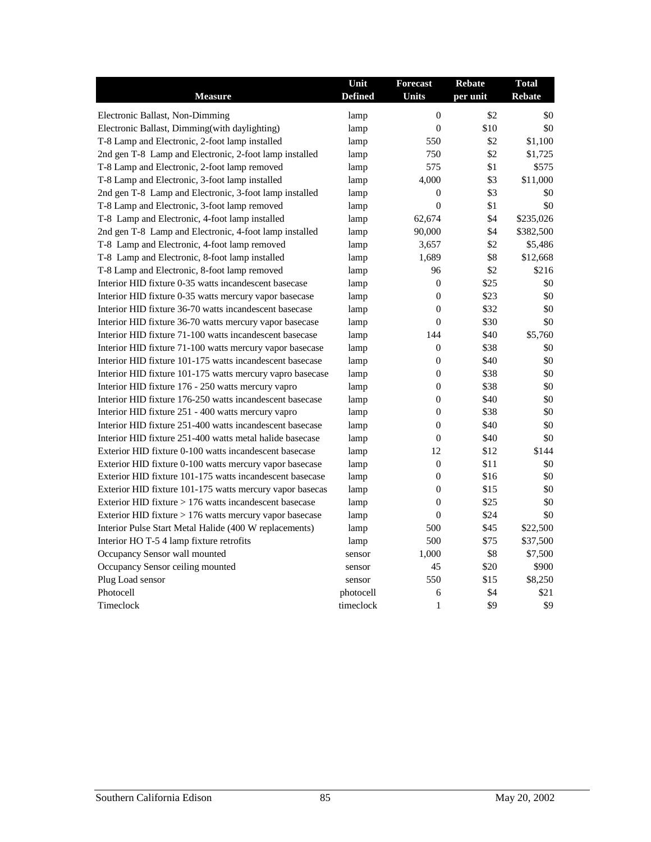|                                                           | Unit           | <b>Forecast</b>  | <b>Rebate</b> | <b>Total</b>  |
|-----------------------------------------------------------|----------------|------------------|---------------|---------------|
| <b>Measure</b>                                            | <b>Defined</b> | <b>Units</b>     | per unit      | <b>Rebate</b> |
| Electronic Ballast, Non-Dimming                           | lamp           | $\theta$         | \$2           | \$0           |
| Electronic Ballast, Dimming(with daylighting)             | lamp           | $\theta$         | \$10          | \$0           |
| T-8 Lamp and Electronic, 2-foot lamp installed            | lamp           | 550              | \$2           | \$1,100       |
| 2nd gen T-8 Lamp and Electronic, 2-foot lamp installed    | lamp           | 750              | \$2           | \$1,725       |
| T-8 Lamp and Electronic, 2-foot lamp removed              | lamp           | 575              | \$1           | \$575         |
| T-8 Lamp and Electronic, 3-foot lamp installed            | lamp           | 4,000            | \$3           | \$11,000      |
| 2nd gen T-8 Lamp and Electronic, 3-foot lamp installed    | lamp           | $\overline{0}$   | \$3           | \$0           |
| T-8 Lamp and Electronic, 3-foot lamp removed              | lamp           | $\boldsymbol{0}$ | \$1           | \$0           |
| T-8 Lamp and Electronic, 4-foot lamp installed            | lamp           | 62,674           | \$4           | \$235,026     |
| 2nd gen T-8 Lamp and Electronic, 4-foot lamp installed    | lamp           | 90,000           | \$4           | \$382,500     |
| T-8 Lamp and Electronic, 4-foot lamp removed              | lamp           | 3,657            | \$2           | \$5,486       |
| T-8 Lamp and Electronic, 8-foot lamp installed            | lamp           | 1,689            | \$8           | \$12,668      |
| T-8 Lamp and Electronic, 8-foot lamp removed              | lamp           | 96               | \$2           | \$216         |
| Interior HID fixture 0-35 watts incandescent basecase     | lamp           | $\overline{0}$   | \$25          | \$0           |
| Interior HID fixture 0-35 watts mercury vapor basecase    | lamp           | $\overline{0}$   | \$23          | \$0           |
| Interior HID fixture 36-70 watts incandescent basecase    | lamp           | $\overline{0}$   | \$32          | \$0           |
| Interior HID fixture 36-70 watts mercury vapor basecase   | lamp           | $\overline{0}$   | \$30          | \$0           |
| Interior HID fixture 71-100 watts incandescent basecase   | lamp           | 144              | \$40          | \$5,760       |
| Interior HID fixture 71-100 watts mercury vapor basecase  | lamp           | $\overline{0}$   | \$38          | \$0           |
| Interior HID fixture 101-175 watts incandescent basecase  | lamp           | $\Omega$         | \$40          | \$0           |
| Interior HID fixture 101-175 watts mercury vapro basecase | lamp           | $\boldsymbol{0}$ | \$38          | \$0           |
| Interior HID fixture 176 - 250 watts mercury vapro        | lamp           | $\boldsymbol{0}$ | \$38          | \$0           |
| Interior HID fixture 176-250 watts incandescent basecase  | lamp           | $\overline{0}$   | \$40          | \$0           |
| Interior HID fixture 251 - 400 watts mercury vapro        | lamp           | $\overline{0}$   | \$38          | \$0           |
| Interior HID fixture 251-400 watts incandescent basecase  | lamp           | $\overline{0}$   | \$40          | \$0           |
| Interior HID fixture 251-400 watts metal halide basecase  | lamp           | $\Omega$         | \$40          | \$0           |
| Exterior HID fixture 0-100 watts incandescent basecase    | lamp           | 12               | \$12          | \$144         |
| Exterior HID fixture 0-100 watts mercury vapor basecase   | lamp           | $\overline{0}$   | \$11          | \$0           |
| Exterior HID fixture 101-175 watts incandescent basecase  | lamp           | $\theta$         | \$16          | \$0           |
| Exterior HID fixture 101-175 watts mercury vapor basecas  | lamp           | $\overline{0}$   | \$15          | \$0           |
| Exterior HID fixture $> 176$ watts incandescent basecase  | lamp           | $\overline{0}$   | \$25          | \$0           |
| Exterior HID fixture > 176 watts mercury vapor basecase   | lamp           | $\theta$         | \$24          | \$0           |
| Interior Pulse Start Metal Halide (400 W replacements)    | lamp           | 500              | \$45          | \$22,500      |
| Interior HOT-5 4 lamp fixture retrofits                   | lamp           | 500              | \$75          | \$37,500      |
| Occupancy Sensor wall mounted                             | sensor         | 1,000            | \$8           | \$7,500       |
| Occupancy Sensor ceiling mounted                          | sensor         | 45               | \$20          | \$900         |
| Plug Load sensor                                          | sensor         | 550              | \$15          | \$8,250       |
| Photocell                                                 | photocell      | 6                | \$4           | \$21          |
| Timeclock                                                 | timeclock      | $\mathbf{1}$     | \$9           | \$9           |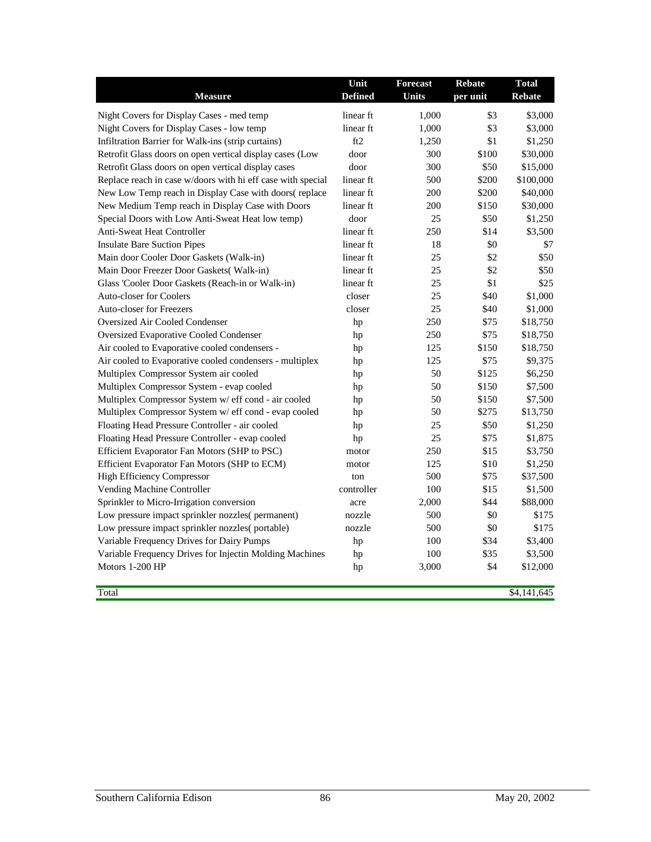| <b>Measure</b>                                              | Unit<br><b>Defined</b> | <b>Forecast</b><br><b>Units</b> | <b>Rebate</b><br>per unit | <b>Total</b><br><b>Rebate</b> |
|-------------------------------------------------------------|------------------------|---------------------------------|---------------------------|-------------------------------|
| Night Covers for Display Cases - med temp                   | linear ft              | 1,000                           | \$3                       | \$3,000                       |
| Night Covers for Display Cases - low temp                   | linear ft              | 1,000                           | \$3                       | \$3,000                       |
| Infiltration Barrier for Walk-ins (strip curtains)          | ft2                    | 1,250                           | \$1                       | \$1,250                       |
| Retrofit Glass doors on open vertical display cases (Low    | door                   | 300                             | \$100                     | \$30,000                      |
| Retrofit Glass doors on open vertical display cases         | door                   | 300                             | \$50                      | \$15,000                      |
| Replace reach in case w/doors with hi eff case with special | linear ft              | 500                             | \$200                     | \$100,000                     |
| New Low Temp reach in Display Case with doors(replace       | linear ft              | 200                             | \$200                     | \$40,000                      |
| New Medium Temp reach in Display Case with Doors            | linear ft              | 200                             | \$150                     | \$30,000                      |
| Special Doors with Low Anti-Sweat Heat low temp)            | door                   | 25                              | \$50                      | \$1,250                       |
| <b>Anti-Sweat Heat Controller</b>                           | linear ft              | 250                             | \$14                      | \$3,500                       |
| <b>Insulate Bare Suction Pipes</b>                          | linear ft              | 18                              | \$0                       | \$7                           |
| Main door Cooler Door Gaskets (Walk-in)                     | linear ft              | 25                              | \$2                       | \$50                          |
| Main Door Freezer Door Gaskets(Walk-in)                     | linear ft              | 25                              | \$2                       | \$50                          |
| Glass 'Cooler Door Gaskets (Reach-in or Walk-in)            | linear ft              | 25                              | \$1                       | \$25                          |
| <b>Auto-closer for Coolers</b>                              | closer                 | 25                              | \$40                      | \$1,000                       |
| <b>Auto-closer for Freezers</b>                             | closer                 | 25                              | \$40                      | \$1,000                       |
| <b>Oversized Air Cooled Condenser</b>                       | hp                     | 250                             | \$75                      | \$18,750                      |
| <b>Oversized Evaporative Cooled Condenser</b>               | hp                     | 250                             | \$75                      | \$18,750                      |
| Air cooled to Evaporative cooled condensers -               | hp                     | 125                             | \$150                     | \$18,750                      |
| Air cooled to Evaporative cooled condensers - multiplex     | hp                     | 125                             | \$75                      | \$9,375                       |
| Multiplex Compressor System air cooled                      | hp                     | 50                              | \$125                     | \$6,250                       |
| Multiplex Compressor System - evap cooled                   | hp                     | 50                              | \$150                     | \$7,500                       |
| Multiplex Compressor System w/ eff cond - air cooled        | hp                     | 50                              | \$150                     | \$7,500                       |
| Multiplex Compressor System w/ eff cond - evap cooled       | hp                     | 50                              | \$275                     | \$13,750                      |
| Floating Head Pressure Controller - air cooled              | hp                     | 25                              | \$50                      | \$1,250                       |
| Floating Head Pressure Controller - evap cooled             | hp                     | 25                              | \$75                      | \$1,875                       |
| Efficient Evaporator Fan Motors (SHP to PSC)                | motor                  | 250                             | \$15                      | \$3,750                       |
| Efficient Evaporator Fan Motors (SHP to ECM)                | motor                  | 125                             | \$10                      | \$1,250                       |
| <b>High Efficiency Compressor</b>                           | ton                    | 500                             | \$75                      | \$37,500                      |
| Vending Machine Controller                                  | controller             | 100                             | \$15                      | \$1,500                       |
| Sprinkler to Micro-Irrigation conversion                    | acre                   | 2,000                           | \$44                      | \$88,000                      |
| Low pressure impact sprinkler nozzles(permanent)            | nozzle                 | 500                             | \$0                       | \$175                         |
| Low pressure impact sprinkler nozzles(portable)             | nozzle                 | 500                             | \$0                       | \$175                         |
| Variable Frequency Drives for Dairy Pumps                   | hp                     | 100                             | \$34                      | \$3,400                       |
| Variable Frequency Drives for Injectin Molding Machines     | hp                     | 100                             | \$35                      | \$3,500                       |
| Motors 1-200 HP                                             | hp                     | 3,000                           | \$4                       | \$12,000                      |
| Total                                                       |                        |                                 |                           | \$4,141,645                   |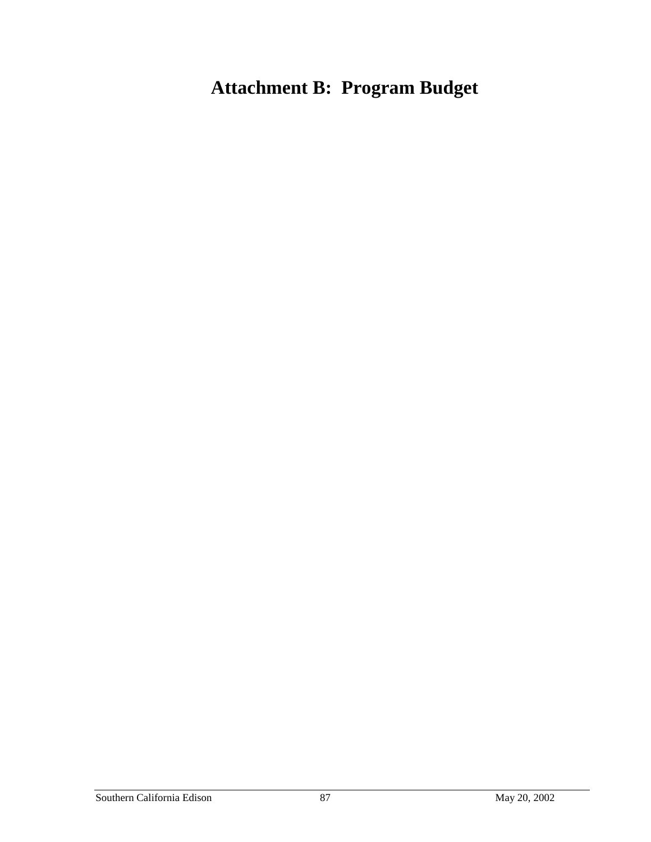# **Attachment B: Program Budget**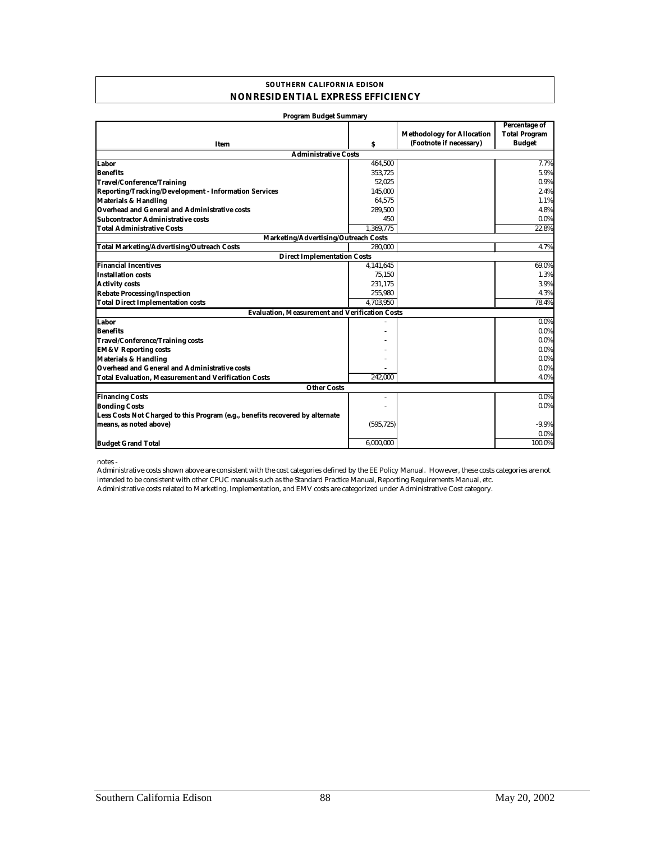#### **SOUTHERN CALIFORNIA EDISON NONRESIDENTIAL EXPRESS EFFICIENCY**

| <b>Program Budget Summary</b>                                                 |            |                                                              |                                                               |
|-------------------------------------------------------------------------------|------------|--------------------------------------------------------------|---------------------------------------------------------------|
| Item                                                                          | s          | <b>Methodology for Allocation</b><br>(Footnote if necessary) | <b>Percentage of</b><br><b>Total Program</b><br><b>Budget</b> |
| <b>Administrative Costs</b>                                                   |            |                                                              |                                                               |
| Labor                                                                         | 464,500    |                                                              | 7.7%                                                          |
| <b>Benefits</b>                                                               | 353,725    |                                                              | 5.9%                                                          |
| Travel/Conference/Training                                                    | 52,025     |                                                              | 0.9%                                                          |
| <b>Reporting/Tracking/Development - Information Services</b>                  | 145,000    |                                                              | 2.4%                                                          |
| <b>Materials &amp; Handling</b>                                               | 64.575     |                                                              | 1.1%                                                          |
| Overhead and General and Administrative costs                                 | 289,500    |                                                              | 4.8%                                                          |
| <b>Subcontractor Administrative costs</b>                                     | 450        |                                                              | 0.0%                                                          |
| <b>Total Administrative Costs</b>                                             | 1.369.775  |                                                              | 22.8%                                                         |
| Marketing/Advertising/Outreach Costs                                          |            |                                                              |                                                               |
| <b>Total Marketing/Advertising/Outreach Costs</b>                             | 280.000    |                                                              | 4.7%                                                          |
| <b>Direct Implementation Costs</b>                                            |            |                                                              |                                                               |
| <b>Financial Incentives</b>                                                   | 4,141,645  |                                                              | 69.0%                                                         |
| <b>Installation costs</b>                                                     | 75,150     |                                                              | 1.3%                                                          |
| <b>Activity costs</b>                                                         | 231,175    |                                                              | 3.9%                                                          |
| <b>Rebate Processing/Inspection</b>                                           | 255,980    |                                                              | 4.3%                                                          |
| <b>Total Direct Implementation costs</b>                                      | 4.703.950  |                                                              | 78.4%                                                         |
| <b>Evaluation. Measurement and Verification Costs</b>                         |            |                                                              |                                                               |
| Labor                                                                         |            |                                                              | $0.0\%$                                                       |
| <b>Benefits</b>                                                               |            |                                                              | $0.0\%$                                                       |
| <b>Travel/Conference/Training costs</b>                                       |            |                                                              | 0.0%                                                          |
| <b>EM&amp;V Reporting costs</b>                                               |            |                                                              | $0.0\%$                                                       |
| <b>Materials &amp; Handling</b>                                               |            |                                                              | $0.0\%$                                                       |
| <b>Overhead and General and Administrative costs</b>                          |            |                                                              | $0.0\%$                                                       |
| <b>Total Evaluation, Measurement and Verification Costs</b>                   | 242.000    |                                                              | 4.0%                                                          |
| <b>Other Costs</b>                                                            |            |                                                              |                                                               |
| <b>Financing Costs</b>                                                        |            |                                                              | $0.0\%$                                                       |
| <b>Bonding Costs</b>                                                          |            |                                                              | 0.0%                                                          |
| Less Costs Not Charged to this Program (e.g., benefits recovered by alternate |            |                                                              |                                                               |
| means, as noted above)                                                        | (595, 725) |                                                              | $-9.9%$                                                       |
|                                                                               |            |                                                              | $0.0\%$                                                       |
| <b>Budget Grand Total</b>                                                     | 6,000,000  |                                                              | 100.0%                                                        |

notes -

Administrative costs related to Marketing, Implementation, and EMV costs are categorized under Administrative Cost category. Administrative costs shown above are consistent with the cost categories defined by the EE Policy Manual. However, these costs categories are not intended to be consistent with other CPUC manuals such as the Standard Practice Manual, Reporting Requirements Manual, etc.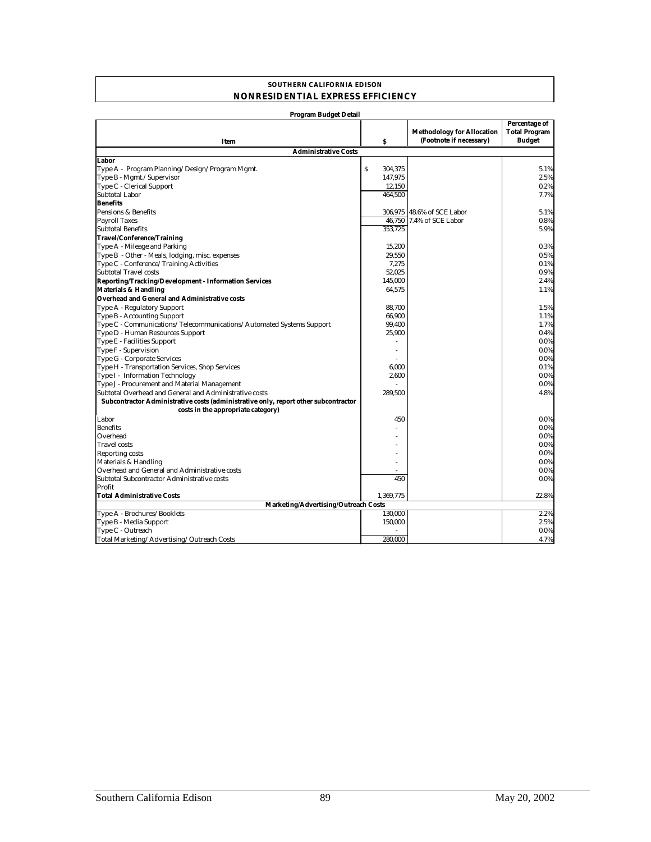#### **SOUTHERN CALIFORNIA EDISON NONRESIDENTIAL EXPRESS EFFICIENCY**

| Program Budget Detail                                                               |               |                                                              |                                                        |
|-------------------------------------------------------------------------------------|---------------|--------------------------------------------------------------|--------------------------------------------------------|
| Item                                                                                | s             | <b>Methodology for Allocation</b><br>(Footnote if necessary) | Percentage of<br><b>Total Program</b><br><b>Budget</b> |
| <b>Administrative Costs</b>                                                         |               |                                                              |                                                        |
| Labor                                                                               |               |                                                              |                                                        |
| Type A - Program Planning/Design/Program Mgmt.                                      | \$<br>304,375 |                                                              | 5.1%                                                   |
| Type B - Mgmt./Supervisor                                                           | 147,975       |                                                              | 2.5%                                                   |
| Type C - Clerical Support                                                           | 12,150        |                                                              | 0.2%                                                   |
| Subtotal Labor                                                                      | 464,500       |                                                              | 7.7%                                                   |
| <b>Benefits</b>                                                                     |               |                                                              |                                                        |
| Pensions & Benefits                                                                 |               | 306,975 48.6% of SCE Labor                                   | 5.1%                                                   |
| <b>Payroll Taxes</b>                                                                |               | 46,750 7.4% of SCE Labor                                     | 0.8%                                                   |
| <b>Subtotal Benefits</b>                                                            | 353.725       |                                                              | 5.9%                                                   |
| Travel/Conference/Training                                                          |               |                                                              |                                                        |
| Type A - Mileage and Parking                                                        | 15,200        |                                                              | 0.3%                                                   |
| Type B - Other - Meals, lodging, misc. expenses                                     | 29,550        |                                                              | 0.5%                                                   |
|                                                                                     |               |                                                              |                                                        |
| Type C - Conference/Training Activities                                             | 7,275         |                                                              | 0.1%                                                   |
| <b>Subtotal Travel costs</b>                                                        | 52,025        |                                                              | 0.9%                                                   |
| Reporting/Tracking/Development - Information Services                               | 145,000       |                                                              | 2.4%                                                   |
| <b>Materials &amp; Handling</b>                                                     | 64.575        |                                                              | 1.1%                                                   |
| Overhead and General and Administrative costs                                       |               |                                                              |                                                        |
| Type A - Regulatory Support                                                         | 88.700        |                                                              | 1.5%                                                   |
| Type B - Accounting Support                                                         | 66.900        |                                                              | 1.1%                                                   |
| Type C - Communications/Telecommunications/Automated Systems Support                | 99,400        |                                                              | 1.7%                                                   |
| Type D - Human Resources Support                                                    | 25,900        |                                                              | 0.4%                                                   |
| Type E - Facilities Support                                                         |               |                                                              | $0.0\%$                                                |
| Type F - Supervision                                                                | $\sim$        |                                                              | $0.0\%$                                                |
| <b>Type G - Corporate Services</b>                                                  |               |                                                              | $0.0\%$                                                |
| Type H - Transportation Services, Shop Services                                     | 6.000         |                                                              | 0.1%                                                   |
| Type I - Information Technology                                                     | 2,600         |                                                              | $0.0\%$                                                |
| Type J - Procurement and Material Management                                        |               |                                                              | $0.0\%$                                                |
| Subtotal Overhead and General and Administrative costs                              | 289,500       |                                                              | 4.8%                                                   |
| Subcontractor Administrative costs (administrative only, report other subcontractor |               |                                                              |                                                        |
| costs in the appropriate category)                                                  |               |                                                              |                                                        |
| Labor                                                                               | 450           |                                                              | $0.0\%$                                                |
| <b>Benefits</b>                                                                     |               |                                                              | $0.0\%$                                                |
| Overhead                                                                            |               |                                                              | $0.0\%$                                                |
| <b>Travel costs</b>                                                                 |               |                                                              | $0.0\%$                                                |
| <b>Reporting costs</b>                                                              |               |                                                              | $0.0\%$                                                |
| Materials & Handling                                                                |               |                                                              | $0.0\%$                                                |
| Overhead and General and Administrative costs                                       |               |                                                              | $0.0\%$                                                |
| Subtotal Subcontractor Administrative costs                                         | 450           |                                                              | $0.0\%$                                                |
| Profit                                                                              |               |                                                              |                                                        |
| <b>Total Administrative Costs</b>                                                   | 1,369,775     |                                                              | 22.8%                                                  |
| Marketing/Advertising/Outreach Costs                                                |               |                                                              |                                                        |
| Type A - Brochures/Booklets                                                         | 130,000       |                                                              | 2.2%                                                   |
| Type B - Media Support                                                              | 150,000       |                                                              | 2.5%                                                   |
| Type C - Outreach                                                                   |               |                                                              | $0.0\%$                                                |
| Total Marketing/Advertising/Outreach Costs                                          | 280.000       |                                                              | 4.7%                                                   |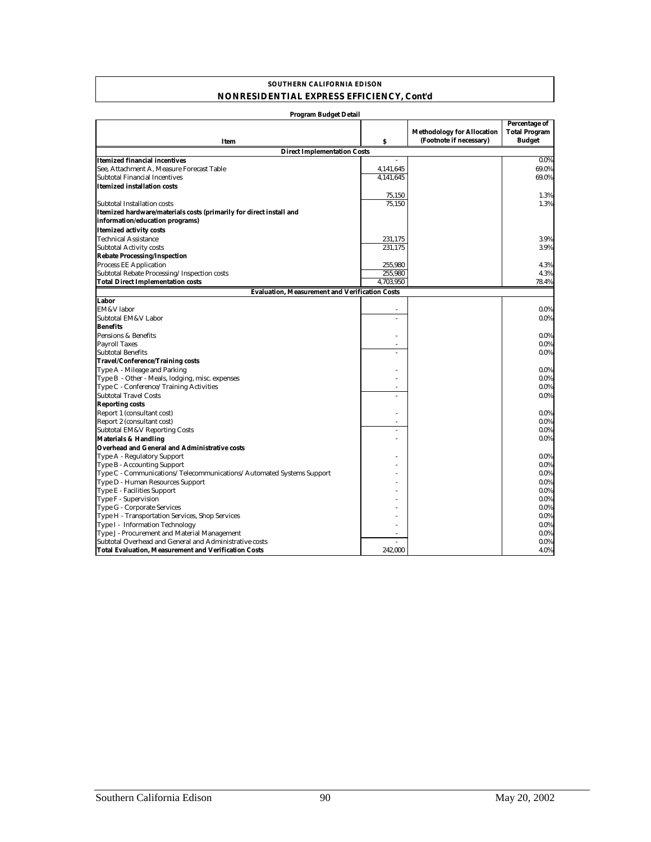#### **SOUTHERN CALIFORNIA EDISON NONRESIDENTIAL EXPRESS EFFICIENCY, Cont'd**

| <b>Program Budget Detail</b>                                         |           |                                                              |                                                               |
|----------------------------------------------------------------------|-----------|--------------------------------------------------------------|---------------------------------------------------------------|
|                                                                      |           | <b>Methodology for Allocation</b><br>(Footnote if necessary) | <b>Percentage of</b><br><b>Total Program</b><br><b>Budget</b> |
| <b>Item</b>                                                          | \$        |                                                              |                                                               |
| <b>Direct Implementation Costs</b>                                   |           |                                                              |                                                               |
| Itemized financial incentives                                        |           |                                                              | 0.0%                                                          |
| See, Attachment A, Measure Forecast Table                            | 4,141,645 |                                                              | 69.0%                                                         |
| <b>Subtotal Financial Incentives</b>                                 | 4,141,645 |                                                              | 69.0%                                                         |
| Itemized installation costs                                          |           |                                                              |                                                               |
|                                                                      | 75,150    |                                                              | 1.3%                                                          |
| Subtotal Installation costs                                          | 75.150    |                                                              | 1.3%                                                          |
| Itemized hardware/materials costs (primarily for direct install and  |           |                                                              |                                                               |
| information/education programs)                                      |           |                                                              |                                                               |
| <b>Itemized activity costs</b>                                       |           |                                                              |                                                               |
| <b>Technical Assistance</b>                                          | 231,175   |                                                              | 3.9%                                                          |
| <b>Subtotal Activity costs</b>                                       | 231,175   |                                                              | 3.9%                                                          |
| <b>Rebate Processing/Inspection</b>                                  |           |                                                              |                                                               |
| <b>Process EE Application</b>                                        | 255,980   |                                                              | 4.3%                                                          |
| Subtotal Rebate Processing/Inspection costs                          | 255,980   |                                                              | 4.3%                                                          |
| <b>Total Direct Implementation costs</b>                             | 4,703,950 |                                                              | 78.4%                                                         |
| <b>Evaluation, Measurement and Verification Costs</b>                |           |                                                              |                                                               |
| Labor                                                                |           |                                                              |                                                               |
| EM&V labor                                                           |           |                                                              | $0.0\%$                                                       |
| Subtotal EM&V Labor                                                  | ÷,        |                                                              | $0.0\%$                                                       |
| <b>Benefits</b>                                                      |           |                                                              |                                                               |
| Pensions & Benefits                                                  |           |                                                              | $0.0\%$                                                       |
| <b>Payroll Taxes</b>                                                 |           |                                                              | $0.0\%$                                                       |
| <b>Subtotal Benefits</b>                                             |           |                                                              | 0.0%                                                          |
| <b>Travel/Conference/Training costs</b>                              |           |                                                              |                                                               |
| Type A - Mileage and Parking                                         |           |                                                              | $0.0\%$                                                       |
| Type B - Other - Meals, lodging, misc. expenses                      |           |                                                              | $0.0\%$                                                       |
| Type C - Conference/Training Activities                              | ÷.        |                                                              | $0.0\%$                                                       |
| <b>Subtotal Travel Costs</b>                                         |           |                                                              | $0.0\%$                                                       |
| <b>Reporting costs</b>                                               |           |                                                              |                                                               |
| Report 1 (consultant cost)                                           |           |                                                              | $0.0\%$                                                       |
| Report 2 (consultant cost)                                           |           |                                                              | 0.0%                                                          |
| <b>Subtotal EM&amp;V Reporting Costs</b>                             |           |                                                              | $0.0\%$                                                       |
| <b>Materials &amp; Handling</b>                                      |           |                                                              | $0.0\%$                                                       |
| <b>Overhead and General and Administrative costs</b>                 |           |                                                              |                                                               |
| Type A - Regulatory Support                                          |           |                                                              | $0.0\%$                                                       |
| Type B - Accounting Support                                          |           |                                                              | $0.0\%$                                                       |
| Type C - Communications/Telecommunications/Automated Systems Support |           |                                                              | $0.0\%$                                                       |
| Type D - Human Resources Support                                     |           |                                                              | $0.0\%$                                                       |
| Type E - Facilities Support                                          |           |                                                              | $0.0\%$                                                       |
| Type F - Supervision                                                 |           |                                                              | 0.0%                                                          |
| Type G - Corporate Services                                          |           |                                                              | $0.0\%$                                                       |
| Type H - Transportation Services, Shop Services                      |           |                                                              | $0.0\%$                                                       |
| Type I - Information Technology                                      |           |                                                              | $0.0\%$                                                       |
| Type J - Procurement and Material Management                         |           |                                                              | 0.0%                                                          |
| Subtotal Overhead and General and Administrative costs               |           |                                                              | $0.0\%$                                                       |
|                                                                      | 242.000   |                                                              | 4.0%                                                          |
| Total Evaluation. Measurement and Verification Costs                 |           |                                                              |                                                               |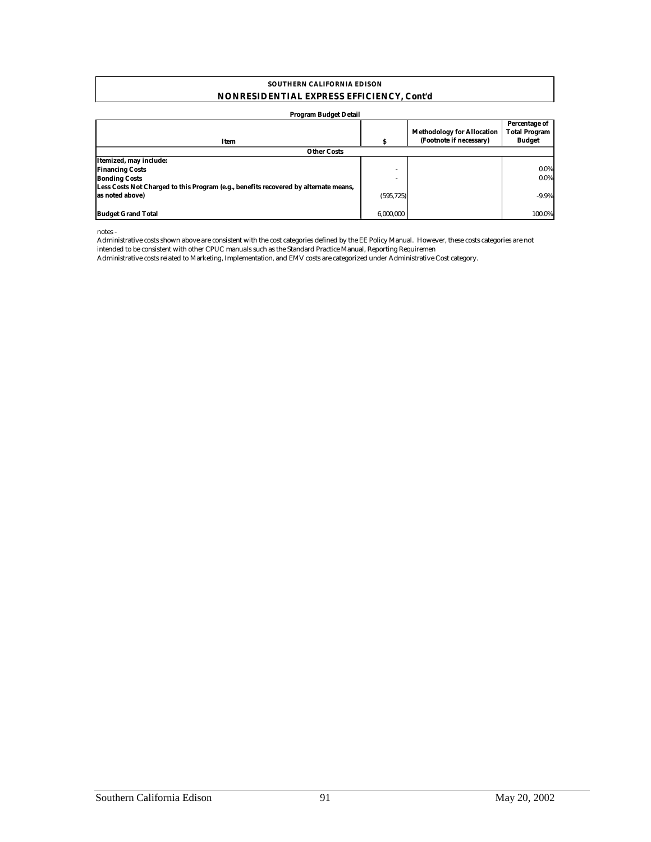#### **NONRESIDENTIAL EXPRESS EFFICIENCY, Cont'd SOUTHERN CALIFORNIA EDISON**

#### **Program Budget Detail**

|                                                                                      |            | <b>Methodology for Allocation</b><br>(Footnote if necessary) | Percentage of<br><b>Total Program</b><br><b>Budget</b> |
|--------------------------------------------------------------------------------------|------------|--------------------------------------------------------------|--------------------------------------------------------|
| Item                                                                                 |            |                                                              |                                                        |
| <b>Other Costs</b>                                                                   |            |                                                              |                                                        |
| Itemized, may include:                                                               |            |                                                              |                                                        |
| <b>Financing Costs</b>                                                               | ٠          |                                                              | $0.0\%$                                                |
| <b>Bonding Costs</b>                                                                 |            |                                                              | $0.0\%$                                                |
| Less Costs Not Charged to this Program (e.g., benefits recovered by alternate means, |            |                                                              |                                                        |
| as noted above)                                                                      | (595, 725) |                                                              | $-9.9%$                                                |
|                                                                                      |            |                                                              |                                                        |
| <b>Budget Grand Total</b>                                                            | 6.000.000  |                                                              | 100.0%                                                 |

notes -

Administrative costs shown above are consistent with the cost categories defined by the EE Policy Manual. However, these costs categories are not intended to be consistent with other CPUC manuals such as the Standard Practice Manual, Reporting Requiremen

Administrative costs related to Marketing, Implementation, and EMV costs are categorized under Administrative Cost category.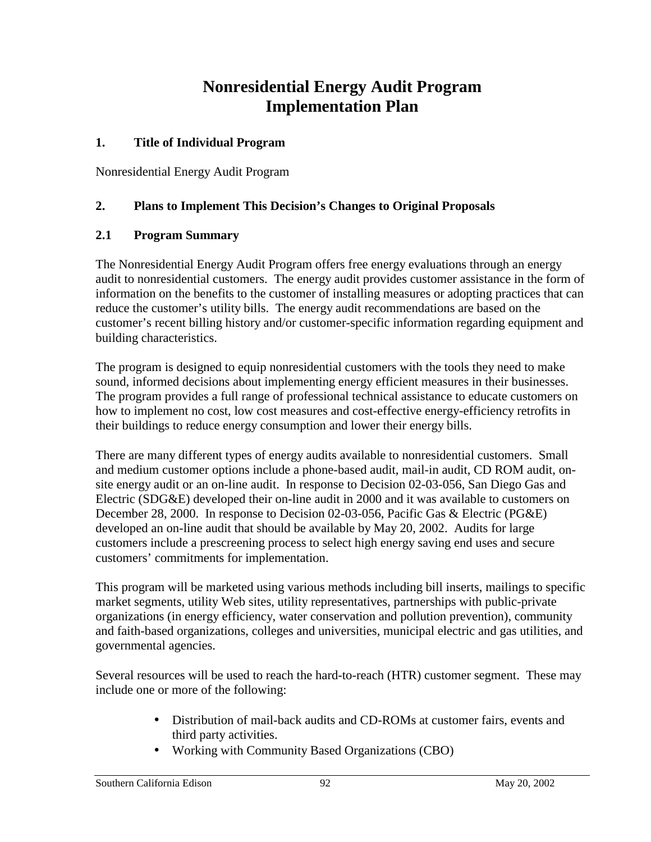## **Nonresidential Energy Audit Program Implementation Plan**

#### **1. Title of Individual Program**

Nonresidential Energy Audit Program

## **2. Plans to Implement This Decision's Changes to Original Proposals**

### **2.1 Program Summary**

The Nonresidential Energy Audit Program offers free energy evaluations through an energy audit to nonresidential customers. The energy audit provides customer assistance in the form of information on the benefits to the customer of installing measures or adopting practices that can reduce the customer's utility bills. The energy audit recommendations are based on the customer's recent billing history and/or customer-specific information regarding equipment and building characteristics.

The program is designed to equip nonresidential customers with the tools they need to make sound, informed decisions about implementing energy efficient measures in their businesses. The program provides a full range of professional technical assistance to educate customers on how to implement no cost, low cost measures and cost-effective energy-efficiency retrofits in their buildings to reduce energy consumption and lower their energy bills.

There are many different types of energy audits available to nonresidential customers. Small and medium customer options include a phone-based audit, mail-in audit, CD ROM audit, onsite energy audit or an on-line audit. In response to Decision 02-03-056, San Diego Gas and Electric (SDG&E) developed their on-line audit in 2000 and it was available to customers on December 28, 2000. In response to Decision 02-03-056, Pacific Gas & Electric (PG&E) developed an on-line audit that should be available by May 20, 2002. Audits for large customers include a prescreening process to select high energy saving end uses and secure customers' commitments for implementation.

This program will be marketed using various methods including bill inserts, mailings to specific market segments, utility Web sites, utility representatives, partnerships with public-private organizations (in energy efficiency, water conservation and pollution prevention), community and faith-based organizations, colleges and universities, municipal electric and gas utilities, and governmental agencies.

Several resources will be used to reach the hard-to-reach (HTR) customer segment. These may include one or more of the following:

- Distribution of mail-back audits and CD-ROMs at customer fairs, events and third party activities.
- Working with Community Based Organizations (CBO)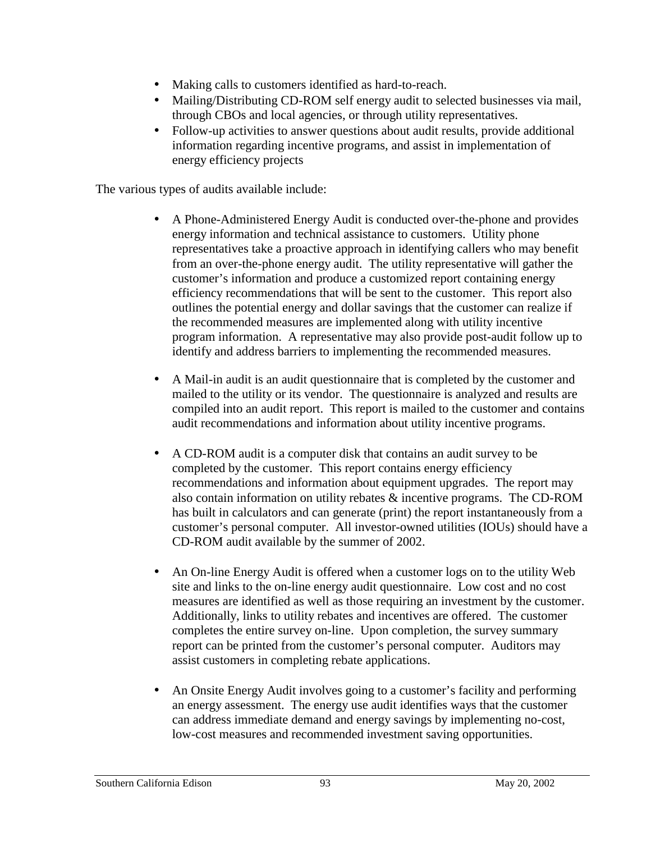- Making calls to customers identified as hard-to-reach.
- Mailing/Distributing CD-ROM self energy audit to selected businesses via mail, through CBOs and local agencies, or through utility representatives.
- Follow-up activities to answer questions about audit results, provide additional information regarding incentive programs, and assist in implementation of energy efficiency projects

The various types of audits available include:

- A Phone-Administered Energy Audit is conducted over-the-phone and provides energy information and technical assistance to customers. Utility phone representatives take a proactive approach in identifying callers who may benefit from an over-the-phone energy audit. The utility representative will gather the customer's information and produce a customized report containing energy efficiency recommendations that will be sent to the customer. This report also outlines the potential energy and dollar savings that the customer can realize if the recommended measures are implemented along with utility incentive program information. A representative may also provide post-audit follow up to identify and address barriers to implementing the recommended measures.
- A Mail-in audit is an audit questionnaire that is completed by the customer and mailed to the utility or its vendor. The questionnaire is analyzed and results are compiled into an audit report. This report is mailed to the customer and contains audit recommendations and information about utility incentive programs.
- A CD-ROM audit is a computer disk that contains an audit survey to be completed by the customer. This report contains energy efficiency recommendations and information about equipment upgrades. The report may also contain information on utility rebates & incentive programs. The CD-ROM has built in calculators and can generate (print) the report instantaneously from a customer's personal computer. All investor-owned utilities (IOUs) should have a CD-ROM audit available by the summer of 2002.
- An On-line Energy Audit is offered when a customer logs on to the utility Web site and links to the on-line energy audit questionnaire. Low cost and no cost measures are identified as well as those requiring an investment by the customer. Additionally, links to utility rebates and incentives are offered. The customer completes the entire survey on-line. Upon completion, the survey summary report can be printed from the customer's personal computer. Auditors may assist customers in completing rebate applications.
- An Onsite Energy Audit involves going to a customer's facility and performing an energy assessment. The energy use audit identifies ways that the customer can address immediate demand and energy savings by implementing no-cost, low-cost measures and recommended investment saving opportunities.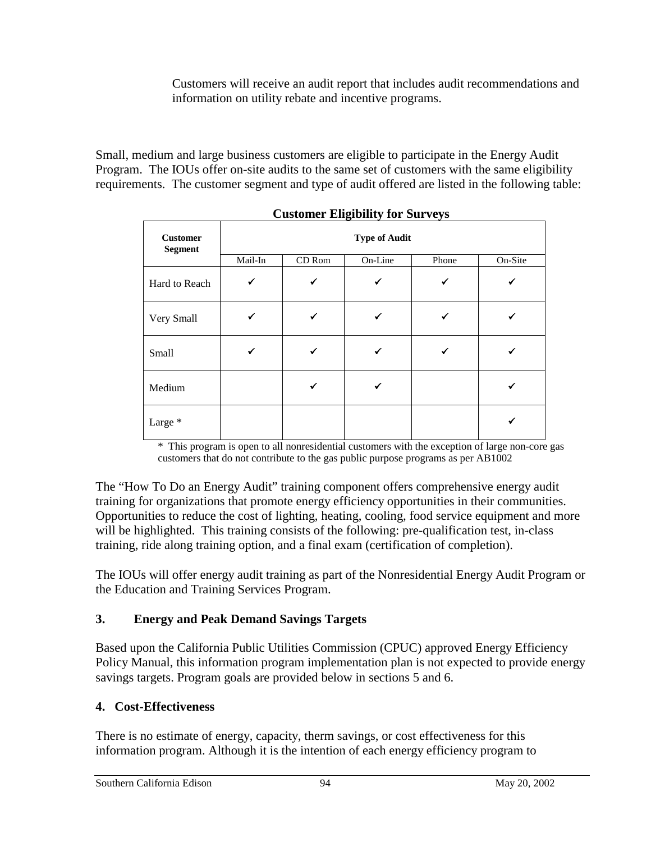Customers will receive an audit report that includes audit recommendations and information on utility rebate and incentive programs.

Small, medium and large business customers are eligible to participate in the Energy Audit Program. The IOUs offer on-site audits to the same set of customers with the same eligibility requirements. The customer segment and type of audit offered are listed in the following table:

| <b>Customer</b><br><b>Segment</b> | <b>Type of Audit</b> |        |         |       |         |
|-----------------------------------|----------------------|--------|---------|-------|---------|
|                                   | Mail-In              | CD Rom | On-Line | Phone | On-Site |
| Hard to Reach                     | ✓                    | ✓      |         | ✔     |         |
| Very Small                        |                      | ✔      |         |       |         |
| Small                             |                      |        |         | ✔     |         |
| Medium                            |                      | ✔      |         |       |         |
| Large $^\ast$                     |                      |        |         |       |         |

**Customer Eligibility for Surveys** 

\* This program is open to all nonresidential customers with the exception of large non-core gas customers that do not contribute to the gas public purpose programs as per AB1002

The "How To Do an Energy Audit" training component offers comprehensive energy audit training for organizations that promote energy efficiency opportunities in their communities. Opportunities to reduce the cost of lighting, heating, cooling, food service equipment and more will be highlighted. This training consists of the following: pre-qualification test, in-class training, ride along training option, and a final exam (certification of completion).

The IOUs will offer energy audit training as part of the Nonresidential Energy Audit Program or the Education and Training Services Program.

## **3. Energy and Peak Demand Savings Targets**

Based upon the California Public Utilities Commission (CPUC) approved Energy Efficiency Policy Manual, this information program implementation plan is not expected to provide energy savings targets. Program goals are provided below in sections 5 and 6.

## **4. Cost-Effectiveness**

There is no estimate of energy, capacity, therm savings, or cost effectiveness for this information program. Although it is the intention of each energy efficiency program to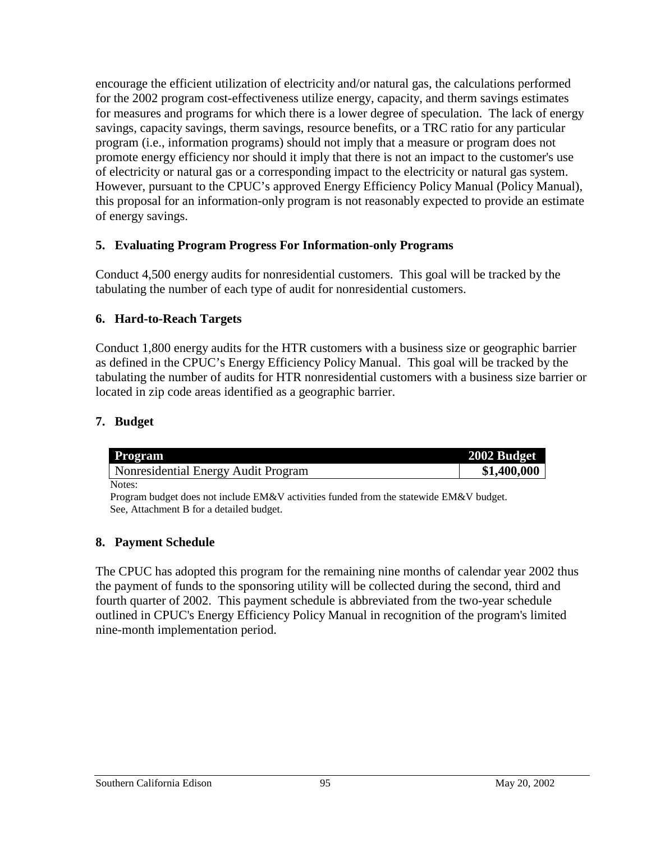encourage the efficient utilization of electricity and/or natural gas, the calculations performed for the 2002 program cost-effectiveness utilize energy, capacity, and therm savings estimates for measures and programs for which there is a lower degree of speculation. The lack of energy savings, capacity savings, therm savings, resource benefits, or a TRC ratio for any particular program (i.e., information programs) should not imply that a measure or program does not promote energy efficiency nor should it imply that there is not an impact to the customer's use of electricity or natural gas or a corresponding impact to the electricity or natural gas system. However, pursuant to the CPUC's approved Energy Efficiency Policy Manual (Policy Manual), this proposal for an information-only program is not reasonably expected to provide an estimate of energy savings.

#### **5. Evaluating Program Progress For Information-only Programs**

Conduct 4,500 energy audits for nonresidential customers. This goal will be tracked by the tabulating the number of each type of audit for nonresidential customers.

### **6. Hard-to-Reach Targets**

Conduct 1,800 energy audits for the HTR customers with a business size or geographic barrier as defined in the CPUC's Energy Efficiency Policy Manual. This goal will be tracked by the tabulating the number of audits for HTR nonresidential customers with a business size barrier or located in zip code areas identified as a geographic barrier.

## **7. Budget**

| <b>Program</b>                      | 2002 Budget |
|-------------------------------------|-------------|
| Nonresidential Energy Audit Program | \$1,400,000 |
| Notes:                              |             |

Program budget does not include EM&V activities funded from the statewide EM&V budget. See, Attachment B for a detailed budget.

#### **8. Payment Schedule**

The CPUC has adopted this program for the remaining nine months of calendar year 2002 thus the payment of funds to the sponsoring utility will be collected during the second, third and fourth quarter of 2002. This payment schedule is abbreviated from the two-year schedule outlined in CPUC's Energy Efficiency Policy Manual in recognition of the program's limited nine-month implementation period.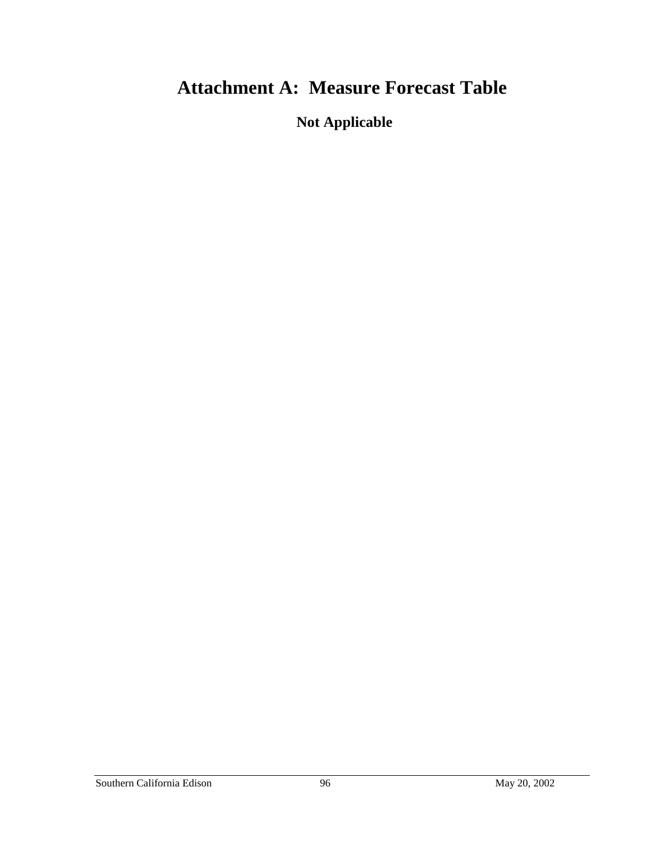# **Attachment A: Measure Forecast Table**

**Not Applicable**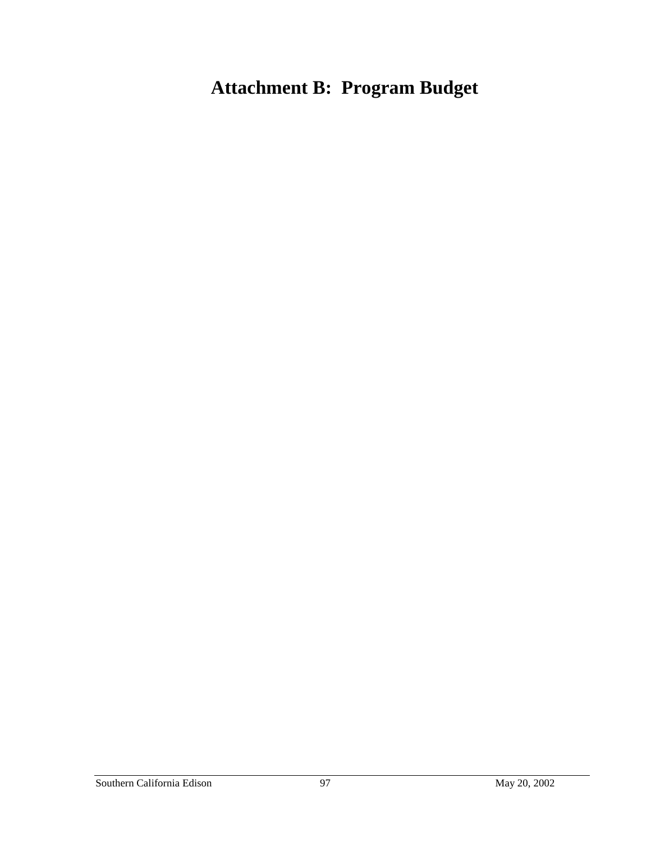# **Attachment B: Program Budget**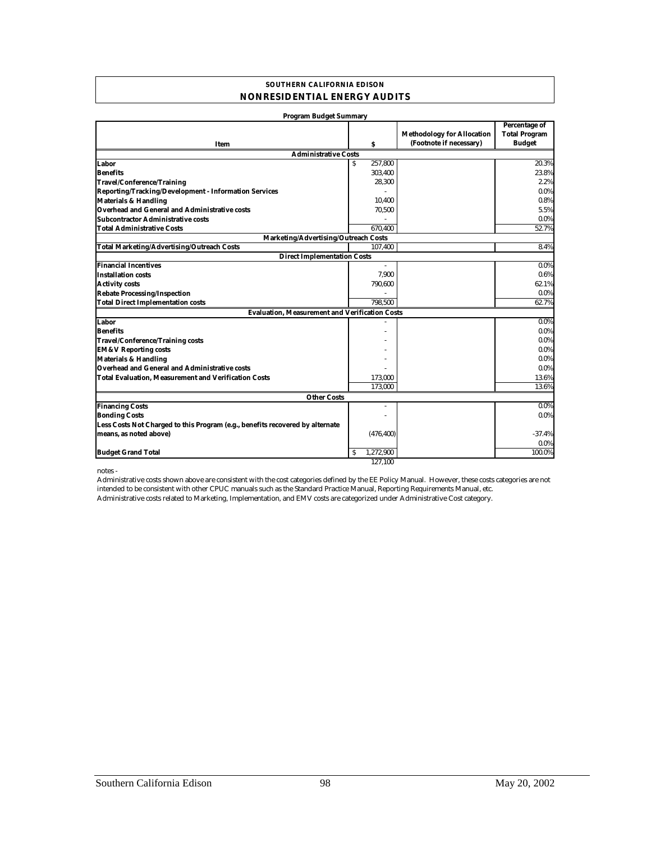#### **SOUTHERN CALIFORNIA EDISON NONRESIDENTIAL ENERGY AUDITS**

| <b>Program Budget Summary</b>                                                 |                |                                                              |                                                               |
|-------------------------------------------------------------------------------|----------------|--------------------------------------------------------------|---------------------------------------------------------------|
| Item                                                                          | s              | <b>Methodology for Allocation</b><br>(Footnote if necessary) | <b>Percentage of</b><br><b>Total Program</b><br><b>Budget</b> |
| <b>Administrative Costs</b>                                                   |                |                                                              |                                                               |
| Labor                                                                         | 257.800<br>S.  |                                                              | 20.3%                                                         |
| <b>Benefits</b>                                                               | 303,400        |                                                              | 23.8%                                                         |
| Travel/Conference/Training                                                    | 28,300         |                                                              | 2.2%                                                          |
| Reporting/Tracking/Development - Information Services                         |                |                                                              | 0.0%                                                          |
| <b>Materials &amp; Handling</b>                                               | 10,400         |                                                              | 0.8%                                                          |
| Overhead and General and Administrative costs                                 | 70,500         |                                                              | 5.5%                                                          |
| Subcontractor Administrative costs                                            | $\overline{a}$ |                                                              | 0.0%                                                          |
| <b>Total Administrative Costs</b>                                             | 670.400        |                                                              | 52.7%                                                         |
| Marketing/Advertising/Outreach Costs                                          |                |                                                              |                                                               |
| <b>Total Marketing/Advertising/Outreach Costs</b>                             | 107,400        |                                                              | 8.4%                                                          |
| <b>Direct Implementation Costs</b>                                            |                |                                                              |                                                               |
| <b>Financial Incentives</b>                                                   | $\sim$         |                                                              | $0.0\%$                                                       |
| <b>Installation costs</b>                                                     | 7.900          |                                                              | 0.6%                                                          |
| <b>Activity costs</b>                                                         | 790,600        |                                                              | 62.1%                                                         |
| <b>Rebate Processing/Inspection</b>                                           |                |                                                              | $0.0\%$                                                       |
| <b>Total Direct Implementation costs</b>                                      | 798.500        |                                                              | 62.7%                                                         |
| <b>Evaluation, Measurement and Verification Costs</b>                         |                |                                                              |                                                               |
| Labor                                                                         |                |                                                              | $0.0\%$                                                       |
| <b>Benefits</b>                                                               |                |                                                              | $0.0\%$                                                       |
| <b>Travel/Conference/Training costs</b>                                       |                |                                                              | $0.0\%$                                                       |
| <b>EM&amp;V Reporting costs</b>                                               |                |                                                              | $0.0\%$                                                       |
| <b>Materials &amp; Handling</b>                                               |                |                                                              | $0.0\%$                                                       |
| Overhead and General and Administrative costs                                 |                |                                                              | 0.0%                                                          |
| <b>Total Evaluation, Measurement and Verification Costs</b>                   | 173,000        |                                                              | 13.6%                                                         |
|                                                                               | 173,000        |                                                              | 13.6%                                                         |
| <b>Other Costs</b>                                                            |                |                                                              |                                                               |
| <b>Financing Costs</b>                                                        | ٠              |                                                              | 0.0%                                                          |
| <b>Bonding Costs</b>                                                          |                |                                                              | $0.0\%$                                                       |
| Less Costs Not Charged to this Program (e.g., benefits recovered by alternate |                |                                                              |                                                               |
| means, as noted above)                                                        | (476, 400)     |                                                              | $-37.4%$                                                      |
|                                                                               |                |                                                              | 0.0%                                                          |
| <b>Budget Grand Total</b>                                                     | S<br>1,272,900 |                                                              | 100.0%                                                        |
|                                                                               | 127.100        |                                                              |                                                               |

notes -

Administrative costs related to Marketing, Implementation, and EMV costs are categorized under Administrative Cost category. Administrative costs shown above are consistent with the cost categories defined by the EE Policy Manual. However, these costs categories are not intended to be consistent with other CPUC manuals such as the Standard Practice Manual, Reporting Requirements Manual, etc.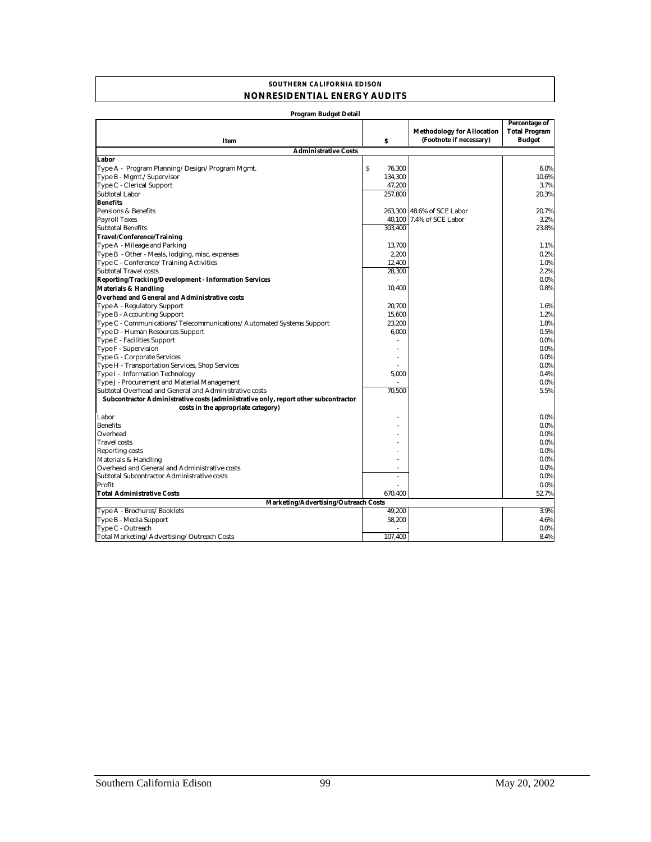#### **SOUTHERN CALIFORNIA EDISON NONRESIDENTIAL ENERGY AUDITS**

| <b>Program Budget Detail</b>                                                        |             |                                                              |                                                               |
|-------------------------------------------------------------------------------------|-------------|--------------------------------------------------------------|---------------------------------------------------------------|
| Item                                                                                | s           | <b>Methodology for Allocation</b><br>(Footnote if necessary) | <b>Percentage of</b><br><b>Total Program</b><br><b>Budget</b> |
| <b>Administrative Costs</b>                                                         |             |                                                              |                                                               |
| Labor                                                                               |             |                                                              |                                                               |
| Type A - Program Planning/Design/Program Mgmt.                                      | S<br>76,300 |                                                              | 6.0%                                                          |
| Type B - Mgmt./Supervisor                                                           | 134,300     |                                                              | 10.6%                                                         |
| Type C - Clerical Support                                                           | 47,200      |                                                              | 3.7%                                                          |
| Subtotal Labor                                                                      | 257.800     |                                                              | 20.3%                                                         |
| <b>Benefits</b>                                                                     |             |                                                              |                                                               |
| Pensions & Benefits                                                                 |             | 263,300 48.6% of SCE Labor                                   | 20.7%                                                         |
| <b>Payroll Taxes</b>                                                                |             | 40,100 7.4% of SCE Labor                                     | 3.2%                                                          |
| <b>Subtotal Benefits</b>                                                            | 303.400     |                                                              | 23.8%                                                         |
| Travel/Conference/Training                                                          |             |                                                              |                                                               |
| Type A - Mileage and Parking                                                        | 13,700      |                                                              | 1.1%                                                          |
| Type B - Other - Meals, lodging, misc. expenses                                     | 2.200       |                                                              | 0.2%                                                          |
| Type C - Conference/Training Activities                                             | 12,400      |                                                              | 1.0%                                                          |
| <b>Subtotal Travel costs</b>                                                        | 28,300      |                                                              | 2.2%                                                          |
| Reporting/Tracking/Development - Information Services                               |             |                                                              | $0.0\%$                                                       |
| <b>Materials &amp; Handling</b>                                                     | 10,400      |                                                              | 0.8%                                                          |
| Overhead and General and Administrative costs                                       |             |                                                              |                                                               |
| Type A - Regulatory Support                                                         | 20.700      |                                                              | 1.6%                                                          |
| Type B - Accounting Support                                                         | 15,600      |                                                              | 1.2%                                                          |
| Type C - Communications/Telecommunications/Automated Systems Support                | 23,200      |                                                              | 1.8%                                                          |
| Type D - Human Resources Support                                                    | 6,000       |                                                              | 0.5%                                                          |
| Type E - Facilities Support                                                         |             |                                                              | $0.0\%$                                                       |
| Type F - Supervision                                                                |             |                                                              | $0.0\%$                                                       |
| Type G - Corporate Services                                                         |             |                                                              | $0.0\%$                                                       |
| Type H - Transportation Services, Shop Services                                     |             |                                                              | $0.0\%$                                                       |
| Type I - Information Technology                                                     | 5,000       |                                                              | 0.4%                                                          |
| Type J - Procurement and Material Management                                        |             |                                                              | $0.0\%$                                                       |
| Subtotal Overhead and General and Administrative costs                              | 70.500      |                                                              | 5.5%                                                          |
| Subcontractor Administrative costs (administrative only, report other subcontractor |             |                                                              |                                                               |
| costs in the appropriate category)                                                  |             |                                                              |                                                               |
| Labor                                                                               |             |                                                              | $0.0\%$                                                       |
| <b>Benefits</b>                                                                     |             |                                                              | $0.0\%$                                                       |
| Overhead                                                                            |             |                                                              | $0.0\%$                                                       |
| <b>Travel</b> costs                                                                 |             |                                                              | $0.0\%$                                                       |
| <b>Reporting costs</b>                                                              |             |                                                              | $0.0\%$                                                       |
| Materials & Handling                                                                |             |                                                              | $0.0\%$                                                       |
| Overhead and General and Administrative costs                                       |             |                                                              | $0.0\%$                                                       |
| Subtotal Subcontractor Administrative costs                                         |             |                                                              | 0.0%                                                          |
| Profit                                                                              |             |                                                              | $0.0\%$                                                       |
| <b>Total Administrative Costs</b>                                                   | 670.400     |                                                              | 52.7%                                                         |
| Marketing/Advertising/Outreach Costs                                                |             |                                                              |                                                               |
| Type A - Brochures/Booklets                                                         | 49,200      |                                                              | 3.9%                                                          |
| Type B - Media Support                                                              | 58,200      |                                                              | 4.6%                                                          |
| Type C - Outreach                                                                   |             |                                                              | $0.0\%$                                                       |
| Total Marketing/Advertising/Outreach Costs                                          | 107,400     |                                                              | 8.4%                                                          |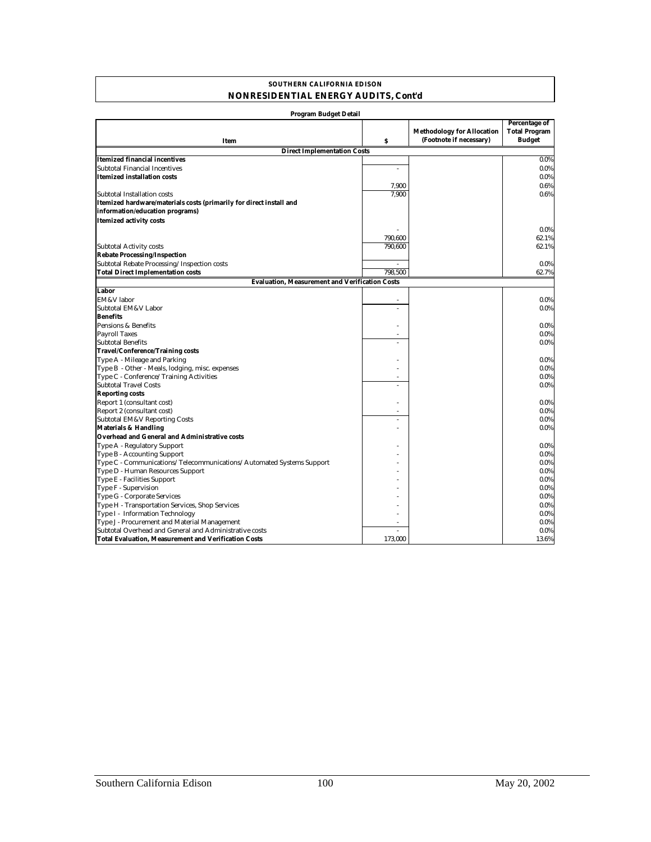#### **SOUTHERN CALIFORNIA EDISON NONRESIDENTIAL ENERGY AUDITS, Cont'd**

| Program Budget Detail                                                |                          |                                   |                                       |
|----------------------------------------------------------------------|--------------------------|-----------------------------------|---------------------------------------|
|                                                                      |                          | <b>Methodology for Allocation</b> | Percentage of<br><b>Total Program</b> |
| Item                                                                 | s                        | (Footnote if necessary)           | <b>Budget</b>                         |
| <b>Direct Implementation Costs</b>                                   |                          |                                   |                                       |
| Itemized financial incentives                                        |                          |                                   | $0.0\%$                               |
| Subtotal Financial Incentives                                        | ÷.                       |                                   | $0.0\%$                               |
| Itemized installation costs                                          |                          |                                   | $0.0\%$                               |
|                                                                      | 7,900                    |                                   | 0.6%                                  |
| Subtotal Installation costs                                          | 7.900                    |                                   | 0.6%                                  |
| Itemized hardware/materials costs (primarily for direct install and  |                          |                                   |                                       |
| information/education programs)                                      |                          |                                   |                                       |
| <b>Itemized activity costs</b>                                       |                          |                                   |                                       |
|                                                                      |                          |                                   | $0.0\%$                               |
|                                                                      | 790,600                  |                                   | 62.1%                                 |
| <b>Subtotal Activity costs</b>                                       | 790,600                  |                                   | 62.1%                                 |
| <b>Rebate Processing/Inspection</b>                                  |                          |                                   |                                       |
| Subtotal Rebate Processing/Inspection costs                          | $\overline{\phantom{a}}$ |                                   | $0.0\%$                               |
| <b>Total Direct Implementation costs</b>                             | 798,500                  |                                   | 62.7%                                 |
| <b>Evaluation, Measurement and Verification Costs</b>                |                          |                                   |                                       |
| Labor                                                                |                          |                                   |                                       |
| EM&V labor                                                           |                          |                                   |                                       |
|                                                                      |                          |                                   | $0.0\%$                               |
| Subtotal EM&V Labor                                                  |                          |                                   | $0.0\%$                               |
| <b>Benefits</b>                                                      |                          |                                   |                                       |
| Pensions & Benefits                                                  |                          |                                   | $0.0\%$                               |
| <b>Payroll Taxes</b>                                                 | ÷.                       |                                   | $0.0\%$                               |
| <b>Subtotal Benefits</b>                                             |                          |                                   | $0.0\%$                               |
| <b>Travel/Conference/Training costs</b>                              |                          |                                   |                                       |
| Type A - Mileage and Parking                                         |                          |                                   | $0.0\%$                               |
| Type B - Other - Meals, lodging, misc. expenses                      |                          |                                   | $0.0\%$                               |
| Type C - Conference/Training Activities                              |                          |                                   | $0.0\%$                               |
| <b>Subtotal Travel Costs</b>                                         | L.                       |                                   | $0.0\%$                               |
| <b>Reporting costs</b>                                               |                          |                                   |                                       |
| Report 1 (consultant cost)                                           |                          |                                   | $0.0\%$                               |
| Report 2 (consultant cost)                                           | ä,                       |                                   | $0.0\%$                               |
| Subtotal EM&V Reporting Costs                                        | L.                       |                                   | $0.0\%$                               |
| <b>Materials &amp; Handling</b>                                      |                          |                                   | $0.0\%$                               |
| Overhead and General and Administrative costs                        |                          |                                   |                                       |
| Type A - Regulatory Support                                          |                          |                                   | $0.0\%$                               |
| <b>Type B - Accounting Support</b>                                   |                          |                                   | $0.0\%$                               |
| Type C - Communications/Telecommunications/Automated Systems Support |                          |                                   | $0.0\%$                               |
| Type D - Human Resources Support                                     |                          |                                   | $0.0\%$                               |
| Type E - Facilities Support                                          |                          |                                   | $0.0\%$                               |
| Type F - Supervision                                                 |                          |                                   | $0.0\%$                               |
| Type G - Corporate Services                                          |                          |                                   | $0.0\%$                               |
| Type H - Transportation Services, Shop Services                      |                          |                                   | $0.0\%$                               |
| Type I - Information Technology                                      |                          |                                   | $0.0\%$                               |
| Type J - Procurement and Material Management                         |                          |                                   | $0.0\%$                               |
| Subtotal Overhead and General and Administrative costs               | ÷.                       |                                   | $0.0\%$                               |
| Total Evaluation, Measurement and Verification Costs                 | 173,000                  |                                   | 13.6%                                 |
|                                                                      |                          |                                   |                                       |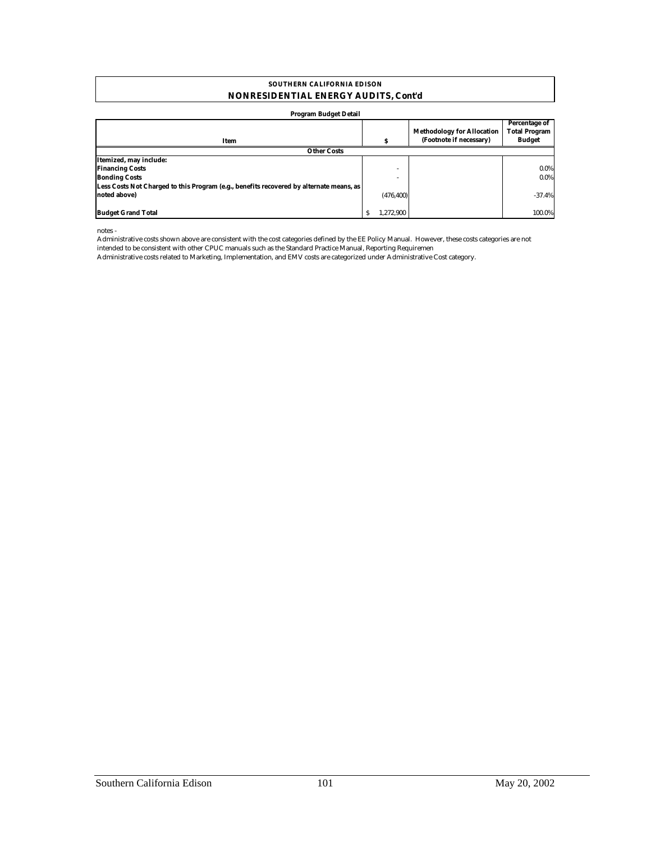#### **SOUTHERN CALIFORNIA EDISON NONRESIDENTIAL ENERGY AUDITS, Cont'd**

#### **Program Budget Detail**

| Item                                                                                    |                          | <b>Methodology for Allocation</b><br>(Footnote if necessary) | Percentage of<br><b>Total Program</b><br><b>Budget</b> |
|-----------------------------------------------------------------------------------------|--------------------------|--------------------------------------------------------------|--------------------------------------------------------|
| <b>Other Costs</b>                                                                      |                          |                                                              |                                                        |
| Itemized, may include:                                                                  |                          |                                                              |                                                        |
| <b>Financing Costs</b>                                                                  | $\overline{\phantom{a}}$ |                                                              | $0.0\%$                                                |
| <b>Bonding Costs</b>                                                                    |                          |                                                              | $0.0\%$                                                |
| Less Costs Not Charged to this Program (e.g., benefits recovered by alternate means, as |                          |                                                              |                                                        |
| noted above)                                                                            | (476, 400)               |                                                              | $-37.4%$                                               |
| <b>Budget Grand Total</b>                                                               | 1.272.900                |                                                              | 100.0%                                                 |
|                                                                                         |                          |                                                              |                                                        |

notes -

Administrative costs shown above are consistent with the cost categories defined by the EE Policy Manual. However, these costs categories are not intended to be consistent with other CPUC manuals such as the Standard Practice Manual, Reporting Requiremen

Administrative costs related to Marketing, Implementation, and EMV costs are categorized under Administrative Cost category.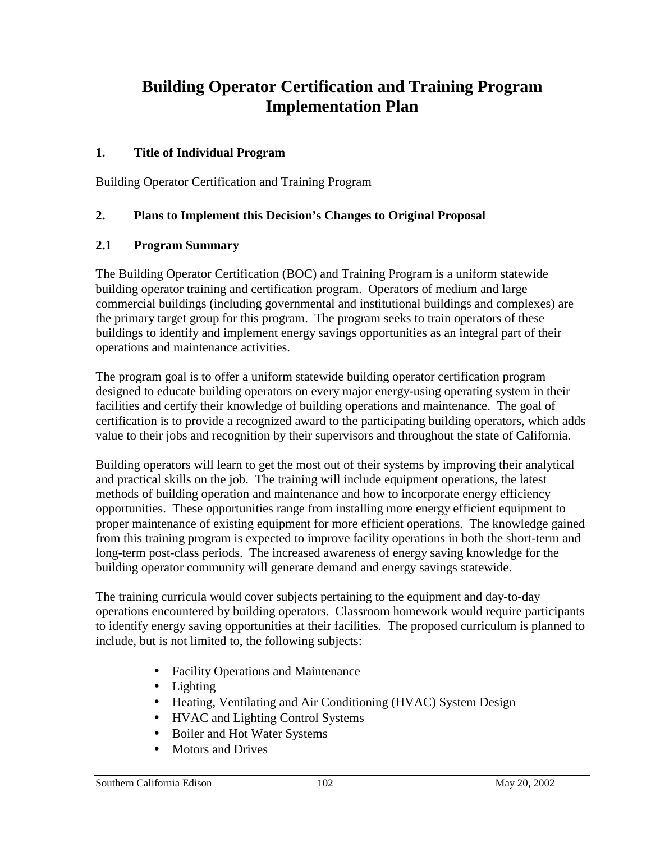## **Building Operator Certification and Training Program Implementation Plan**

### **1. Title of Individual Program**

Building Operator Certification and Training Program

### **2. Plans to Implement this Decision's Changes to Original Proposal**

#### **2.1 Program Summary**

The Building Operator Certification (BOC) and Training Program is a uniform statewide building operator training and certification program. Operators of medium and large commercial buildings (including governmental and institutional buildings and complexes) are the primary target group for this program. The program seeks to train operators of these buildings to identify and implement energy savings opportunities as an integral part of their operations and maintenance activities.

The program goal is to offer a uniform statewide building operator certification program designed to educate building operators on every major energy-using operating system in their facilities and certify their knowledge of building operations and maintenance. The goal of certification is to provide a recognized award to the participating building operators, which adds value to their jobs and recognition by their supervisors and throughout the state of California.

Building operators will learn to get the most out of their systems by improving their analytical and practical skills on the job. The training will include equipment operations, the latest methods of building operation and maintenance and how to incorporate energy efficiency opportunities. These opportunities range from installing more energy efficient equipment to proper maintenance of existing equipment for more efficient operations. The knowledge gained from this training program is expected to improve facility operations in both the short-term and long-term post-class periods. The increased awareness of energy saving knowledge for the building operator community will generate demand and energy savings statewide.

The training curricula would cover subjects pertaining to the equipment and day-to-day operations encountered by building operators. Classroom homework would require participants to identify energy saving opportunities at their facilities. The proposed curriculum is planned to include, but is not limited to, the following subjects:

- Facility Operations and Maintenance
- Lighting
- Heating, Ventilating and Air Conditioning (HVAC) System Design
- HVAC and Lighting Control Systems
- Boiler and Hot Water Systems
- Motors and Drives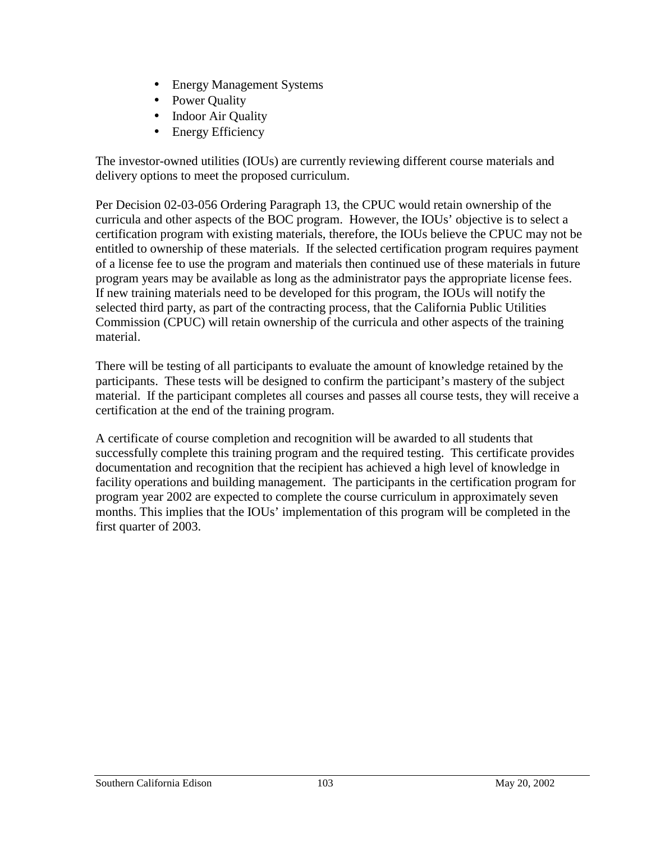- Energy Management Systems
- Power Quality
- Indoor Air Quality
- **Energy Efficiency**

The investor-owned utilities (IOUs) are currently reviewing different course materials and delivery options to meet the proposed curriculum.

Per Decision 02-03-056 Ordering Paragraph 13, the CPUC would retain ownership of the curricula and other aspects of the BOC program. However, the IOUs' objective is to select a certification program with existing materials, therefore, the IOUs believe the CPUC may not be entitled to ownership of these materials. If the selected certification program requires payment of a license fee to use the program and materials then continued use of these materials in future program years may be available as long as the administrator pays the appropriate license fees. If new training materials need to be developed for this program, the IOUs will notify the selected third party, as part of the contracting process, that the California Public Utilities Commission (CPUC) will retain ownership of the curricula and other aspects of the training material.

There will be testing of all participants to evaluate the amount of knowledge retained by the participants. These tests will be designed to confirm the participant's mastery of the subject material. If the participant completes all courses and passes all course tests, they will receive a certification at the end of the training program.

A certificate of course completion and recognition will be awarded to all students that successfully complete this training program and the required testing. This certificate provides documentation and recognition that the recipient has achieved a high level of knowledge in facility operations and building management. The participants in the certification program for program year 2002 are expected to complete the course curriculum in approximately seven months. This implies that the IOUs' implementation of this program will be completed in the first quarter of 2003.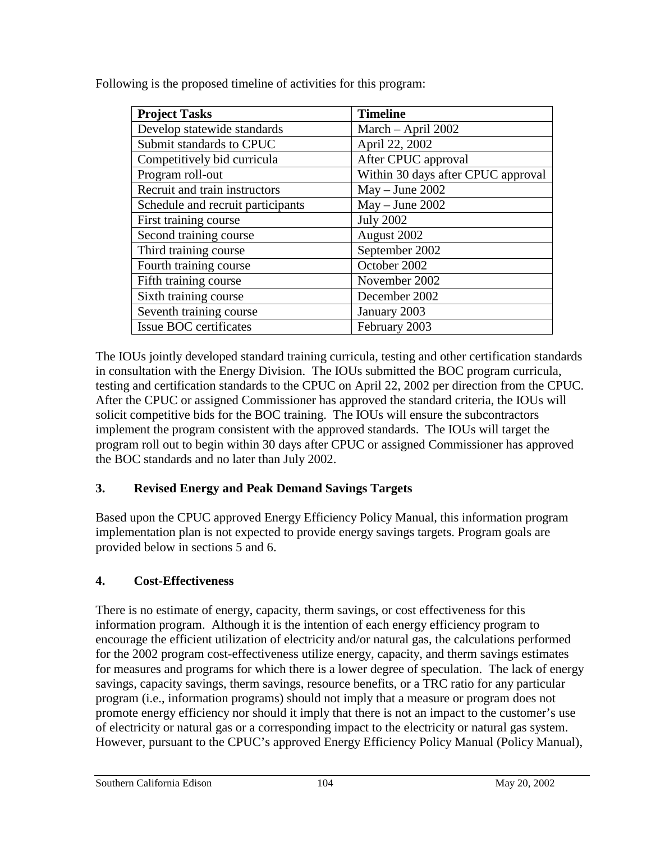| <b>Project Tasks</b>              | <b>Timeline</b>                    |
|-----------------------------------|------------------------------------|
| Develop statewide standards       | March $-$ April 2002               |
| Submit standards to CPUC          | April 22, 2002                     |
| Competitively bid curricula       | After CPUC approval                |
| Program roll-out                  | Within 30 days after CPUC approval |
| Recruit and train instructors     | $May - June 2002$                  |
| Schedule and recruit participants | $May - June 2002$                  |
| First training course             | <b>July 2002</b>                   |
| Second training course            | August 2002                        |
| Third training course             | September 2002                     |
| Fourth training course            | October 2002                       |
| Fifth training course             | November 2002                      |
| Sixth training course             | December 2002                      |
| Seventh training course           | January 2003                       |
| Issue BOC certificates            | February 2003                      |

Following is the proposed timeline of activities for this program:

The IOUs jointly developed standard training curricula, testing and other certification standards in consultation with the Energy Division. The IOUs submitted the BOC program curricula, testing and certification standards to the CPUC on April 22, 2002 per direction from the CPUC. After the CPUC or assigned Commissioner has approved the standard criteria, the IOUs will solicit competitive bids for the BOC training. The IOUs will ensure the subcontractors implement the program consistent with the approved standards. The IOUs will target the program roll out to begin within 30 days after CPUC or assigned Commissioner has approved the BOC standards and no later than July 2002.

## **3. Revised Energy and Peak Demand Savings Targets**

Based upon the CPUC approved Energy Efficiency Policy Manual, this information program implementation plan is not expected to provide energy savings targets. Program goals are provided below in sections 5 and 6.

#### **4. Cost-Effectiveness**

There is no estimate of energy, capacity, therm savings, or cost effectiveness for this information program. Although it is the intention of each energy efficiency program to encourage the efficient utilization of electricity and/or natural gas, the calculations performed for the 2002 program cost-effectiveness utilize energy, capacity, and therm savings estimates for measures and programs for which there is a lower degree of speculation. The lack of energy savings, capacity savings, therm savings, resource benefits, or a TRC ratio for any particular program (i.e., information programs) should not imply that a measure or program does not promote energy efficiency nor should it imply that there is not an impact to the customer's use of electricity or natural gas or a corresponding impact to the electricity or natural gas system. However, pursuant to the CPUC's approved Energy Efficiency Policy Manual (Policy Manual),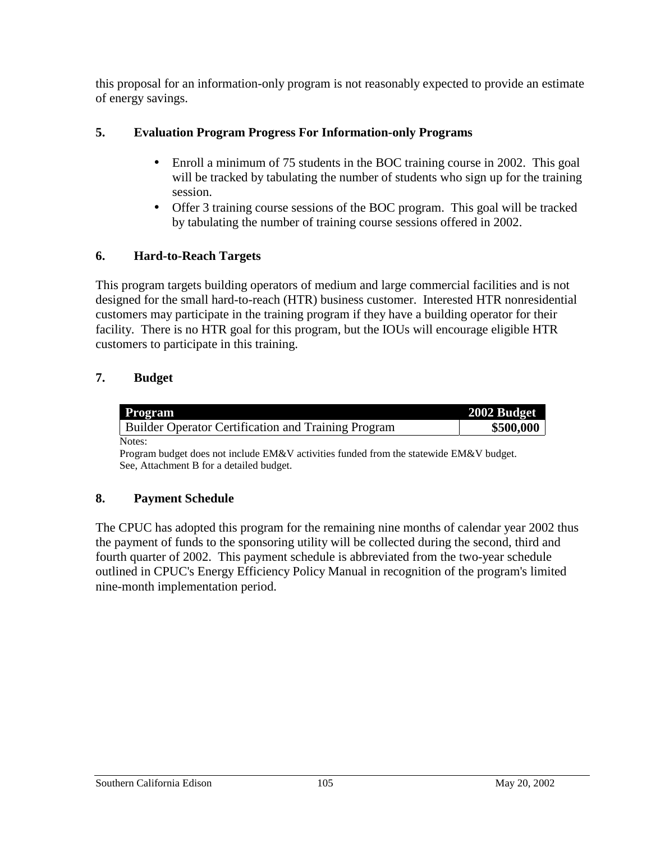this proposal for an information-only program is not reasonably expected to provide an estimate of energy savings.

## **5. Evaluation Program Progress For Information-only Programs**

- Enroll a minimum of 75 students in the BOC training course in 2002. This goal will be tracked by tabulating the number of students who sign up for the training session.
- Offer 3 training course sessions of the BOC program. This goal will be tracked by tabulating the number of training course sessions offered in 2002.

## **6. Hard-to-Reach Targets**

This program targets building operators of medium and large commercial facilities and is not designed for the small hard-to-reach (HTR) business customer. Interested HTR nonresidential customers may participate in the training program if they have a building operator for their facility. There is no HTR goal for this program, but the IOUs will encourage eligible HTR customers to participate in this training.

## **7. Budget**

| <b>Program</b>                                             | 2002 Budget |
|------------------------------------------------------------|-------------|
| <b>Builder Operator Certification and Training Program</b> | \$500,000   |
| Notes:                                                     |             |

Program budget does not include EM&V activities funded from the statewide EM&V budget. See, Attachment B for a detailed budget.

## **8. Payment Schedule**

The CPUC has adopted this program for the remaining nine months of calendar year 2002 thus the payment of funds to the sponsoring utility will be collected during the second, third and fourth quarter of 2002. This payment schedule is abbreviated from the two-year schedule outlined in CPUC's Energy Efficiency Policy Manual in recognition of the program's limited nine-month implementation period.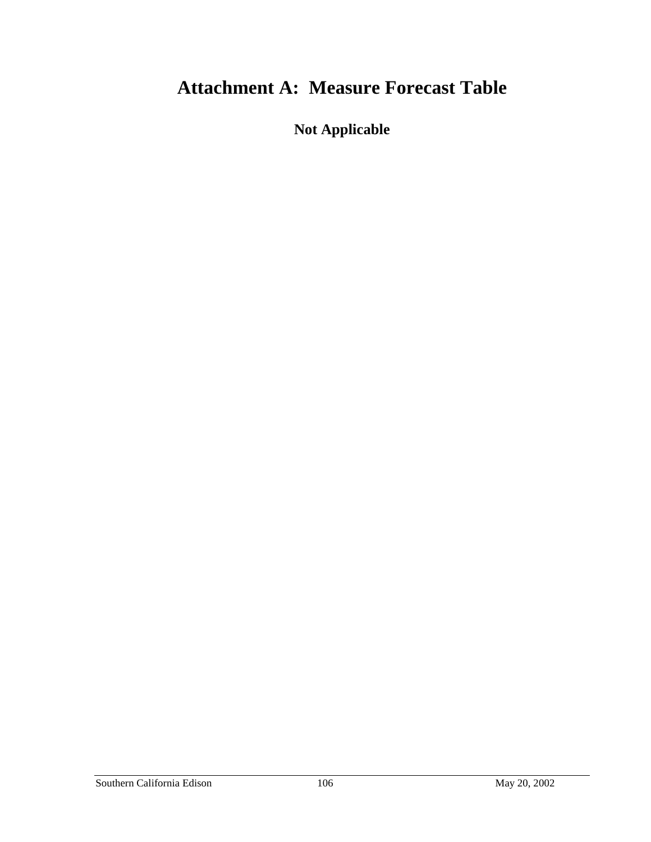# **Attachment A: Measure Forecast Table**

**Not Applicable**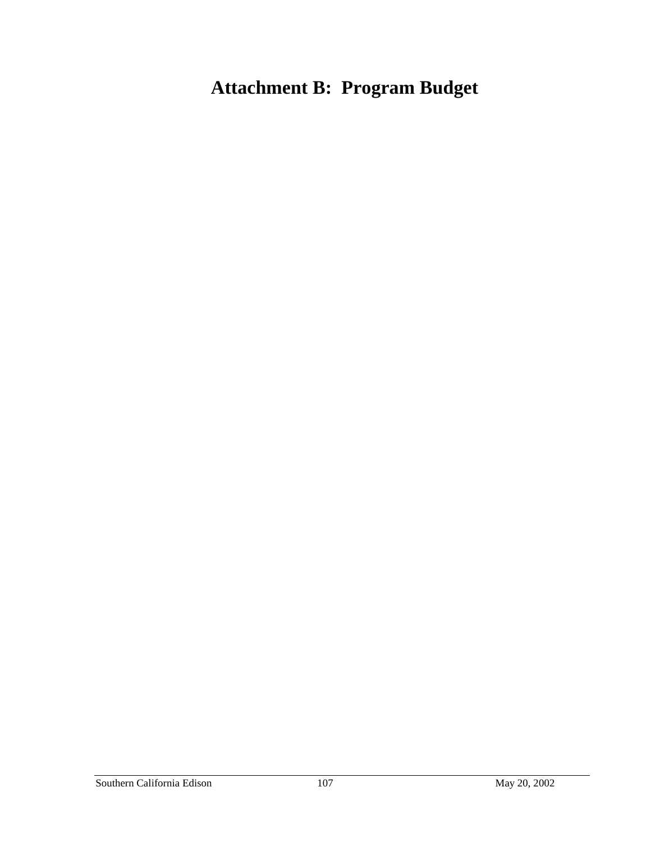# **Attachment B: Program Budget**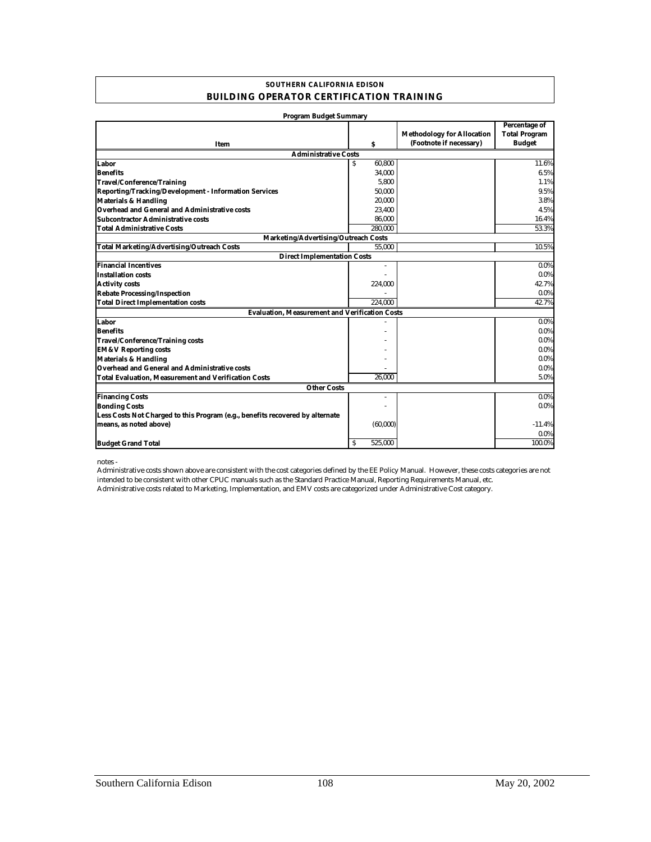#### **SOUTHERN CALIFORNIA EDISON BUILDING OPERATOR CERTIFICATION TRAINING**

| <b>Program Budget Summary</b>                                                 |              |                                                              |                                                               |
|-------------------------------------------------------------------------------|--------------|--------------------------------------------------------------|---------------------------------------------------------------|
| Item                                                                          | s            | <b>Methodology for Allocation</b><br>(Footnote if necessary) | <b>Percentage of</b><br><b>Total Program</b><br><b>Budget</b> |
| <b>Administrative Costs</b>                                                   |              |                                                              |                                                               |
| Labor                                                                         | 60.800<br>S. |                                                              | 11.6%                                                         |
| <b>Benefits</b>                                                               | 34,000       |                                                              | 6.5%                                                          |
| Travel/Conference/Training                                                    | 5,800        |                                                              | 1.1%                                                          |
| <b>Reporting/Tracking/Development - Information Services</b>                  | 50,000       |                                                              | 9.5%                                                          |
| <b>Materials &amp; Handling</b>                                               | 20,000       |                                                              | 3.8%                                                          |
| Overhead and General and Administrative costs                                 | 23,400       |                                                              | 4.5%                                                          |
| Subcontractor Administrative costs                                            | 86,000       |                                                              | 16.4%                                                         |
| <b>Total Administrative Costs</b>                                             | 280.000      |                                                              | 53.3%                                                         |
| <b>Marketing/Advertising/Outreach Costs</b>                                   |              |                                                              |                                                               |
| <b>Total Marketing/Advertising/Outreach Costs</b>                             | 55,000       |                                                              | 10.5%                                                         |
| <b>Direct Implementation Costs</b>                                            |              |                                                              |                                                               |
| <b>Financial Incentives</b>                                                   | ٠            |                                                              | $0.0\%$                                                       |
| <b>Installation costs</b>                                                     |              |                                                              | $0.0\%$                                                       |
| <b>Activity costs</b>                                                         | 224,000      |                                                              | 42.7%                                                         |
| <b>Rebate Processing/Inspection</b>                                           |              |                                                              | $0.0\%$                                                       |
| <b>Total Direct Implementation costs</b>                                      | 224.000      |                                                              | 42.7%                                                         |
| <b>Evaluation, Measurement and Verification Costs</b>                         |              |                                                              |                                                               |
| Labor                                                                         |              |                                                              | $0.0\%$                                                       |
| <b>Benefits</b>                                                               |              |                                                              | $0.0\%$                                                       |
| <b>Travel/Conference/Training costs</b>                                       |              |                                                              | $0.0\%$                                                       |
| <b>EM&amp;V Reporting costs</b>                                               |              |                                                              | $0.0\%$                                                       |
| <b>Materials &amp; Handling</b>                                               |              |                                                              | $0.0\%$                                                       |
| Overhead and General and Administrative costs                                 |              |                                                              | $0.0\%$                                                       |
| <b>Total Evaluation, Measurement and Verification Costs</b>                   | 26.000       |                                                              | 5.0%                                                          |
| <b>Other Costs</b>                                                            |              |                                                              |                                                               |
| <b>Financing Costs</b>                                                        | ٠            |                                                              | $0.0\%$                                                       |
| <b>Bonding Costs</b>                                                          |              |                                                              | $0.0\%$                                                       |
| Less Costs Not Charged to this Program (e.g., benefits recovered by alternate |              |                                                              |                                                               |
| means, as noted above)                                                        | (60,000)     |                                                              | $-11.4%$                                                      |
|                                                                               |              |                                                              | $0.0\%$                                                       |
| <b>Budget Grand Total</b>                                                     | S<br>525.000 |                                                              | 100.0%                                                        |

notes -

Administrative costs related to Marketing, Implementation, and EMV costs are categorized under Administrative Cost category. Administrative costs shown above are consistent with the cost categories defined by the EE Policy Manual. However, these costs categories are not intended to be consistent with other CPUC manuals such as the Standard Practice Manual, Reporting Requirements Manual, etc.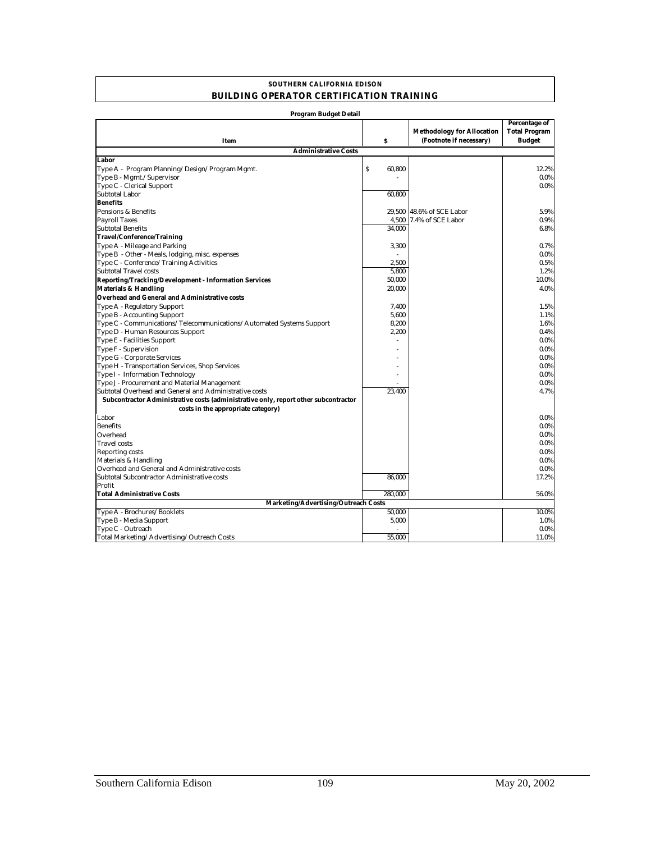#### **SOUTHERN CALIFORNIA EDISON BUILDING OPERATOR CERTIFICATION TRAINING**

| Program Budget Detail                                                               |             |                                                              |                                                        |
|-------------------------------------------------------------------------------------|-------------|--------------------------------------------------------------|--------------------------------------------------------|
| Item                                                                                | \$          | <b>Methodology for Allocation</b><br>(Footnote if necessary) | Percentage of<br><b>Total Program</b><br><b>Budget</b> |
| <b>Administrative Costs</b>                                                         |             |                                                              |                                                        |
| Labor                                                                               |             |                                                              |                                                        |
| Type A - Program Planning/Design/Program Mgmt.                                      | Ŝ<br>60,800 |                                                              | 12.2%                                                  |
| Type B - Mgmt./Supervisor                                                           |             |                                                              | $0.0\%$                                                |
| Type C - Clerical Support                                                           |             |                                                              | $0.0\%$                                                |
| <b>Subtotal Labor</b>                                                               | 60,800      |                                                              |                                                        |
| <b>Benefits</b>                                                                     |             |                                                              |                                                        |
| Pensions & Benefits                                                                 |             | 29.500 48.6% of SCE Labor                                    | 5.9%                                                   |
| <b>Payroll Taxes</b>                                                                |             | 4.500 7.4% of SCE Labor                                      | 0.9%                                                   |
| <b>Subtotal Benefits</b>                                                            | 34.000      |                                                              | 6.8%                                                   |
| <b>Travel/Conference/Training</b>                                                   |             |                                                              |                                                        |
| Type A - Mileage and Parking                                                        | 3,300       |                                                              | 0.7%                                                   |
| Type B - Other - Meals, lodging, misc. expenses                                     |             |                                                              | 0.0%                                                   |
| Type C - Conference/Training Activities                                             | 2,500       |                                                              | 0.5%                                                   |
| <b>Subtotal Travel costs</b>                                                        | 5,800       |                                                              | 1.2%                                                   |
| <b>Reporting/Tracking/Development - Information Services</b>                        | 50,000      |                                                              | 10.0%                                                  |
| <b>Materials &amp; Handling</b>                                                     | 20,000      |                                                              | 4.0%                                                   |
| Overhead and General and Administrative costs                                       |             |                                                              |                                                        |
| Type A - Regulatory Support                                                         | 7,400       |                                                              | 1.5%                                                   |
| Type B - Accounting Support                                                         | 5,600       |                                                              | 1.1%                                                   |
| Type C - Communications/Telecommunications/Automated Systems Support                | 8,200       |                                                              | 1.6%                                                   |
| Type D - Human Resources Support                                                    | 2,200       |                                                              | 0.4%                                                   |
| Type E - Facilities Support                                                         |             |                                                              | $0.0\%$                                                |
| Type F - Supervision                                                                |             |                                                              | $0.0\%$                                                |
| Type G - Corporate Services                                                         |             |                                                              | $0.0\%$                                                |
| Type H - Transportation Services, Shop Services                                     |             |                                                              | $0.0\%$                                                |
| Type I - Information Technology                                                     |             |                                                              | $0.0\%$                                                |
| Type J - Procurement and Material Management                                        |             |                                                              | 0.0%                                                   |
| Subtotal Overhead and General and Administrative costs                              | 23,400      |                                                              | 4.7%                                                   |
| Subcontractor Administrative costs (administrative only, report other subcontractor |             |                                                              |                                                        |
| costs in the appropriate category)                                                  |             |                                                              |                                                        |
| Labor                                                                               |             |                                                              | $0.0\%$                                                |
| <b>Benefits</b>                                                                     |             |                                                              | $0.0\%$                                                |
| Overhead                                                                            |             |                                                              | $0.0\%$                                                |
| <b>Travel</b> costs                                                                 |             |                                                              | $0.0\%$                                                |
| <b>Reporting costs</b>                                                              |             |                                                              | $0.0\%$                                                |
| Materials & Handling                                                                |             |                                                              | $0.0\%$                                                |
| Overhead and General and Administrative costs                                       |             |                                                              | $0.0\%$                                                |
| Subtotal Subcontractor Administrative costs                                         | 86,000      |                                                              | 17.2%                                                  |
| Profit                                                                              |             |                                                              |                                                        |
| <b>Total Administrative Costs</b>                                                   | 280,000     |                                                              | 56.0%                                                  |
| Marketing/Advertising/Outreach Costs                                                |             |                                                              |                                                        |
| Type A - Brochures/Booklets                                                         | 50,000      |                                                              | 10.0%                                                  |
| Type B - Media Support                                                              | 5,000       |                                                              | 1.0%                                                   |
| Type C - Outreach                                                                   |             |                                                              | $0.0\%$                                                |
| Total Marketing/Advertising/Outreach Costs                                          | 55,000      |                                                              | 11.0%                                                  |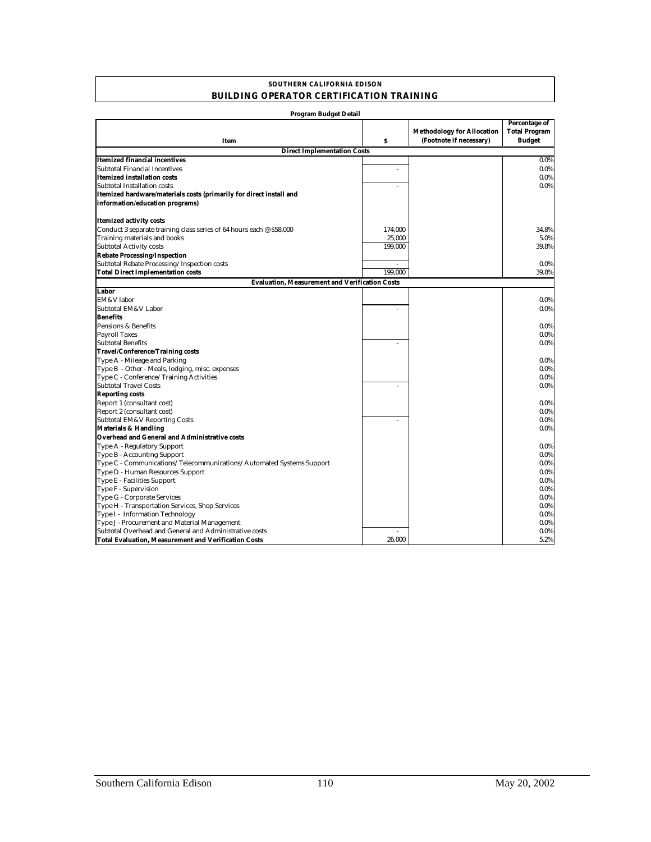#### **BUILDING OPERATOR CERTIFICATION TRAINING SOUTHERN CALIFORNIA EDISON**

| Program Budget Detail                                                |                  |                                                              |                                                        |
|----------------------------------------------------------------------|------------------|--------------------------------------------------------------|--------------------------------------------------------|
| Item                                                                 | $\boldsymbol{s}$ | <b>Methodology for Allocation</b><br>(Footnote if necessary) | Percentage of<br><b>Total Program</b><br><b>Budget</b> |
| <b>Direct Implementation Costs</b>                                   |                  |                                                              |                                                        |
| Itemized financial incentives                                        |                  |                                                              | $0.0\%$                                                |
| <b>Subtotal Financial Incentives</b>                                 | ä,               |                                                              | 0.0%                                                   |
| Itemized installation costs                                          |                  |                                                              | $0.0\%$                                                |
| Subtotal Installation costs                                          | L.               |                                                              | $0.0\%$                                                |
| Itemized hardware/materials costs (primarily for direct install and  |                  |                                                              |                                                        |
| information/education programs)                                      |                  |                                                              |                                                        |
|                                                                      |                  |                                                              |                                                        |
| <b>Itemized activity costs</b>                                       |                  |                                                              |                                                        |
| Conduct 3 separate training class series of 64 hours each @ \$58,000 | 174,000          |                                                              | 34.8%                                                  |
| Training materials and books                                         | 25,000           |                                                              | 5.0%                                                   |
| <b>Subtotal Activity costs</b>                                       | 199,000          |                                                              | 39.8%                                                  |
| <b>Rebate Processing/Inspection</b>                                  |                  |                                                              |                                                        |
| Subtotal Rebate Processing/Inspection costs                          | $\sim$           |                                                              | 0.0%                                                   |
| <b>Total Direct Implementation costs</b>                             | 199,000          |                                                              | 39.8%                                                  |
| <b>Evaluation, Measurement and Verification Costs</b>                |                  |                                                              |                                                        |
| Labor                                                                |                  |                                                              |                                                        |
| EM&V labor                                                           |                  |                                                              | $0.0\%$                                                |
| Subtotal EM&V Labor                                                  | $\overline{a}$   |                                                              | 0.0%                                                   |
| <b>Benefits</b>                                                      |                  |                                                              |                                                        |
| Pensions & Benefits                                                  |                  |                                                              | $0.0\%$                                                |
| <b>Payroll Taxes</b>                                                 |                  |                                                              | $0.0\%$                                                |
| <b>Subtotal Benefits</b>                                             |                  |                                                              | 0.0%                                                   |
| <b>Travel/Conference/Training costs</b>                              |                  |                                                              |                                                        |
| Type A - Mileage and Parking                                         |                  |                                                              | $0.0\%$                                                |
| Type B - Other - Meals, lodging, misc. expenses                      |                  |                                                              | $0.0\%$                                                |
| Type C - Conference/Training Activities                              |                  |                                                              | $0.0\%$                                                |
| <b>Subtotal Travel Costs</b>                                         | L.               |                                                              | $0.0\%$                                                |
| <b>Reporting costs</b>                                               |                  |                                                              |                                                        |
| Report 1 (consultant cost)                                           |                  |                                                              | $0.0\%$                                                |
| Report 2 (consultant cost)                                           |                  |                                                              | $0.0\%$                                                |
| <b>Subtotal EM&amp;V Reporting Costs</b>                             |                  |                                                              | $0.0\%$                                                |
| <b>Materials &amp; Handling</b>                                      |                  |                                                              | $0.0\%$                                                |
| Overhead and General and Administrative costs                        |                  |                                                              |                                                        |
| Type A - Regulatory Support                                          |                  |                                                              | $0.0\%$                                                |
| Type B - Accounting Support                                          |                  |                                                              | $0.0\%$                                                |
| Type C - Communications/Telecommunications/Automated Systems Support |                  |                                                              | $0.0\%$                                                |
| Type D - Human Resources Support                                     |                  |                                                              | $0.0\%$                                                |
| Type E - Facilities Support                                          |                  |                                                              | $0.0\%$                                                |
| Type F - Supervision                                                 |                  |                                                              | $0.0\%$                                                |
| Type G - Corporate Services                                          |                  |                                                              | $0.0\%$                                                |
| Type H - Transportation Services, Shop Services                      |                  |                                                              | $0.0\%$                                                |
| Type I - Information Technology                                      |                  |                                                              | $0.0\%$                                                |
| Type J - Procurement and Material Management                         |                  |                                                              | $0.0\%$                                                |
| Subtotal Overhead and General and Administrative costs               |                  |                                                              | $0.0\%$                                                |
| Total Evaluation. Measurement and Verification Costs                 | 26.000           |                                                              | 5.2%                                                   |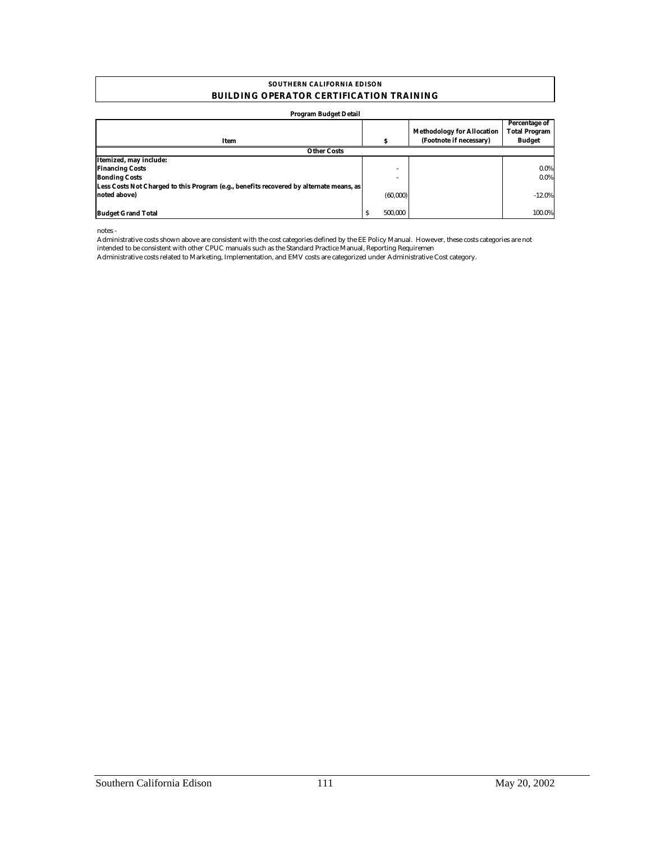#### **SOUTHERN CALIFORNIA EDISON BUILDING OPERATOR CERTIFICATION TRAINING**

#### **Program Budget Detail**

| Item                                                                                    | м            | <b>Methodology for Allocation</b><br>(Footnote if necessary) | Percentage of<br><b>Total Program</b><br><b>Budget</b> |
|-----------------------------------------------------------------------------------------|--------------|--------------------------------------------------------------|--------------------------------------------------------|
| <b>Other Costs</b>                                                                      |              |                                                              |                                                        |
| Itemized, may include:                                                                  |              |                                                              |                                                        |
| <b>Financing Costs</b>                                                                  |              |                                                              | $0.0\%$                                                |
| <b>Bonding Costs</b>                                                                    |              |                                                              | $0.0\%$                                                |
| Less Costs Not Charged to this Program (e.g., benefits recovered by alternate means, as |              |                                                              |                                                        |
| noted above)                                                                            | (60,000)     |                                                              | $-12.0%$                                               |
|                                                                                         |              |                                                              |                                                        |
| <b>Budget Grand Total</b>                                                               | 500.000<br>s |                                                              | 100.0%                                                 |

notes -

Administrative costs shown above are consistent with the cost categories defined by the EE Policy Manual. However, these costs categories are not intended to be consistent with other CPUC manuals such as the Standard Practice Manual, Reporting Requiremen

Administrative costs related to Marketing, Implementation, and EMV costs are categorized under Administrative Cost category.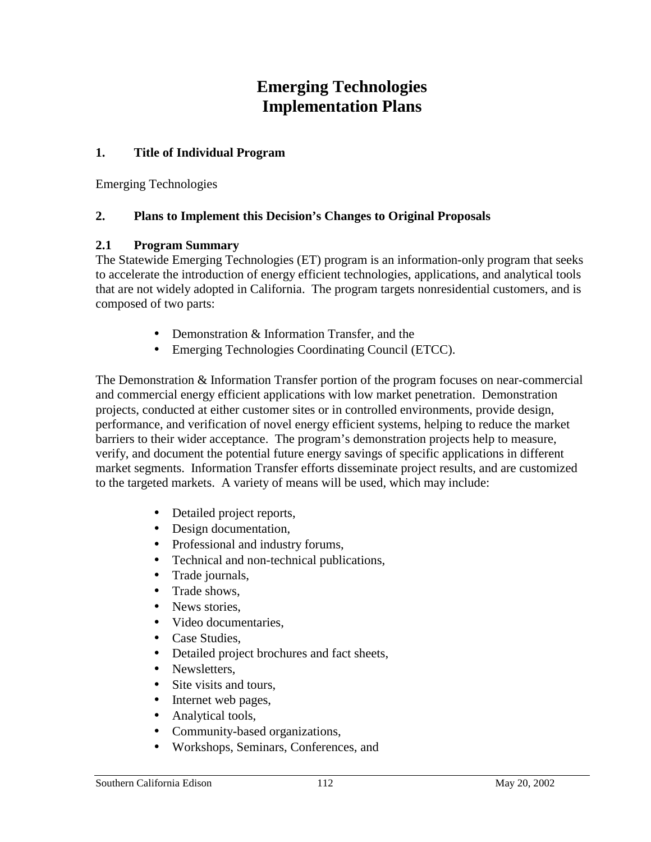# **Emerging Technologies Implementation Plans**

#### **1. Title of Individual Program**

Emerging Technologies

#### **2. Plans to Implement this Decision's Changes to Original Proposals**

#### **2.1 Program Summary**

The Statewide Emerging Technologies (ET) program is an information-only program that seeks to accelerate the introduction of energy efficient technologies, applications, and analytical tools that are not widely adopted in California. The program targets nonresidential customers, and is composed of two parts:

- Demonstration & Information Transfer, and the
- Emerging Technologies Coordinating Council (ETCC).

The Demonstration & Information Transfer portion of the program focuses on near-commercial and commercial energy efficient applications with low market penetration. Demonstration projects, conducted at either customer sites or in controlled environments, provide design, performance, and verification of novel energy efficient systems, helping to reduce the market barriers to their wider acceptance. The program's demonstration projects help to measure, verify, and document the potential future energy savings of specific applications in different market segments. Information Transfer efforts disseminate project results, and are customized to the targeted markets. A variety of means will be used, which may include:

- Detailed project reports,
- Design documentation,
- Professional and industry forums,
- Technical and non-technical publications,
- Trade journals,
- Trade shows,
- News stories.
- Video documentaries.
- Case Studies,
- Detailed project brochures and fact sheets,
- Newsletters
- Site visits and tours,
- Internet web pages,
- Analytical tools,
- Community-based organizations,
- Workshops, Seminars, Conferences, and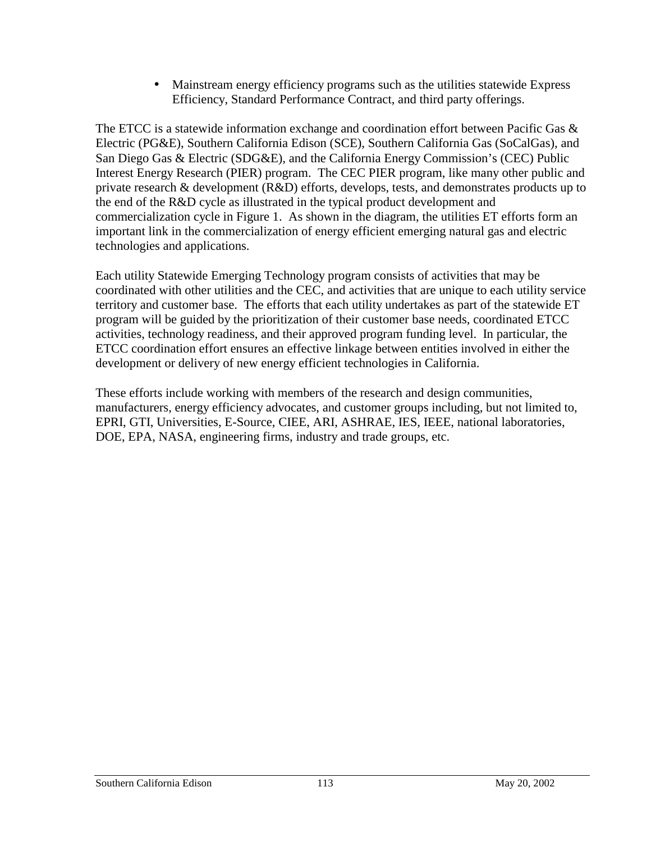• Mainstream energy efficiency programs such as the utilities statewide Express Efficiency, Standard Performance Contract, and third party offerings.

The ETCC is a statewide information exchange and coordination effort between Pacific Gas  $\&$ Electric (PG&E), Southern California Edison (SCE), Southern California Gas (SoCalGas), and San Diego Gas & Electric (SDG&E), and the California Energy Commission's (CEC) Public Interest Energy Research (PIER) program. The CEC PIER program, like many other public and private research & development (R&D) efforts, develops, tests, and demonstrates products up to the end of the R&D cycle as illustrated in the typical product development and commercialization cycle in Figure 1. As shown in the diagram, the utilities ET efforts form an important link in the commercialization of energy efficient emerging natural gas and electric technologies and applications.

Each utility Statewide Emerging Technology program consists of activities that may be coordinated with other utilities and the CEC, and activities that are unique to each utility service territory and customer base. The efforts that each utility undertakes as part of the statewide ET program will be guided by the prioritization of their customer base needs, coordinated ETCC activities, technology readiness, and their approved program funding level. In particular, the ETCC coordination effort ensures an effective linkage between entities involved in either the development or delivery of new energy efficient technologies in California.

These efforts include working with members of the research and design communities, manufacturers, energy efficiency advocates, and customer groups including, but not limited to, EPRI, GTI, Universities, E-Source, CIEE, ARI, ASHRAE, IES, IEEE, national laboratories, DOE, EPA, NASA, engineering firms, industry and trade groups, etc.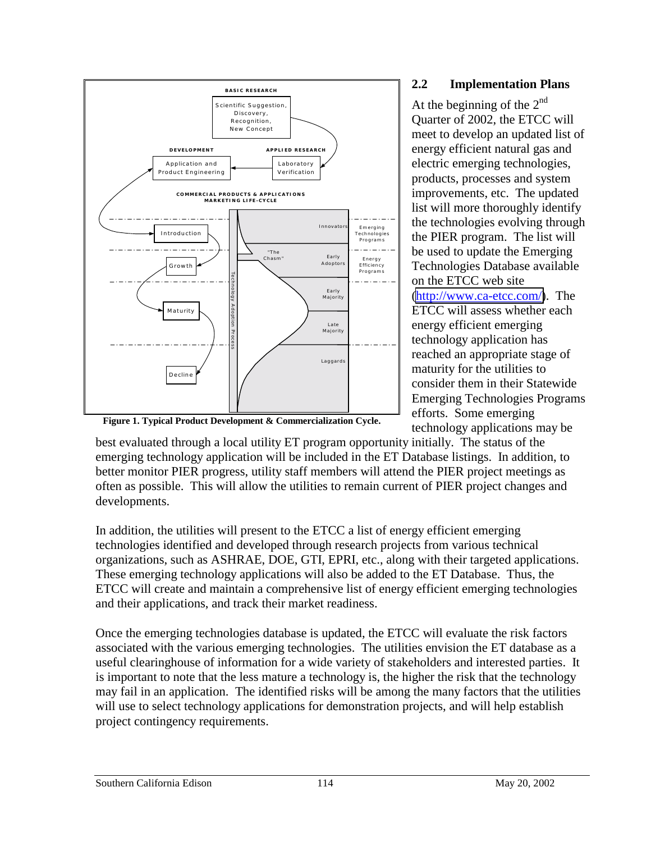

#### **2.2 Implementation Plans**

At the beginning of the  $2^{nd}$ Quarter of 2002, the ETCC will meet to develop an updated list of energy efficient natural gas and electric emerging technologies, products, processes and system improvements, etc. The updated list will more thoroughly identify the technologies evolving through the PIER program. The list will be used to update the Emerging Technologies Database available on the ETCC web site [\(http://www.ca-etcc.com/\)](http://www.ca-etcc.com/). The ETCC will assess whether each energy efficient emerging technology application has reached an appropriate stage of maturity for the utilities to consider them in their Statewide Emerging Technologies Programs efforts. Some emerging technology applications may be

**Figure 1. Typical Product Development & Commercialization Cycle.**

best evaluated through a local utility ET program opportunity initially. The status of the emerging technology application will be included in the ET Database listings. In addition, to better monitor PIER progress, utility staff members will attend the PIER project meetings as often as possible. This will allow the utilities to remain current of PIER project changes and developments.

In addition, the utilities will present to the ETCC a list of energy efficient emerging technologies identified and developed through research projects from various technical organizations, such as ASHRAE, DOE, GTI, EPRI, etc., along with their targeted applications. These emerging technology applications will also be added to the ET Database. Thus, the ETCC will create and maintain a comprehensive list of energy efficient emerging technologies and their applications, and track their market readiness.

Once the emerging technologies database is updated, the ETCC will evaluate the risk factors associated with the various emerging technologies. The utilities envision the ET database as a useful clearinghouse of information for a wide variety of stakeholders and interested parties. It is important to note that the less mature a technology is, the higher the risk that the technology may fail in an application. The identified risks will be among the many factors that the utilities will use to select technology applications for demonstration projects, and will help establish project contingency requirements.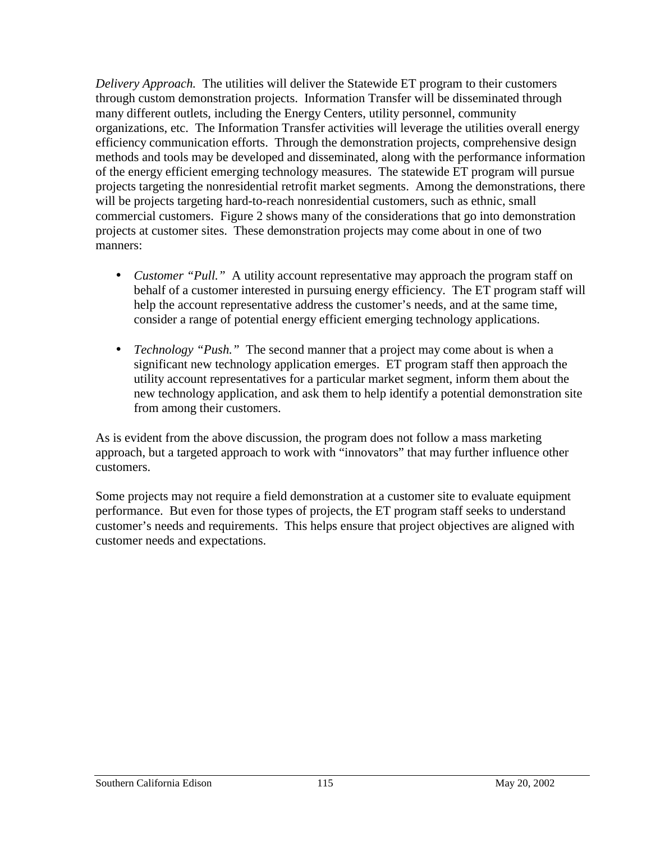*Delivery Approach.* The utilities will deliver the Statewide ET program to their customers through custom demonstration projects. Information Transfer will be disseminated through many different outlets, including the Energy Centers, utility personnel, community organizations, etc. The Information Transfer activities will leverage the utilities overall energy efficiency communication efforts. Through the demonstration projects, comprehensive design methods and tools may be developed and disseminated, along with the performance information of the energy efficient emerging technology measures. The statewide ET program will pursue projects targeting the nonresidential retrofit market segments. Among the demonstrations, there will be projects targeting hard-to-reach nonresidential customers, such as ethnic, small commercial customers. Figure 2 shows many of the considerations that go into demonstration projects at customer sites. These demonstration projects may come about in one of two manners:

- *Customer "Pull."* A utility account representative may approach the program staff on behalf of a customer interested in pursuing energy efficiency. The ET program staff will help the account representative address the customer's needs, and at the same time, consider a range of potential energy efficient emerging technology applications.
- *Technology "Push."* The second manner that a project may come about is when a significant new technology application emerges. ET program staff then approach the utility account representatives for a particular market segment, inform them about the new technology application, and ask them to help identify a potential demonstration site from among their customers.

As is evident from the above discussion, the program does not follow a mass marketing approach, but a targeted approach to work with "innovators" that may further influence other customers.

Some projects may not require a field demonstration at a customer site to evaluate equipment performance. But even for those types of projects, the ET program staff seeks to understand customer's needs and requirements. This helps ensure that project objectives are aligned with customer needs and expectations.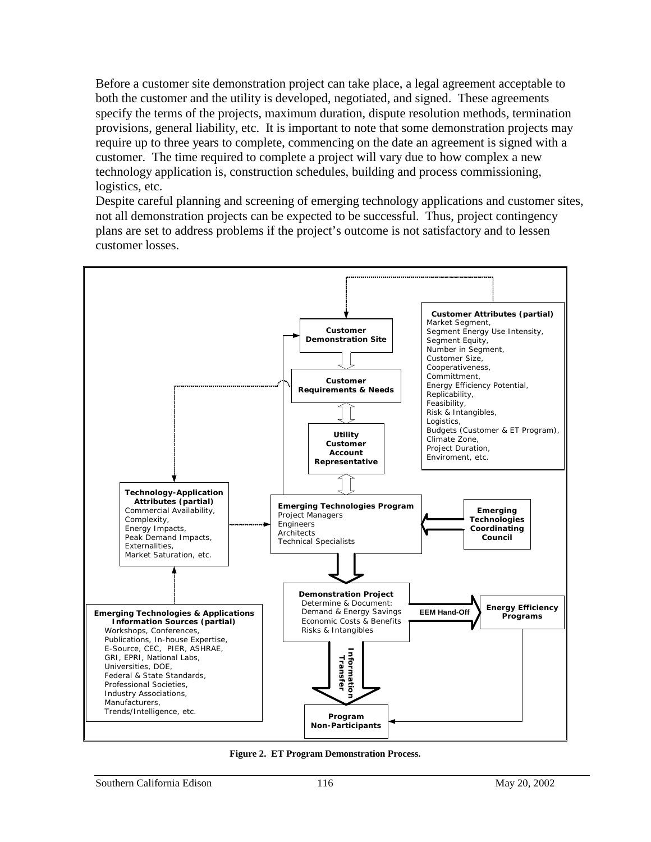Before a customer site demonstration project can take place, a legal agreement acceptable to both the customer and the utility is developed, negotiated, and signed. These agreements specify the terms of the projects, maximum duration, dispute resolution methods, termination provisions, general liability, etc. It is important to note that some demonstration projects may require up to three years to complete, commencing on the date an agreement is signed with a customer. The time required to complete a project will vary due to how complex a new technology application is, construction schedules, building and process commissioning, logistics, etc.

Despite careful planning and screening of emerging technology applications and customer sites, not all demonstration projects can be expected to be successful. Thus, project contingency plans are set to address problems if the project's outcome is not satisfactory and to lessen customer losses.



**Figure 2. ET Program Demonstration Process.**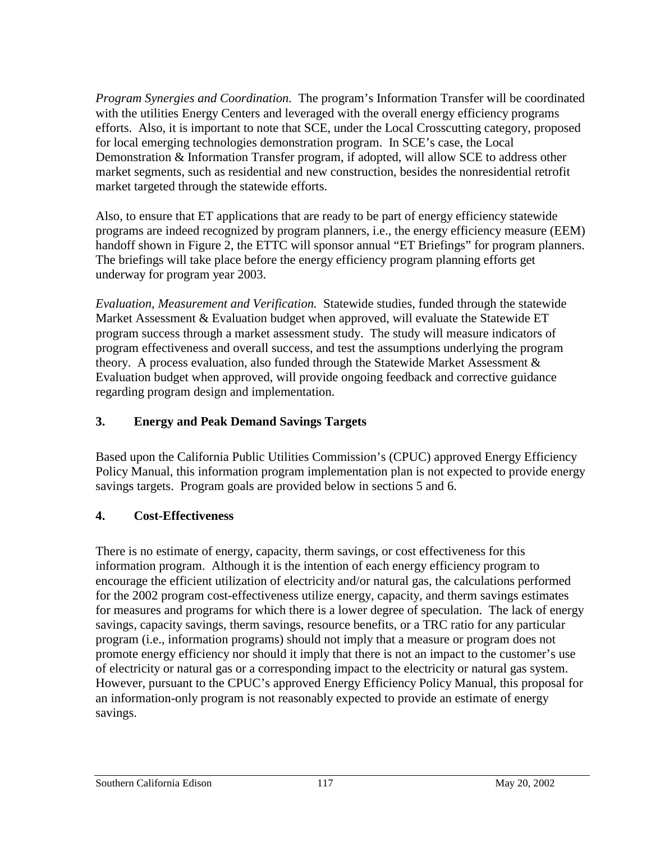*Program Synergies and Coordination.* The program's Information Transfer will be coordinated with the utilities Energy Centers and leveraged with the overall energy efficiency programs efforts. Also, it is important to note that SCE, under the Local Crosscutting category, proposed for local emerging technologies demonstration program. In SCE's case, the Local Demonstration & Information Transfer program, if adopted, will allow SCE to address other market segments, such as residential and new construction, besides the nonresidential retrofit market targeted through the statewide efforts.

Also, to ensure that ET applications that are ready to be part of energy efficiency statewide programs are indeed recognized by program planners, i.e., the energy efficiency measure (EEM) handoff shown in Figure 2, the ETTC will sponsor annual "ET Briefings" for program planners. The briefings will take place before the energy efficiency program planning efforts get underway for program year 2003.

*Evaluation, Measurement and Verification.* Statewide studies, funded through the statewide Market Assessment  $&$  Evaluation budget when approved, will evaluate the Statewide ET program success through a market assessment study. The study will measure indicators of program effectiveness and overall success, and test the assumptions underlying the program theory. A process evaluation, also funded through the Statewide Market Assessment & Evaluation budget when approved, will provide ongoing feedback and corrective guidance regarding program design and implementation.

# **3. Energy and Peak Demand Savings Targets**

Based upon the California Public Utilities Commission's (CPUC) approved Energy Efficiency Policy Manual, this information program implementation plan is not expected to provide energy savings targets. Program goals are provided below in sections 5 and 6.

# **4. Cost-Effectiveness**

There is no estimate of energy, capacity, therm savings, or cost effectiveness for this information program. Although it is the intention of each energy efficiency program to encourage the efficient utilization of electricity and/or natural gas, the calculations performed for the 2002 program cost-effectiveness utilize energy, capacity, and therm savings estimates for measures and programs for which there is a lower degree of speculation. The lack of energy savings, capacity savings, therm savings, resource benefits, or a TRC ratio for any particular program (i.e., information programs) should not imply that a measure or program does not promote energy efficiency nor should it imply that there is not an impact to the customer's use of electricity or natural gas or a corresponding impact to the electricity or natural gas system. However, pursuant to the CPUC's approved Energy Efficiency Policy Manual, this proposal for an information-only program is not reasonably expected to provide an estimate of energy savings.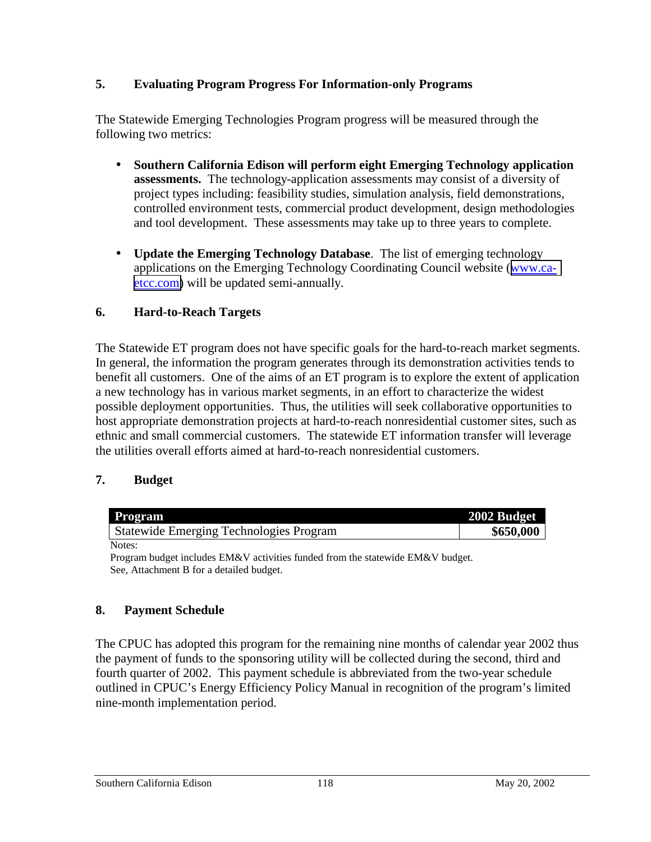### **5. Evaluating Program Progress For Information-only Programs**

The Statewide Emerging Technologies Program progress will be measured through the following two metrics:

- **Southern California Edison will perform eight Emerging Technology application assessments.** The technology-application assessments may consist of a diversity of project types including: feasibility studies, simulation analysis, field demonstrations, controlled environment tests, commercial product development, design methodologies and tool development. These assessments may take up to three years to complete.
- **Update the Emerging Technology Database**. The list of emerging technology applications on the Emerging Technology Coordinating Council website ([www.ca](http://www.ca-etcc.com/)[etcc.com\)](http://www.ca-etcc.com/) will be updated semi-annually.

### **6. Hard-to-Reach Targets**

The Statewide ET program does not have specific goals for the hard-to-reach market segments. In general, the information the program generates through its demonstration activities tends to benefit all customers. One of the aims of an ET program is to explore the extent of application a new technology has in various market segments, in an effort to characterize the widest possible deployment opportunities. Thus, the utilities will seek collaborative opportunities to host appropriate demonstration projects at hard-to-reach nonresidential customer sites, such as ethnic and small commercial customers. The statewide ET information transfer will leverage the utilities overall efforts aimed at hard-to-reach nonresidential customers.

# **7. Budget**

| <b>Program</b>                                 | 2002 Budget |
|------------------------------------------------|-------------|
| <b>Statewide Emerging Technologies Program</b> | \$650,000   |
| Notes:                                         |             |

Program budget includes EM&V activities funded from the statewide EM&V budget. See, Attachment B for a detailed budget.

#### **8. Payment Schedule**

The CPUC has adopted this program for the remaining nine months of calendar year 2002 thus the payment of funds to the sponsoring utility will be collected during the second, third and fourth quarter of 2002. This payment schedule is abbreviated from the two-year schedule outlined in CPUC's Energy Efficiency Policy Manual in recognition of the program's limited nine-month implementation period.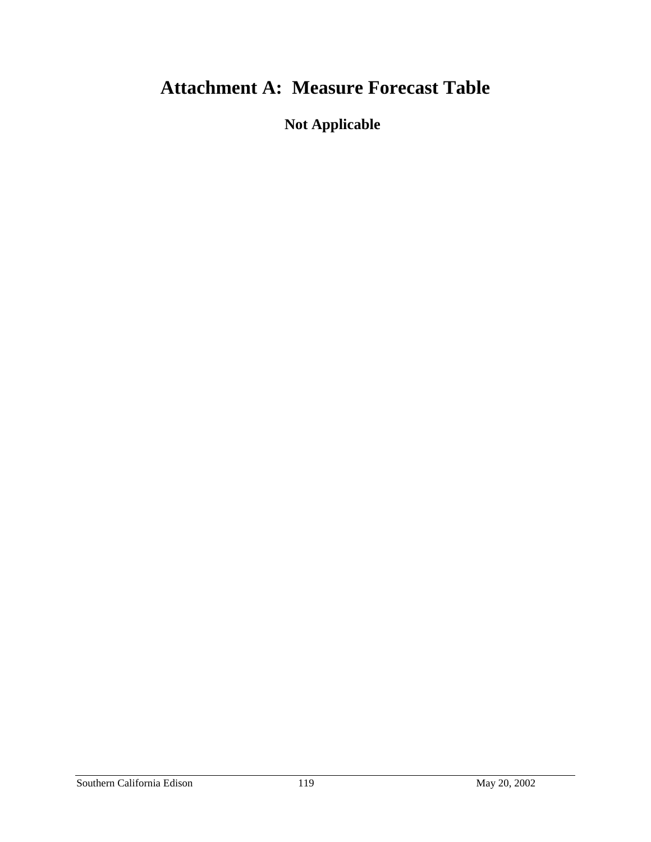# **Attachment A: Measure Forecast Table**

**Not Applicable**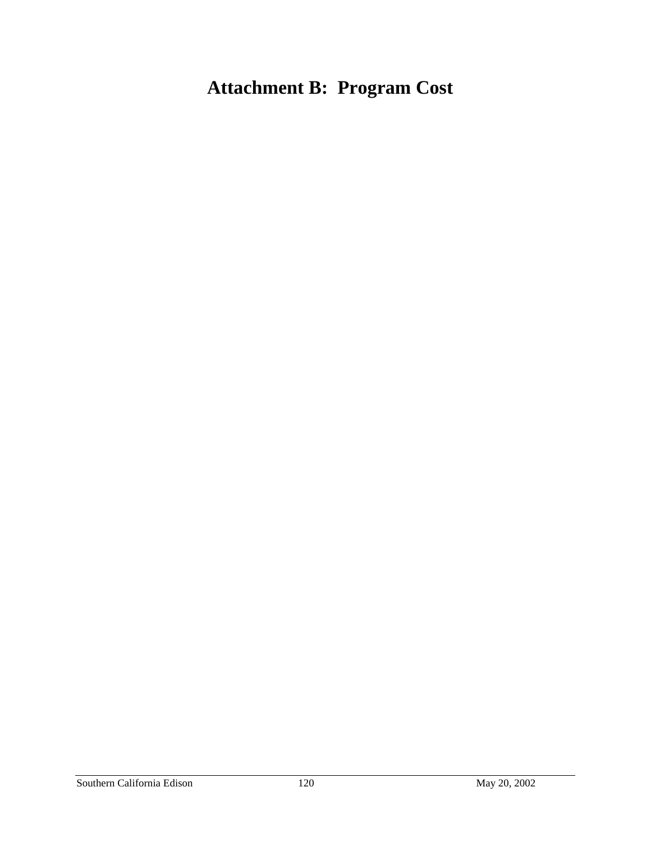# **Attachment B: Program Cost**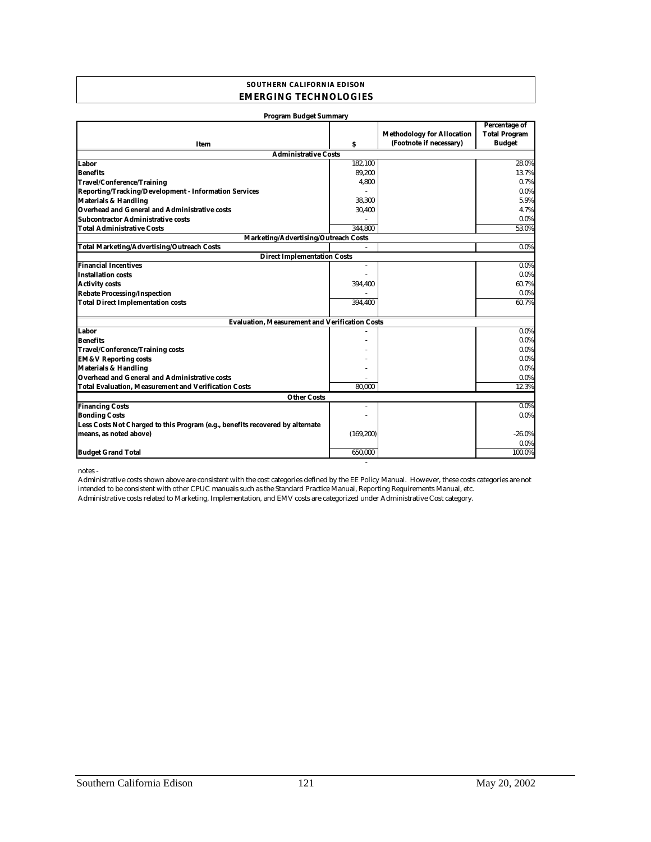#### **SOUTHERN CALIFORNIA EDISON EMERGING TECHNOLOGIES**

| <b>Program Budget Summary</b>                                                 |            |                                                              |                                                        |
|-------------------------------------------------------------------------------|------------|--------------------------------------------------------------|--------------------------------------------------------|
| Item                                                                          | s          | <b>Methodology for Allocation</b><br>(Footnote if necessary) | Percentage of<br><b>Total Program</b><br><b>Budget</b> |
| <b>Administrative Costs</b>                                                   |            |                                                              |                                                        |
| Labor                                                                         | 182,100    |                                                              | 28.0%                                                  |
| <b>Benefits</b>                                                               | 89,200     |                                                              | 13.7%                                                  |
| <b>Travel/Conference/Training</b>                                             | 4,800      |                                                              | 0.7%                                                   |
| Reporting/Tracking/Development - Information Services                         |            |                                                              | $0.0\%$                                                |
| <b>Materials &amp; Handling</b>                                               | 38,300     |                                                              | 5.9%                                                   |
| Overhead and General and Administrative costs                                 | 30,400     |                                                              | 4.7%                                                   |
| <b>Subcontractor Administrative costs</b>                                     |            |                                                              | $0.0\%$                                                |
| <b>Total Administrative Costs</b>                                             | 344.800    |                                                              | 53.0%                                                  |
| <b>Marketing/Advertising/Outreach Costs</b>                                   |            |                                                              |                                                        |
| <b>Total Marketing/Advertising/Outreach Costs</b>                             |            |                                                              | $0.0\%$                                                |
| <b>Direct Implementation Costs</b>                                            |            |                                                              |                                                        |
| <b>Financial Incentives</b>                                                   | $\bar{a}$  |                                                              | $0.0\%$                                                |
| <b>Installation costs</b>                                                     |            |                                                              | $0.0\%$                                                |
| <b>Activity costs</b>                                                         | 394,400    |                                                              | 60.7%                                                  |
| <b>Rebate Processing/Inspection</b>                                           |            |                                                              | $0.0\%$                                                |
| <b>Total Direct Implementation costs</b>                                      | 394.400    |                                                              | 60.7%                                                  |
| <b>Evaluation, Measurement and Verification Costs</b>                         |            |                                                              |                                                        |
| Labor                                                                         |            |                                                              | $0.0\%$                                                |
| <b>Benefits</b>                                                               |            |                                                              | $0.0\%$                                                |
| <b>Travel/Conference/Training costs</b>                                       |            |                                                              | 0.0%                                                   |
| <b>EM&amp;V Reporting costs</b>                                               |            |                                                              | $0.0\%$                                                |
| <b>Materials &amp; Handling</b>                                               |            |                                                              | $0.0\%$                                                |
| Overhead and General and Administrative costs                                 |            |                                                              | $0.0\%$                                                |
| <b>Total Evaluation, Measurement and Verification Costs</b>                   | 80.000     |                                                              | 12.3%                                                  |
| <b>Other Costs</b>                                                            |            |                                                              |                                                        |
| <b>Financing Costs</b>                                                        |            |                                                              | $0.0\%$                                                |
| <b>Bonding Costs</b>                                                          |            |                                                              | $0.0\%$                                                |
| Less Costs Not Charged to this Program (e.g., benefits recovered by alternate |            |                                                              |                                                        |
| means, as noted above)                                                        | (169, 200) |                                                              | $-26.0\%$                                              |
|                                                                               |            |                                                              | $0.0\%$                                                |
| <b>Budget Grand Total</b>                                                     | 650.000    |                                                              | 100.0%                                                 |

notes -

Administrative costs related to Marketing, Implementation, and EMV costs are categorized under Administrative Cost category. Administrative costs shown above are consistent with the cost categories defined by the EE Policy Manual. However, these costs categories are not intended to be consistent with other CPUC manuals such as the Standard Practice Manual, Reporting Requirements Manual, etc.

- 100 minutes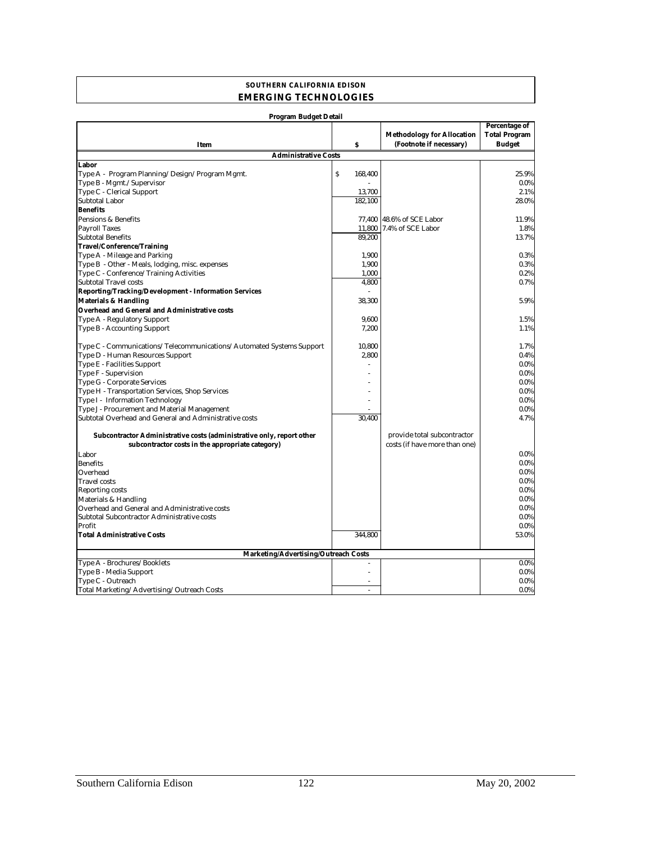#### **SOUTHERN CALIFORNIA EDISON EMERGING TECHNOLOGIES**

| Program Budget Detail                                                 |                  |                                   |                      |  |
|-----------------------------------------------------------------------|------------------|-----------------------------------|----------------------|--|
|                                                                       |                  |                                   | <b>Percentage of</b> |  |
|                                                                       |                  | <b>Methodology for Allocation</b> | <b>Total Program</b> |  |
| Item                                                                  | $\boldsymbol{s}$ | (Footnote if necessary)           | <b>Budget</b>        |  |
| <b>Administrative Costs</b>                                           |                  |                                   |                      |  |
| Labor                                                                 |                  |                                   |                      |  |
| Type A - Program Planning/Design/Program Mgmt.                        | S<br>168,400     |                                   | 25.9%                |  |
| Type B - Mgmt./Supervisor                                             |                  |                                   | $0.0\%$              |  |
| Type C - Clerical Support                                             | 13,700           |                                   | 2.1%                 |  |
| <b>Subtotal Labor</b>                                                 | 182,100          |                                   | 28.0%                |  |
| <b>Benefits</b>                                                       |                  |                                   |                      |  |
| Pensions & Benefits                                                   | 77,400           | 48.6% of SCE Labor                | 11.9%                |  |
| <b>Payroll Taxes</b>                                                  | 11,800           | 7.4% of SCE Labor                 | 1.8%                 |  |
| <b>Subtotal Benefits</b>                                              | 89.200           |                                   | 13.7%                |  |
| <b>Travel/Conference/Training</b>                                     |                  |                                   |                      |  |
| Type A - Mileage and Parking                                          | 1,900            |                                   | 0.3%                 |  |
| Type B - Other - Meals, lodging, misc. expenses                       | 1,900            |                                   | 0.3%                 |  |
| Type C - Conference/Training Activities                               | 1,000            |                                   | 0.2%                 |  |
| <b>Subtotal Travel costs</b>                                          | 4,800            |                                   | 0.7%                 |  |
| Reporting/Tracking/Development - Information Services                 |                  |                                   |                      |  |
| <b>Materials &amp; Handling</b>                                       | 38,300           |                                   | 5.9%                 |  |
| <b>Overhead and General and Administrative costs</b>                  |                  |                                   |                      |  |
| Type A - Regulatory Support                                           | 9,600            |                                   | 1.5%                 |  |
| Type B - Accounting Support                                           | 7,200            |                                   | 1.1%                 |  |
|                                                                       |                  |                                   |                      |  |
| Type C - Communications/Telecommunications/Automated Systems Support  | 10.800           |                                   | 1.7%                 |  |
| Type D - Human Resources Support                                      | 2,800            |                                   | 0.4%                 |  |
| <b>Type E - Facilities Support</b>                                    |                  |                                   | $0.0\%$              |  |
| Type F - Supervision                                                  |                  |                                   | $0.0\%$              |  |
| <b>Type G - Corporate Services</b>                                    |                  |                                   | 0.0%                 |  |
| Type H - Transportation Services, Shop Services                       |                  |                                   | $0.0\%$              |  |
| Type I - Information Technology                                       |                  |                                   | $0.0\%$              |  |
| Type J - Procurement and Material Management                          |                  |                                   | $0.0\%$              |  |
| Subtotal Overhead and General and Administrative costs                | 30.400           |                                   | 4.7%                 |  |
|                                                                       |                  |                                   |                      |  |
| Subcontractor Administrative costs (administrative only, report other |                  | provide total subcontractor       |                      |  |
| subcontractor costs in the appropriate category)                      |                  | costs (if have more than one)     |                      |  |
| Labor                                                                 |                  |                                   | $0.0\%$              |  |
| <b>Benefits</b>                                                       |                  |                                   | $0.0\%$              |  |
| Overhead                                                              |                  |                                   | $0.0\%$              |  |
| <b>Travel costs</b>                                                   |                  |                                   | 0.0%                 |  |
| <b>Reporting costs</b>                                                |                  |                                   | 0.0%                 |  |
| Materials & Handling                                                  |                  |                                   | $0.0\%$              |  |
| Overhead and General and Administrative costs                         |                  |                                   | $0.0\%$              |  |
| Subtotal Subcontractor Administrative costs                           |                  |                                   | $0.0\%$              |  |
| Profit                                                                |                  |                                   | 0.0%                 |  |
| <b>Total Administrative Costs</b>                                     | 344.800          |                                   | 53.0%                |  |
|                                                                       |                  |                                   |                      |  |
| <b>Marketing/Advertising/Outreach Costs</b>                           |                  |                                   |                      |  |
| Type A - Brochures/Booklets                                           |                  |                                   | $0.0\%$              |  |
| Type B - Media Support                                                |                  |                                   | $0.0\%$              |  |
| Type C - Outreach                                                     |                  |                                   | $0.0\%$              |  |
| Total Marketing/Advertising/Outreach Costs                            | $\overline{a}$   |                                   | $0.0\%$              |  |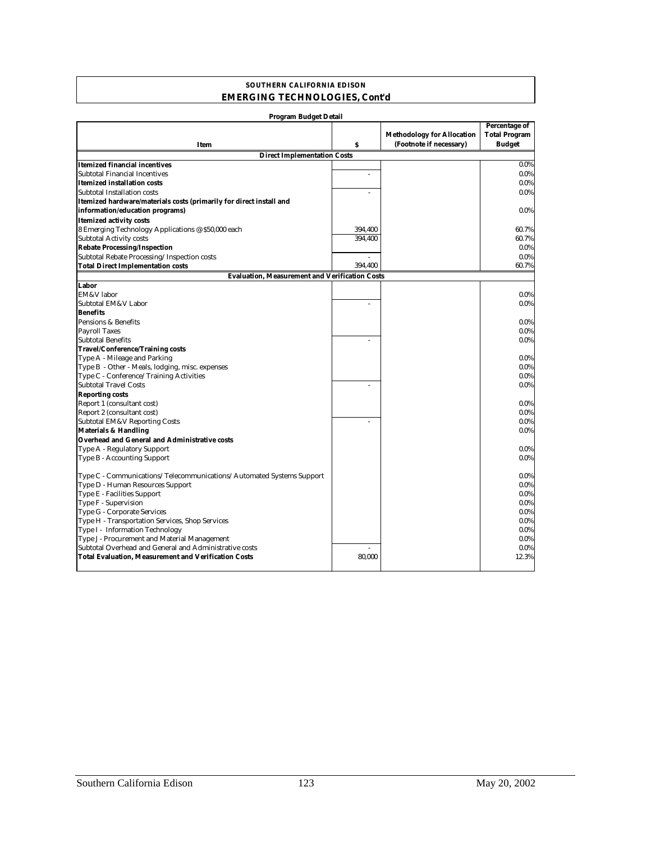#### **SOUTHERN CALIFORNIA EDISON EMERGING TECHNOLOGIES, Cont'd**

| Program Budget Detail                                                |         |                                   |                      |  |
|----------------------------------------------------------------------|---------|-----------------------------------|----------------------|--|
|                                                                      |         |                                   | <b>Percentage of</b> |  |
|                                                                      |         | <b>Methodology for Allocation</b> | <b>Total Program</b> |  |
| Item                                                                 | s       | (Footnote if necessary)           | <b>Budget</b>        |  |
| <b>Direct Implementation Costs</b>                                   |         |                                   |                      |  |
| <b>Itemized financial incentives</b>                                 |         |                                   | 0.0%                 |  |
| <b>Subtotal Financial Incentives</b>                                 | ä,      |                                   | 0.0%                 |  |
| <b>Itemized installation costs</b>                                   |         |                                   | 0.0%                 |  |
| Subtotal Installation costs                                          |         |                                   | $0.0\%$              |  |
| Itemized hardware/materials costs (primarily for direct install and  |         |                                   |                      |  |
| information/education programs)                                      |         |                                   | $0.0\%$              |  |
| <b>Itemized activity costs</b>                                       |         |                                   |                      |  |
| 8 Emerging Technology Applications @ \$50,000 each                   | 394,400 |                                   | 60.7%                |  |
| <b>Subtotal Activity costs</b>                                       | 394,400 |                                   | 60.7%                |  |
| <b>Rebate Processing/Inspection</b>                                  |         |                                   | $0.0\%$              |  |
| Subtotal Rebate Processing/Inspection costs                          |         |                                   | 0.0%                 |  |
| <b>Total Direct Implementation costs</b>                             | 394,400 |                                   | 60.7%                |  |
| <b>Evaluation, Measurement and Verification Costs</b>                |         |                                   |                      |  |
| Labor                                                                |         |                                   |                      |  |
| EM&V labor                                                           |         |                                   | $0.0\%$              |  |
| Subtotal EM&V Labor                                                  |         |                                   | 0.0%                 |  |
| <b>Benefits</b>                                                      |         |                                   |                      |  |
| Pensions & Benefits                                                  |         |                                   | 0.0%                 |  |
| <b>Payroll Taxes</b>                                                 |         |                                   | 0.0%                 |  |
| <b>Subtotal Benefits</b>                                             |         |                                   | $0.0\%$              |  |
| <b>Travel/Conference/Training costs</b>                              |         |                                   |                      |  |
| Type A - Mileage and Parking                                         |         |                                   | 0.0%                 |  |
| Type B - Other - Meals, lodging, misc. expenses                      |         |                                   | $0.0\%$              |  |
| Type C - Conference/Training Activities                              |         |                                   | $0.0\%$              |  |
| <b>Subtotal Travel Costs</b>                                         |         |                                   | $0.0\%$              |  |
| <b>Reporting costs</b>                                               |         |                                   |                      |  |
| Report 1 (consultant cost)                                           |         |                                   | 0.0%                 |  |
| Report 2 (consultant cost)                                           |         |                                   | $0.0\%$              |  |
| Subtotal EM&V Reporting Costs                                        |         |                                   | 0.0%                 |  |
| <b>Materials &amp; Handling</b>                                      |         |                                   | $0.0\%$              |  |
| <b>Overhead and General and Administrative costs</b>                 |         |                                   |                      |  |
| Type A - Regulatory Support                                          |         |                                   | 0.0%                 |  |
| <b>Type B - Accounting Support</b>                                   |         |                                   | $0.0\%$              |  |
|                                                                      |         |                                   |                      |  |
| Type C - Communications/Telecommunications/Automated Systems Support |         |                                   | 0.0%                 |  |
| Type D - Human Resources Support                                     |         |                                   | 0.0%                 |  |
| Type E - Facilities Support                                          |         |                                   | $0.0\%$              |  |
| Type F - Supervision                                                 |         |                                   | $0.0\%$              |  |
| <b>Type G - Corporate Services</b>                                   |         |                                   | $0.0\%$              |  |
| Type H - Transportation Services, Shop Services                      |         |                                   | 0.0%                 |  |
| Type I - Information Technology                                      |         |                                   | $0.0\%$              |  |
| Type J - Procurement and Material Management                         |         |                                   | $0.0\%$              |  |
| Subtotal Overhead and General and Administrative costs               |         |                                   | $0.0\%$              |  |
| <b>Total Evaluation, Measurement and Verification Costs</b>          | 80,000  |                                   | 12.3%                |  |
|                                                                      |         |                                   |                      |  |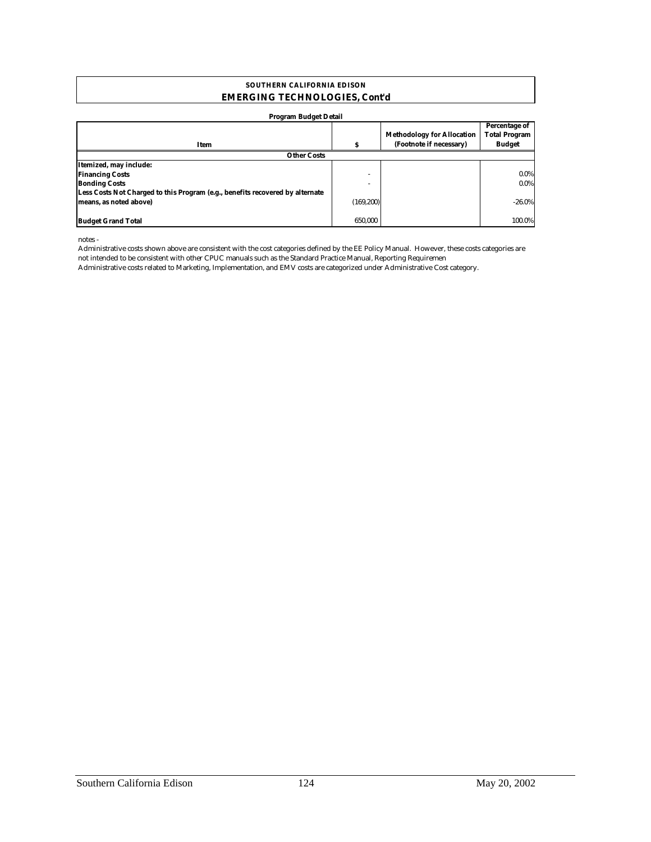#### **SOUTHERN CALIFORNIA EDISON EMERGING TECHNOLOGIES, Cont'd**

| <b>Program Budget Detail</b>                                                  |            |                                                              |                                                        |  |  |
|-------------------------------------------------------------------------------|------------|--------------------------------------------------------------|--------------------------------------------------------|--|--|
| Item                                                                          | s          | <b>Methodology for Allocation</b><br>(Footnote if necessary) | Percentage of<br><b>Total Program</b><br><b>Budget</b> |  |  |
| <b>Other Costs</b>                                                            |            |                                                              |                                                        |  |  |
| Itemized, may include:                                                        |            |                                                              |                                                        |  |  |
| <b>Financing Costs</b>                                                        | ۰          |                                                              | $0.0\%$                                                |  |  |
| <b>Bonding Costs</b>                                                          |            |                                                              | $0.0\%$                                                |  |  |
| Less Costs Not Charged to this Program (e.g., benefits recovered by alternate |            |                                                              |                                                        |  |  |
| means, as noted above)                                                        | (169, 200) |                                                              | $-26.0\%$                                              |  |  |
| <b>Budget Grand Total</b>                                                     | 650.000    |                                                              | 100.0%                                                 |  |  |

notes -

Administrative costs shown above are consistent with the cost categories defined by the EE Policy Manual. However, these costs categories are not intended to be consistent with other CPUC manuals such as the Standard Practice Manual, Reporting Requiremen

Administrative costs related to Marketing, Implementation, and EMV costs are categorized under Administrative Cost category.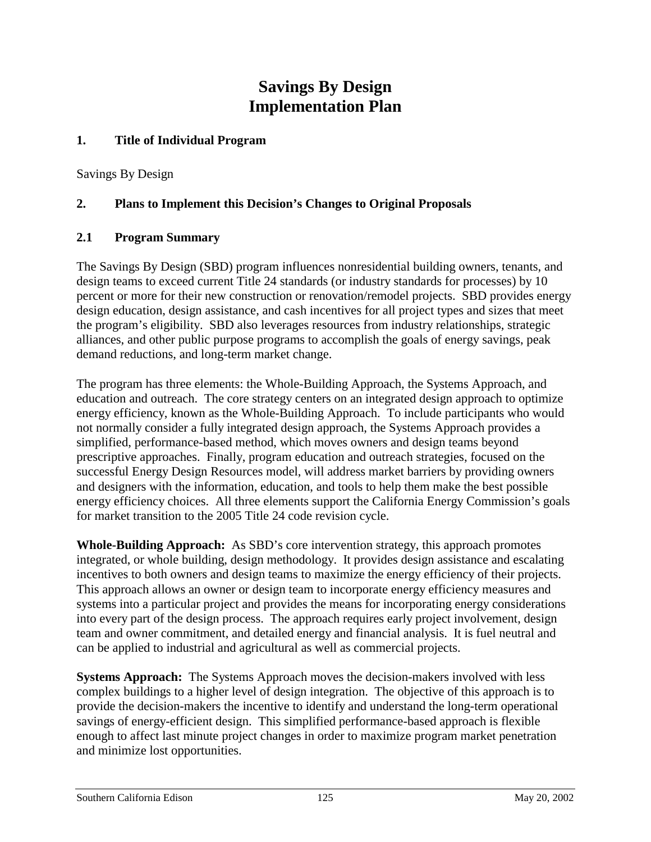# **Savings By Design Implementation Plan**

#### **1. Title of Individual Program**

Savings By Design

#### **2. Plans to Implement this Decision's Changes to Original Proposals**

#### **2.1 Program Summary**

The Savings By Design (SBD) program influences nonresidential building owners, tenants, and design teams to exceed current Title 24 standards (or industry standards for processes) by 10 percent or more for their new construction or renovation/remodel projects. SBD provides energy design education, design assistance, and cash incentives for all project types and sizes that meet the program's eligibility. SBD also leverages resources from industry relationships, strategic alliances, and other public purpose programs to accomplish the goals of energy savings, peak demand reductions, and long-term market change.

The program has three elements: the Whole-Building Approach, the Systems Approach, and education and outreach. The core strategy centers on an integrated design approach to optimize energy efficiency, known as the Whole-Building Approach. To include participants who would not normally consider a fully integrated design approach, the Systems Approach provides a simplified, performance-based method, which moves owners and design teams beyond prescriptive approaches. Finally, program education and outreach strategies, focused on the successful Energy Design Resources model, will address market barriers by providing owners and designers with the information, education, and tools to help them make the best possible energy efficiency choices. All three elements support the California Energy Commission's goals for market transition to the 2005 Title 24 code revision cycle.

**Whole-Building Approach:** As SBD's core intervention strategy, this approach promotes integrated, or whole building, design methodology. It provides design assistance and escalating incentives to both owners and design teams to maximize the energy efficiency of their projects. This approach allows an owner or design team to incorporate energy efficiency measures and systems into a particular project and provides the means for incorporating energy considerations into every part of the design process. The approach requires early project involvement, design team and owner commitment, and detailed energy and financial analysis. It is fuel neutral and can be applied to industrial and agricultural as well as commercial projects.

**Systems Approach:** The Systems Approach moves the decision-makers involved with less complex buildings to a higher level of design integration. The objective of this approach is to provide the decision-makers the incentive to identify and understand the long-term operational savings of energy-efficient design. This simplified performance-based approach is flexible enough to affect last minute project changes in order to maximize program market penetration and minimize lost opportunities.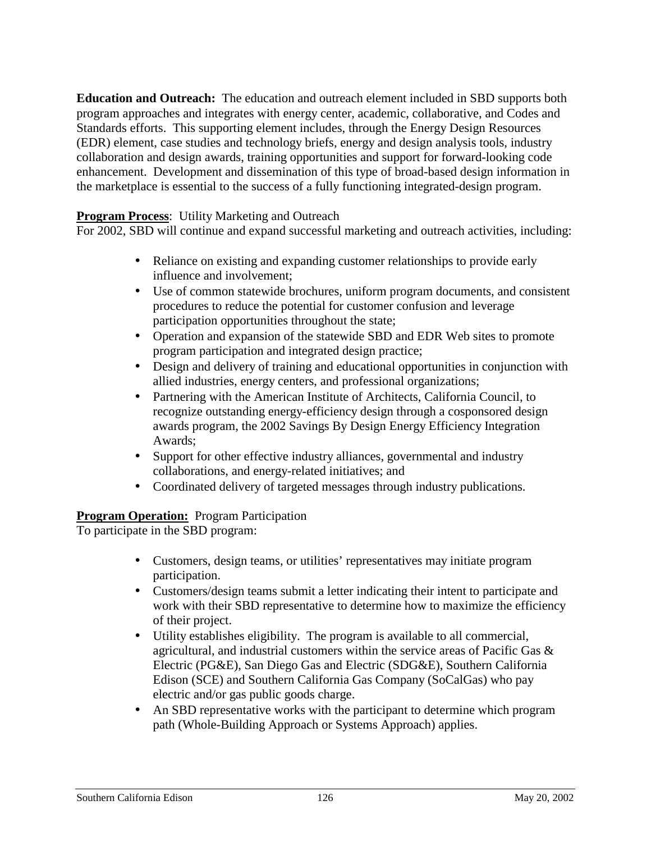**Education and Outreach:** The education and outreach element included in SBD supports both program approaches and integrates with energy center, academic, collaborative, and Codes and Standards efforts. This supporting element includes, through the Energy Design Resources (EDR) element, case studies and technology briefs, energy and design analysis tools, industry collaboration and design awards, training opportunities and support for forward-looking code enhancement. Development and dissemination of this type of broad-based design information in the marketplace is essential to the success of a fully functioning integrated-design program.

#### **Program Process:** Utility Marketing and Outreach

For 2002, SBD will continue and expand successful marketing and outreach activities, including:

- Reliance on existing and expanding customer relationships to provide early influence and involvement;
- Use of common statewide brochures, uniform program documents, and consistent procedures to reduce the potential for customer confusion and leverage participation opportunities throughout the state;
- Operation and expansion of the statewide SBD and EDR Web sites to promote program participation and integrated design practice;
- Design and delivery of training and educational opportunities in conjunction with allied industries, energy centers, and professional organizations;
- Partnering with the American Institute of Architects, California Council, to recognize outstanding energy-efficiency design through a cosponsored design awards program, the 2002 Savings By Design Energy Efficiency Integration Awards;
- Support for other effective industry alliances, governmental and industry collaborations, and energy-related initiatives; and
- Coordinated delivery of targeted messages through industry publications.

#### **Program Operation:** Program Participation

To participate in the SBD program:

- Customers, design teams, or utilities' representatives may initiate program participation.
- Customers/design teams submit a letter indicating their intent to participate and work with their SBD representative to determine how to maximize the efficiency of their project.
- Utility establishes eligibility. The program is available to all commercial, agricultural, and industrial customers within the service areas of Pacific Gas  $\&$ Electric (PG&E), San Diego Gas and Electric (SDG&E), Southern California Edison (SCE) and Southern California Gas Company (SoCalGas) who pay electric and/or gas public goods charge.
- An SBD representative works with the participant to determine which program path (Whole-Building Approach or Systems Approach) applies.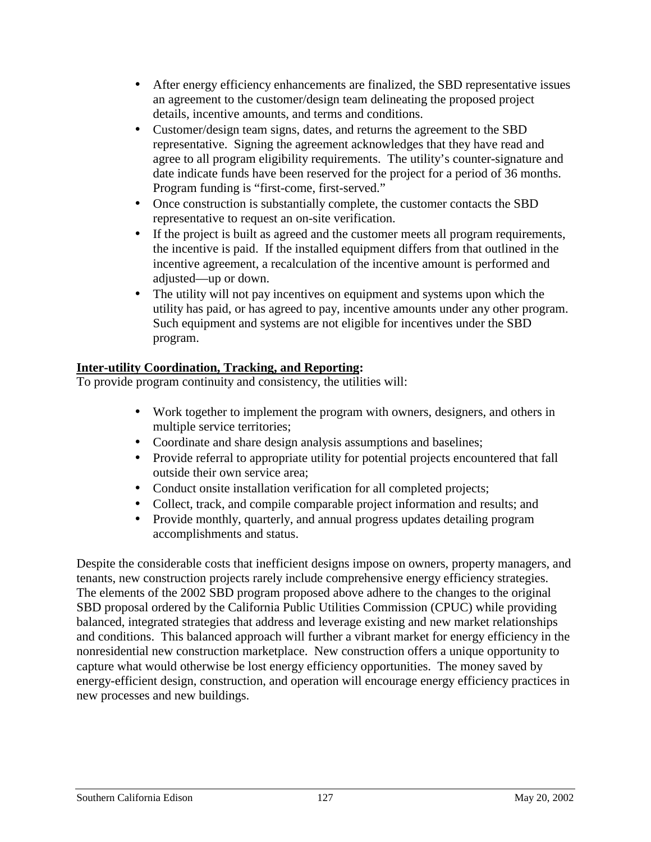- After energy efficiency enhancements are finalized, the SBD representative issues an agreement to the customer/design team delineating the proposed project details, incentive amounts, and terms and conditions.
- Customer/design team signs, dates, and returns the agreement to the SBD representative. Signing the agreement acknowledges that they have read and agree to all program eligibility requirements. The utility's counter-signature and date indicate funds have been reserved for the project for a period of 36 months. Program funding is "first-come, first-served."
- Once construction is substantially complete, the customer contacts the SBD representative to request an on-site verification.
- If the project is built as agreed and the customer meets all program requirements, the incentive is paid. If the installed equipment differs from that outlined in the incentive agreement, a recalculation of the incentive amount is performed and adjusted—up or down.
- The utility will not pay incentives on equipment and systems upon which the utility has paid, or has agreed to pay, incentive amounts under any other program. Such equipment and systems are not eligible for incentives under the SBD program.

### **Inter-utility Coordination, Tracking, and Reporting:**

To provide program continuity and consistency, the utilities will:

- Work together to implement the program with owners, designers, and others in multiple service territories;
- Coordinate and share design analysis assumptions and baselines;
- Provide referral to appropriate utility for potential projects encountered that fall outside their own service area;
- Conduct onsite installation verification for all completed projects;
- Collect, track, and compile comparable project information and results; and
- Provide monthly, quarterly, and annual progress updates detailing program accomplishments and status.

Despite the considerable costs that inefficient designs impose on owners, property managers, and tenants, new construction projects rarely include comprehensive energy efficiency strategies. The elements of the 2002 SBD program proposed above adhere to the changes to the original SBD proposal ordered by the California Public Utilities Commission (CPUC) while providing balanced, integrated strategies that address and leverage existing and new market relationships and conditions. This balanced approach will further a vibrant market for energy efficiency in the nonresidential new construction marketplace. New construction offers a unique opportunity to capture what would otherwise be lost energy efficiency opportunities. The money saved by energy-efficient design, construction, and operation will encourage energy efficiency practices in new processes and new buildings.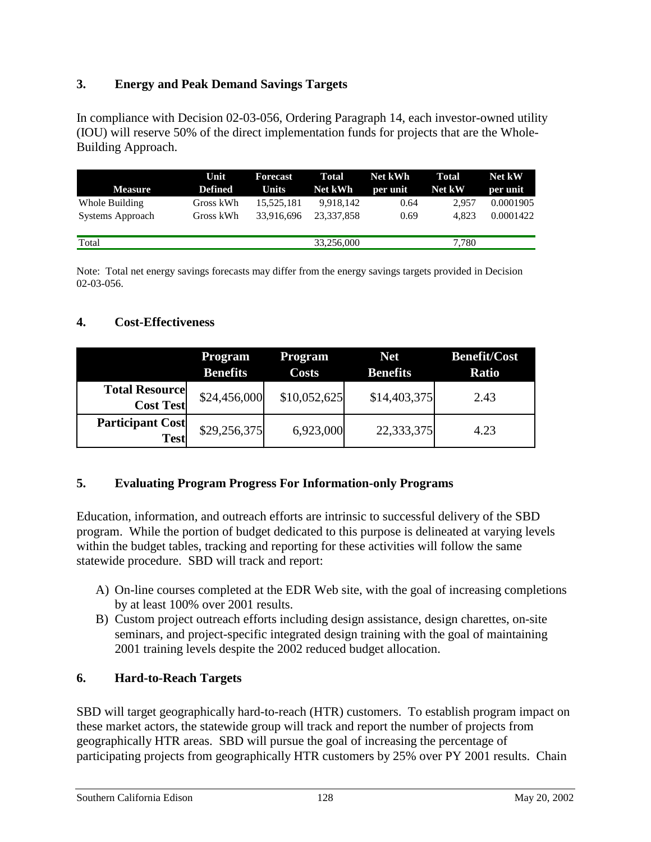### **3. Energy and Peak Demand Savings Targets**

In compliance with Decision 02-03-056, Ordering Paragraph 14, each investor-owned utility (IOU) will reserve 50% of the direct implementation funds for projects that are the Whole-Building Approach.

|                  | Unit      | Forecast     | Total      | Net kWh  | Total  | Net kW    |
|------------------|-----------|--------------|------------|----------|--------|-----------|
| <b>Measure</b>   | Defined   | <b>Units</b> | Net kWh    | per unit | Net kW | per unit  |
| Whole Building   | Gross kWh | 15.525.181   | 9.918.142  | 0.64     | 2.957  | 0.0001905 |
| Systems Approach | Gross kWh | 33.916.696   | 23.337.858 | 0.69     | 4.823  | 0.0001422 |
|                  |           |              |            |          |        |           |
| Total            |           |              | 33,256,000 |          | 7,780  |           |

Note: Total net energy savings forecasts may differ from the energy savings targets provided in Decision 02-03-056.

#### **4. Cost-Effectiveness**

|                                           | <b>Program</b><br><b>Benefits</b> | <b>Program</b><br><b>Costs</b> | <b>Net</b><br><b>Benefits</b> | <b>Benefit/Cost</b><br><b>Ratio</b> |
|-------------------------------------------|-----------------------------------|--------------------------------|-------------------------------|-------------------------------------|
| <b>Total Resource</b><br><b>Cost Test</b> | \$24,456,000                      | \$10,052,625                   | \$14,403,375                  | 2.43                                |
| <b>Participant Cost</b><br><b>Test</b>    | \$29,256,375                      | 6,923,000                      | 22,333,375                    | 4.23                                |

#### **5. Evaluating Program Progress For Information-only Programs**

Education, information, and outreach efforts are intrinsic to successful delivery of the SBD program. While the portion of budget dedicated to this purpose is delineated at varying levels within the budget tables, tracking and reporting for these activities will follow the same statewide procedure. SBD will track and report:

- A) On-line courses completed at the EDR Web site, with the goal of increasing completions by at least 100% over 2001 results.
- B) Custom project outreach efforts including design assistance, design charettes, on-site seminars, and project-specific integrated design training with the goal of maintaining 2001 training levels despite the 2002 reduced budget allocation.

#### **6. Hard-to-Reach Targets**

SBD will target geographically hard-to-reach (HTR) customers. To establish program impact on these market actors, the statewide group will track and report the number of projects from geographically HTR areas. SBD will pursue the goal of increasing the percentage of participating projects from geographically HTR customers by 25% over PY 2001 results. Chain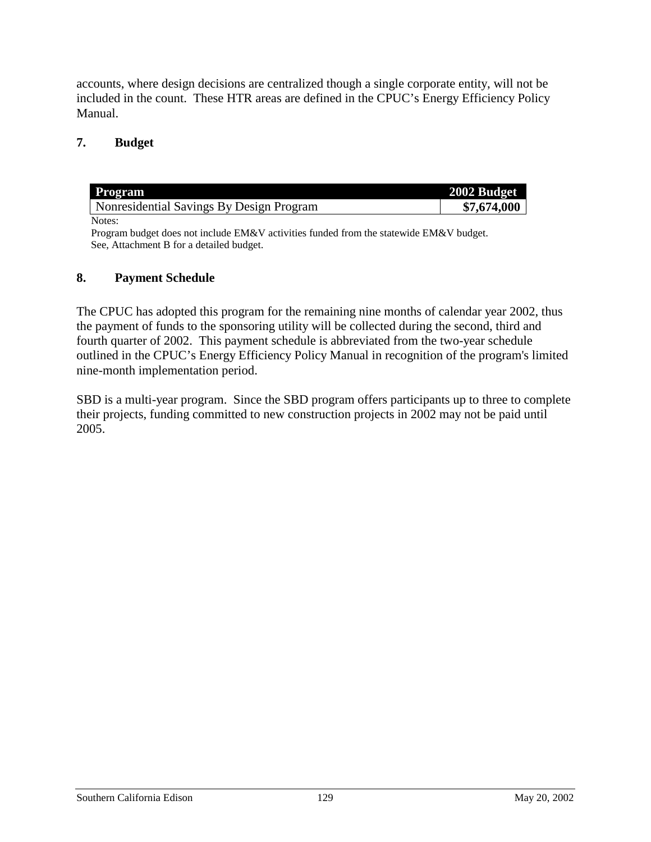accounts, where design decisions are centralized though a single corporate entity, will not be included in the count. These HTR areas are defined in the CPUC's Energy Efficiency Policy Manual.

#### **7. Budget**

| <b>Program</b>                           | 2002 Budget |
|------------------------------------------|-------------|
| Nonresidential Savings By Design Program | \$7,674,000 |
| Notes:                                   |             |

Program budget does not include EM&V activities funded from the statewide EM&V budget. See, Attachment B for a detailed budget.

#### **8. Payment Schedule**

The CPUC has adopted this program for the remaining nine months of calendar year 2002, thus the payment of funds to the sponsoring utility will be collected during the second, third and fourth quarter of 2002. This payment schedule is abbreviated from the two-year schedule outlined in the CPUC's Energy Efficiency Policy Manual in recognition of the program's limited nine-month implementation period.

SBD is a multi-year program. Since the SBD program offers participants up to three to complete their projects, funding committed to new construction projects in 2002 may not be paid until 2005.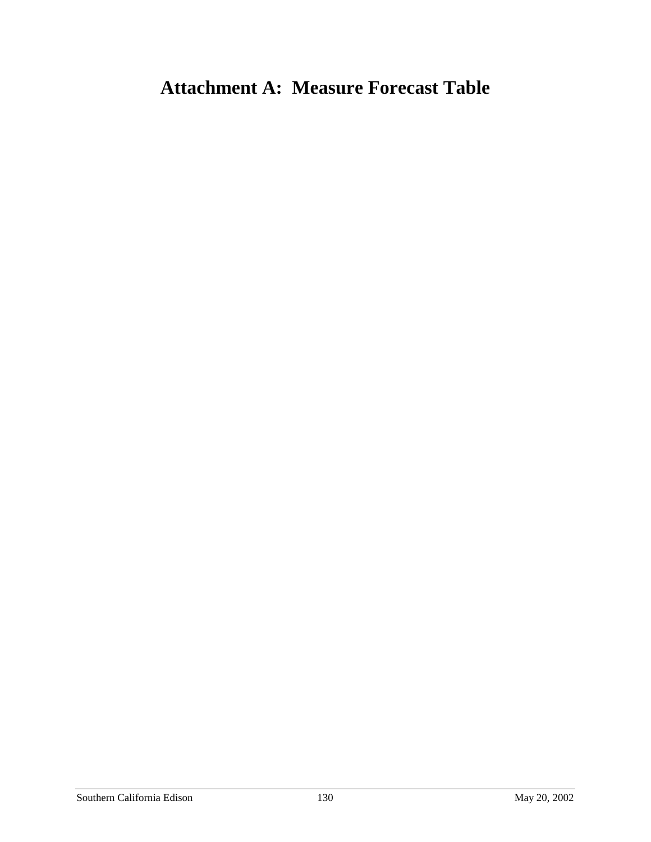# **Attachment A: Measure Forecast Table**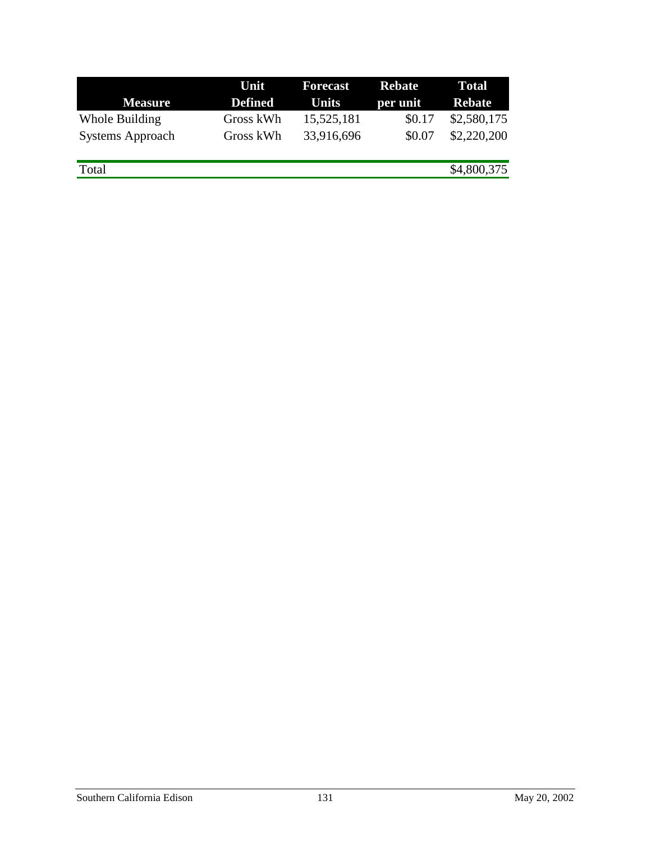|                         | Unit           | <b>Forecast</b> | <b>Rebate</b> | <b>Total</b>  |
|-------------------------|----------------|-----------------|---------------|---------------|
| <b>Measure</b>          | <b>Defined</b> | <b>Units</b>    | per unit      | <b>Rebate</b> |
| Whole Building          | Gross kWh      | 15,525,181      | \$0.17        | \$2,580,175   |
| <b>Systems Approach</b> | Gross kWh      | 33,916,696      | \$0.07        | \$2,220,200   |
|                         |                |                 |               |               |
| Total                   |                |                 |               | \$4,800,375   |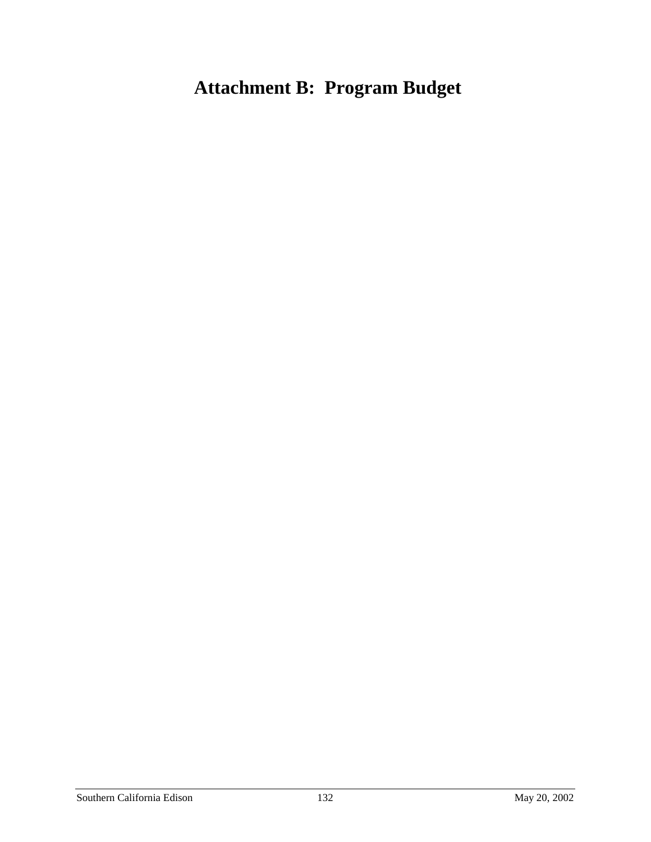# **Attachment B: Program Budget**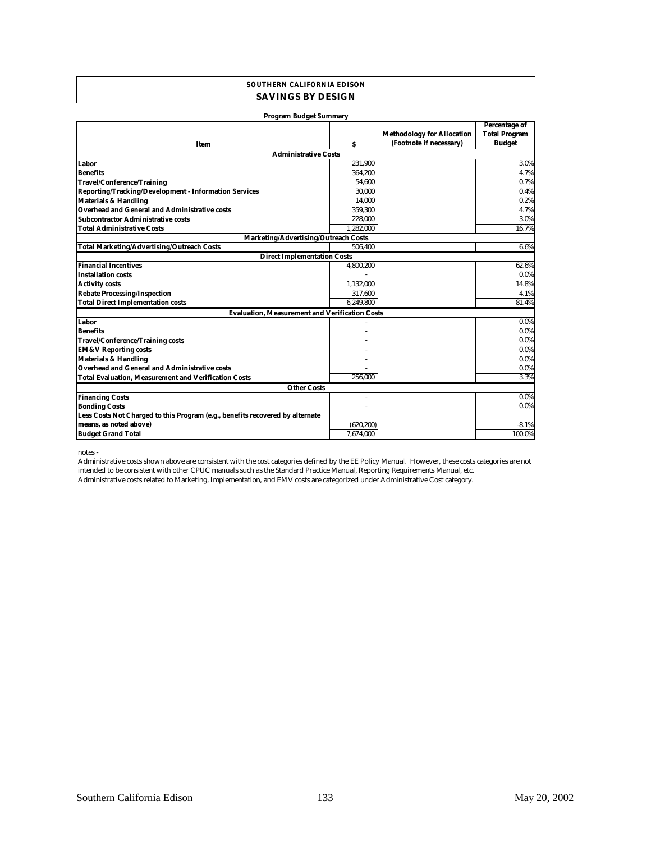#### **SOUTHERN CALIFORNIA EDISON SAVINGS BY DESIGN**

| <b>Program Budget Summary</b>                                                 |            |                                   |                                       |  |
|-------------------------------------------------------------------------------|------------|-----------------------------------|---------------------------------------|--|
|                                                                               |            | <b>Methodology for Allocation</b> | Percentage of<br><b>Total Program</b> |  |
| Item                                                                          | s          | (Footnote if necessary)           | <b>Budget</b>                         |  |
| <b>Administrative Costs</b>                                                   |            |                                   |                                       |  |
| Labor                                                                         | 231,900    |                                   | 3.0%                                  |  |
| <b>Benefits</b>                                                               | 364,200    |                                   | 4.7%                                  |  |
| <b>Travel/Conference/Training</b>                                             | 54.600     |                                   | 0.7%                                  |  |
| Reporting/Tracking/Development - Information Services                         | 30,000     |                                   | 0.4%                                  |  |
| <b>Materials &amp; Handling</b>                                               | 14,000     |                                   | 0.2%                                  |  |
| <b>Overhead and General and Administrative costs</b>                          | 359,300    |                                   | 4.7%                                  |  |
| Subcontractor Administrative costs                                            | 228,000    |                                   | 3.0%                                  |  |
| <b>Total Administrative Costs</b>                                             | 1,282,000  |                                   | 16.7%                                 |  |
| Marketing/Advertising/Outreach Costs                                          |            |                                   |                                       |  |
| <b>Total Marketing/Advertising/Outreach Costs</b>                             | 506.400    |                                   | 6.6%                                  |  |
| <b>Direct Implementation Costs</b>                                            |            |                                   |                                       |  |
| <b>Financial Incentives</b>                                                   | 4,800,200  |                                   | 62.6%                                 |  |
| <b>Installation costs</b>                                                     |            |                                   | $0.0\%$                               |  |
| <b>Activity costs</b>                                                         | 1,132,000  |                                   | 14.8%                                 |  |
| <b>Rebate Processing/Inspection</b>                                           | 317,600    |                                   | 4.1%                                  |  |
| <b>Total Direct Implementation costs</b>                                      | 6,249,800  |                                   | 81.4%                                 |  |
| <b>Evaluation. Measurement and Verification Costs</b>                         |            |                                   |                                       |  |
| Labor                                                                         |            |                                   | 0.0%                                  |  |
| <b>Benefits</b>                                                               |            |                                   | $0.0\%$                               |  |
| <b>Travel/Conference/Training costs</b>                                       |            |                                   | $0.0\%$                               |  |
| <b>EM&amp;V Reporting costs</b>                                               |            |                                   | $0.0\%$                               |  |
| <b>Materials &amp; Handling</b>                                               |            |                                   | $0.0\%$                               |  |
| <b>Overhead and General and Administrative costs</b>                          |            |                                   | $0.0\%$                               |  |
| <b>Total Evaluation, Measurement and Verification Costs</b>                   | 256.000    |                                   | 3.3%                                  |  |
| <b>Other Costs</b>                                                            |            |                                   |                                       |  |
| <b>Financing Costs</b>                                                        |            |                                   | $0.0\%$                               |  |
| <b>Bonding Costs</b>                                                          |            |                                   | $0.0\%$                               |  |
| Less Costs Not Charged to this Program (e.g., benefits recovered by alternate |            |                                   |                                       |  |
| means, as noted above)                                                        | (620, 200) |                                   | $-8.1%$                               |  |
| <b>Budget Grand Total</b>                                                     | 7,674,000  |                                   | 100.0%                                |  |
|                                                                               |            |                                   |                                       |  |

notes -

Administrative costs related to Marketing, Implementation, and EMV costs are categorized under Administrative Cost category. Administrative costs shown above are consistent with the cost categories defined by the EE Policy Manual. However, these costs categories are not intended to be consistent with other CPUC manuals such as the Standard Practice Manual, Reporting Requirements Manual, etc.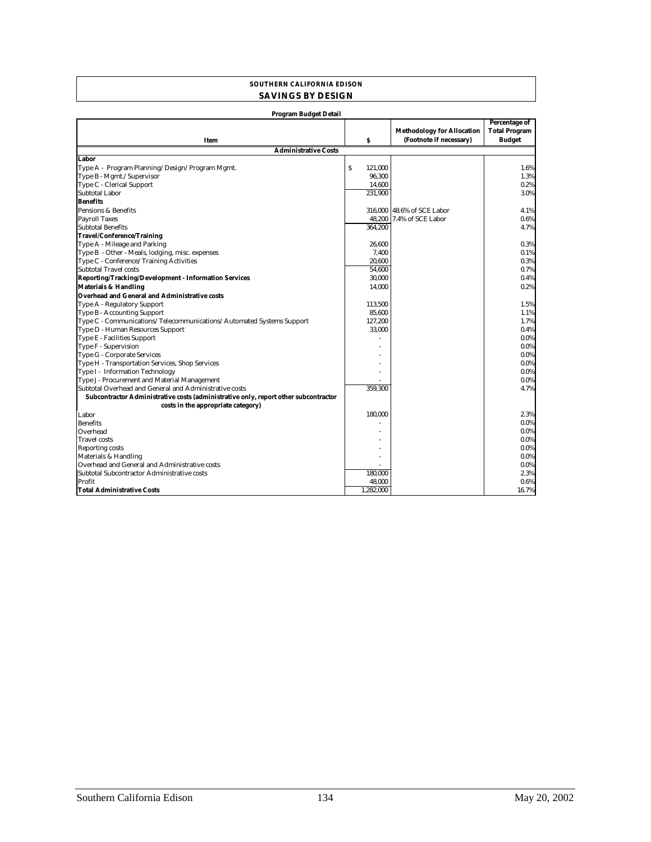#### **SOUTHERN CALIFORNIA EDISON SAVINGS BY DESIGN**

| <b>Program Budget Detail</b>                                                        |              |                                   |                      |
|-------------------------------------------------------------------------------------|--------------|-----------------------------------|----------------------|
|                                                                                     |              |                                   | <b>Percentage of</b> |
|                                                                                     |              | <b>Methodology for Allocation</b> | <b>Total Program</b> |
| Item                                                                                | \$           | (Footnote if necessary)           | <b>Budget</b>        |
| <b>Administrative Costs</b>                                                         |              |                                   |                      |
| <b>Labor</b>                                                                        |              |                                   |                      |
| Type A - Program Planning/Design/Program Mgmt.                                      | Ś<br>121.000 |                                   | 1.6%                 |
| Type B - Mgmt./Supervisor                                                           | 96,300       |                                   | 1.3%                 |
| Type C - Clerical Support                                                           | 14.600       |                                   | 0.2%                 |
| Subtotal Labor                                                                      | 231.900      |                                   | 3.0%                 |
| <b>Benefits</b>                                                                     |              |                                   |                      |
| Pensions & Benefits                                                                 |              | 316,000 48.6% of SCE Labor        | 4.1%                 |
| <b>Payroll Taxes</b>                                                                |              | 48,200 7.4% of SCE Labor          | 0.6%                 |
| <b>Subtotal Benefits</b>                                                            | 364.200      |                                   | 4.7%                 |
| <b>Travel/Conference/Training</b>                                                   |              |                                   |                      |
| Type A - Mileage and Parking                                                        | 26.600       |                                   | 0.3%                 |
| Type B - Other - Meals, lodging, misc. expenses                                     | 7,400        |                                   | 0.1%                 |
| Type C - Conference/Training Activities                                             | 20.600       |                                   | 0.3%                 |
| Subtotal Travel costs                                                               | 54.600       |                                   | 0.7%                 |
| Reporting/Tracking/Development - Information Services                               | 30.000       |                                   | 0.4%                 |
| <b>Materials &amp; Handling</b>                                                     | 14.000       |                                   | 0.2%                 |
| <b>Overhead and General and Administrative costs</b>                                |              |                                   |                      |
| Type A - Regulatory Support                                                         | 113,500      |                                   | 1.5%                 |
| Type B - Accounting Support                                                         | 85.600       |                                   | 1.1%                 |
| Type C - Communications/Telecommunications/Automated Systems Support                | 127,200      |                                   | 1.7%                 |
| Type D - Human Resources Support                                                    | 33.000       |                                   | 0.4%                 |
| Type E - Facilities Support                                                         |              |                                   | $0.0\%$              |
| Type F - Supervision                                                                |              |                                   | $0.0\%$              |
| Type G - Corporate Services                                                         |              |                                   | 0.0%                 |
| Type H - Transportation Services, Shop Services                                     |              |                                   | $0.0\%$              |
| Type I - Information Technology                                                     |              |                                   | $0.0\%$              |
| Type J - Procurement and Material Management                                        |              |                                   | 0.0%                 |
| Subtotal Overhead and General and Administrative costs                              | 359,300      |                                   | 4.7%                 |
| Subcontractor Administrative costs (administrative only, report other subcontractor |              |                                   |                      |
| costs in the appropriate category)                                                  |              |                                   |                      |
| Labor                                                                               | 180,000      |                                   | 2.3%                 |
| <b>Benefits</b>                                                                     |              |                                   | $0.0\%$              |
| Overhead                                                                            |              |                                   | $0.0\%$              |
| <b>Travel</b> costs                                                                 |              |                                   | $0.0\%$              |
| <b>Reporting costs</b>                                                              |              |                                   | 0.0%                 |
| Materials & Handling                                                                |              |                                   | $0.0\%$              |
| Overhead and General and Administrative costs                                       |              |                                   | 0.0%                 |
| Subtotal Subcontractor Administrative costs                                         | 180.000      |                                   | 2.3%                 |
| Profit                                                                              | 48,000       |                                   | 0.6%                 |
| <b>Total Administrative Costs</b>                                                   | 1.282.000    |                                   | 16.7%                |
|                                                                                     |              |                                   |                      |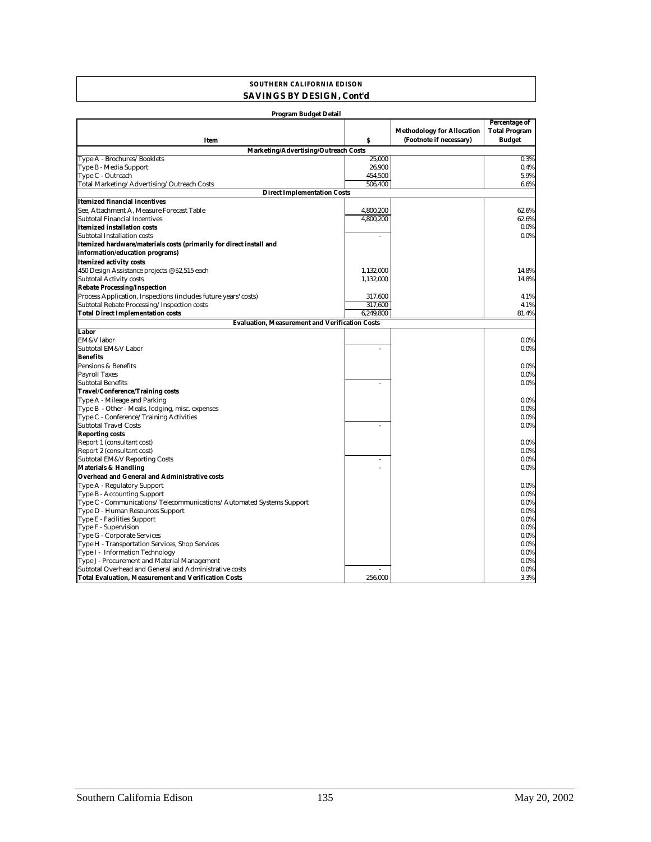#### **SOUTHERN CALIFORNIA EDISON SAVINGS BY DESIGN, Cont'd**

| <b>Program Budget Detail</b>                                         |           |                                                              |                                                               |  |
|----------------------------------------------------------------------|-----------|--------------------------------------------------------------|---------------------------------------------------------------|--|
| Item                                                                 | Ŝ         | <b>Methodology for Allocation</b><br>(Footnote if necessary) | <b>Percentage of</b><br><b>Total Program</b><br><b>Budget</b> |  |
| Marketing/Advertising/Outreach Costs                                 |           |                                                              |                                                               |  |
| Type A - Brochures/Booklets                                          | 25,000    |                                                              | 0.3%                                                          |  |
| Type B - Media Support                                               | 26,900    |                                                              | 0.4%                                                          |  |
| Type C - Outreach                                                    | 454,500   |                                                              | 5.9%                                                          |  |
| Total Marketing/Advertising/Outreach Costs                           | 506,400   |                                                              | 6.6%                                                          |  |
| <b>Direct Implementation Costs</b>                                   |           |                                                              |                                                               |  |
| <b>Itemized financial incentives</b>                                 |           |                                                              |                                                               |  |
| See, Attachment A, Measure Forecast Table                            | 4,800,200 |                                                              | 62.6%                                                         |  |
| Subtotal Financial Incentives                                        | 4,800,200 |                                                              | 62.6%                                                         |  |
| <b>Itemized installation costs</b>                                   |           |                                                              | 0.0%                                                          |  |
| Subtotal Installation costs                                          |           |                                                              | 0.0%                                                          |  |
| Itemized hardware/materials costs (primarily for direct install and  |           |                                                              |                                                               |  |
| information/education programs)                                      |           |                                                              |                                                               |  |
| <b>Itemized activity costs</b>                                       |           |                                                              |                                                               |  |
| 450 Design Assistance projects @ \$2,515 each                        | 1,132,000 |                                                              | 14.8%                                                         |  |
| <b>Subtotal Activity costs</b>                                       | 1,132,000 |                                                              | 14.8%                                                         |  |
| <b>Rebate Processing/Inspection</b>                                  |           |                                                              |                                                               |  |
| Process Application, Inspections (includes future years' costs)      | 317,600   |                                                              | 4.1%                                                          |  |
| Subtotal Rebate Processing/Inspection costs                          | 317,600   |                                                              | 4.1%                                                          |  |
| <b>Total Direct Implementation costs</b>                             | 6,249,800 |                                                              | 81.4%                                                         |  |
| <b>Evaluation, Measurement and Verification Costs</b>                |           |                                                              |                                                               |  |
| Labor                                                                |           |                                                              |                                                               |  |
| EM&V labor                                                           |           |                                                              | 0.0%                                                          |  |
| Subtotal EM&V Labor                                                  |           |                                                              | 0.0%                                                          |  |
| <b>Benefits</b>                                                      |           |                                                              |                                                               |  |
| Pensions & Benefits                                                  |           |                                                              | 0.0%                                                          |  |
| <b>Payroll Taxes</b>                                                 |           |                                                              | 0.0%                                                          |  |
| <b>Subtotal Benefits</b>                                             |           |                                                              | 0.0%                                                          |  |
| <b>Travel/Conference/Training costs</b>                              |           |                                                              |                                                               |  |
| Type A - Mileage and Parking                                         |           |                                                              | 0.0%                                                          |  |
| Type B - Other - Meals, lodging, misc. expenses                      |           |                                                              | 0.0%                                                          |  |
| Type C - Conference/Training Activities                              |           |                                                              | 0.0%                                                          |  |
| <b>Subtotal Travel Costs</b>                                         |           |                                                              | $0.0\%$                                                       |  |
| <b>Reporting costs</b>                                               |           |                                                              |                                                               |  |
| Report 1 (consultant cost)                                           |           |                                                              | 0.0%                                                          |  |
| Report 2 (consultant cost)                                           |           |                                                              | 0.0%                                                          |  |
| <b>Subtotal EM&amp;V Reporting Costs</b>                             |           |                                                              | 0.0%                                                          |  |
| <b>Materials &amp; Handling</b>                                      |           |                                                              | 0.0%                                                          |  |
| <b>Overhead and General and Administrative costs</b>                 |           |                                                              |                                                               |  |
| Type A - Regulatory Support                                          |           |                                                              | 0.0%                                                          |  |
| <b>Type B - Accounting Support</b>                                   |           |                                                              | 0.0%                                                          |  |
| Type C - Communications/Telecommunications/Automated Systems Support |           |                                                              | 0.0%                                                          |  |
| Type D - Human Resources Support                                     |           |                                                              | 0.0%                                                          |  |
| Type E - Facilities Support                                          |           |                                                              | 0.0%                                                          |  |
| Type F - Supervision                                                 |           |                                                              | 0.0%                                                          |  |
| Type G - Corporate Services                                          |           |                                                              | 0.0%                                                          |  |
| Type H - Transportation Services, Shop Services                      |           |                                                              | 0.0%                                                          |  |
| Type I - Information Technology                                      |           |                                                              | 0.0%                                                          |  |
| Type J - Procurement and Material Management                         |           |                                                              | 0.0%                                                          |  |
| Subtotal Overhead and General and Administrative costs               |           |                                                              | 0.0%                                                          |  |
| <b>Total Evaluation, Measurement and Verification Costs</b>          | 256,000   |                                                              | 3.3%                                                          |  |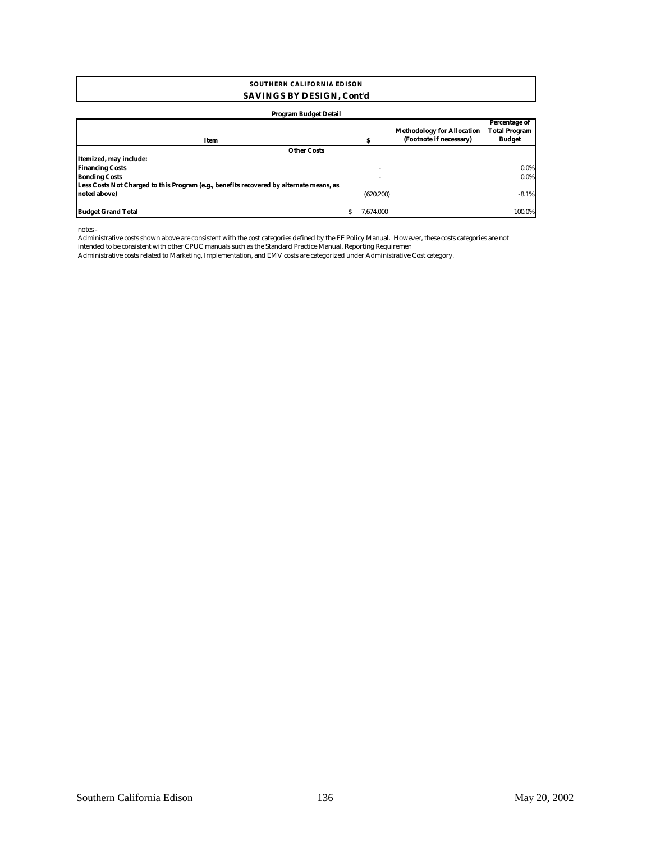#### **SAVINGS BY DESIGN, Cont'd SOUTHERN CALIFORNIA EDISON**

#### **Program Budget Detail**

| . .<br>$\cdot$                                                                          |            |                                                              |                                                        |
|-----------------------------------------------------------------------------------------|------------|--------------------------------------------------------------|--------------------------------------------------------|
|                                                                                         |            | <b>Methodology for Allocation</b><br>(Footnote if necessary) | Percentage of<br><b>Total Program</b><br><b>Budget</b> |
| Item                                                                                    |            |                                                              |                                                        |
| <b>Other Costs</b>                                                                      |            |                                                              |                                                        |
| Itemized, may include:                                                                  |            |                                                              |                                                        |
| <b>Financing Costs</b>                                                                  |            | -                                                            | $0.0\%$                                                |
| <b>Bonding Costs</b>                                                                    |            |                                                              | $0.0\%$                                                |
| Less Costs Not Charged to this Program (e.g., benefits recovered by alternate means, as |            |                                                              |                                                        |
| noted above)                                                                            | (620, 200) |                                                              | $-8.1%$                                                |
|                                                                                         |            |                                                              |                                                        |
| <b>Budget Grand Total</b>                                                               | 7.674.000  |                                                              | 100.0%                                                 |

notes -

Administrative costs shown above are consistent with the cost categories defined by the EE Policy Manual. However, these costs categories are not

intended to be consistent with other CPUC manuals such as the Standard Practice Manual, Reporting Requiremen

Administrative costs related to Marketing, Implementation, and EMV costs are categorized under Administrative Cost category.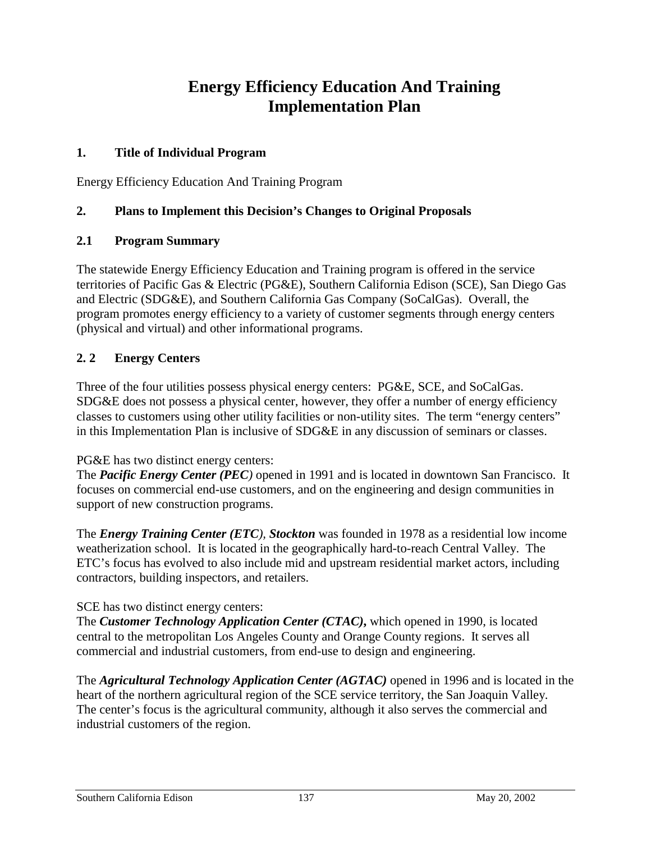# **Energy Efficiency Education And Training Implementation Plan**

#### **1. Title of Individual Program**

Energy Efficiency Education And Training Program

#### **2. Plans to Implement this Decision's Changes to Original Proposals**

#### **2.1 Program Summary**

The statewide Energy Efficiency Education and Training program is offered in the service territories of Pacific Gas & Electric (PG&E), Southern California Edison (SCE), San Diego Gas and Electric (SDG&E), and Southern California Gas Company (SoCalGas). Overall, the program promotes energy efficiency to a variety of customer segments through energy centers (physical and virtual) and other informational programs.

#### **2. 2 Energy Centers**

Three of the four utilities possess physical energy centers: PG&E, SCE, and SoCalGas. SDG&E does not possess a physical center, however, they offer a number of energy efficiency classes to customers using other utility facilities or non-utility sites. The term "energy centers" in this Implementation Plan is inclusive of SDG&E in any discussion of seminars or classes.

#### PG&E has two distinct energy centers:

The *Pacific Energy Center (PEC)* opened in 1991 and is located in downtown San Francisco. It focuses on commercial end-use customers, and on the engineering and design communities in support of new construction programs.

The *Energy Training Center (ETC), Stockton* was founded in 1978 as a residential low income weatherization school. It is located in the geographically hard-to-reach Central Valley. The ETC's focus has evolved to also include mid and upstream residential market actors, including contractors, building inspectors, and retailers.

#### SCE has two distinct energy centers:

The *Customer Technology Application Center (CTAC)***,** which opened in 1990, is located central to the metropolitan Los Angeles County and Orange County regions. It serves all commercial and industrial customers, from end-use to design and engineering.

The *Agricultural Technology Application Center (AGTAC)* opened in 1996 and is located in the heart of the northern agricultural region of the SCE service territory, the San Joaquin Valley. The center's focus is the agricultural community, although it also serves the commercial and industrial customers of the region.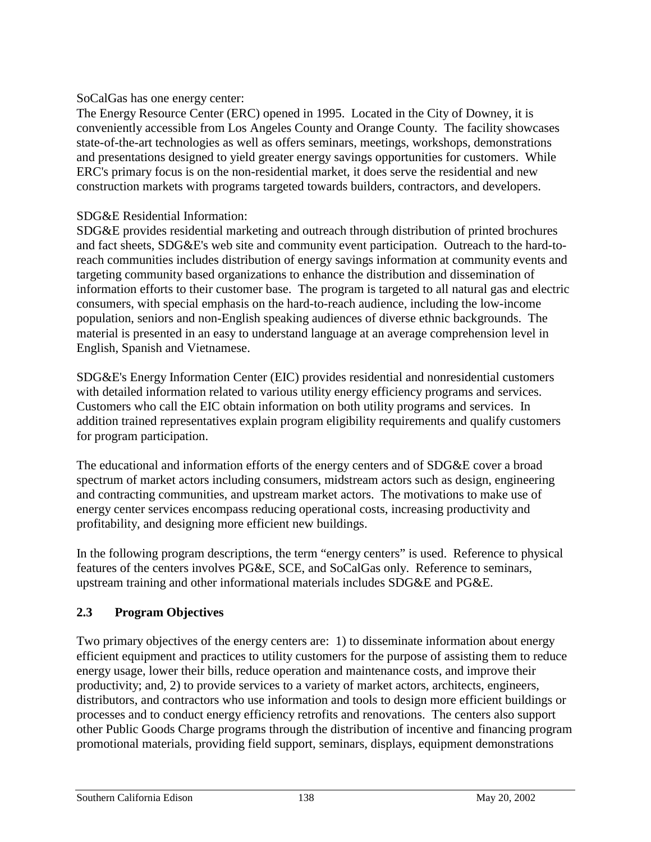#### SoCalGas has one energy center:

The Energy Resource Center (ERC) opened in 1995. Located in the City of Downey, it is conveniently accessible from Los Angeles County and Orange County. The facility showcases state-of-the-art technologies as well as offers seminars, meetings, workshops, demonstrations and presentations designed to yield greater energy savings opportunities for customers. While ERC's primary focus is on the non-residential market, it does serve the residential and new construction markets with programs targeted towards builders, contractors, and developers.

#### SDG&E Residential Information:

SDG&E provides residential marketing and outreach through distribution of printed brochures and fact sheets, SDG&E's web site and community event participation. Outreach to the hard-toreach communities includes distribution of energy savings information at community events and targeting community based organizations to enhance the distribution and dissemination of information efforts to their customer base. The program is targeted to all natural gas and electric consumers, with special emphasis on the hard-to-reach audience, including the low-income population, seniors and non-English speaking audiences of diverse ethnic backgrounds. The material is presented in an easy to understand language at an average comprehension level in English, Spanish and Vietnamese.

SDG&E's Energy Information Center (EIC) provides residential and nonresidential customers with detailed information related to various utility energy efficiency programs and services. Customers who call the EIC obtain information on both utility programs and services. In addition trained representatives explain program eligibility requirements and qualify customers for program participation.

The educational and information efforts of the energy centers and of SDG&E cover a broad spectrum of market actors including consumers, midstream actors such as design, engineering and contracting communities, and upstream market actors. The motivations to make use of energy center services encompass reducing operational costs, increasing productivity and profitability, and designing more efficient new buildings.

In the following program descriptions, the term "energy centers" is used. Reference to physical features of the centers involves PG&E, SCE, and SoCalGas only. Reference to seminars, upstream training and other informational materials includes SDG&E and PG&E.

#### **2.3 Program Objectives**

Two primary objectives of the energy centers are: 1) to disseminate information about energy efficient equipment and practices to utility customers for the purpose of assisting them to reduce energy usage, lower their bills, reduce operation and maintenance costs, and improve their productivity; and, 2) to provide services to a variety of market actors, architects, engineers, distributors, and contractors who use information and tools to design more efficient buildings or processes and to conduct energy efficiency retrofits and renovations. The centers also support other Public Goods Charge programs through the distribution of incentive and financing program promotional materials, providing field support, seminars, displays, equipment demonstrations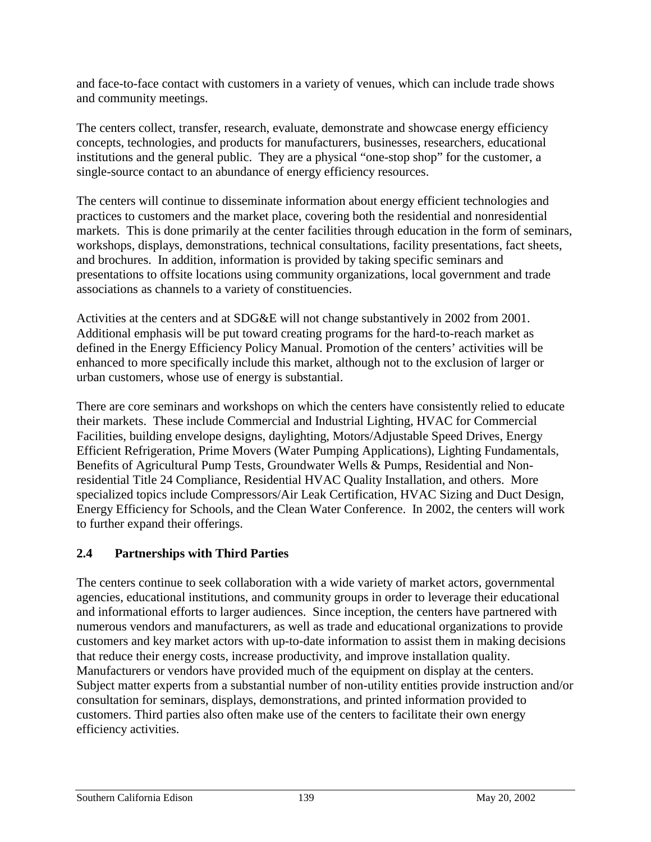and face-to-face contact with customers in a variety of venues, which can include trade shows and community meetings.

The centers collect, transfer, research, evaluate, demonstrate and showcase energy efficiency concepts, technologies, and products for manufacturers, businesses, researchers, educational institutions and the general public. They are a physical "one-stop shop" for the customer, a single-source contact to an abundance of energy efficiency resources.

The centers will continue to disseminate information about energy efficient technologies and practices to customers and the market place, covering both the residential and nonresidential markets. This is done primarily at the center facilities through education in the form of seminars, workshops, displays, demonstrations, technical consultations, facility presentations, fact sheets, and brochures. In addition, information is provided by taking specific seminars and presentations to offsite locations using community organizations, local government and trade associations as channels to a variety of constituencies.

Activities at the centers and at SDG&E will not change substantively in 2002 from 2001. Additional emphasis will be put toward creating programs for the hard-to-reach market as defined in the Energy Efficiency Policy Manual. Promotion of the centers' activities will be enhanced to more specifically include this market, although not to the exclusion of larger or urban customers, whose use of energy is substantial.

There are core seminars and workshops on which the centers have consistently relied to educate their markets. These include Commercial and Industrial Lighting, HVAC for Commercial Facilities, building envelope designs, daylighting, Motors/Adjustable Speed Drives, Energy Efficient Refrigeration, Prime Movers (Water Pumping Applications), Lighting Fundamentals, Benefits of Agricultural Pump Tests, Groundwater Wells & Pumps, Residential and Nonresidential Title 24 Compliance, Residential HVAC Quality Installation, and others. More specialized topics include Compressors/Air Leak Certification, HVAC Sizing and Duct Design, Energy Efficiency for Schools, and the Clean Water Conference. In 2002, the centers will work to further expand their offerings.

# **2.4 Partnerships with Third Parties**

The centers continue to seek collaboration with a wide variety of market actors, governmental agencies, educational institutions, and community groups in order to leverage their educational and informational efforts to larger audiences. Since inception, the centers have partnered with numerous vendors and manufacturers, as well as trade and educational organizations to provide customers and key market actors with up-to-date information to assist them in making decisions that reduce their energy costs, increase productivity, and improve installation quality. Manufacturers or vendors have provided much of the equipment on display at the centers. Subject matter experts from a substantial number of non-utility entities provide instruction and/or consultation for seminars, displays, demonstrations, and printed information provided to customers. Third parties also often make use of the centers to facilitate their own energy efficiency activities.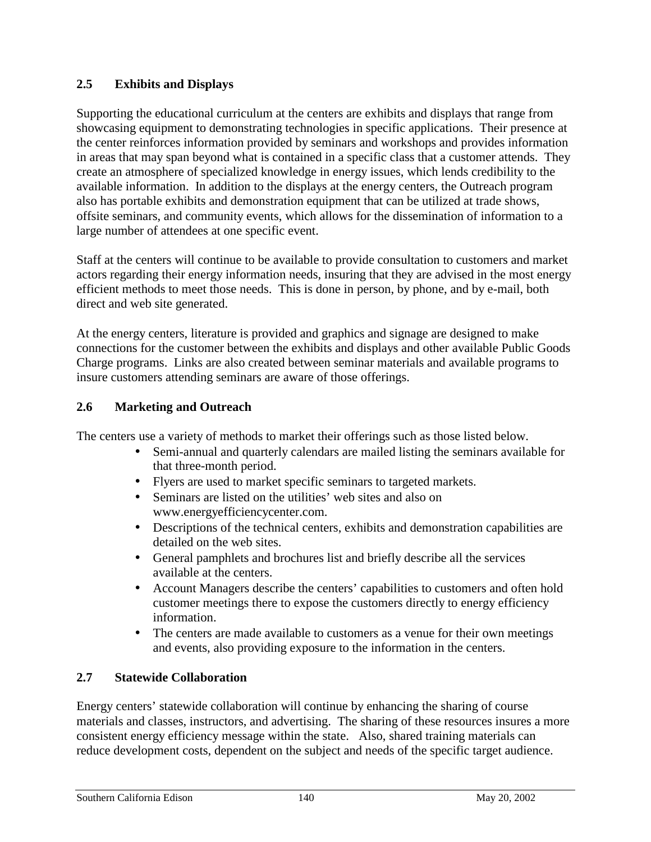### **2.5 Exhibits and Displays**

Supporting the educational curriculum at the centers are exhibits and displays that range from showcasing equipment to demonstrating technologies in specific applications. Their presence at the center reinforces information provided by seminars and workshops and provides information in areas that may span beyond what is contained in a specific class that a customer attends. They create an atmosphere of specialized knowledge in energy issues, which lends credibility to the available information. In addition to the displays at the energy centers, the Outreach program also has portable exhibits and demonstration equipment that can be utilized at trade shows, offsite seminars, and community events, which allows for the dissemination of information to a large number of attendees at one specific event.

Staff at the centers will continue to be available to provide consultation to customers and market actors regarding their energy information needs, insuring that they are advised in the most energy efficient methods to meet those needs. This is done in person, by phone, and by e-mail, both direct and web site generated.

At the energy centers, literature is provided and graphics and signage are designed to make connections for the customer between the exhibits and displays and other available Public Goods Charge programs. Links are also created between seminar materials and available programs to insure customers attending seminars are aware of those offerings.

### **2.6 Marketing and Outreach**

The centers use a variety of methods to market their offerings such as those listed below.

- Semi-annual and quarterly calendars are mailed listing the seminars available for that three-month period.
- Flyers are used to market specific seminars to targeted markets.
- Seminars are listed on the utilities' web sites and also on www.energyefficiencycenter.com.
- Descriptions of the technical centers, exhibits and demonstration capabilities are detailed on the web sites.
- General pamphlets and brochures list and briefly describe all the services available at the centers.
- Account Managers describe the centers' capabilities to customers and often hold customer meetings there to expose the customers directly to energy efficiency information.
- The centers are made available to customers as a venue for their own meetings and events, also providing exposure to the information in the centers.

# **2.7 Statewide Collaboration**

Energy centers' statewide collaboration will continue by enhancing the sharing of course materials and classes, instructors, and advertising. The sharing of these resources insures a more consistent energy efficiency message within the state. Also, shared training materials can reduce development costs, dependent on the subject and needs of the specific target audience.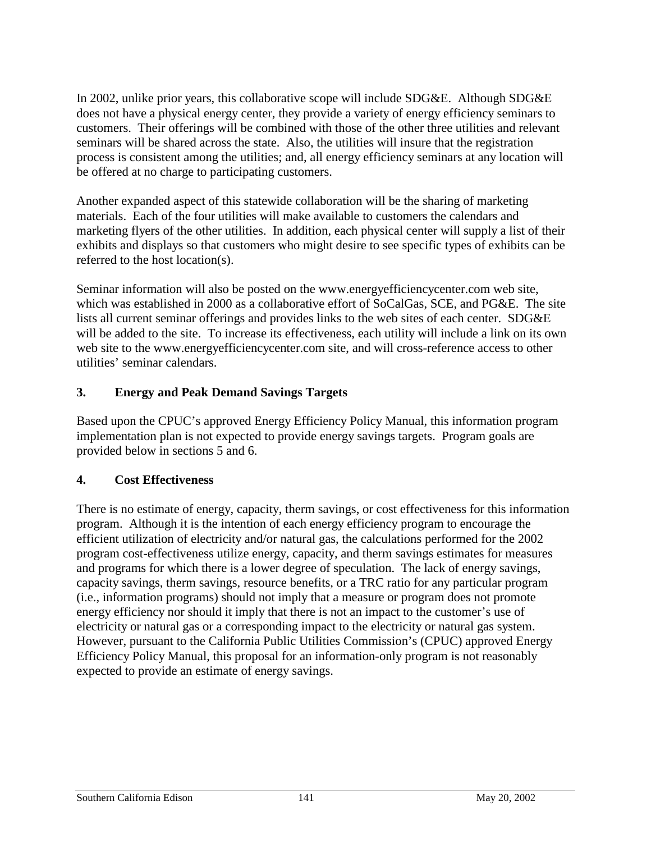In 2002, unlike prior years, this collaborative scope will include SDG&E. Although SDG&E does not have a physical energy center, they provide a variety of energy efficiency seminars to customers. Their offerings will be combined with those of the other three utilities and relevant seminars will be shared across the state. Also, the utilities will insure that the registration process is consistent among the utilities; and, all energy efficiency seminars at any location will be offered at no charge to participating customers.

Another expanded aspect of this statewide collaboration will be the sharing of marketing materials. Each of the four utilities will make available to customers the calendars and marketing flyers of the other utilities. In addition, each physical center will supply a list of their exhibits and displays so that customers who might desire to see specific types of exhibits can be referred to the host location(s).

Seminar information will also be posted on the www.energyefficiencycenter.com web site, which was established in 2000 as a collaborative effort of SoCalGas, SCE, and PG&E. The site lists all current seminar offerings and provides links to the web sites of each center. SDG&E will be added to the site. To increase its effectiveness, each utility will include a link on its own web site to the www.energyefficiencycenter.com site, and will cross-reference access to other utilities' seminar calendars.

### **3. Energy and Peak Demand Savings Targets**

Based upon the CPUC's approved Energy Efficiency Policy Manual, this information program implementation plan is not expected to provide energy savings targets. Program goals are provided below in sections 5 and 6.

# **4. Cost Effectiveness**

There is no estimate of energy, capacity, therm savings, or cost effectiveness for this information program. Although it is the intention of each energy efficiency program to encourage the efficient utilization of electricity and/or natural gas, the calculations performed for the 2002 program cost-effectiveness utilize energy, capacity, and therm savings estimates for measures and programs for which there is a lower degree of speculation. The lack of energy savings, capacity savings, therm savings, resource benefits, or a TRC ratio for any particular program (i.e., information programs) should not imply that a measure or program does not promote energy efficiency nor should it imply that there is not an impact to the customer's use of electricity or natural gas or a corresponding impact to the electricity or natural gas system. However, pursuant to the California Public Utilities Commission's (CPUC) approved Energy Efficiency Policy Manual, this proposal for an information-only program is not reasonably expected to provide an estimate of energy savings.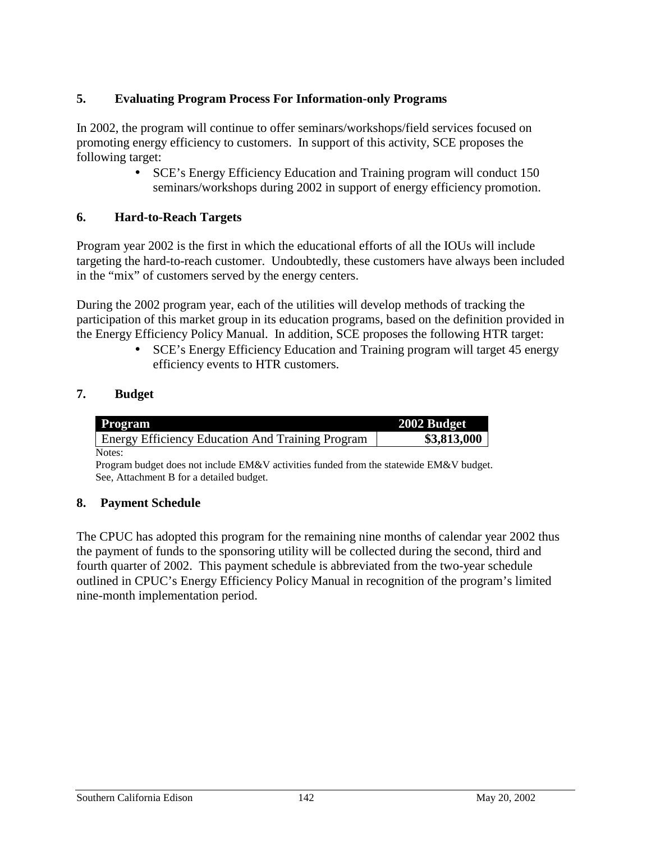## **5. Evaluating Program Process For Information-only Programs**

In 2002, the program will continue to offer seminars/workshops/field services focused on promoting energy efficiency to customers. In support of this activity, SCE proposes the following target:

> • SCE's Energy Efficiency Education and Training program will conduct 150 seminars/workshops during 2002 in support of energy efficiency promotion.

## **6. Hard-to-Reach Targets**

Program year 2002 is the first in which the educational efforts of all the IOUs will include targeting the hard-to-reach customer. Undoubtedly, these customers have always been included in the "mix" of customers served by the energy centers.

During the 2002 program year, each of the utilities will develop methods of tracking the participation of this market group in its education programs, based on the definition provided in the Energy Efficiency Policy Manual. In addition, SCE proposes the following HTR target:

> • SCE's Energy Efficiency Education and Training program will target 45 energy efficiency events to HTR customers.

## **7. Budget**

| Program                                                 | 2002 Budget |
|---------------------------------------------------------|-------------|
| <b>Energy Efficiency Education And Training Program</b> | \$3,813,000 |
| Notes:                                                  |             |

Program budget does not include EM&V activities funded from the statewide EM&V budget. See, Attachment B for a detailed budget.

### **8. Payment Schedule**

The CPUC has adopted this program for the remaining nine months of calendar year 2002 thus the payment of funds to the sponsoring utility will be collected during the second, third and fourth quarter of 2002. This payment schedule is abbreviated from the two-year schedule outlined in CPUC's Energy Efficiency Policy Manual in recognition of the program's limited nine-month implementation period.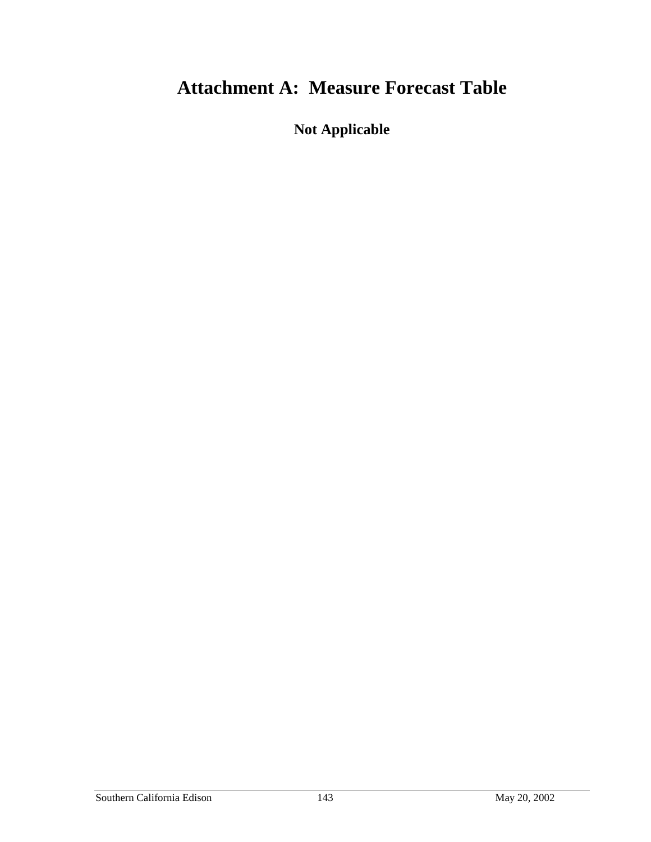## **Attachment A: Measure Forecast Table**

**Not Applicable**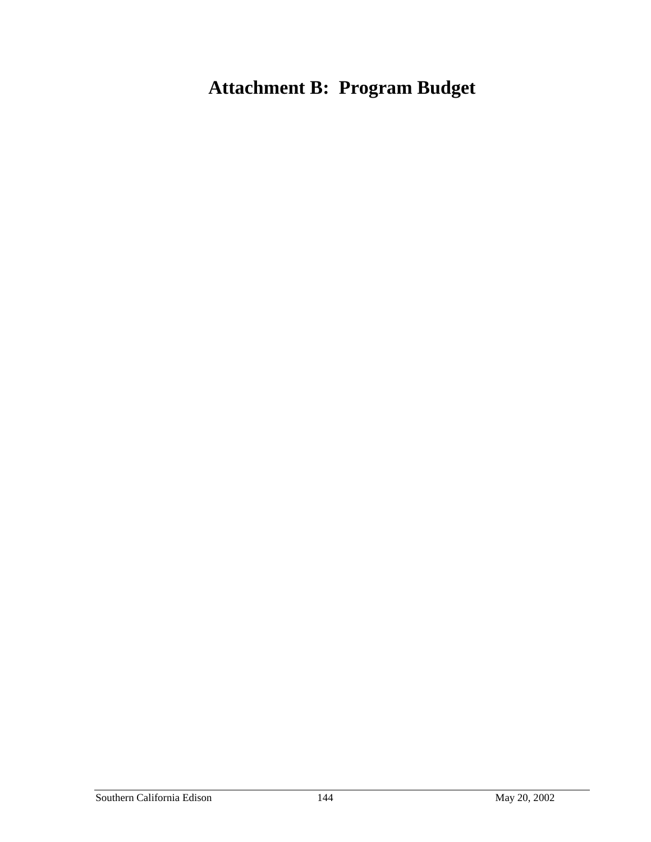# **Attachment B: Program Budget**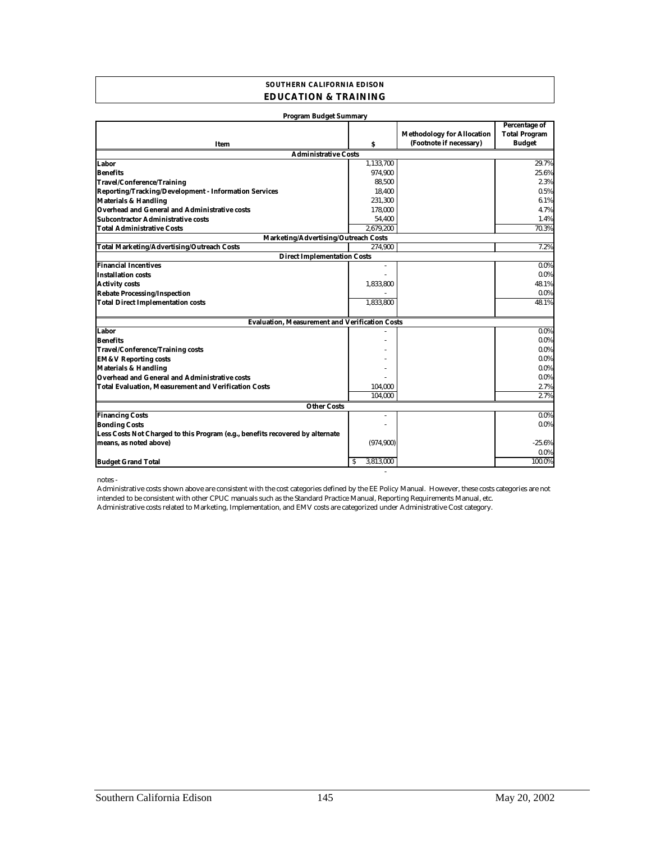### **SOUTHERN CALIFORNIA EDISON EDUCATION & TRAINING**

| <b>Program Budget Summary</b>                                                 |                |                                                              |                                                        |
|-------------------------------------------------------------------------------|----------------|--------------------------------------------------------------|--------------------------------------------------------|
| Item                                                                          | s              | <b>Methodology for Allocation</b><br>(Footnote if necessary) | Percentage of<br><b>Total Program</b><br><b>Budget</b> |
| <b>Administrative Costs</b>                                                   |                |                                                              |                                                        |
| Labor                                                                         | 1,133,700      |                                                              | 29.7%                                                  |
| <b>Benefits</b>                                                               | 974,900        |                                                              | 25.6%                                                  |
| <b>Travel/Conference/Training</b>                                             | 88.500         |                                                              | 2.3%                                                   |
| Reporting/Tracking/Development - Information Services                         | 18,400         |                                                              | 0.5%                                                   |
| <b>Materials &amp; Handling</b>                                               | 231,300        |                                                              | 6.1%                                                   |
| Overhead and General and Administrative costs                                 | 178,000        |                                                              | 4.7%                                                   |
| Subcontractor Administrative costs                                            | 54,400         |                                                              | 1.4%                                                   |
| <b>Total Administrative Costs</b>                                             | 2.679.200      |                                                              | 70.3%                                                  |
| Marketing/Advertising/Outreach Costs                                          |                |                                                              |                                                        |
| <b>Total Marketing/Advertising/Outreach Costs</b>                             | 274.900        |                                                              | 7.2%                                                   |
| <b>Direct Implementation Costs</b>                                            |                |                                                              |                                                        |
| <b>Financial Incentives</b>                                                   | ä,             |                                                              | 0.0%                                                   |
| <b>Installation costs</b>                                                     |                |                                                              | $0.0\%$                                                |
| <b>Activity costs</b>                                                         | 1,833,800      |                                                              | 48.1%                                                  |
| <b>Rebate Processing/Inspection</b>                                           |                |                                                              | $0.0\%$                                                |
| <b>Total Direct Implementation costs</b>                                      | 1,833,800      |                                                              | 48.1%                                                  |
| <b>Evaluation, Measurement and Verification Costs</b>                         |                |                                                              |                                                        |
| Labor                                                                         |                |                                                              | 0.0%                                                   |
| <b>Benefits</b>                                                               |                |                                                              | $0.0\%$                                                |
| <b>Travel/Conference/Training costs</b>                                       |                |                                                              | 0.0%                                                   |
| <b>EM&amp;V Reporting costs</b>                                               |                |                                                              | 0.0%                                                   |
| <b>Materials &amp; Handling</b>                                               |                |                                                              | $0.0\%$                                                |
| <b>Overhead and General and Administrative costs</b>                          |                |                                                              | $0.0\%$                                                |
| <b>Total Evaluation, Measurement and Verification Costs</b>                   | 104,000        |                                                              | 2.7%                                                   |
|                                                                               | 104,000        |                                                              | 2.7%                                                   |
| <b>Other Costs</b>                                                            |                |                                                              |                                                        |
| <b>Financing Costs</b>                                                        | $\overline{a}$ |                                                              | $0.0\%$                                                |
| <b>Bonding Costs</b>                                                          |                |                                                              | $0.0\%$                                                |
| Less Costs Not Charged to this Program (e.g., benefits recovered by alternate |                |                                                              |                                                        |
| means, as noted above)                                                        | (974, 900)     |                                                              | $-25.6%$                                               |
|                                                                               |                |                                                              | $0.0\%$                                                |
| <b>Budget Grand Total</b>                                                     | 3,813,000<br>S |                                                              | 100.0%                                                 |

notes -

Administrative costs related to Marketing, Implementation, and EMV costs are categorized under Administrative Cost category. Administrative costs shown above are consistent with the cost categories defined by the EE Policy Manual. However, these costs categories are not intended to be consistent with other CPUC manuals such as the Standard Practice Manual, Reporting Requirements Manual, etc.

- 100 minutes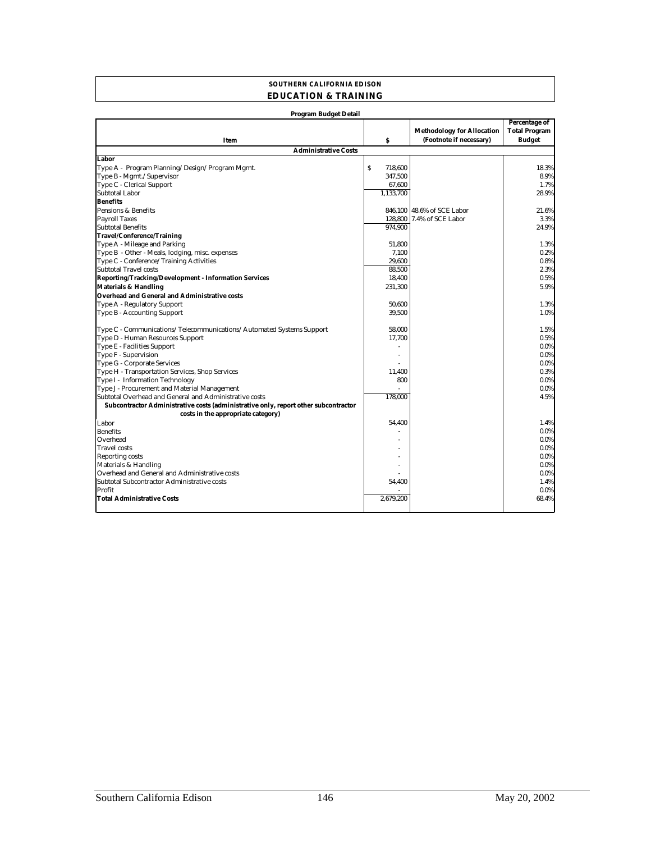#### **SOUTHERN CALIFORNIA EDISON EDUCATION & TRAINING**

| <b>Program Budget Detail</b>                                                        |                         |                                                              |                                                        |
|-------------------------------------------------------------------------------------|-------------------------|--------------------------------------------------------------|--------------------------------------------------------|
| Item                                                                                | $\mathbf{s}$            | <b>Methodology for Allocation</b><br>(Footnote if necessary) | Percentage of<br><b>Total Program</b><br><b>Budget</b> |
| <b>Administrative Costs</b>                                                         |                         |                                                              |                                                        |
| Labor                                                                               |                         |                                                              |                                                        |
| Type A - Program Planning/Design/Program Mgmt.                                      | $\mathsf{s}$<br>718,600 |                                                              | 18.3%                                                  |
| Type B - Mgmt./Supervisor                                                           | 347,500                 |                                                              | 8.9%                                                   |
| Type C - Clerical Support                                                           | 67,600                  |                                                              | 1.7%                                                   |
| Subtotal Labor                                                                      | 1.133.700               |                                                              | 28.9%                                                  |
| <b>Benefits</b>                                                                     |                         |                                                              |                                                        |
| Pensions & Benefits                                                                 |                         | 846.100 48.6% of SCE Labor                                   | 21.6%                                                  |
| <b>Payroll Taxes</b>                                                                |                         | 128,800 7.4% of SCE Labor                                    | 3.3%                                                   |
| <b>Subtotal Benefits</b>                                                            | 974,900                 |                                                              | 24.9%                                                  |
| Travel/Conference/Training                                                          |                         |                                                              |                                                        |
| Type A - Mileage and Parking                                                        | 51.800                  |                                                              | 1.3%                                                   |
| Type B - Other - Meals, lodging, misc. expenses                                     | 7,100                   |                                                              | 0.2%                                                   |
| Type C - Conference/Training Activities                                             | 29,600                  |                                                              | 0.8%                                                   |
| Subtotal Travel costs                                                               | 88,500                  |                                                              | 2.3%                                                   |
| Reporting/Tracking/Development - Information Services                               | 18,400                  |                                                              | 0.5%                                                   |
| <b>Materials &amp; Handling</b>                                                     | 231,300                 |                                                              | 5.9%                                                   |
| Overhead and General and Administrative costs                                       |                         |                                                              |                                                        |
| Type A - Regulatory Support                                                         | 50.600                  |                                                              | 1.3%                                                   |
| Type B - Accounting Support                                                         | 39.500                  |                                                              | 1.0%                                                   |
|                                                                                     |                         |                                                              |                                                        |
| Type C - Communications/Telecommunications/Automated Systems Support                | 58,000                  |                                                              | 1.5%                                                   |
| Type D - Human Resources Support                                                    | 17,700                  |                                                              | 0.5%                                                   |
| Type E - Facilities Support                                                         |                         |                                                              | $0.0\%$                                                |
| Type F - Supervision                                                                |                         |                                                              | $0.0\%$                                                |
| Type G - Corporate Services                                                         |                         |                                                              | 0.0%                                                   |
| Type H - Transportation Services, Shop Services                                     | 11.400                  |                                                              | 0.3%                                                   |
| Type I - Information Technology                                                     | 800                     |                                                              | 0.0%                                                   |
| Type J - Procurement and Material Management                                        |                         |                                                              | 0.0%                                                   |
| Subtotal Overhead and General and Administrative costs                              | 178,000                 |                                                              | 4.5%                                                   |
| Subcontractor Administrative costs (administrative only, report other subcontractor |                         |                                                              |                                                        |
| costs in the appropriate category)                                                  |                         |                                                              |                                                        |
| Labor                                                                               | 54,400                  |                                                              | 1.4%                                                   |
| <b>Benefits</b>                                                                     |                         |                                                              | 0.0%                                                   |
| Overhead                                                                            |                         |                                                              | 0.0%                                                   |
| <b>Travel costs</b>                                                                 |                         |                                                              | 0.0%                                                   |
| Reporting costs                                                                     |                         |                                                              | 0.0%                                                   |
| Materials & Handling                                                                |                         |                                                              | 0.0%                                                   |
| Overhead and General and Administrative costs                                       |                         |                                                              | 0.0%                                                   |
| Subtotal Subcontractor Administrative costs                                         | 54,400                  |                                                              | 1.4%                                                   |
| Profit                                                                              |                         |                                                              | 0.0%                                                   |
| <b>Total Administrative Costs</b>                                                   | 2,679,200               |                                                              | 68.4%                                                  |
|                                                                                     |                         |                                                              |                                                        |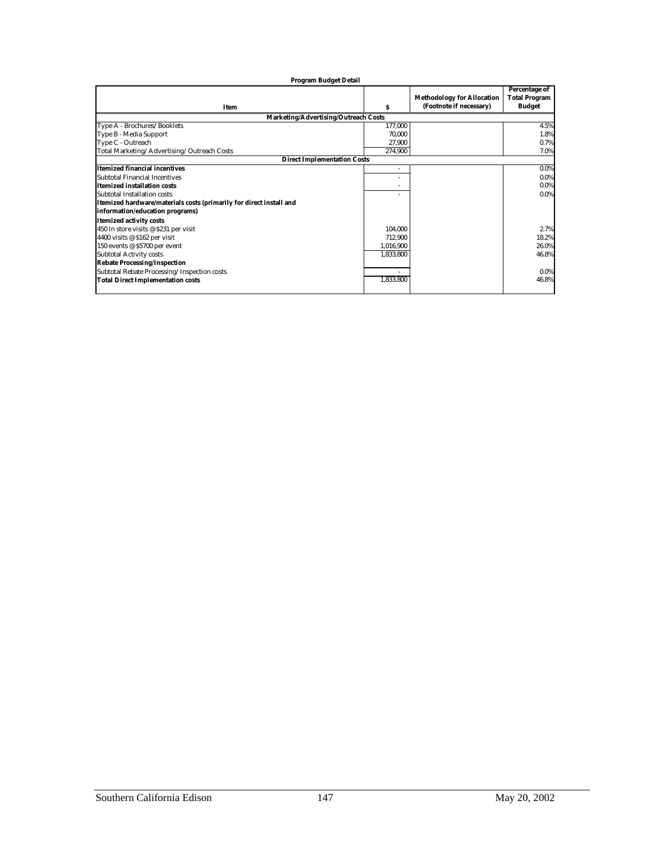| <b>Program Budget Detail</b>                                        |                          |                                                              |                                                               |
|---------------------------------------------------------------------|--------------------------|--------------------------------------------------------------|---------------------------------------------------------------|
| <b>Item</b>                                                         | s                        | <b>Methodology for Allocation</b><br>(Footnote if necessary) | <b>Percentage of</b><br><b>Total Program</b><br><b>Budget</b> |
| Marketing/Advertising/Outreach Costs                                |                          |                                                              |                                                               |
| Type A - Brochures/Booklets                                         | 177,000                  |                                                              | 4.5%                                                          |
| Type B - Media Support                                              | 70.000                   |                                                              | 1.8%                                                          |
| Type C - Outreach                                                   | 27,900                   |                                                              | 0.7%                                                          |
| Total Marketing/Advertising/Outreach Costs                          | 274,900                  |                                                              | 7.0%                                                          |
| <b>Direct Implementation Costs</b>                                  |                          |                                                              |                                                               |
| <b>Itemized financial incentives</b>                                | $\overline{\phantom{a}}$ |                                                              | $0.0\%$                                                       |
| Subtotal Financial Incentives                                       |                          |                                                              | $0.0\%$                                                       |
| <b>Itemized installation costs</b>                                  |                          |                                                              | $0.0\%$                                                       |
| Subtotal Installation costs                                         |                          |                                                              | 0.0%                                                          |
| Itemized hardware/materials costs (primarily for direct install and |                          |                                                              |                                                               |
| information/education programs)                                     |                          |                                                              |                                                               |
| <b>Itemized activity costs</b>                                      |                          |                                                              |                                                               |
| 450 In store visits @ \$231 per visit                               | 104,000                  |                                                              | 2.7%                                                          |
| 4400 visits @ \$162 per visit                                       | 712.900                  |                                                              | 18.2%                                                         |
| 150 events @ \$5700 per event                                       | 1,016,900                |                                                              | 26.0%                                                         |
| <b>Subtotal Activity costs</b>                                      | 1,833,800                |                                                              | 46.8%                                                         |
| <b>Rebate Processing/Inspection</b>                                 |                          |                                                              |                                                               |
| Subtotal Rebate Processing/Inspection costs                         |                          |                                                              | 0.0%                                                          |
| <b>Total Direct Implementation costs</b>                            | 1,833,800                |                                                              | 46.8%                                                         |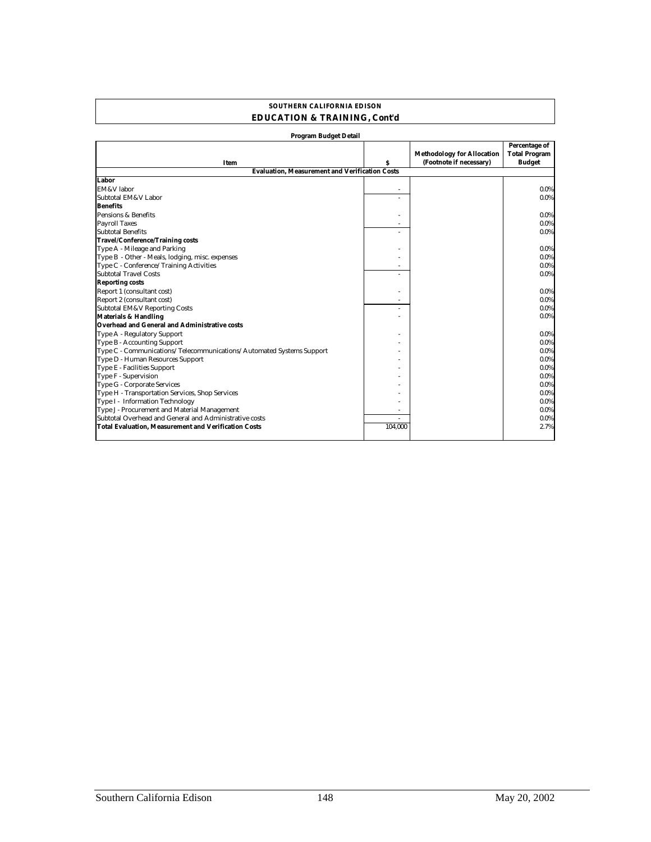| <b>Program Budget Detail</b>                                         |         |                                                              |                                                        |
|----------------------------------------------------------------------|---------|--------------------------------------------------------------|--------------------------------------------------------|
| Item                                                                 | s       | <b>Methodology for Allocation</b><br>(Footnote if necessary) | Percentage of<br><b>Total Program</b><br><b>Budget</b> |
| <b>Evaluation. Measurement and Verification Costs</b>                |         |                                                              |                                                        |
| Labor                                                                |         |                                                              |                                                        |
| EM&V labor                                                           |         |                                                              | 0.0%                                                   |
| Subtotal EM&V Labor                                                  |         |                                                              | $0.0\%$                                                |
| <b>Benefits</b>                                                      |         |                                                              |                                                        |
| Pensions & Benefits                                                  |         |                                                              | $0.0\%$                                                |
| <b>Payroll Taxes</b>                                                 |         |                                                              | $0.0\%$                                                |
| <b>Subtotal Benefits</b>                                             |         |                                                              | $0.0\%$                                                |
| Travel/Conference/Training costs                                     |         |                                                              |                                                        |
| Type A - Mileage and Parking                                         |         |                                                              | $0.0\%$                                                |
| Type B - Other - Meals, lodging, misc. expenses                      |         |                                                              | $0.0\%$                                                |
| Type C - Conference/Training Activities                              |         |                                                              | 0.0%                                                   |
| <b>Subtotal Travel Costs</b>                                         |         |                                                              | $0.0\%$                                                |
| <b>Reporting costs</b>                                               |         |                                                              |                                                        |
| Report 1 (consultant cost)                                           |         |                                                              | $0.0\%$                                                |
| Report 2 (consultant cost)                                           |         |                                                              | $0.0\%$                                                |
| <b>Subtotal EM&amp;V Reporting Costs</b>                             |         |                                                              | $0.0\%$                                                |
| <b>Materials &amp; Handling</b>                                      |         |                                                              | $0.0\%$                                                |
| Overhead and General and Administrative costs                        |         |                                                              |                                                        |
| Type A - Regulatory Support                                          |         |                                                              | 0.0%                                                   |
| <b>Type B - Accounting Support</b>                                   |         |                                                              | $0.0\%$                                                |
| Type C - Communications/Telecommunications/Automated Systems Support |         |                                                              | 0.0%                                                   |
| Type D - Human Resources Support                                     |         |                                                              | $0.0\%$                                                |
| Type E - Facilities Support                                          |         |                                                              | $0.0\%$                                                |
| Type F - Supervision                                                 |         |                                                              | $0.0\%$                                                |
| <b>Type G - Corporate Services</b>                                   |         |                                                              | $0.0\%$                                                |
| Type H - Transportation Services, Shop Services                      |         |                                                              | $0.0\%$                                                |
| Type I - Information Technology                                      |         |                                                              | 0.0%                                                   |
| Type J - Procurement and Material Management                         |         |                                                              | $0.0\%$                                                |
| Subtotal Overhead and General and Administrative costs               |         |                                                              | 0.0%                                                   |
| <b>Total Evaluation, Measurement and Verification Costs</b>          | 104.000 |                                                              | 2.7%                                                   |

### **EDUCATION & TRAINING, Cont'd SOUTHERN CALIFORNIA EDISON**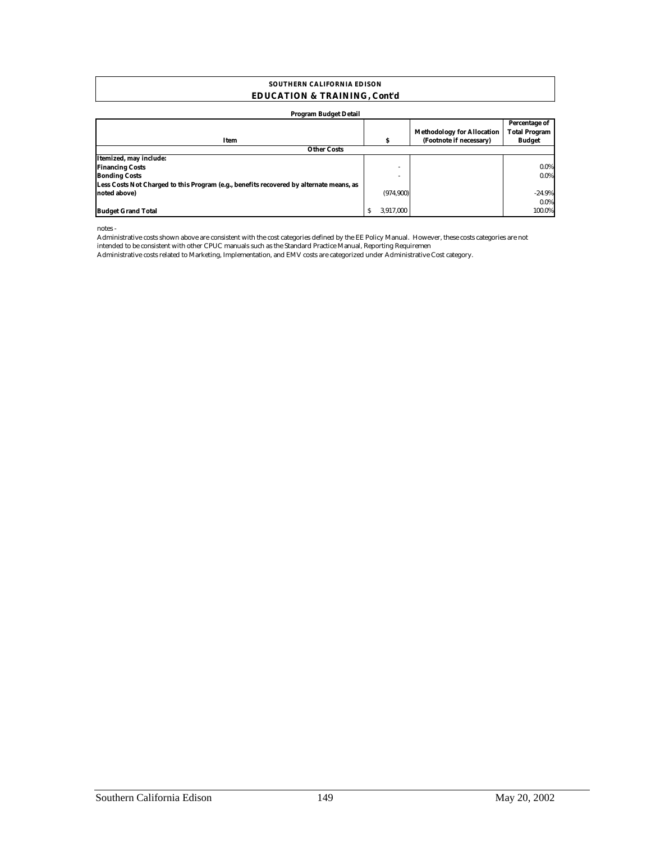#### **SOUTHERN CALIFORNIA EDISON EDUCATION & TRAINING, Cont'd**

#### **Program Budget Detail**

| $\bullet$                                                                               |                          |                                   |                                       |
|-----------------------------------------------------------------------------------------|--------------------------|-----------------------------------|---------------------------------------|
|                                                                                         |                          | <b>Methodology for Allocation</b> | Percentage of<br><b>Total Program</b> |
| Item                                                                                    | s                        | (Footnote if necessary)           | <b>Budget</b>                         |
| <b>Other Costs</b>                                                                      |                          |                                   |                                       |
| Itemized, may include:                                                                  |                          |                                   |                                       |
| <b>Financing Costs</b>                                                                  | $\overline{\phantom{a}}$ |                                   | 0.0%                                  |
| <b>Bonding Costs</b>                                                                    |                          |                                   | 0.0%                                  |
| Less Costs Not Charged to this Program (e.g., benefits recovered by alternate means, as |                          |                                   |                                       |
| noted above)                                                                            | (974, 900)               |                                   | $-24.9%$                              |
|                                                                                         |                          |                                   | 0.0%                                  |
| <b>Budget Grand Total</b>                                                               | 3.917.000                |                                   | 100.0%                                |

notes -

Administrative costs shown above are consistent with the cost categories defined by the EE Policy Manual. However, these costs categories are not intended to be consistent with other CPUC manuals such as the Standard Practice Manual, Reporting Requiremen

Administrative costs related to Marketing, Implementation, and EMV costs are categorized under Administrative Cost category.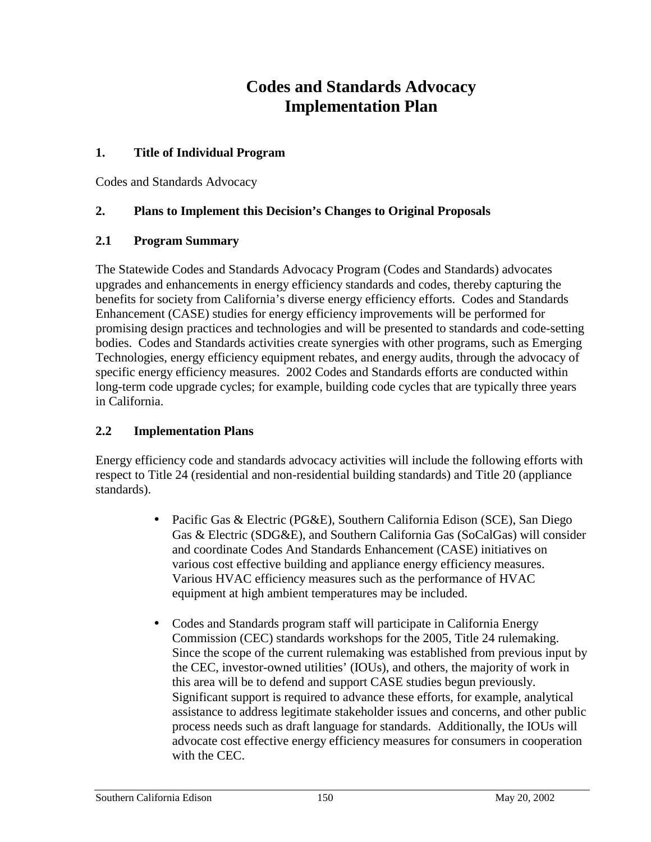## **Codes and Standards Advocacy Implementation Plan**

### **1. Title of Individual Program**

Codes and Standards Advocacy

## **2. Plans to Implement this Decision's Changes to Original Proposals**

## **2.1 Program Summary**

The Statewide Codes and Standards Advocacy Program (Codes and Standards) advocates upgrades and enhancements in energy efficiency standards and codes, thereby capturing the benefits for society from California's diverse energy efficiency efforts. Codes and Standards Enhancement (CASE) studies for energy efficiency improvements will be performed for promising design practices and technologies and will be presented to standards and code-setting bodies. Codes and Standards activities create synergies with other programs, such as Emerging Technologies, energy efficiency equipment rebates, and energy audits, through the advocacy of specific energy efficiency measures. 2002 Codes and Standards efforts are conducted within long-term code upgrade cycles; for example, building code cycles that are typically three years in California.

## **2.2 Implementation Plans**

Energy efficiency code and standards advocacy activities will include the following efforts with respect to Title 24 (residential and non-residential building standards) and Title 20 (appliance standards).

- Pacific Gas & Electric (PG&E), Southern California Edison (SCE), San Diego Gas & Electric (SDG&E), and Southern California Gas (SoCalGas) will consider and coordinate Codes And Standards Enhancement (CASE) initiatives on various cost effective building and appliance energy efficiency measures. Various HVAC efficiency measures such as the performance of HVAC equipment at high ambient temperatures may be included.
- Codes and Standards program staff will participate in California Energy Commission (CEC) standards workshops for the 2005, Title 24 rulemaking. Since the scope of the current rulemaking was established from previous input by the CEC, investor-owned utilities' (IOUs), and others, the majority of work in this area will be to defend and support CASE studies begun previously. Significant support is required to advance these efforts, for example, analytical assistance to address legitimate stakeholder issues and concerns, and other public process needs such as draft language for standards. Additionally, the IOUs will advocate cost effective energy efficiency measures for consumers in cooperation with the CEC.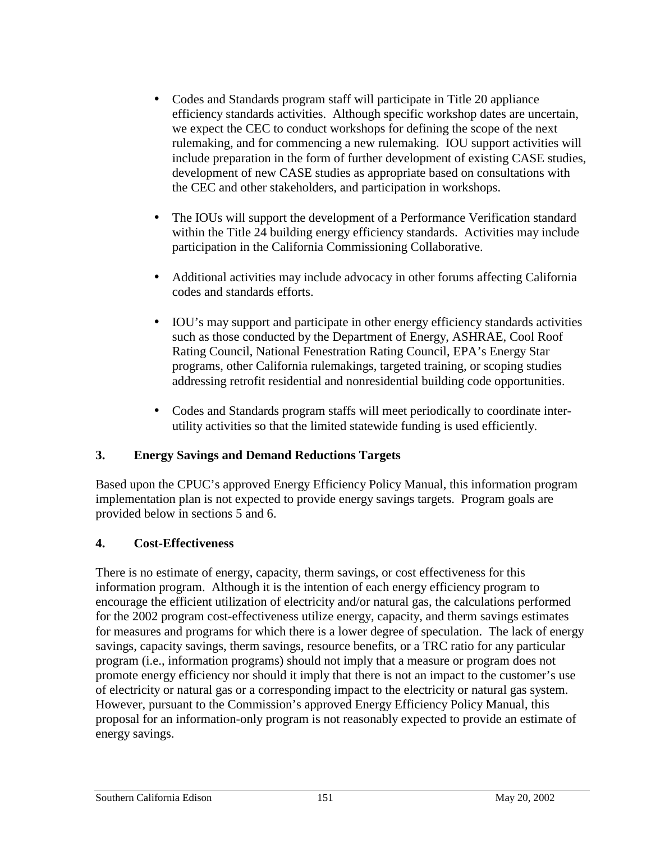- Codes and Standards program staff will participate in Title 20 appliance efficiency standards activities. Although specific workshop dates are uncertain, we expect the CEC to conduct workshops for defining the scope of the next rulemaking, and for commencing a new rulemaking. IOU support activities will include preparation in the form of further development of existing CASE studies, development of new CASE studies as appropriate based on consultations with the CEC and other stakeholders, and participation in workshops.
- The IOUs will support the development of a Performance Verification standard within the Title 24 building energy efficiency standards. Activities may include participation in the California Commissioning Collaborative.
- Additional activities may include advocacy in other forums affecting California codes and standards efforts.
- IOU's may support and participate in other energy efficiency standards activities such as those conducted by the Department of Energy, ASHRAE, Cool Roof Rating Council, National Fenestration Rating Council, EPA's Energy Star programs, other California rulemakings, targeted training, or scoping studies addressing retrofit residential and nonresidential building code opportunities.
- Codes and Standards program staffs will meet periodically to coordinate interutility activities so that the limited statewide funding is used efficiently.

## **3. Energy Savings and Demand Reductions Targets**

Based upon the CPUC's approved Energy Efficiency Policy Manual, this information program implementation plan is not expected to provide energy savings targets. Program goals are provided below in sections 5 and 6.

## **4. Cost-Effectiveness**

There is no estimate of energy, capacity, therm savings, or cost effectiveness for this information program. Although it is the intention of each energy efficiency program to encourage the efficient utilization of electricity and/or natural gas, the calculations performed for the 2002 program cost-effectiveness utilize energy, capacity, and therm savings estimates for measures and programs for which there is a lower degree of speculation. The lack of energy savings, capacity savings, therm savings, resource benefits, or a TRC ratio for any particular program (i.e., information programs) should not imply that a measure or program does not promote energy efficiency nor should it imply that there is not an impact to the customer's use of electricity or natural gas or a corresponding impact to the electricity or natural gas system. However, pursuant to the Commission's approved Energy Efficiency Policy Manual, this proposal for an information-only program is not reasonably expected to provide an estimate of energy savings.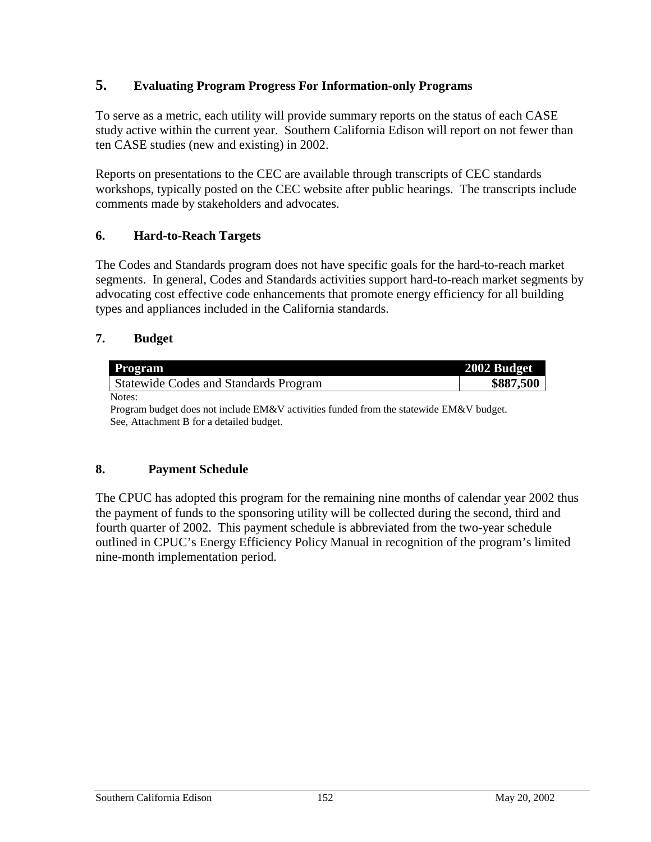## **5. Evaluating Program Progress For Information-only Programs**

To serve as a metric, each utility will provide summary reports on the status of each CASE study active within the current year. Southern California Edison will report on not fewer than ten CASE studies (new and existing) in 2002.

Reports on presentations to the CEC are available through transcripts of CEC standards workshops, typically posted on the CEC website after public hearings. The transcripts include comments made by stakeholders and advocates.

## **6. Hard-to-Reach Targets**

The Codes and Standards program does not have specific goals for the hard-to-reach market segments. In general, Codes and Standards activities support hard-to-reach market segments by advocating cost effective code enhancements that promote energy efficiency for all building types and appliances included in the California standards.

## **7. Budget**

| <b>Program</b>                               | 2002 Budget |
|----------------------------------------------|-------------|
| <b>Statewide Codes and Standards Program</b> | \$887,500   |
| Notes:                                       |             |

Program budget does not include EM&V activities funded from the statewide EM&V budget. See, Attachment B for a detailed budget.

## **8. Payment Schedule**

The CPUC has adopted this program for the remaining nine months of calendar year 2002 thus the payment of funds to the sponsoring utility will be collected during the second, third and fourth quarter of 2002. This payment schedule is abbreviated from the two-year schedule outlined in CPUC's Energy Efficiency Policy Manual in recognition of the program's limited nine-month implementation period.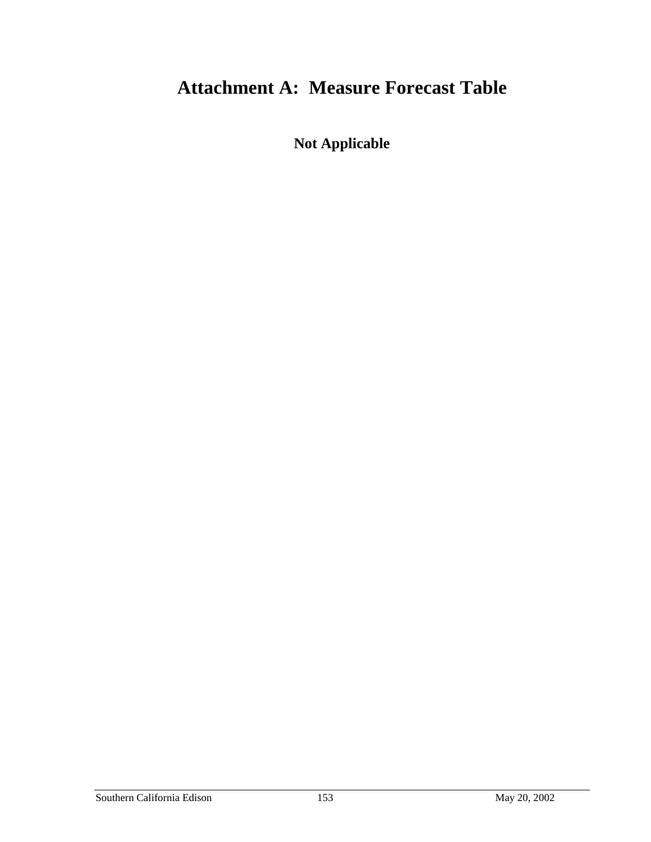## **Attachment A: Measure Forecast Table**

**Not Applicable**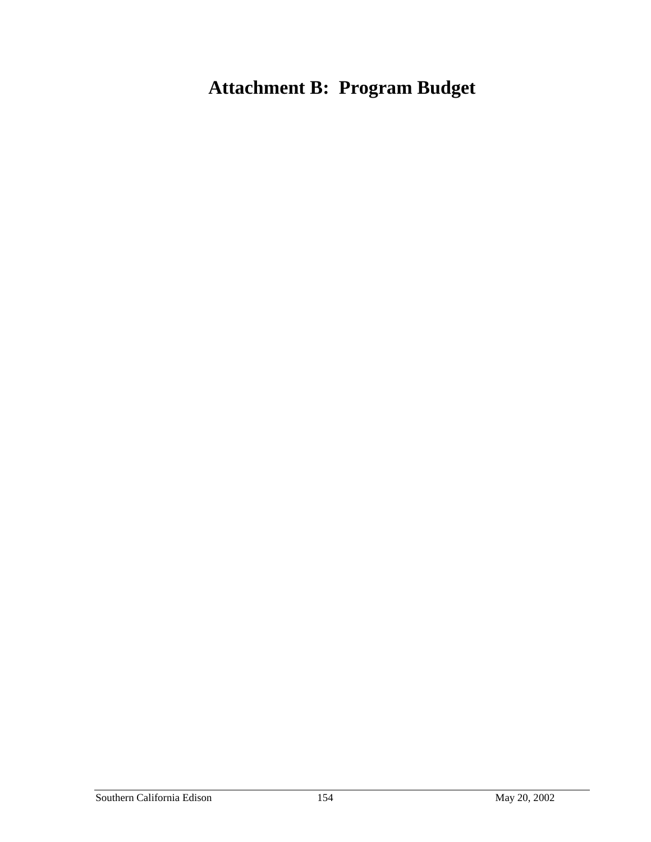# **Attachment B: Program Budget**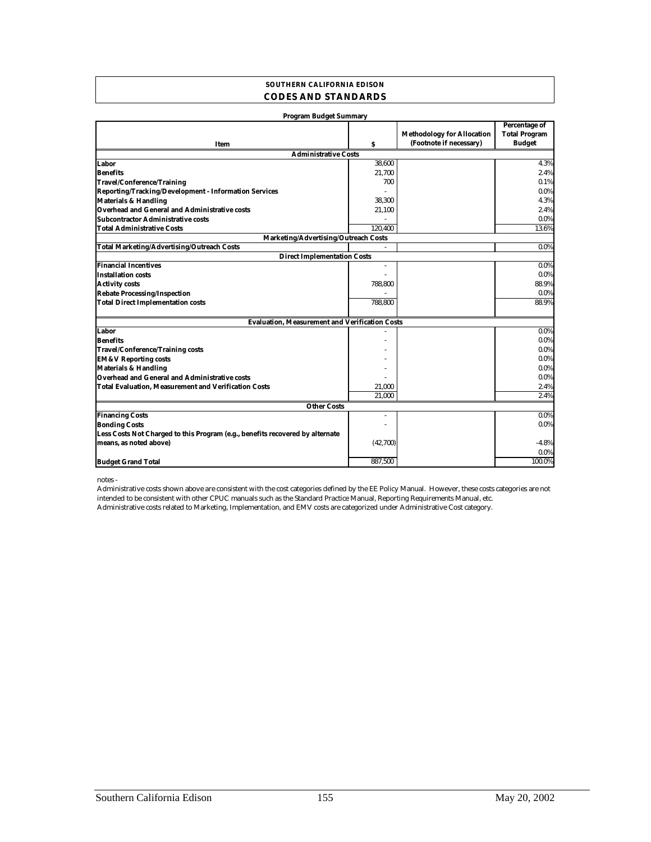### **SOUTHERN CALIFORNIA EDISON CODES AND STANDARDS**

| <b>Program Budget Summary</b>                                                 |                       |                                                              |                                                               |
|-------------------------------------------------------------------------------|-----------------------|--------------------------------------------------------------|---------------------------------------------------------------|
| Item                                                                          | s                     | <b>Methodology for Allocation</b><br>(Footnote if necessary) | <b>Percentage of</b><br><b>Total Program</b><br><b>Budget</b> |
| <b>Administrative Costs</b>                                                   |                       |                                                              |                                                               |
| Labor                                                                         | 38.600                |                                                              | 4.3%                                                          |
| <b>Benefits</b>                                                               | 21,700                |                                                              | 2.4%                                                          |
| <b>Travel/Conference/Training</b>                                             | 700                   |                                                              | 0.1%                                                          |
| Reporting/Tracking/Development - Information Services                         |                       |                                                              | 0.0%                                                          |
| <b>Materials &amp; Handling</b>                                               | 38,300                |                                                              | 4.3%                                                          |
| Overhead and General and Administrative costs                                 | 21,100                |                                                              | 2.4%                                                          |
| <b>Subcontractor Administrative costs</b>                                     |                       |                                                              | 0.0%                                                          |
| <b>Total Administrative Costs</b>                                             | 120.400               |                                                              | 13.6%                                                         |
| Marketing/Advertising/Outreach Costs                                          |                       |                                                              |                                                               |
| <b>Total Marketing/Advertising/Outreach Costs</b>                             |                       |                                                              | $0.0\%$                                                       |
| <b>Direct Implementation Costs</b>                                            |                       |                                                              |                                                               |
| <b>Financial Incentives</b>                                                   | $\tilde{\phantom{a}}$ |                                                              | $0.0\%$                                                       |
| <b>Installation costs</b>                                                     |                       |                                                              | $0.0\%$                                                       |
| <b>Activity costs</b>                                                         | 788,800               |                                                              | 88.9%                                                         |
| <b>Rebate Processing/Inspection</b>                                           |                       |                                                              | 0.0%                                                          |
| <b>Total Direct Implementation costs</b>                                      | 788.800               |                                                              | 88.9%                                                         |
| <b>Evaluation, Measurement and Verification Costs</b>                         |                       |                                                              |                                                               |
| Labor                                                                         |                       |                                                              | $0.0\%$                                                       |
| <b>Benefits</b>                                                               |                       |                                                              | $0.0\%$                                                       |
| <b>Travel/Conference/Training costs</b>                                       |                       |                                                              | $0.0\%$                                                       |
| <b>EM&amp;V Reporting costs</b>                                               |                       |                                                              | $0.0\%$                                                       |
| <b>Materials &amp; Handling</b>                                               |                       |                                                              | $0.0\%$                                                       |
| <b>Overhead and General and Administrative costs</b>                          |                       |                                                              | $0.0\%$                                                       |
| <b>Total Evaluation, Measurement and Verification Costs</b>                   | 21,000                |                                                              | 2.4%                                                          |
|                                                                               | 21.000                |                                                              | 2.4%                                                          |
| <b>Other Costs</b>                                                            |                       |                                                              |                                                               |
| <b>Financing Costs</b>                                                        | $\sim$                |                                                              | $0.0\%$                                                       |
| <b>Bonding Costs</b>                                                          |                       |                                                              | $0.0\%$                                                       |
| Less Costs Not Charged to this Program (e.g., benefits recovered by alternate |                       |                                                              |                                                               |
| means, as noted above)                                                        | (42,700)              |                                                              | $-4.8%$                                                       |
|                                                                               |                       |                                                              | $0.0\%$                                                       |
| <b>Budget Grand Total</b>                                                     | 887.500               |                                                              | 100.0%                                                        |

notes -

Administrative costs related to Marketing, Implementation, and EMV costs are categorized under Administrative Cost category. Administrative costs shown above are consistent with the cost categories defined by the EE Policy Manual. However, these costs categories are not intended to be consistent with other CPUC manuals such as the Standard Practice Manual, Reporting Requirements Manual, etc.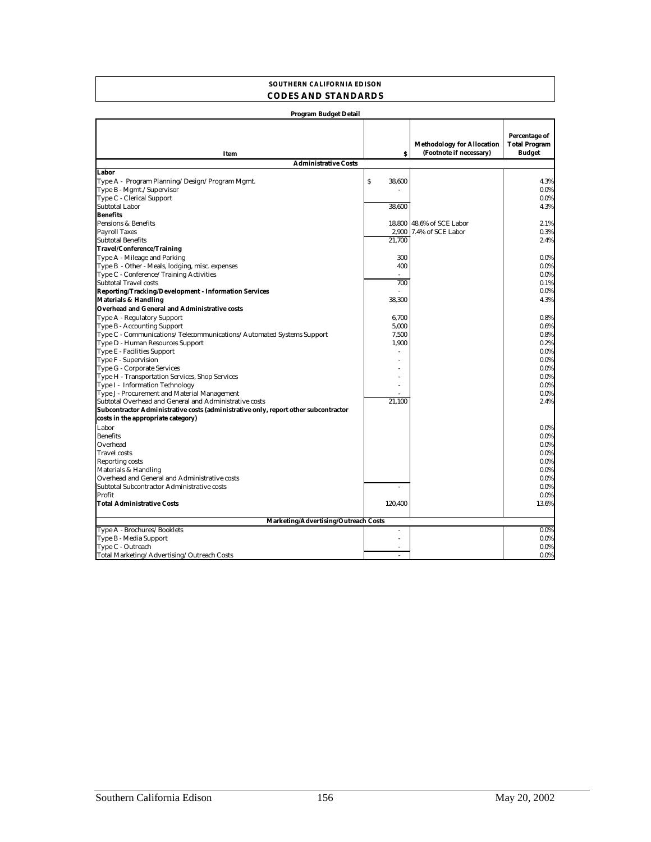#### **SOUTHERN CALIFORNIA EDISON CODES AND STANDARDS**

| Program Budget Detail                                                               |                                     |                                                              |                                                        |
|-------------------------------------------------------------------------------------|-------------------------------------|--------------------------------------------------------------|--------------------------------------------------------|
| Item                                                                                | Ŝ                                   | <b>Methodology for Allocation</b><br>(Footnote if necessary) | Percentage of<br><b>Total Program</b><br><b>Budget</b> |
| <b>Administrative Costs</b>                                                         |                                     |                                                              |                                                        |
| Labor                                                                               |                                     |                                                              |                                                        |
| Type A - Program Planning/Design/Program Mgmt.                                      | $\boldsymbol{\mathsf{S}}$<br>38,600 |                                                              | 4.3%                                                   |
| Type B - Mgmt./Supervisor                                                           |                                     |                                                              | 0.0%                                                   |
| Type C - Clerical Support                                                           |                                     |                                                              | 0.0%                                                   |
| <b>Subtotal Labor</b>                                                               | 38,600                              |                                                              | 4.3%                                                   |
| <b>Benefits</b>                                                                     |                                     |                                                              |                                                        |
| Pensions & Benefits                                                                 | 18,800                              | 48.6% of SCE Labor                                           | 2.1%                                                   |
| <b>Payroll Taxes</b>                                                                |                                     | 2,900 7.4% of SCE Labor                                      | 0.3%                                                   |
| <b>Subtotal Benefits</b>                                                            | 21.700                              |                                                              | 2.4%                                                   |
| Travel/Conference/Training                                                          |                                     |                                                              |                                                        |
| Type A - Mileage and Parking                                                        | 300                                 |                                                              | $0.0\%$                                                |
| Type B - Other - Meals, lodging, misc. expenses                                     | 400                                 |                                                              | 0.0%                                                   |
| Type C - Conference/Training Activities                                             |                                     |                                                              | 0.0%                                                   |
| <b>Subtotal Travel costs</b>                                                        | 700                                 |                                                              | 0.1%                                                   |
| Reporting/Tracking/Development - Information Services                               |                                     |                                                              | 0.0%                                                   |
| <b>Materials &amp; Handling</b>                                                     | 38.300                              |                                                              | 4.3%                                                   |
| <b>Overhead and General and Administrative costs</b>                                |                                     |                                                              |                                                        |
| Type A - Regulatory Support                                                         | 6,700                               |                                                              | 0.8%                                                   |
| Type B - Accounting Support                                                         | 5,000                               |                                                              | 0.6%                                                   |
| Type C - Communications/Telecommunications/Automated Systems Support                | 7,500                               |                                                              | 0.8%                                                   |
| Type D - Human Resources Support                                                    | 1,900                               |                                                              | 0.2%                                                   |
| Type E - Facilities Support                                                         |                                     |                                                              | $0.0\%$                                                |
| Type F - Supervision                                                                |                                     |                                                              | 0.0%                                                   |
| Type G - Corporate Services                                                         |                                     |                                                              | 0.0%                                                   |
| Type H - Transportation Services, Shop Services                                     |                                     |                                                              | 0.0%                                                   |
| Type I - Information Technology                                                     |                                     |                                                              | 0.0%                                                   |
| Type J - Procurement and Material Management                                        |                                     |                                                              | 0.0%                                                   |
| Subtotal Overhead and General and Administrative costs                              | 21.100                              |                                                              | 2.4%                                                   |
| Subcontractor Administrative costs (administrative only, report other subcontractor |                                     |                                                              |                                                        |
| costs in the appropriate category)                                                  |                                     |                                                              |                                                        |
| Labor<br><b>Benefits</b>                                                            |                                     |                                                              | $0.0\%$                                                |
| Overhead                                                                            |                                     |                                                              | 0.0%<br>0.0%                                           |
| <b>Travel</b> costs                                                                 |                                     |                                                              | 0.0%                                                   |
|                                                                                     |                                     |                                                              | $0.0\%$                                                |
| <b>Reporting costs</b><br>Materials & Handling                                      |                                     |                                                              | 0.0%                                                   |
| Overhead and General and Administrative costs                                       |                                     |                                                              | 0.0%                                                   |
| Subtotal Subcontractor Administrative costs                                         |                                     |                                                              | 0.0%                                                   |
| Profit                                                                              |                                     |                                                              | 0.0%                                                   |
| <b>Total Administrative Costs</b>                                                   | 120.400                             |                                                              | 13.6%                                                  |
|                                                                                     |                                     |                                                              |                                                        |
| Marketing/Advertising/Outreach Costs                                                |                                     |                                                              |                                                        |
| Type A - Brochures/Booklets                                                         | ÷.                                  |                                                              | $0.0\%$                                                |
| Type B - Media Support                                                              | ÷,                                  |                                                              | 0.0%                                                   |
| Type C - Outreach                                                                   |                                     |                                                              | $0.0\%$                                                |
| Total Marketing/Advertising/Outreach Costs                                          |                                     |                                                              | 0.0%                                                   |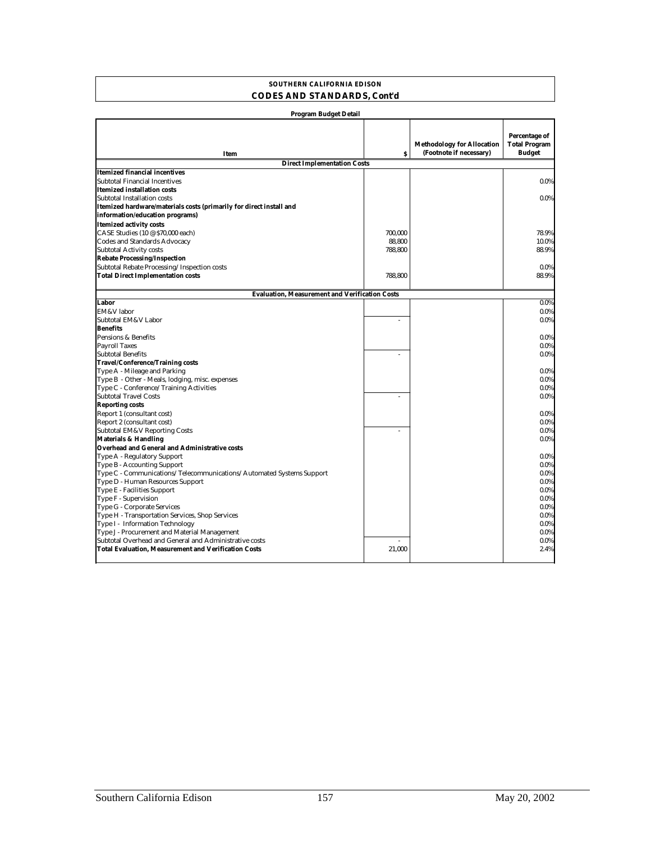### **SOUTHERN CALIFORNIA EDISON CODES AND STANDARDS, Cont'd**

| <b>Program Budget Detail</b>                                         |         |                                                              |                                                        |
|----------------------------------------------------------------------|---------|--------------------------------------------------------------|--------------------------------------------------------|
| Item                                                                 | Š       | <b>Methodology for Allocation</b><br>(Footnote if necessary) | Percentage of<br><b>Total Program</b><br><b>Budget</b> |
| <b>Direct Implementation Costs</b>                                   |         |                                                              |                                                        |
| <b>Itemized financial incentives</b>                                 |         |                                                              |                                                        |
| Subtotal Financial Incentives                                        |         |                                                              | 0.0%                                                   |
| Itemized installation costs                                          |         |                                                              |                                                        |
| Subtotal Installation costs                                          |         |                                                              | $0.0\%$                                                |
| Itemized hardware/materials costs (primarily for direct install and  |         |                                                              |                                                        |
| information/education programs)                                      |         |                                                              |                                                        |
| <b>Itemized activity costs</b>                                       |         |                                                              |                                                        |
| CASE Studies (10 @ \$70,000 each)                                    | 700.000 |                                                              | 78.9%                                                  |
| Codes and Standards Advocacy                                         | 88,800  |                                                              | 10.0%                                                  |
| <b>Subtotal Activity costs</b>                                       | 788,800 |                                                              | 88.9%                                                  |
| <b>Rebate Processing/Inspection</b>                                  |         |                                                              |                                                        |
| Subtotal Rebate Processing/Inspection costs                          |         |                                                              | $0.0\%$                                                |
| <b>Total Direct Implementation costs</b>                             | 788,800 |                                                              | 88.9%                                                  |
|                                                                      |         |                                                              |                                                        |
| <b>Evaluation, Measurement and Verification Costs</b>                |         |                                                              |                                                        |
| Labor                                                                |         |                                                              | 0.0%                                                   |
| EM&V labor                                                           |         |                                                              | 0.0%                                                   |
| Subtotal EM&V Labor                                                  | ÷,      |                                                              | 0.0%                                                   |
| <b>Benefits</b>                                                      |         |                                                              |                                                        |
| Pensions & Benefits                                                  |         |                                                              | 0.0%                                                   |
| <b>Payroll Taxes</b>                                                 |         |                                                              | 0.0%                                                   |
| <b>Subtotal Benefits</b>                                             |         |                                                              | 0.0%                                                   |
| <b>Travel/Conference/Training costs</b>                              |         |                                                              |                                                        |
| Type A - Mileage and Parking                                         |         |                                                              | $0.0\%$                                                |
| Type B - Other - Meals, lodging, misc. expenses                      |         |                                                              | 0.0%                                                   |
| Type C - Conference/Training Activities                              |         |                                                              | 0.0%                                                   |
| <b>Subtotal Travel Costs</b>                                         |         |                                                              | 0.0%                                                   |
| <b>Reporting costs</b>                                               |         |                                                              |                                                        |
| Report 1 (consultant cost)                                           |         |                                                              | 0.0%                                                   |
| Report 2 (consultant cost)                                           |         |                                                              | 0.0%                                                   |
| <b>Subtotal EM&amp;V Reporting Costs</b>                             | ÷,      |                                                              | 0.0%                                                   |
| <b>Materials &amp; Handling</b>                                      |         |                                                              | 0.0%                                                   |
| Overhead and General and Administrative costs                        |         |                                                              |                                                        |
| Type A - Regulatory Support                                          |         |                                                              | 0.0%                                                   |
| Type B - Accounting Support                                          |         |                                                              | $0.0\%$                                                |
| Type C - Communications/Telecommunications/Automated Systems Support |         |                                                              | 0.0%                                                   |
| Type D - Human Resources Support                                     |         |                                                              | 0.0%                                                   |
| Type E - Facilities Support<br>Type F - Supervision                  |         |                                                              | 0.0%<br>0.0%                                           |
| Type G - Corporate Services                                          |         |                                                              | 0.0%                                                   |
| Type H - Transportation Services, Shop Services                      |         |                                                              | 0.0%                                                   |
| Type I - Information Technology                                      |         |                                                              | 0.0%                                                   |
| Type J - Procurement and Material Management                         |         |                                                              | 0.0%                                                   |
| Subtotal Overhead and General and Administrative costs               |         |                                                              | 0.0%                                                   |
| <b>Total Evaluation, Measurement and Verification Costs</b>          | 21,000  |                                                              | 2.4%                                                   |
|                                                                      |         |                                                              |                                                        |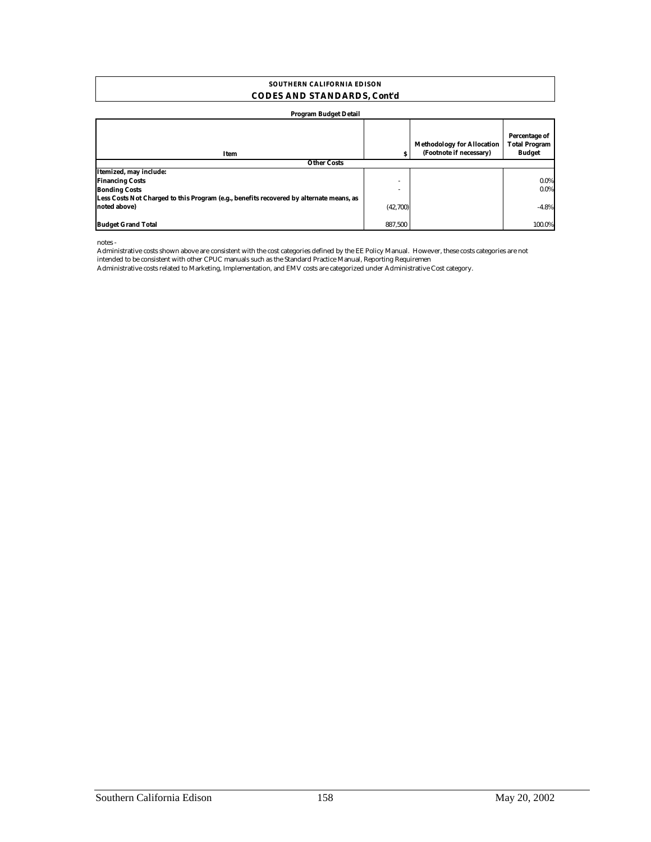### **CODES AND STANDARDS, Cont'd SOUTHERN CALIFORNIA EDISON**

#### **Program Budget Detail**

| Item                                                                                    | s        | <b>Methodology for Allocation</b><br>(Footnote if necessary) | Percentage of<br><b>Total Program</b><br><b>Budget</b> |
|-----------------------------------------------------------------------------------------|----------|--------------------------------------------------------------|--------------------------------------------------------|
| <b>Other Costs</b>                                                                      |          |                                                              |                                                        |
| Itemized, may include:                                                                  |          |                                                              |                                                        |
| <b>Financing Costs</b>                                                                  | ۰        |                                                              | 0.0%                                                   |
| <b>Bonding Costs</b>                                                                    | ۰        |                                                              | 0.0%                                                   |
| Less Costs Not Charged to this Program (e.g., benefits recovered by alternate means, as |          |                                                              |                                                        |
| noted above)                                                                            | (42,700) |                                                              | $-4.8%$                                                |
| <b>Budget Grand Total</b>                                                               | 887.500  |                                                              | 100.0%                                                 |

notes -

Administrative costs shown above are consistent with the cost categories defined by the EE Policy Manual. However, these costs categories are not intended to be consistent with other CPUC manuals such as the Standard Practice Manual, Reporting Requiremen

Administrative costs related to Marketing, Implementation, and EMV costs are categorized under Administrative Cost category.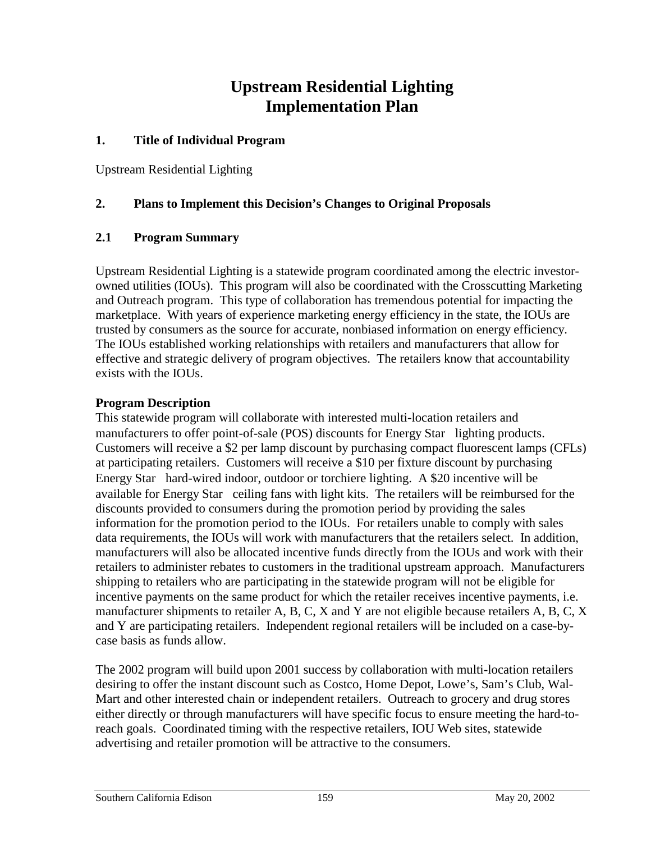## **Upstream Residential Lighting Implementation Plan**

## **1. Title of Individual Program**

Upstream Residential Lighting

## **2. Plans to Implement this Decision's Changes to Original Proposals**

## **2.1 Program Summary**

Upstream Residential Lighting is a statewide program coordinated among the electric investorowned utilities (IOUs). This program will also be coordinated with the Crosscutting Marketing and Outreach program. This type of collaboration has tremendous potential for impacting the marketplace. With years of experience marketing energy efficiency in the state, the IOUs are trusted by consumers as the source for accurate, nonbiased information on energy efficiency. The IOUs established working relationships with retailers and manufacturers that allow for effective and strategic delivery of program objectives. The retailers know that accountability exists with the IOUs.

## **Program Description**

This statewide program will collaborate with interested multi-location retailers and manufacturers to offer point-of-sale (POS) discounts for Energy Star<sup>®</sup> lighting products. Customers will receive a \$2 per lamp discount by purchasing compact fluorescent lamps (CFLs) at participating retailers. Customers will receive a \$10 per fixture discount by purchasing Energy Star $^{\circledR}$  hard-wired indoor, outdoor or torchiere lighting. A \$20 incentive will be available for Energy Star $^{\circledR}$  ceiling fans with light kits. The retailers will be reimbursed for the discounts provided to consumers during the promotion period by providing the sales information for the promotion period to the IOUs. For retailers unable to comply with sales data requirements, the IOUs will work with manufacturers that the retailers select. In addition, manufacturers will also be allocated incentive funds directly from the IOUs and work with their retailers to administer rebates to customers in the traditional upstream approach. Manufacturers shipping to retailers who are participating in the statewide program will not be eligible for incentive payments on the same product for which the retailer receives incentive payments, i.e. manufacturer shipments to retailer A, B, C, X and Y are not eligible because retailers A, B, C, X and Y are participating retailers. Independent regional retailers will be included on a case-bycase basis as funds allow.

The 2002 program will build upon 2001 success by collaboration with multi-location retailers desiring to offer the instant discount such as Costco, Home Depot, Lowe's, Sam's Club, Wal-Mart and other interested chain or independent retailers. Outreach to grocery and drug stores either directly or through manufacturers will have specific focus to ensure meeting the hard-toreach goals. Coordinated timing with the respective retailers, IOU Web sites, statewide advertising and retailer promotion will be attractive to the consumers.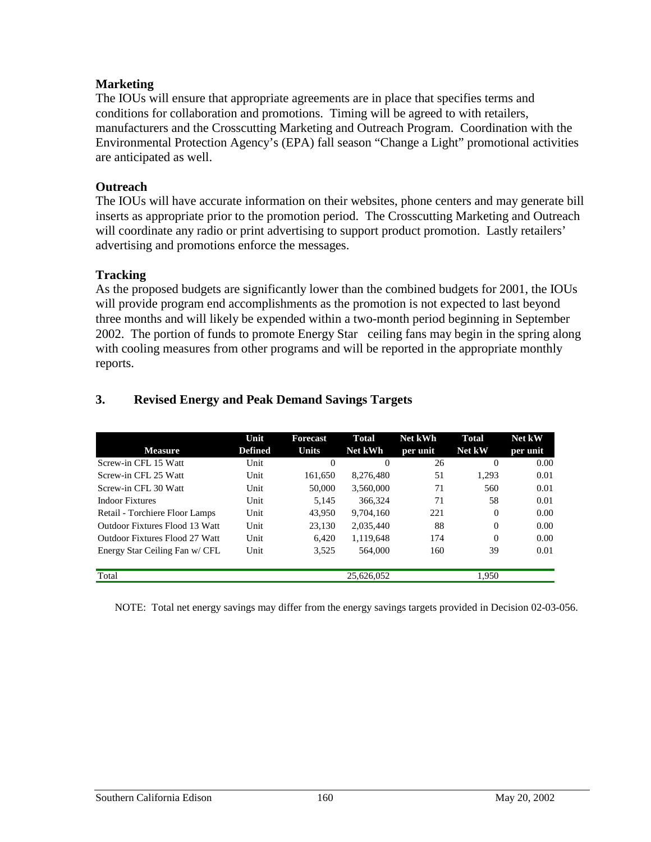## **Marketing**

The IOUs will ensure that appropriate agreements are in place that specifies terms and conditions for collaboration and promotions. Timing will be agreed to with retailers, manufacturers and the Crosscutting Marketing and Outreach Program. Coordination with the Environmental Protection Agency's (EPA) fall season "Change a Light" promotional activities are anticipated as well.

## **Outreach**

The IOUs will have accurate information on their websites, phone centers and may generate bill inserts as appropriate prior to the promotion period. The Crosscutting Marketing and Outreach will coordinate any radio or print advertising to support product promotion. Lastly retailers' advertising and promotions enforce the messages.

## **Tracking**

As the proposed budgets are significantly lower than the combined budgets for 2001, the IOUs will provide program end accomplishments as the promotion is not expected to last beyond three months and will likely be expended within a two-month period beginning in September 2002. The portion of funds to promote Energy Star<sup>®</sup> ceiling fans may begin in the spring along with cooling measures from other programs and will be reported in the appropriate monthly reports.

|                                | Unit           | <b>Forecast</b> | Total          | Net kWh  | Total  | Net kW   |
|--------------------------------|----------------|-----------------|----------------|----------|--------|----------|
| <b>Measure</b>                 | <b>Defined</b> | <b>Units</b>    | <b>Net kWh</b> | per unit | Net kW | per unit |
| Screw-in CFL 15 Watt           | Unit           | $\Omega$        | $\Omega$       | 26       | 0      | 0.00     |
| Screw-in CFL 25 Watt           | Unit           | 161.650         | 8.276.480      | 51       | 1.293  | 0.01     |
| Screw-in CFL 30 Watt           | Unit           | 50,000          | 3.560,000      | 71       | 560    | 0.01     |
| <b>Indoor Fixtures</b>         | Unit           | 5.145           | 366,324        | 71       | 58     | 0.01     |
| Retail - Torchiere Floor Lamps | Unit           | 43.950          | 9.704.160      | 221      | 0      | 0.00     |
| Outdoor Fixtures Flood 13 Watt | Unit           | 23.130          | 2.035.440      | 88       | 0      | 0.00     |
| Outdoor Fixtures Flood 27 Watt | Unit           | 6.420           | 1,119,648      | 174      | 0      | 0.00     |
| Energy Star Ceiling Fan w/ CFL | Unit           | 3.525           | 564,000        | 160      | 39     | 0.01     |
|                                |                |                 |                |          |        |          |
| Total                          |                |                 | 25.626.052     |          | 1.950  |          |

## **3. Revised Energy and Peak Demand Savings Targets**

NOTE: Total net energy savings may differ from the energy savings targets provided in Decision 02-03-056.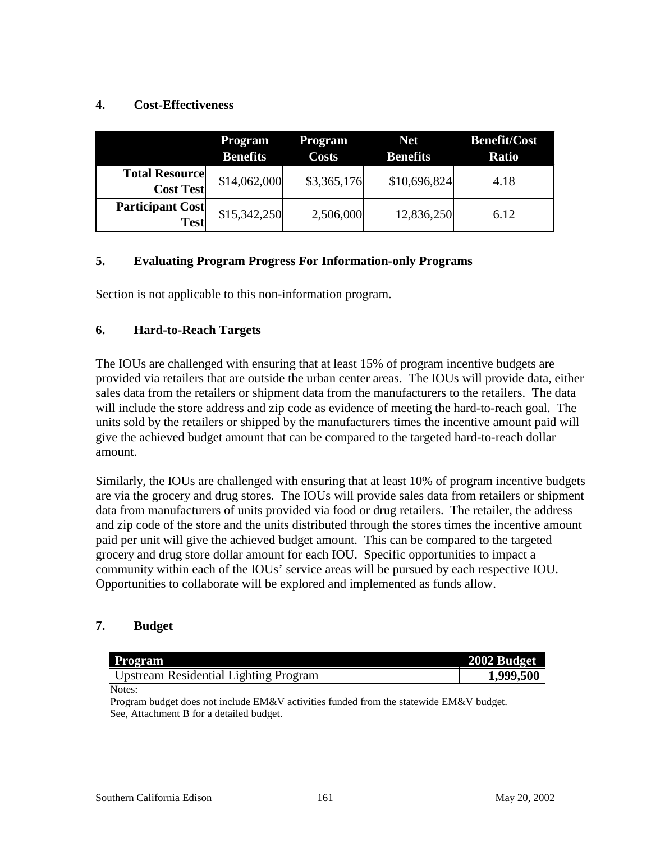## **4. Cost-Effectiveness**

|                                           | <b>Program</b><br><b>Benefits</b> | <b>Program</b><br><b>Costs</b> | <b>Net</b><br><b>Benefits</b> | <b>Benefit/Cost</b><br><b>Ratio</b> |
|-------------------------------------------|-----------------------------------|--------------------------------|-------------------------------|-------------------------------------|
| <b>Total Resource</b><br><b>Cost Test</b> | \$14,062,000                      | \$3,365,176                    | \$10,696,824                  | 4.18                                |
| <b>Participant Cost</b><br><b>Test</b>    | \$15,342,250                      | 2,506,000                      | 12,836,250                    | 6.12                                |

## **5. Evaluating Program Progress For Information-only Programs**

Section is not applicable to this non-information program.

## **6. Hard-to-Reach Targets**

The IOUs are challenged with ensuring that at least 15% of program incentive budgets are provided via retailers that are outside the urban center areas. The IOUs will provide data, either sales data from the retailers or shipment data from the manufacturers to the retailers. The data will include the store address and zip code as evidence of meeting the hard-to-reach goal. The units sold by the retailers or shipped by the manufacturers times the incentive amount paid will give the achieved budget amount that can be compared to the targeted hard-to-reach dollar amount.

Similarly, the IOUs are challenged with ensuring that at least 10% of program incentive budgets are via the grocery and drug stores.The IOUs will provide sales data from retailers or shipment data from manufacturers of units provided via food or drug retailers. The retailer, the address and zip code of the store and the units distributed through the stores times the incentive amount paid per unit will give the achieved budget amount. This can be compared to the targeted grocery and drug store dollar amount for each IOU. Specific opportunities to impact a community within each of the IOUs' service areas will be pursued by each respective IOU. Opportunities to collaborate will be explored and implemented as funds allow.

## **7. Budget**

| <b>Program</b>                                                                         | 2002 Budget |
|----------------------------------------------------------------------------------------|-------------|
| Upstream Residential Lighting Program                                                  | 1,999,500   |
| Notes:                                                                                 |             |
| Program budget does not include EM&V activities funded from the statewide EM&V budget. |             |

Program budget does not include EM&V activities funded from the statewide EM&V budget. See, Attachment B for a detailed budget.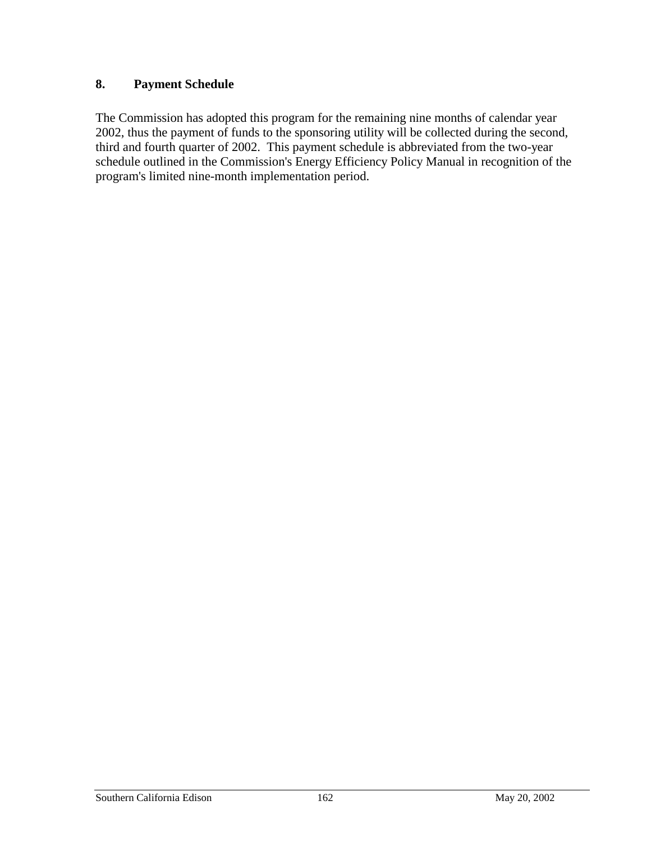## **8. Payment Schedule**

The Commission has adopted this program for the remaining nine months of calendar year 2002, thus the payment of funds to the sponsoring utility will be collected during the second, third and fourth quarter of 2002. This payment schedule is abbreviated from the two-year schedule outlined in the Commission's Energy Efficiency Policy Manual in recognition of the program's limited nine-month implementation period.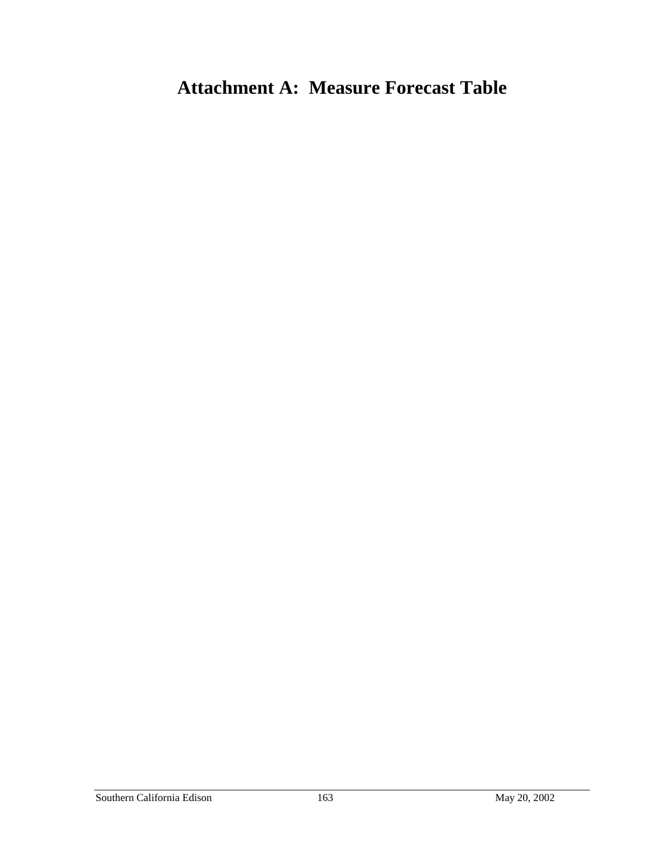## **Attachment A: Measure Forecast Table**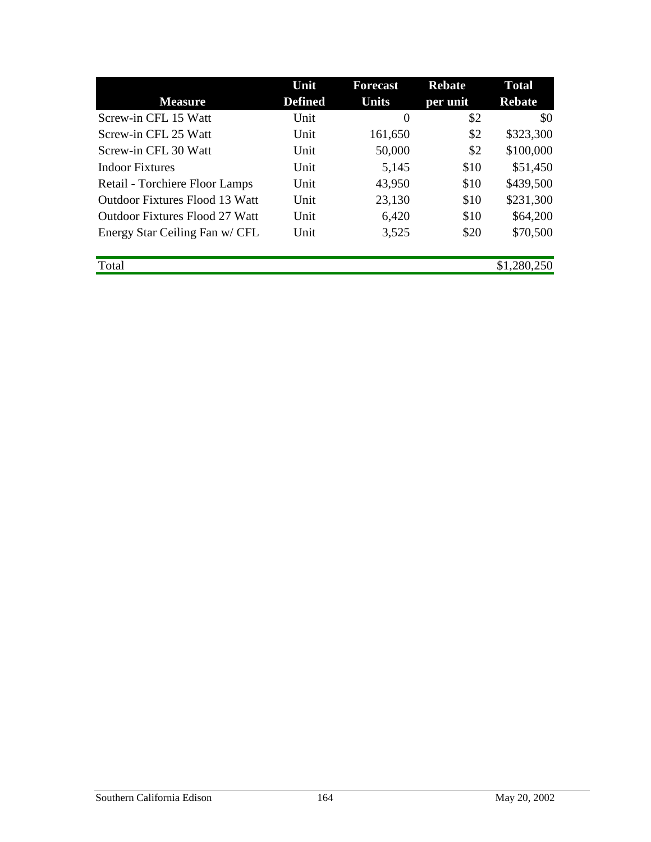|                                | Unit           | <b>Forecast</b>  | <b>Rebate</b> | <b>Total</b>  |
|--------------------------------|----------------|------------------|---------------|---------------|
| <b>Measure</b>                 | <b>Defined</b> | <b>Units</b>     | per unit      | <b>Rebate</b> |
| Screw-in CFL 15 Watt           | Unit           | $\boldsymbol{0}$ | \$2           | \$0           |
| Screw-in CFL 25 Watt           | Unit           | 161,650          | \$2           | \$323,300     |
| Screw-in CFL 30 Watt           | Unit           | 50,000           | \$2           | \$100,000     |
| <b>Indoor Fixtures</b>         | Unit           | 5,145            | \$10          | \$51,450      |
| Retail - Torchiere Floor Lamps | Unit           | 43,950           | \$10          | \$439,500     |
| Outdoor Fixtures Flood 13 Watt | Unit           | 23,130           | \$10          | \$231,300     |
| Outdoor Fixtures Flood 27 Watt | Unit           | 6,420            | \$10          | \$64,200      |
| Energy Star Ceiling Fan w/ CFL | Unit           | 3,525            | \$20          | \$70,500      |
|                                |                |                  |               |               |
| Total                          |                |                  |               | \$1,280,250   |
|                                |                |                  |               |               |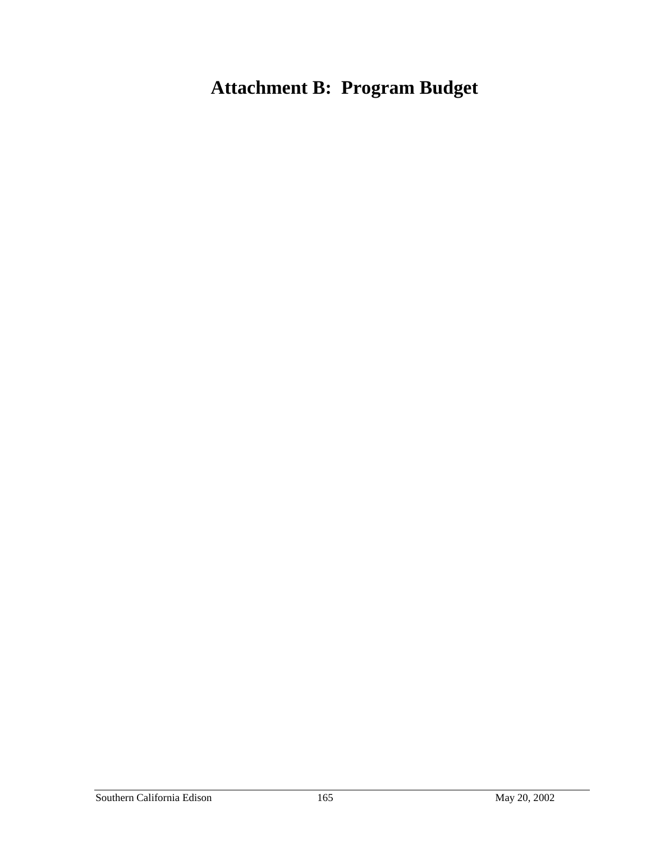# **Attachment B: Program Budget**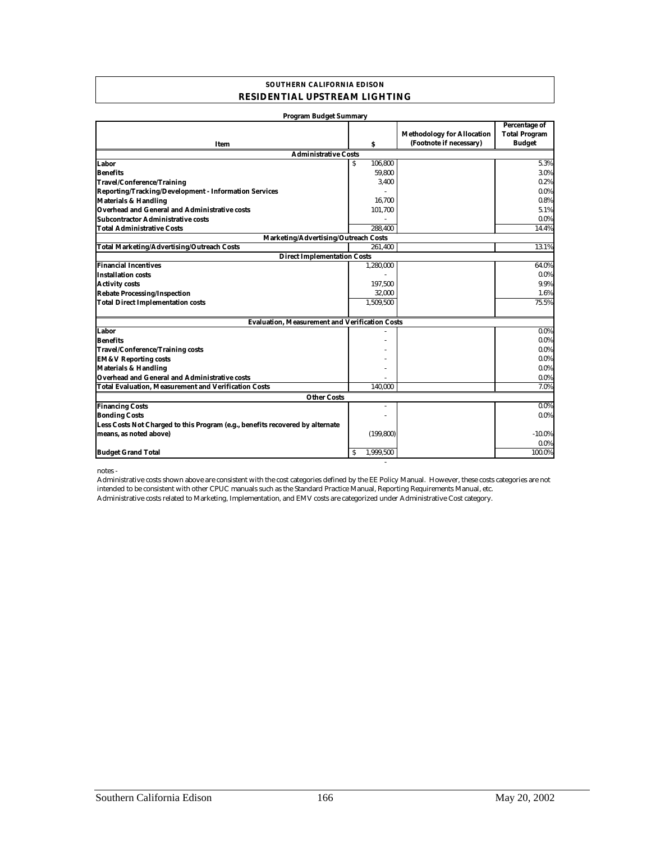#### **SOUTHERN CALIFORNIA EDISON RESIDENTIAL UPSTREAM LIGHTING**

| <b>Program Budget Summary</b>                                                 |                |                                                              |                                                        |  |  |  |
|-------------------------------------------------------------------------------|----------------|--------------------------------------------------------------|--------------------------------------------------------|--|--|--|
| Item                                                                          | S              | <b>Methodology for Allocation</b><br>(Footnote if necessary) | Percentage of<br><b>Total Program</b><br><b>Budget</b> |  |  |  |
| <b>Administrative Costs</b>                                                   |                |                                                              |                                                        |  |  |  |
| Labor                                                                         | 106,800<br>S   |                                                              | 5.3%                                                   |  |  |  |
| <b>Benefits</b>                                                               | 59.800         |                                                              | 3.0%                                                   |  |  |  |
| <b>Travel/Conference/Training</b>                                             | 3,400          |                                                              | 0.2%                                                   |  |  |  |
| Reporting/Tracking/Development - Information Services                         |                |                                                              | $0.0\%$                                                |  |  |  |
| <b>Materials &amp; Handling</b>                                               | 16,700         |                                                              | 0.8%                                                   |  |  |  |
| <b>Overhead and General and Administrative costs</b>                          | 101,700        |                                                              | 5.1%                                                   |  |  |  |
| <b>Subcontractor Administrative costs</b>                                     |                |                                                              | $0.0\%$                                                |  |  |  |
| <b>Total Administrative Costs</b>                                             | 288.400        |                                                              | 14.4%                                                  |  |  |  |
| Marketing/Advertising/Outreach Costs                                          |                |                                                              |                                                        |  |  |  |
| <b>Total Marketing/Advertising/Outreach Costs</b>                             | 261,400        |                                                              | 13.1%                                                  |  |  |  |
| <b>Direct Implementation Costs</b>                                            |                |                                                              |                                                        |  |  |  |
| <b>Financial Incentives</b>                                                   | 1,280,000      |                                                              | 64.0%                                                  |  |  |  |
| <b>Installation costs</b>                                                     |                |                                                              | 0.0%                                                   |  |  |  |
| <b>Activity costs</b>                                                         | 197,500        |                                                              | 9.9%                                                   |  |  |  |
| <b>Rebate Processing/Inspection</b>                                           | 32,000         |                                                              | 1.6%                                                   |  |  |  |
| <b>Total Direct Implementation costs</b>                                      | 1,509,500      |                                                              | 75.5%                                                  |  |  |  |
| <b>Evaluation, Measurement and Verification Costs</b>                         |                |                                                              |                                                        |  |  |  |
| Labor                                                                         |                |                                                              | 0.0%                                                   |  |  |  |
| <b>Benefits</b>                                                               |                |                                                              | $0.0\%$                                                |  |  |  |
| <b>Travel/Conference/Training costs</b>                                       |                |                                                              | $0.0\%$                                                |  |  |  |
| <b>EM&amp;V Reporting costs</b>                                               |                |                                                              | $0.0\%$                                                |  |  |  |
| <b>Materials &amp; Handling</b>                                               |                |                                                              | $0.0\%$                                                |  |  |  |
| Overhead and General and Administrative costs                                 |                |                                                              | $0.0\%$                                                |  |  |  |
| <b>Total Evaluation, Measurement and Verification Costs</b>                   | 140,000        |                                                              | 7.0%                                                   |  |  |  |
| <b>Other Costs</b>                                                            |                |                                                              |                                                        |  |  |  |
| <b>Financing Costs</b>                                                        | $\overline{a}$ |                                                              | $0.0\%$                                                |  |  |  |
| <b>Bonding Costs</b>                                                          |                |                                                              | $0.0\%$                                                |  |  |  |
| Less Costs Not Charged to this Program (e.g., benefits recovered by alternate |                |                                                              |                                                        |  |  |  |
| means, as noted above)                                                        | (199, 800)     |                                                              | $-10.0\%$                                              |  |  |  |
|                                                                               |                |                                                              | 0.0%                                                   |  |  |  |
| <b>Budget Grand Total</b>                                                     | 1.999.500<br>s |                                                              | 100.0%                                                 |  |  |  |

notes -

Administrative costs related to Marketing, Implementation, and EMV costs are categorized under Administrative Cost category. Administrative costs shown above are consistent with the cost categories defined by the EE Policy Manual. However, these costs categories are not intended to be consistent with other CPUC manuals such as the Standard Practice Manual, Reporting Requirements Manual, etc.

- 100 minutes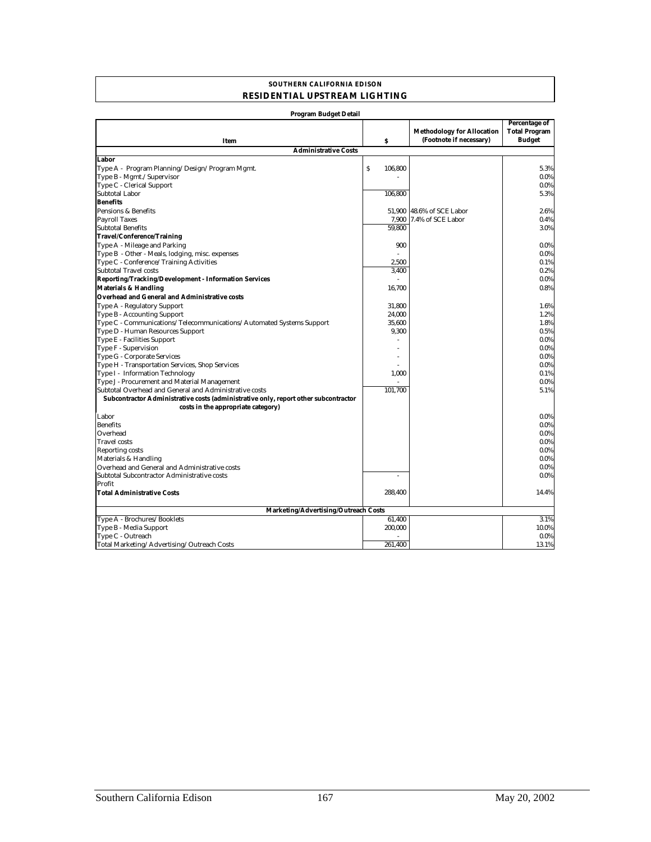#### **SOUTHERN CALIFORNIA EDISON RESIDENTIAL UPSTREAM LIGHTING**

| <b>Program Budget Detail</b>                                                        |                                      |                                                              |                                                        |  |  |
|-------------------------------------------------------------------------------------|--------------------------------------|--------------------------------------------------------------|--------------------------------------------------------|--|--|
| Item                                                                                | \$                                   | <b>Methodology for Allocation</b><br>(Footnote if necessary) | Percentage of<br><b>Total Program</b><br><b>Budget</b> |  |  |
| <b>Administrative Costs</b>                                                         |                                      |                                                              |                                                        |  |  |
| Labor                                                                               |                                      |                                                              |                                                        |  |  |
| Type A - Program Planning/Design/Program Mgmt.                                      | $\boldsymbol{\mathsf{S}}$<br>106,800 |                                                              | 5.3%                                                   |  |  |
| Type B - Mgmt./Supervisor                                                           |                                      |                                                              | $0.0\%$                                                |  |  |
| Type C - Clerical Support                                                           |                                      |                                                              | $0.0\%$                                                |  |  |
| Subtotal Labor                                                                      | 106,800                              |                                                              | 5.3%                                                   |  |  |
| <b>Benefits</b>                                                                     |                                      |                                                              |                                                        |  |  |
| Pensions & Benefits                                                                 |                                      | 51,900 48.6% of SCE Labor                                    | 2.6%                                                   |  |  |
| <b>Payroll Taxes</b>                                                                | 7.900                                | 7.4% of SCE Labor                                            | 0.4%                                                   |  |  |
| <b>Subtotal Benefits</b>                                                            | 59,800                               |                                                              | 3.0%                                                   |  |  |
| <b>Travel/Conference/Training</b>                                                   |                                      |                                                              |                                                        |  |  |
| Type A - Mileage and Parking                                                        | 900                                  |                                                              | $0.0\%$                                                |  |  |
| Type B - Other - Meals, lodging, misc. expenses                                     |                                      |                                                              | $0.0\%$                                                |  |  |
| Type C - Conference/Training Activities                                             | 2,500                                |                                                              | 0.1%                                                   |  |  |
| Subtotal Travel costs                                                               | 3,400                                |                                                              | 0.2%                                                   |  |  |
| <b>Reporting/Tracking/Development - Information Services</b>                        |                                      |                                                              | $0.0\%$                                                |  |  |
| <b>Materials &amp; Handling</b>                                                     | 16,700                               |                                                              | 0.8%                                                   |  |  |
| <b>Overhead and General and Administrative costs</b>                                |                                      |                                                              |                                                        |  |  |
| Type A - Regulatory Support                                                         | 31.800                               |                                                              | 1.6%                                                   |  |  |
| Type B - Accounting Support                                                         | 24,000                               |                                                              | 1.2%                                                   |  |  |
| Type C - Communications/Telecommunications/Automated Systems Support                | 35,600                               |                                                              | 1.8%                                                   |  |  |
| Type D - Human Resources Support                                                    | 9,300                                |                                                              | 0.5%                                                   |  |  |
| Type E - Facilities Support                                                         |                                      |                                                              | $0.0\%$                                                |  |  |
| Type F - Supervision                                                                |                                      |                                                              | $0.0\%$                                                |  |  |
| Type G - Corporate Services                                                         |                                      |                                                              | $0.0\%$                                                |  |  |
| Type H - Transportation Services, Shop Services                                     |                                      |                                                              | $0.0\%$                                                |  |  |
| Type I - Information Technology                                                     | 1,000                                |                                                              | 0.1%                                                   |  |  |
| Type J - Procurement and Material Management                                        |                                      |                                                              | $0.0\%$                                                |  |  |
| Subtotal Overhead and General and Administrative costs                              | 101,700                              |                                                              | 5.1%                                                   |  |  |
| Subcontractor Administrative costs (administrative only, report other subcontractor |                                      |                                                              |                                                        |  |  |
| costs in the appropriate category)                                                  |                                      |                                                              |                                                        |  |  |
| Labor                                                                               |                                      |                                                              | $0.0\%$                                                |  |  |
| <b>Benefits</b>                                                                     |                                      |                                                              | $0.0\%$                                                |  |  |
| Overhead                                                                            |                                      |                                                              | $0.0\%$                                                |  |  |
| <b>Travel</b> costs                                                                 |                                      |                                                              | $0.0\%$                                                |  |  |
| <b>Reporting costs</b>                                                              |                                      |                                                              | $0.0\%$                                                |  |  |
| Materials & Handling                                                                |                                      |                                                              | $0.0\%$                                                |  |  |
| Overhead and General and Administrative costs                                       |                                      |                                                              | $0.0\%$                                                |  |  |
| Subtotal Subcontractor Administrative costs                                         |                                      |                                                              | $0.0\%$                                                |  |  |
| Profit                                                                              |                                      |                                                              |                                                        |  |  |
| <b>Total Administrative Costs</b>                                                   | 288.400                              |                                                              | 14.4%                                                  |  |  |
| Marketing/Advertising/Outreach Costs                                                |                                      |                                                              |                                                        |  |  |
| Type A - Brochures/Booklets                                                         | 61,400                               |                                                              | 3.1%                                                   |  |  |
| Type B - Media Support                                                              | 200,000                              |                                                              | 10.0%                                                  |  |  |
| Type C - Outreach                                                                   |                                      |                                                              | 0.0%                                                   |  |  |
| Total Marketing/Advertising/Outreach Costs                                          | 261,400                              |                                                              | 13.1%                                                  |  |  |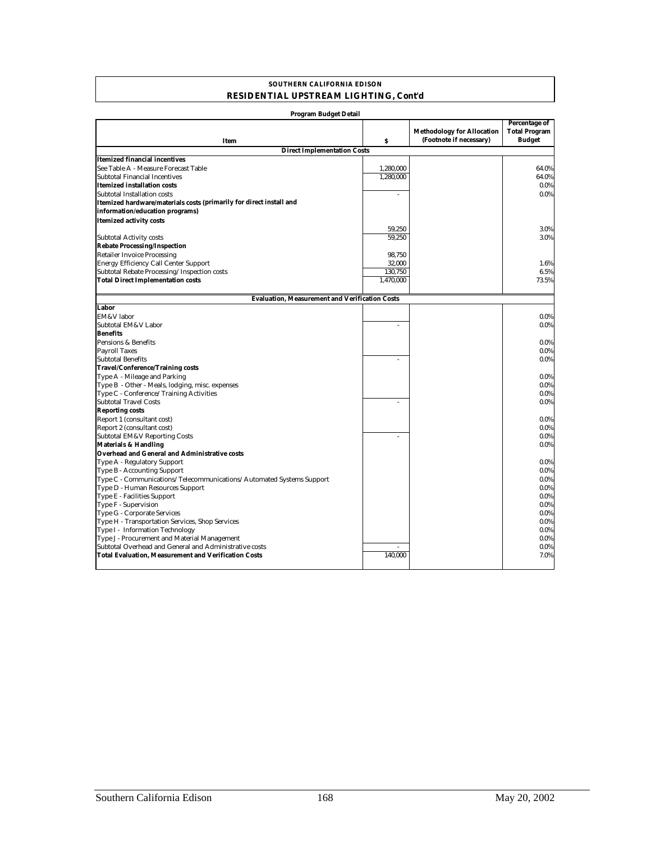### **SOUTHERN CALIFORNIA EDISON RESIDENTIAL UPSTREAM LIGHTING, Cont'd**

| <b>Program Budget Detail</b>                                                                                          |           |                                                              |                                                               |  |  |
|-----------------------------------------------------------------------------------------------------------------------|-----------|--------------------------------------------------------------|---------------------------------------------------------------|--|--|
| Item                                                                                                                  | \$        | <b>Methodology for Allocation</b><br>(Footnote if necessary) | <b>Percentage of</b><br><b>Total Program</b><br><b>Budget</b> |  |  |
| <b>Direct Implementation Costs</b>                                                                                    |           |                                                              |                                                               |  |  |
| <b>Itemized financial incentives</b>                                                                                  |           |                                                              |                                                               |  |  |
| See Table A - Measure Forecast Table                                                                                  | 1,280,000 |                                                              | 64.0%                                                         |  |  |
| Subtotal Financial Incentives                                                                                         | 1,280,000 |                                                              | 64.0%                                                         |  |  |
| Itemized installation costs                                                                                           |           |                                                              | $0.0\%$                                                       |  |  |
| Subtotal Installation costs                                                                                           | ÷,        |                                                              | $0.0\%$                                                       |  |  |
| Itemized hardware/materials costs (primarily for direct install and                                                   |           |                                                              |                                                               |  |  |
| information/education programs)                                                                                       |           |                                                              |                                                               |  |  |
| <b>Itemized activity costs</b>                                                                                        |           |                                                              |                                                               |  |  |
|                                                                                                                       | 59,250    |                                                              | 3.0%                                                          |  |  |
| <b>Subtotal Activity costs</b>                                                                                        | 59,250    |                                                              | 3.0%                                                          |  |  |
| <b>Rebate Processing/Inspection</b>                                                                                   |           |                                                              |                                                               |  |  |
| <b>Retailer Invoice Processing</b>                                                                                    | 98,750    |                                                              |                                                               |  |  |
| <b>Energy Efficiency Call Center Support</b>                                                                          | 32,000    |                                                              | 1.6%                                                          |  |  |
| Subtotal Rebate Processing/Inspection costs                                                                           | 130,750   |                                                              | 6.5%                                                          |  |  |
| <b>Total Direct Implementation costs</b>                                                                              | 1,470,000 |                                                              | 73.5%                                                         |  |  |
|                                                                                                                       |           |                                                              |                                                               |  |  |
| <b>Evaluation, Measurement and Verification Costs</b>                                                                 |           |                                                              |                                                               |  |  |
| Labor                                                                                                                 |           |                                                              |                                                               |  |  |
| EM&V labor                                                                                                            |           |                                                              | $0.0\%$                                                       |  |  |
| Subtotal EM&V Labor                                                                                                   | J.        |                                                              | $0.0\%$                                                       |  |  |
| <b>Benefits</b>                                                                                                       |           |                                                              |                                                               |  |  |
| Pensions & Benefits                                                                                                   |           |                                                              | $0.0\%$                                                       |  |  |
| <b>Payroll Taxes</b>                                                                                                  |           |                                                              | $0.0\%$                                                       |  |  |
| <b>Subtotal Benefits</b>                                                                                              |           |                                                              | $0.0\%$                                                       |  |  |
| <b>Travel/Conference/Training costs</b>                                                                               |           |                                                              |                                                               |  |  |
| Type A - Mileage and Parking<br>Type B - Other - Meals, lodging, misc. expenses                                       |           |                                                              | $0.0\%$<br>$0.0\%$                                            |  |  |
| Type C - Conference/Training Activities                                                                               |           |                                                              | $0.0\%$                                                       |  |  |
| <b>Subtotal Travel Costs</b>                                                                                          | ä,        |                                                              | $0.0\%$                                                       |  |  |
| <b>Reporting costs</b>                                                                                                |           |                                                              |                                                               |  |  |
| Report 1 (consultant cost)                                                                                            |           |                                                              | $0.0\%$                                                       |  |  |
| Report 2 (consultant cost)                                                                                            |           |                                                              | 0.0%                                                          |  |  |
| Subtotal EM&V Reporting Costs                                                                                         | L.        |                                                              | $0.0\%$                                                       |  |  |
| <b>Materials &amp; Handling</b>                                                                                       |           |                                                              | $0.0\%$                                                       |  |  |
| Overhead and General and Administrative costs                                                                         |           |                                                              |                                                               |  |  |
| Type A - Regulatory Support                                                                                           |           |                                                              | $0.0\%$                                                       |  |  |
| Type B - Accounting Support                                                                                           |           |                                                              | $0.0\%$                                                       |  |  |
| Type C - Communications/Telecommunications/Automated Systems Support                                                  |           |                                                              | $0.0\%$                                                       |  |  |
| Type D - Human Resources Support                                                                                      |           |                                                              | 0.0%                                                          |  |  |
| Type E - Facilities Support                                                                                           |           |                                                              | $0.0\%$                                                       |  |  |
| Type F - Supervision                                                                                                  |           |                                                              | $0.0\%$                                                       |  |  |
| Type G - Corporate Services                                                                                           |           |                                                              | $0.0\%$                                                       |  |  |
| Type H - Transportation Services, Shop Services                                                                       |           |                                                              | $0.0\%$                                                       |  |  |
| Type I - Information Technology                                                                                       |           |                                                              | $0.0\%$                                                       |  |  |
| Type J - Procurement and Material Management                                                                          |           |                                                              | $0.0\%$                                                       |  |  |
| Subtotal Overhead and General and Administrative costs<br><b>Total Evaluation, Measurement and Verification Costs</b> | 140,000   |                                                              | $0.0\%$<br>7.0%                                               |  |  |
|                                                                                                                       |           |                                                              |                                                               |  |  |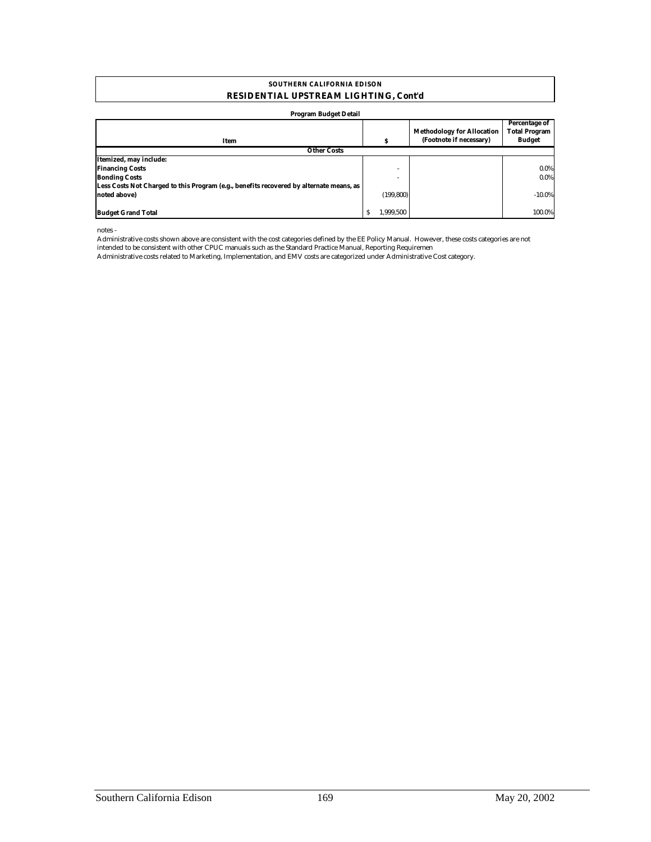#### **RESIDENTIAL UPSTREAM LIGHTING, Cont'd SOUTHERN CALIFORNIA EDISON**

#### **Program Budget Detail**

| Item                                                                                    |              | s          | <b>Methodology for Allocation</b><br>(Footnote if necessary) | Percentage of<br><b>Total Program</b><br>Budget |
|-----------------------------------------------------------------------------------------|--------------|------------|--------------------------------------------------------------|-------------------------------------------------|
| <b>Other Costs</b>                                                                      |              |            |                                                              |                                                 |
| Itemized, may include:                                                                  |              |            |                                                              |                                                 |
| <b>Financing Costs</b>                                                                  |              |            |                                                              | 0.0%                                            |
| <b>Bonding Costs</b>                                                                    |              |            |                                                              | 0.0%                                            |
| Less Costs Not Charged to this Program (e.g., benefits recovered by alternate means, as |              |            |                                                              |                                                 |
| noted above)                                                                            |              | (199, 800) |                                                              | $-10.0\%$                                       |
|                                                                                         |              |            |                                                              |                                                 |
| <b>Budget Grand Total</b>                                                               | <sub>S</sub> | 1.999.500  |                                                              | 100.0%                                          |

notes -

Administrative costs shown above are consistent with the cost categories defined by the EE Policy Manual. However, these costs categories are not intended to be consistent with other CPUC manuals such as the Standard Practice Manual, Reporting Requiremen

Administrative costs related to Marketing, Implementation, and EMV costs are categorized under Administrative Cost category.